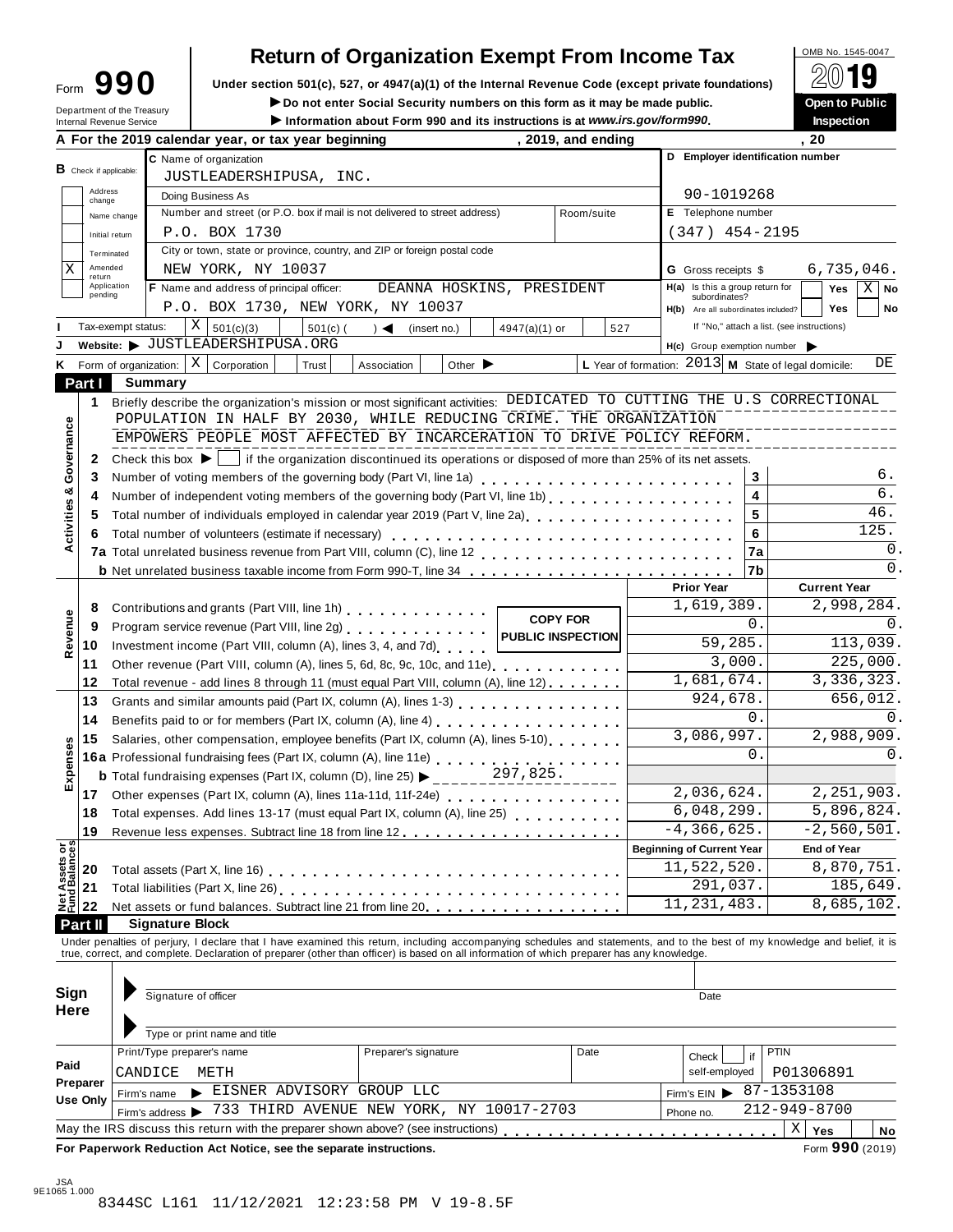| Form | Ч                                                            |
|------|--------------------------------------------------------------|
|      | Department of the Treasur<br><b>Internal Revenue Service</b> |

# **Return of Organization Exempt From Income Tax**<br>section 501(c), 527, or 4947(a)(1) of the Internal Revenue Code (except private foundations)

Form  $\mathbf{990}$  Under section 501(c), 527, or 4947(a)(1) of the Internal Revenue Code (except private foundations)  $\Box$   $\Box$ 

 $\blacktriangleright$  Do not enter Social Security numbers on this form as it may be made public.

|                                |                       | Department of the Treasury<br>Internal Revenue Service |                                                                                                                                                              |            | ► Do not enter Social Security numbers on this form as it may be made public.<br>Information about Form 990 and its instructions is at www.irs.gov/form990. |                             |                           |                    |     |                                                        |            | Open to Public<br>Inspection                                                                                                                                                                                                   |
|--------------------------------|-----------------------|--------------------------------------------------------|--------------------------------------------------------------------------------------------------------------------------------------------------------------|------------|-------------------------------------------------------------------------------------------------------------------------------------------------------------|-----------------------------|---------------------------|--------------------|-----|--------------------------------------------------------|------------|--------------------------------------------------------------------------------------------------------------------------------------------------------------------------------------------------------------------------------|
|                                |                       |                                                        | A For the 2019 calendar year, or tax year beginning                                                                                                          |            |                                                                                                                                                             |                             |                           | , 2019, and ending |     |                                                        |            | . 20                                                                                                                                                                                                                           |
|                                |                       |                                                        | C Name of organization                                                                                                                                       |            |                                                                                                                                                             |                             |                           |                    |     | D Employer identification number                       |            |                                                                                                                                                                                                                                |
|                                |                       | <b>B</b> Check if applicable:                          | JUSTLEADERSHIPUSA, INC.                                                                                                                                      |            |                                                                                                                                                             |                             |                           |                    |     |                                                        |            |                                                                                                                                                                                                                                |
|                                | Address<br>change     |                                                        | Doing Business As                                                                                                                                            |            |                                                                                                                                                             |                             |                           |                    |     | 90-1019268                                             |            |                                                                                                                                                                                                                                |
|                                |                       | Name change                                            | Number and street (or P.O. box if mail is not delivered to street address)                                                                                   |            |                                                                                                                                                             |                             |                           | Room/suite         |     | E Telephone number                                     |            |                                                                                                                                                                                                                                |
|                                |                       | Initial return                                         | P.O. BOX 1730                                                                                                                                                |            |                                                                                                                                                             |                             |                           |                    |     | $(347)$ 454-2195                                       |            |                                                                                                                                                                                                                                |
|                                | Terminated            |                                                        | City or town, state or province, country, and ZIP or foreign postal code                                                                                     |            |                                                                                                                                                             |                             |                           |                    |     |                                                        |            |                                                                                                                                                                                                                                |
| Χ                              | Amended               |                                                        | NEW YORK, NY 10037                                                                                                                                           |            |                                                                                                                                                             |                             |                           |                    |     | <b>G</b> Gross receipts \$                             |            | 6,735,046.                                                                                                                                                                                                                     |
|                                | return<br>Application |                                                        | <b>F</b> Name and address of principal officer:                                                                                                              |            |                                                                                                                                                             |                             | DEANNA HOSKINS, PRESIDENT |                    |     | H(a) Is this a group return for                        |            | $X \mid$ No<br>Yes                                                                                                                                                                                                             |
|                                | pending               |                                                        | P.O. BOX 1730, NEW YORK, NY 10037                                                                                                                            |            |                                                                                                                                                             |                             |                           |                    |     | subordinates?<br>H(b) Are all subordinates included?   |            | <b>Yes</b><br>No                                                                                                                                                                                                               |
|                                |                       | Tax-exempt status:                                     | $X \mid$<br>501(c)(3)                                                                                                                                        | $501(c)$ ( | $\rightarrow$                                                                                                                                               | (insert no.)                | 4947(a)(1) or             |                    | 527 |                                                        |            | If "No," attach a list. (see instructions)                                                                                                                                                                                     |
|                                |                       |                                                        | Website: JUSTLEADERSHIPUSA.ORG                                                                                                                               |            |                                                                                                                                                             |                             |                           |                    |     | $H(c)$ Group exemption number                          |            |                                                                                                                                                                                                                                |
|                                |                       | Form of organization:                                  | $X \vert$ Corporation                                                                                                                                        | Trust      | Association                                                                                                                                                 | Other $\blacktriangleright$ |                           |                    |     | L Year of formation: $2013$ M State of legal domicile: |            | DE                                                                                                                                                                                                                             |
| Κ                              | Part I                | <b>Summary</b>                                         |                                                                                                                                                              |            |                                                                                                                                                             |                             |                           |                    |     |                                                        |            |                                                                                                                                                                                                                                |
|                                | 1                     |                                                        |                                                                                                                                                              |            |                                                                                                                                                             |                             |                           |                    |     |                                                        |            | Briefly describe the organization's mission or most significant activities: DEDICATED TO CUTTING THE U.S CORRECTIONAL                                                                                                          |
|                                |                       |                                                        | POPULATION IN HALF BY 2030, WHILE REDUCING CRIME. THE ORGANIZATION                                                                                           |            |                                                                                                                                                             |                             |                           |                    |     |                                                        |            |                                                                                                                                                                                                                                |
| Governance                     |                       |                                                        | EMPOWERS PEOPLE MOST AFFECTED BY INCARCERATION TO DRIVE POLICY REFORM.                                                                                       |            |                                                                                                                                                             |                             |                           |                    |     |                                                        |            |                                                                                                                                                                                                                                |
|                                | 2                     |                                                        | Check this box $\blacktriangleright$   if the organization discontinued its operations or disposed of more than 25% of its net assets.                       |            |                                                                                                                                                             |                             |                           |                    |     |                                                        |            |                                                                                                                                                                                                                                |
|                                | 3                     |                                                        | Number of voting members of the governing body (Part VI, line 1a)<br>                                                                                        |            |                                                                                                                                                             |                             |                           |                    |     |                                                        | 3          | б.                                                                                                                                                                                                                             |
|                                | 4                     |                                                        | Number of independent voting members of the governing body (Part VI, line 1b)                                                                                |            |                                                                                                                                                             |                             |                           |                    |     |                                                        | 4          | 6.                                                                                                                                                                                                                             |
|                                | 5                     |                                                        | Total number of individuals employed in calendar year 2019 (Part V, line 2a)<br>Total number of individuals employed in calendar year 2019 (Part V, line 2a) |            |                                                                                                                                                             |                             |                           |                    |     |                                                        | 5          | 46.                                                                                                                                                                                                                            |
| Activities &                   | 6                     |                                                        | Total number of volunteers (estimate if necessary)                                                                                                           |            |                                                                                                                                                             |                             |                           |                    |     |                                                        | 6          | 125.                                                                                                                                                                                                                           |
|                                |                       |                                                        |                                                                                                                                                              |            |                                                                                                                                                             |                             |                           |                    |     |                                                        | 7a         | 0.                                                                                                                                                                                                                             |
|                                |                       |                                                        | <b>b</b> Net unrelated business taxable income from Form 990-T, line 34                                                                                      |            |                                                                                                                                                             |                             |                           |                    |     |                                                        | 7b         | 0.                                                                                                                                                                                                                             |
|                                |                       |                                                        |                                                                                                                                                              |            |                                                                                                                                                             |                             |                           |                    |     | <b>Prior Year</b>                                      |            | <b>Current Year</b>                                                                                                                                                                                                            |
|                                | 8                     |                                                        | Contributions and grants (Part VIII, line 1h) [19] Contributions and grants (Part VIII, line 1h)                                                             |            |                                                                                                                                                             |                             |                           |                    |     | 1,619,389.                                             |            | 2,998,284.                                                                                                                                                                                                                     |
| Revenue                        | 9                     |                                                        | Program service revenue (Part VIII, line 2g)                                                                                                                 |            |                                                                                                                                                             |                             |                           | <b>COPY FOR</b>    |     |                                                        | 0.         | 0.                                                                                                                                                                                                                             |
|                                | 10                    |                                                        | Investment income (Part VIII, column (A), lines 3, 4, and 7d)                                                                                                |            |                                                                                                                                                             |                             | PUBLIC INSPECTION         |                    |     | 59,285.                                                |            | 113,039.                                                                                                                                                                                                                       |
|                                | 11                    |                                                        | Other revenue (Part VIII, column (A), lines 5, 6d, 8c, 9c, 10c, and 11e) [100]                                                                               |            |                                                                                                                                                             |                             |                           |                    |     | $\overline{3}$ ,000.                                   |            | 225,000.                                                                                                                                                                                                                       |
|                                | 12                    |                                                        | Total revenue - add lines 8 through 11 (must equal Part VIII, column (A), line 12)                                                                           |            |                                                                                                                                                             |                             |                           |                    |     | 1,681,674.                                             |            | 3, 336, 323.                                                                                                                                                                                                                   |
|                                | 13                    |                                                        | Grants and similar amounts paid (Part IX, column (A), lines 1-3) [10] Canada and similar and similar and similar $($                                         |            |                                                                                                                                                             |                             |                           |                    |     | 924,678.                                               |            | 656,012.                                                                                                                                                                                                                       |
|                                | 14                    |                                                        | Benefits paid to or for members (Part IX, column (A), line 4)                                                                                                |            |                                                                                                                                                             |                             |                           |                    |     |                                                        | $\Omega$ . | 0.                                                                                                                                                                                                                             |
|                                | 15                    |                                                        | Salaries, other compensation, employee benefits (Part IX, column (A), lines 5-10)                                                                            |            |                                                                                                                                                             |                             |                           |                    |     | 3,086,997.                                             |            | 2,988,909.                                                                                                                                                                                                                     |
| Expenses                       |                       |                                                        | 16a Professional fundraising fees (Part IX, column (A), line 11e)<br>16a Professional fundraising fees (Part IX, column (A), line 11e)                       |            |                                                                                                                                                             |                             |                           |                    |     |                                                        | 0.         | 0.                                                                                                                                                                                                                             |
|                                |                       |                                                        | <b>b</b> Total fundraising expenses (Part IX, column (D), line 25) $\blacktriangleright$ _____                                                               |            |                                                                                                                                                             |                             | 297,825.                  |                    |     |                                                        |            |                                                                                                                                                                                                                                |
|                                | 17                    |                                                        | Other expenses (Part IX, column (A), lines 11a-11d, 11f-24e)                                                                                                 |            |                                                                                                                                                             |                             |                           |                    |     | 2,036,624.                                             |            | 2, 251, 903.                                                                                                                                                                                                                   |
|                                | 18                    |                                                        | Total expenses. Add lines 13-17 (must equal Part IX, column (A), line 25)                                                                                    |            |                                                                                                                                                             |                             |                           |                    |     | 6,048,299.                                             |            | $\overline{5,896,824}$ .                                                                                                                                                                                                       |
|                                | 19                    |                                                        |                                                                                                                                                              |            |                                                                                                                                                             |                             |                           |                    |     | $-4, 366, 625.$                                        |            | $-2,560,501.$                                                                                                                                                                                                                  |
|                                |                       |                                                        |                                                                                                                                                              |            |                                                                                                                                                             |                             |                           |                    |     | <b>Beginning of Current Year</b>                       |            | <b>End of Year</b>                                                                                                                                                                                                             |
| Net Assets or<br>Fund Balances | 20                    |                                                        |                                                                                                                                                              |            |                                                                                                                                                             |                             |                           |                    |     | 11,522,520.                                            |            | 8,870,751.                                                                                                                                                                                                                     |
|                                | 21                    |                                                        |                                                                                                                                                              |            |                                                                                                                                                             |                             |                           |                    |     | $\overline{291}$ , 037.                                |            | 185,649.                                                                                                                                                                                                                       |
|                                | 22                    |                                                        | Net assets or fund balances. Subtract line 21 from line 20.                                                                                                  |            |                                                                                                                                                             |                             |                           |                    |     | 11, 231, 483.                                          |            | 8,685,102.                                                                                                                                                                                                                     |
|                                | Part II               | <b>Signature Block</b>                                 |                                                                                                                                                              |            |                                                                                                                                                             |                             |                           |                    |     |                                                        |            |                                                                                                                                                                                                                                |
|                                |                       |                                                        |                                                                                                                                                              |            |                                                                                                                                                             |                             |                           |                    |     |                                                        |            | Under penalties of perjury, I declare that I have examined this return, including accompanying schedules and statements, and to the best of my knowledge and belief, it is true, correct, and complete. Declaration of prepare |
|                                |                       |                                                        |                                                                                                                                                              |            |                                                                                                                                                             |                             |                           |                    |     |                                                        |            |                                                                                                                                                                                                                                |
| Sign                           |                       |                                                        | Signature of officer                                                                                                                                         |            |                                                                                                                                                             |                             |                           |                    |     | Date                                                   |            |                                                                                                                                                                                                                                |
| Here                           |                       |                                                        |                                                                                                                                                              |            |                                                                                                                                                             |                             |                           |                    |     |                                                        |            |                                                                                                                                                                                                                                |
|                                |                       |                                                        | Type or print name and title                                                                                                                                 |            |                                                                                                                                                             |                             |                           |                    |     |                                                        |            |                                                                                                                                                                                                                                |
|                                |                       |                                                        |                                                                                                                                                              |            |                                                                                                                                                             |                             |                           |                    |     |                                                        |            |                                                                                                                                                                                                                                |

|                      | Print/Type preparer's name                                                            | Preparer's signature | Check                      | PTIN |  |  |  |  |  |  |  |  |
|----------------------|---------------------------------------------------------------------------------------|----------------------|----------------------------|------|--|--|--|--|--|--|--|--|
| Paid                 | CANDICE<br>METH                                                                       |                      | P01306891<br>self-emploved |      |  |  |  |  |  |  |  |  |
| Preparer<br>Use Only | EISNER ADVISORY GROUP LLC<br>Firm's name                                              |                      | 87-1353108<br>Firm's EIN   |      |  |  |  |  |  |  |  |  |
|                      | Firm's address > 733 THIRD AVENUE NEW YORK, NY 10017-2703                             | Phone no.            | 212-949-8700               |      |  |  |  |  |  |  |  |  |
| Χ<br>Yes<br>No       |                                                                                       |                      |                            |      |  |  |  |  |  |  |  |  |
|                      | Form 990 (2019)<br>For Paperwork Reduction Act Notice, see the separate instructions. |                      |                            |      |  |  |  |  |  |  |  |  |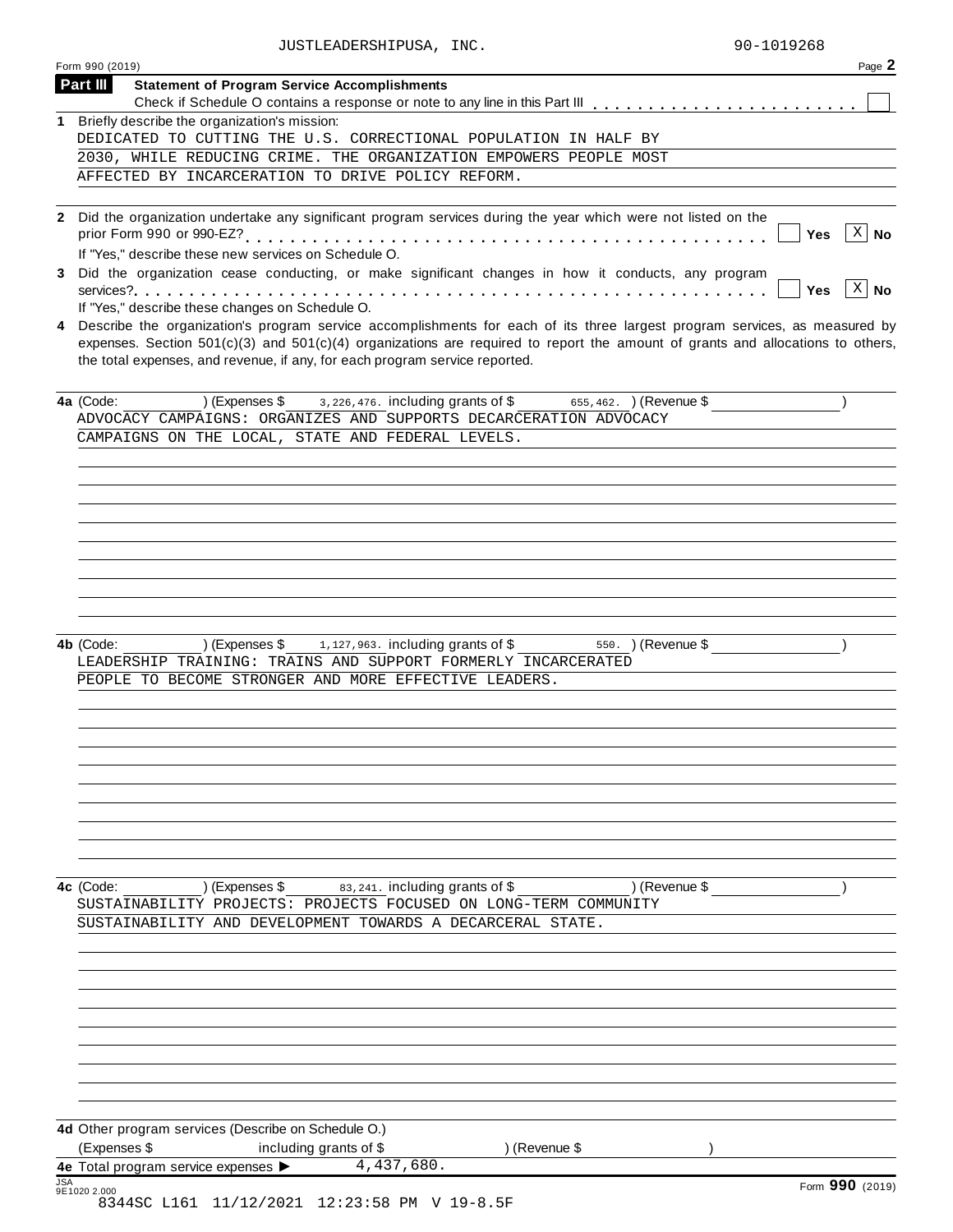| Form 990 (2019)        |              |                                                     |                                                      |                                                                                                                                                                                                                      |               |                                                                                                                                                                                                                                                                  |                                                 |
|------------------------|--------------|-----------------------------------------------------|------------------------------------------------------|----------------------------------------------------------------------------------------------------------------------------------------------------------------------------------------------------------------------|---------------|------------------------------------------------------------------------------------------------------------------------------------------------------------------------------------------------------------------------------------------------------------------|-------------------------------------------------|
| Part III               |              |                                                     | <b>Statement of Program Service Accomplishments</b>  |                                                                                                                                                                                                                      |               |                                                                                                                                                                                                                                                                  |                                                 |
| 1                      |              | Briefly describe the organization's mission:        |                                                      |                                                                                                                                                                                                                      |               |                                                                                                                                                                                                                                                                  |                                                 |
|                        |              |                                                     |                                                      | DEDICATED TO CUTTING THE U.S. CORRECTIONAL POPULATION IN HALF BY                                                                                                                                                     |               |                                                                                                                                                                                                                                                                  |                                                 |
|                        |              |                                                     |                                                      | 2030, WHILE REDUCING CRIME. THE ORGANIZATION EMPOWERS PEOPLE MOST                                                                                                                                                    |               |                                                                                                                                                                                                                                                                  |                                                 |
|                        |              |                                                     |                                                      | AFFECTED BY INCARCERATION TO DRIVE POLICY REFORM.                                                                                                                                                                    |               |                                                                                                                                                                                                                                                                  |                                                 |
|                        |              |                                                     | If "Yes," describe these new services on Schedule O. | 2 Did the organization undertake any significant program services during the year which were not listed on the<br>Did the organization cease conducting, or make significant changes in how it conducts, any program |               |                                                                                                                                                                                                                                                                  | $X \mid No$<br>Yes<br>$X \mid No$<br><b>Yes</b> |
|                        |              | If "Yes," describe these changes on Schedule O.     |                                                      | the total expenses, and revenue, if any, for each program service reported.                                                                                                                                          |               | Describe the organization's program service accomplishments for each of its three largest program services, as measured by<br>expenses. Section $501(c)(3)$ and $501(c)(4)$ organizations are required to report the amount of grants and allocations to others, |                                                 |
| 4a (Code:              |              | ) (Expenses \$                                      |                                                      | 3, 226, 476. including grants of \$                                                                                                                                                                                  |               | 655, 462. ) (Revenue \$                                                                                                                                                                                                                                          |                                                 |
|                        |              |                                                     |                                                      | ADVOCACY CAMPAIGNS: ORGANIZES AND SUPPORTS DECARCERATION ADVOCACY                                                                                                                                                    |               |                                                                                                                                                                                                                                                                  |                                                 |
|                        |              |                                                     |                                                      |                                                                                                                                                                                                                      |               |                                                                                                                                                                                                                                                                  |                                                 |
|                        |              |                                                     |                                                      |                                                                                                                                                                                                                      |               |                                                                                                                                                                                                                                                                  |                                                 |
|                        |              | ) (Expenses \$                                      |                                                      | $1,127,963$ . including grants of \$<br>LEADERSHIP TRAINING: TRAINS AND SUPPORT FORMERLY INCARCERATED<br>PEOPLE TO BECOME STRONGER AND MORE EFFECTIVE LEADERS.                                                       |               | 550. ) (Revenue \$                                                                                                                                                                                                                                               |                                                 |
|                        |              |                                                     |                                                      |                                                                                                                                                                                                                      |               |                                                                                                                                                                                                                                                                  |                                                 |
|                        |              | ) (Expenses \$                                      |                                                      | 83, 241. including grants of \$<br>SUSTAINABILITY PROJECTS: PROJECTS FOCUSED ON LONG-TERM COMMUNITY                                                                                                                  |               | ) (Revenue \$                                                                                                                                                                                                                                                    |                                                 |
|                        |              |                                                     |                                                      | SUSTAINABILITY AND DEVELOPMENT TOWARDS A DECARCERAL STATE.                                                                                                                                                           |               |                                                                                                                                                                                                                                                                  |                                                 |
|                        |              |                                                     |                                                      |                                                                                                                                                                                                                      |               |                                                                                                                                                                                                                                                                  |                                                 |
|                        |              | 4d Other program services (Describe on Schedule O.) |                                                      |                                                                                                                                                                                                                      |               |                                                                                                                                                                                                                                                                  |                                                 |
| 4b (Code:<br>4c (Code: | (Expenses \$ |                                                     | including grants of \$<br>4,437,680.                 |                                                                                                                                                                                                                      | ) (Revenue \$ |                                                                                                                                                                                                                                                                  |                                                 |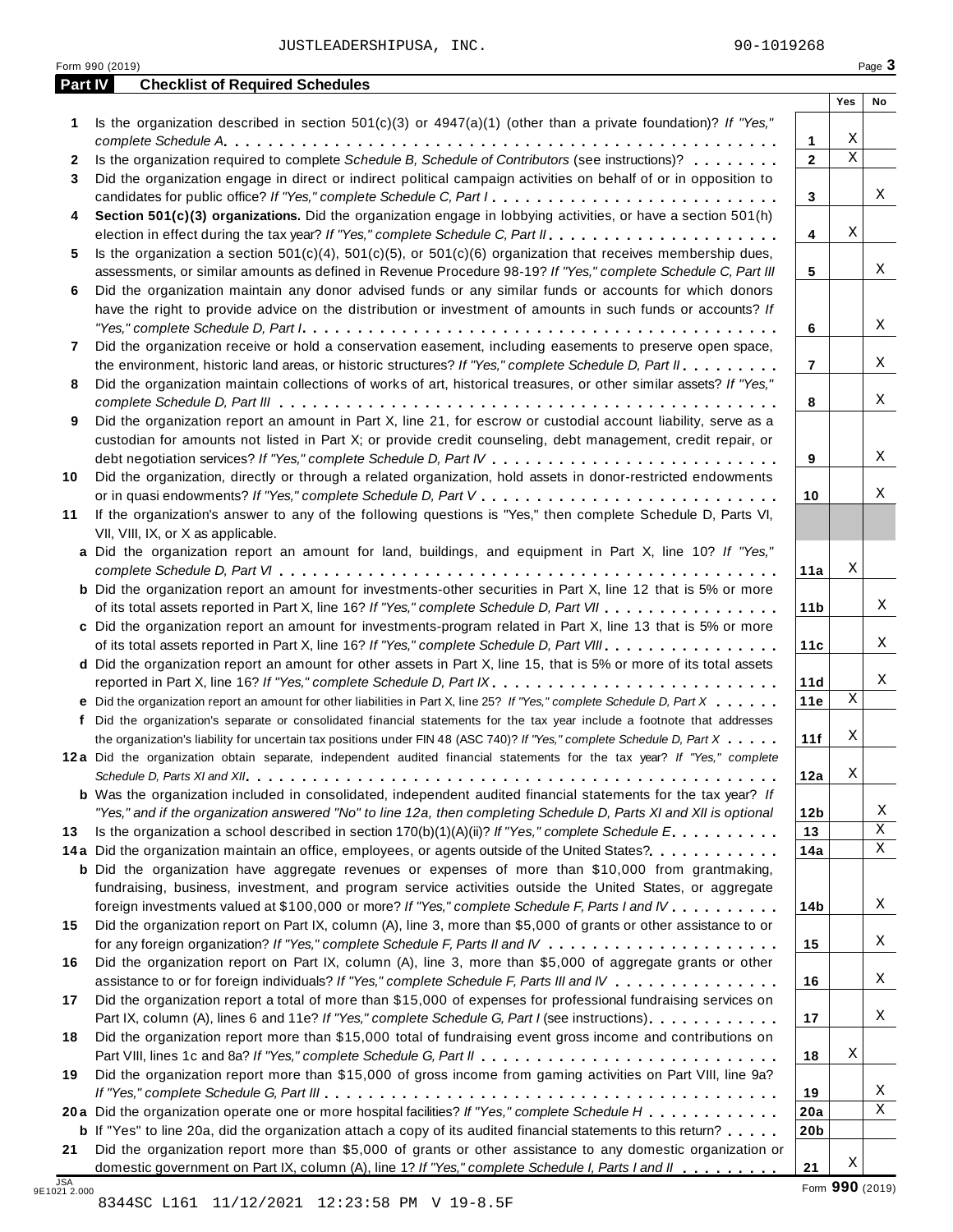JUSTLEADERSHIPUSA, INC. 90-1019268

|              |                                                                                                                         |                 | Yes                     | No |
|--------------|-------------------------------------------------------------------------------------------------------------------------|-----------------|-------------------------|----|
| 1            | Is the organization described in section $501(c)(3)$ or $4947(a)(1)$ (other than a private foundation)? If "Yes,"       |                 |                         |    |
|              |                                                                                                                         | $\mathbf 1$     | Χ                       |    |
| $\mathbf{2}$ | Is the organization required to complete Schedule B, Schedule of Contributors (see instructions)?                       | $\overline{2}$  | $\overline{\mathbf{x}}$ |    |
| 3            | Did the organization engage in direct or indirect political campaign activities on behalf of or in opposition to        |                 |                         |    |
|              | candidates for public office? If "Yes," complete Schedule C, Part I.                                                    | 3               |                         |    |
| 4            | Section 501(c)(3) organizations. Did the organization engage in lobbying activities, or have a section 501(h)           |                 |                         |    |
|              |                                                                                                                         | 4               | Χ                       |    |
| 5            | Is the organization a section $501(c)(4)$ , $501(c)(5)$ , or $501(c)(6)$ organization that receives membership dues,    |                 |                         |    |
|              | assessments, or similar amounts as defined in Revenue Procedure 98-19? If "Yes," complete Schedule C, Part III          | 5               |                         |    |
| 6            | Did the organization maintain any donor advised funds or any similar funds or accounts for which donors                 |                 |                         |    |
|              | have the right to provide advice on the distribution or investment of amounts in such funds or accounts? If             |                 |                         |    |
|              |                                                                                                                         | 6               |                         |    |
| 7            | Did the organization receive or hold a conservation easement, including easements to preserve open space,               |                 |                         |    |
|              | the environment, historic land areas, or historic structures? If "Yes," complete Schedule D, Part II.                   | $\overline{7}$  |                         |    |
| 8            | Did the organization maintain collections of works of art, historical treasures, or other similar assets? If "Yes,"     |                 |                         |    |
|              |                                                                                                                         | 8               |                         |    |
| 9            | Did the organization report an amount in Part X, line 21, for escrow or custodial account liability, serve as a         |                 |                         |    |
|              | custodian for amounts not listed in Part X; or provide credit counseling, debt management, credit repair, or            |                 |                         |    |
|              |                                                                                                                         | 9               |                         |    |
| 10           | Did the organization, directly or through a related organization, hold assets in donor-restricted endowments            |                 |                         |    |
|              |                                                                                                                         | 10              |                         |    |
| 11           | If the organization's answer to any of the following questions is "Yes," then complete Schedule D, Parts VI,            |                 |                         |    |
|              | VII, VIII, IX, or X as applicable.                                                                                      |                 |                         |    |
|              | a Did the organization report an amount for land, buildings, and equipment in Part X, line 10? If "Yes,"                |                 |                         |    |
|              |                                                                                                                         | 11a             | Χ                       |    |
|              | <b>b</b> Did the organization report an amount for investments-other securities in Part X, line 12 that is 5% or more   |                 |                         |    |
|              | of its total assets reported in Part X, line 16? If "Yes," complete Schedule D, Part VII                                | 11 <sub>b</sub> |                         |    |
|              | c Did the organization report an amount for investments-program related in Part X, line 13 that is 5% or more           |                 |                         |    |
|              | of its total assets reported in Part X, line 16? If "Yes," complete Schedule D, Part VIII                               | 11c             |                         |    |
|              | d Did the organization report an amount for other assets in Part X, line 15, that is 5% or more of its total assets     |                 |                         |    |
|              |                                                                                                                         | 11d             |                         |    |
|              | e Did the organization report an amount for other liabilities in Part X, line 25? If "Yes," complete Schedule D, Part X | 11e             | $\mathbf X$             |    |
| f            | Did the organization's separate or consolidated financial statements for the tax year include a footnote that addresses |                 |                         |    |
|              | the organization's liability for uncertain tax positions under FIN 48 (ASC 740)? If "Yes," complete Schedule D, Part X  | 11f             | Χ                       |    |
|              | 12a Did the organization obtain separate, independent audited financial statements for the tax year? If "Yes," complete |                 |                         |    |
|              |                                                                                                                         | 12a             | Χ                       |    |
|              | <b>b</b> Was the organization included in consolidated, independent audited financial statements for the tax year? If   |                 |                         |    |
|              | "Yes," and if the organization answered "No" to line 12a, then completing Schedule D, Parts XI and XII is optional      | 12 <sub>b</sub> |                         |    |
| 13           | Is the organization a school described in section $170(b)(1)(A)(ii)$ ? If "Yes," complete Schedule E.                   | 13              |                         |    |
|              | 14a Did the organization maintain an office, employees, or agents outside of the United States?.                        | 14a             |                         |    |
|              | <b>b</b> Did the organization have aggregate revenues or expenses of more than \$10,000 from grantmaking,               |                 |                         |    |
|              | fundraising, business, investment, and program service activities outside the United States, or aggregate               |                 |                         |    |
|              | foreign investments valued at \$100,000 or more? If "Yes," complete Schedule F, Parts I and IV                          | 14 <sub>b</sub> |                         |    |
| 15           | Did the organization report on Part IX, column (A), line 3, more than \$5,000 of grants or other assistance to or       |                 |                         |    |
|              |                                                                                                                         | 15              |                         |    |
| 16           | Did the organization report on Part IX, column (A), line 3, more than \$5,000 of aggregate grants or other              |                 |                         |    |
|              | assistance to or for foreign individuals? If "Yes," complete Schedule F, Parts III and IV                               | 16              |                         |    |
| 17           | Did the organization report a total of more than \$15,000 of expenses for professional fundraising services on          |                 |                         |    |
|              | Part IX, column (A), lines 6 and 11e? If "Yes," complete Schedule G, Part I (see instructions)                          | 17              |                         |    |
| 18           | Did the organization report more than \$15,000 total of fundraising event gross income and contributions on             |                 |                         |    |
|              |                                                                                                                         | 18              | Χ                       |    |
| 19           | Did the organization report more than \$15,000 of gross income from gaming activities on Part VIII, line 9a?            |                 |                         |    |
|              |                                                                                                                         | 19              |                         |    |
|              | 20a Did the organization operate one or more hospital facilities? If "Yes," complete Schedule H                         | 20a             |                         |    |
|              |                                                                                                                         |                 |                         |    |
|              | <b>b</b> If "Yes" to line 20a, did the organization attach a copy of its audited financial statements to this return?   | 20 <sub>b</sub> |                         |    |
| 21           | Did the organization report more than \$5,000 of grants or other assistance to any domestic organization or             |                 | Χ                       |    |

8344SC L161 11/12/2021 12:23:58 PM V 19-8.5F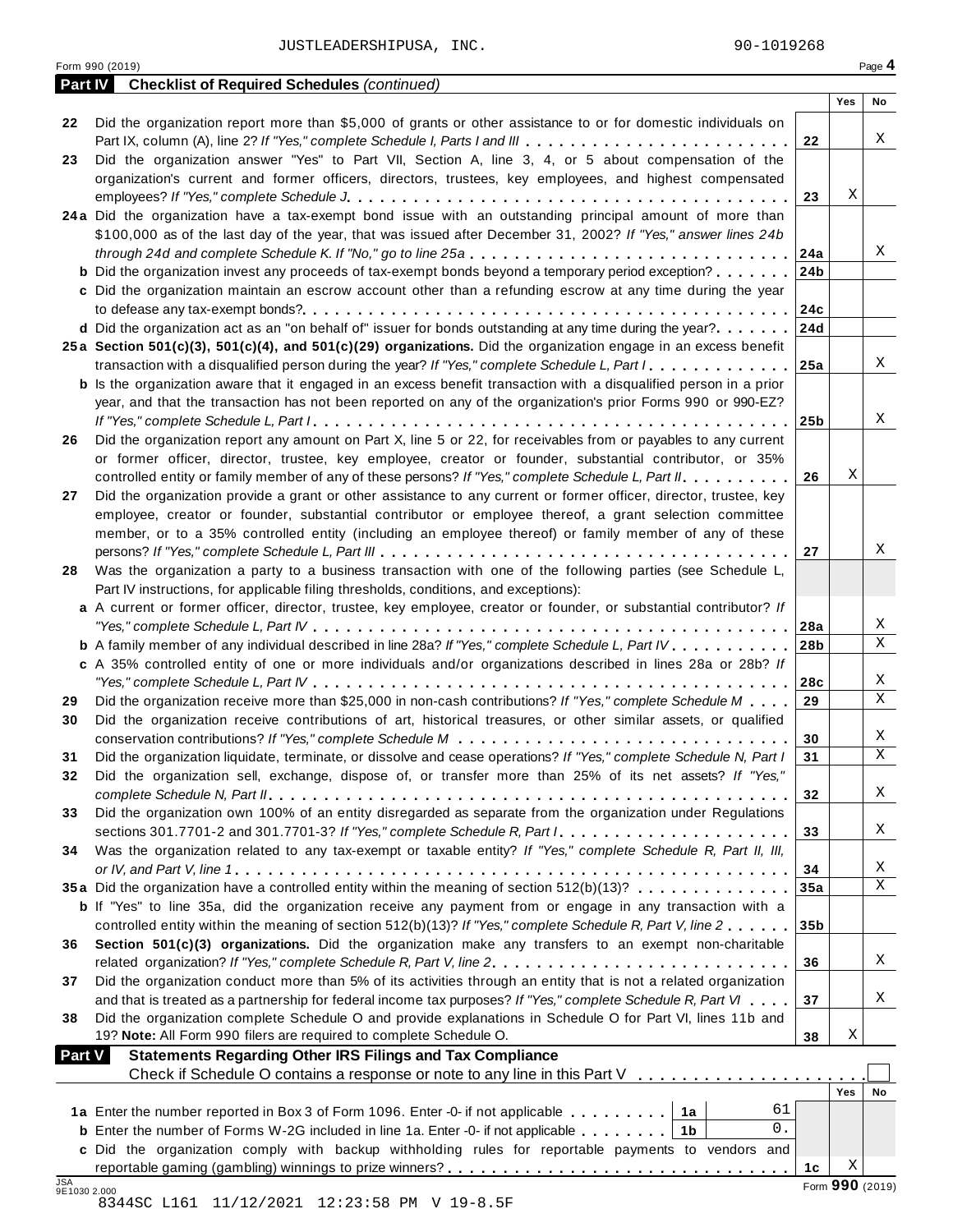|               | <b>Part IV</b> Checklist of Required Schedules (continued)                                                                                                                                   |                 |     |                       |
|---------------|----------------------------------------------------------------------------------------------------------------------------------------------------------------------------------------------|-----------------|-----|-----------------------|
|               |                                                                                                                                                                                              |                 | Yes | No                    |
| 22            | Did the organization report more than \$5,000 of grants or other assistance to or for domestic individuals on<br>Part IX, column (A), line 2? If "Yes," complete Schedule I, Parts I and III | 22              |     | X                     |
| 23            | Did the organization answer "Yes" to Part VII, Section A, line 3, 4, or 5 about compensation of the                                                                                          |                 |     |                       |
|               | organization's current and former officers, directors, trustees, key employees, and highest compensated                                                                                      |                 |     |                       |
|               |                                                                                                                                                                                              | 23              | Χ   |                       |
|               | 24a Did the organization have a tax-exempt bond issue with an outstanding principal amount of more than                                                                                      |                 |     |                       |
|               | \$100,000 as of the last day of the year, that was issued after December 31, 2002? If "Yes," answer lines 24b                                                                                |                 |     |                       |
|               | through 24d and complete Schedule K. If "No," go to line 25a                                                                                                                                 | 24a             |     | Χ                     |
|               | <b>b</b> Did the organization invest any proceeds of tax-exempt bonds beyond a temporary period exception?                                                                                   | 24 <sub>b</sub> |     |                       |
|               | c Did the organization maintain an escrow account other than a refunding escrow at any time during the year                                                                                  |                 |     |                       |
|               |                                                                                                                                                                                              | 24c             |     |                       |
|               | d Did the organization act as an "on behalf of" issuer for bonds outstanding at any time during the year?                                                                                    | 24d             |     |                       |
|               | 25a Section 501(c)(3), 501(c)(4), and 501(c)(29) organizations. Did the organization engage in an excess benefit                                                                             |                 |     |                       |
|               | transaction with a disqualified person during the year? If "Yes," complete Schedule L, Part I.                                                                                               | 25a             |     | X                     |
|               | <b>b</b> Is the organization aware that it engaged in an excess benefit transaction with a disqualified person in a prior                                                                    |                 |     |                       |
|               | year, and that the transaction has not been reported on any of the organization's prior Forms 990 or 990-EZ?                                                                                 |                 |     |                       |
|               | Did the organization report any amount on Part X, line 5 or 22, for receivables from or payables to any current                                                                              | 25 <sub>b</sub> |     | X                     |
| 26            | or former officer, director, trustee, key employee, creator or founder, substantial contributor, or 35%                                                                                      |                 |     |                       |
|               | controlled entity or family member of any of these persons? If "Yes," complete Schedule L, Part II.                                                                                          | 26              | Χ   |                       |
| 27            | Did the organization provide a grant or other assistance to any current or former officer, director, trustee, key                                                                            |                 |     |                       |
|               | employee, creator or founder, substantial contributor or employee thereof, a grant selection committee                                                                                       |                 |     |                       |
|               | member, or to a 35% controlled entity (including an employee thereof) or family member of any of these                                                                                       |                 |     |                       |
|               |                                                                                                                                                                                              | 27              |     | X                     |
| 28            | Was the organization a party to a business transaction with one of the following parties (see Schedule L,                                                                                    |                 |     |                       |
|               | Part IV instructions, for applicable filing thresholds, conditions, and exceptions):                                                                                                         |                 |     |                       |
|               | a A current or former officer, director, trustee, key employee, creator or founder, or substantial contributor? If                                                                           |                 |     |                       |
|               |                                                                                                                                                                                              | 28a             |     | X                     |
|               | <b>b</b> A family member of any individual described in line 28a? If "Yes," complete Schedule L, Part IV.                                                                                    | 28 <sub>b</sub> |     | $\overline{\text{X}}$ |
|               | c A 35% controlled entity of one or more individuals and/or organizations described in lines 28a or 28b? If                                                                                  |                 |     |                       |
|               |                                                                                                                                                                                              | 28c             |     | X                     |
| 29            | Did the organization receive more than \$25,000 in non-cash contributions? If "Yes," complete Schedule M                                                                                     | 29              |     | X                     |
| 30            | Did the organization receive contributions of art, historical treasures, or other similar assets, or qualified                                                                               |                 |     |                       |
|               |                                                                                                                                                                                              | 30              |     | X                     |
| 31            | Did the organization liquidate, terminate, or dissolve and cease operations? If "Yes," complete Schedule N, Part I                                                                           | 31              |     | $\mathbf X$           |
| 32            | Did the organization sell, exchange, dispose of, or transfer more than 25% of its net assets? If "Yes,"                                                                                      |                 |     | X                     |
| 33            | Did the organization own 100% of an entity disregarded as separate from the organization under Regulations                                                                                   | 32              |     |                       |
|               | sections 301.7701-2 and 301.7701-3? If "Yes," complete Schedule R, Part /                                                                                                                    | 33              |     | Χ                     |
| 34            | Was the organization related to any tax-exempt or taxable entity? If "Yes," complete Schedule R, Part II, III,                                                                               |                 |     |                       |
|               |                                                                                                                                                                                              | 34              |     | X                     |
|               | 35a Did the organization have a controlled entity within the meaning of section 512(b)(13)?                                                                                                  | 35a             |     | $\mathbf X$           |
|               | <b>b</b> If "Yes" to line 35a, did the organization receive any payment from or engage in any transaction with a                                                                             |                 |     |                       |
|               | controlled entity within the meaning of section 512(b)(13)? If "Yes," complete Schedule R, Part V, line 2                                                                                    | 35 <sub>b</sub> |     |                       |
| 36            | Section 501(c)(3) organizations. Did the organization make any transfers to an exempt non-charitable                                                                                         |                 |     |                       |
|               | related organization? If "Yes," complete Schedule R, Part V, line 2.                                                                                                                         | 36              |     | Χ                     |
| 37            | Did the organization conduct more than 5% of its activities through an entity that is not a related organization                                                                             |                 |     |                       |
|               | and that is treated as a partnership for federal income tax purposes? If "Yes," complete Schedule R, Part VI                                                                                 | 37              |     | X                     |
| 38            | Did the organization complete Schedule O and provide explanations in Schedule O for Part VI, lines 11b and                                                                                   |                 |     |                       |
|               | 19? Note: All Form 990 filers are required to complete Schedule O.                                                                                                                           | 38              | Χ   |                       |
| <b>Part V</b> | <b>Statements Regarding Other IRS Filings and Tax Compliance</b>                                                                                                                             |                 |     |                       |
|               | Check if Schedule O contains a response or note to any line in this Part V                                                                                                                   |                 |     |                       |
|               |                                                                                                                                                                                              |                 | Yes | No                    |
|               | 61<br>1a Enter the number reported in Box 3 of Form 1096. Enter -0- if not applicable   1a<br>0.                                                                                             |                 |     |                       |
|               | <b>b</b> Enter the number of Forms W-2G included in line 1a. Enter -0- if not applicable $\ldots \ldots$ ,                                                                                   |                 |     |                       |
|               | c Did the organization comply with backup withholding rules for reportable payments to vendors and                                                                                           |                 | Χ   |                       |
|               |                                                                                                                                                                                              | 1 <sub>c</sub>  |     |                       |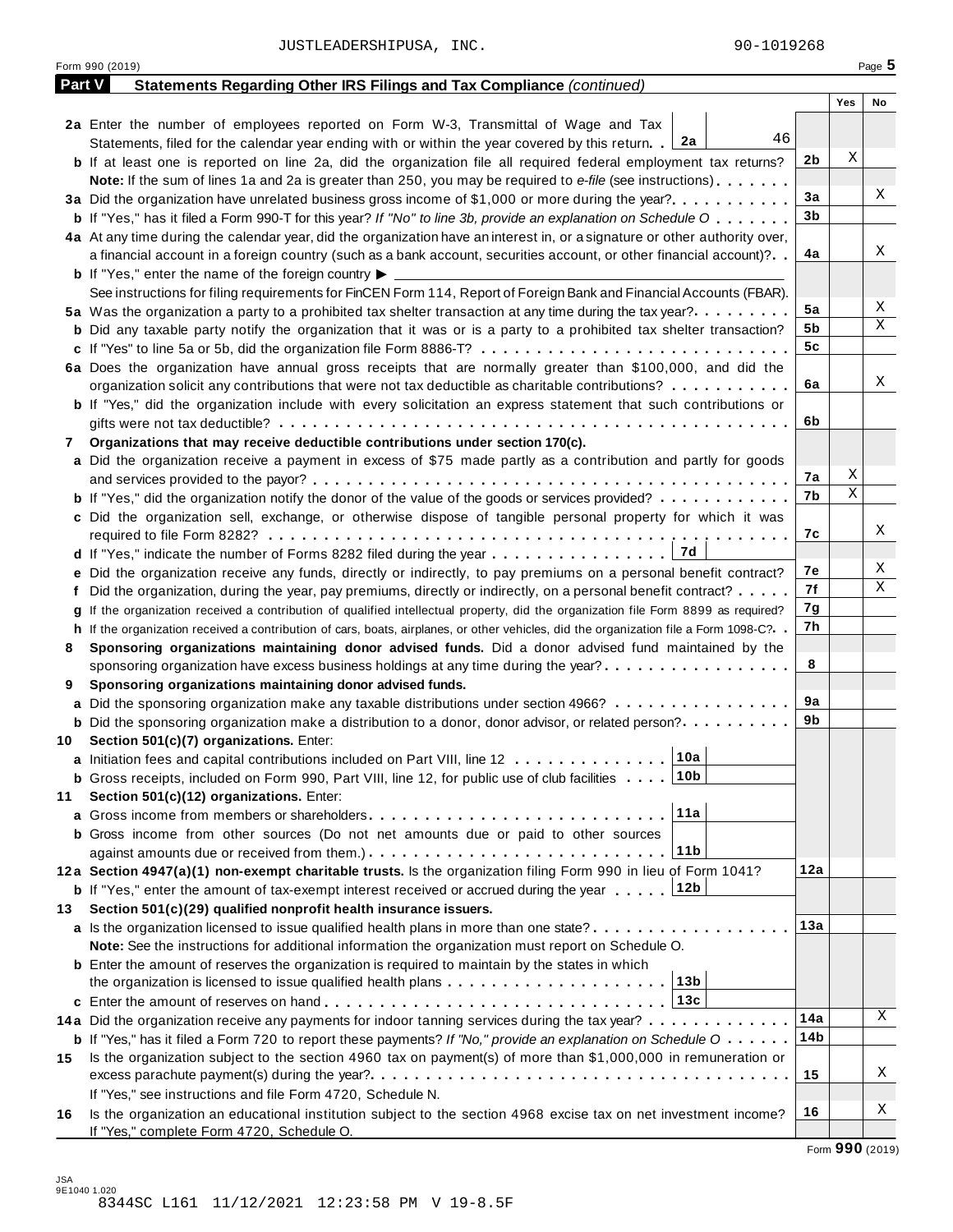|    | Form 990 (2019)                                                                                                                                                                                |     |     | Page 5 |
|----|------------------------------------------------------------------------------------------------------------------------------------------------------------------------------------------------|-----|-----|--------|
|    | Part V<br>Statements Regarding Other IRS Filings and Tax Compliance (continued)                                                                                                                |     | Yes | No     |
|    |                                                                                                                                                                                                |     |     |        |
|    | 2a Enter the number of employees reported on Form W-3, Transmittal of Wage and Tax<br>46<br>Statements, filed for the calendar year ending with or within the year covered by this return. [2a |     |     |        |
|    | <b>b</b> If at least one is reported on line 2a, did the organization file all required federal employment tax returns?                                                                        | 2b  | Χ   |        |
|    | <b>Note:</b> If the sum of lines 1a and 2a is greater than 250, you may be required to e-file (see instructions).                                                                              |     |     |        |
|    | 3a Did the organization have unrelated business gross income of \$1,000 or more during the year?                                                                                               | 3a  |     | Χ      |
|    | <b>b</b> If "Yes," has it filed a Form 990-T for this year? If "No" to line 3b, provide an explanation on Schedule O                                                                           | 3b  |     |        |
|    | 4a At any time during the calendar year, did the organization have an interest in, or a signature or other authority over,                                                                     |     |     |        |
|    | a financial account in a foreign country (such as a bank account, securities account, or other financial account)?                                                                             | 4a  |     | Χ      |
|    | <b>b</b> If "Yes," enter the name of the foreign country $\blacktriangleright$                                                                                                                 |     |     |        |
|    | See instructions for filing requirements for FinCEN Form 114, Report of Foreign Bank and Financial Accounts (FBAR).                                                                            |     |     |        |
|    | 5a Was the organization a party to a prohibited tax shelter transaction at any time during the tax year?.                                                                                      | 5a  |     | Χ      |
|    | <b>b</b> Did any taxable party notify the organization that it was or is a party to a prohibited tax shelter transaction?                                                                      | 5b  |     | Χ      |
|    |                                                                                                                                                                                                | 5c  |     |        |
|    | c If "Yes" to line 5a or 5b, did the organization file Form 8886-T?                                                                                                                            |     |     |        |
|    | 6a Does the organization have annual gross receipts that are normally greater than \$100,000, and did the                                                                                      | 6a  |     | Χ      |
|    | organization solicit any contributions that were not tax deductible as charitable contributions?                                                                                               |     |     |        |
|    | <b>b</b> If "Yes," did the organization include with every solicitation an express statement that such contributions or                                                                        | 6b  |     |        |
|    |                                                                                                                                                                                                |     |     |        |
|    | Organizations that may receive deductible contributions under section 170(c).                                                                                                                  |     |     |        |
|    | a Did the organization receive a payment in excess of \$75 made partly as a contribution and partly for goods                                                                                  |     | Χ   |        |
|    |                                                                                                                                                                                                | 7а  | Χ   |        |
|    | <b>b</b> If "Yes," did the organization notify the donor of the value of the goods or services provided?                                                                                       | 7b  |     |        |
|    | c Did the organization sell, exchange, or otherwise dispose of tangible personal property for which it was                                                                                     |     |     |        |
|    |                                                                                                                                                                                                | 7с  |     | Χ      |
|    |                                                                                                                                                                                                |     |     |        |
|    | e Did the organization receive any funds, directly or indirectly, to pay premiums on a personal benefit contract?                                                                              | 7е  |     | Χ      |
|    | Did the organization, during the year, pay premiums, directly or indirectly, on a personal benefit contract?                                                                                   | 7f  |     | Χ      |
|    | g If the organization received a contribution of qualified intellectual property, did the organization file Form 8899 as required?                                                             | 7g  |     |        |
|    | h If the organization received a contribution of cars, boats, airplanes, or other vehicles, did the organization file a Form 1098-C?                                                           | 7h  |     |        |
| 8  | Sponsoring organizations maintaining donor advised funds. Did a donor advised fund maintained by the                                                                                           |     |     |        |
|    | sponsoring organization have excess business holdings at any time during the year?                                                                                                             | 8   |     |        |
|    | Sponsoring organizations maintaining donor advised funds.                                                                                                                                      |     |     |        |
|    | a Did the sponsoring organization make any taxable distributions under section 4966?                                                                                                           | 9a  |     |        |
|    | <b>b</b> Did the sponsoring organization make a distribution to a donor, donor advisor, or related person?                                                                                     | 9b  |     |        |
| 10 | Section 501(c)(7) organizations. Enter:                                                                                                                                                        |     |     |        |
|    | a Initiation fees and capital contributions included on Part VIII, line 12 10a                                                                                                                 |     |     |        |
|    | <b>b</b> Gross receipts, included on Form 990, Part VIII, line 12, for public use of club facilities 10b                                                                                       |     |     |        |
| 11 | Section 501(c)(12) organizations. Enter:                                                                                                                                                       |     |     |        |
|    | 11a                                                                                                                                                                                            |     |     |        |
|    | b Gross income from other sources (Do not net amounts due or paid to other sources                                                                                                             |     |     |        |
|    | 11 <sub>b</sub>                                                                                                                                                                                |     |     |        |
|    | 12a Section 4947(a)(1) non-exempt charitable trusts. Is the organization filing Form 990 in lieu of Form 1041?                                                                                 | 12a |     |        |
|    | <b>b</b> If "Yes," enter the amount of tax-exempt interest received or accrued during the year $\ldots$ [12b                                                                                   |     |     |        |
| 13 | Section 501(c)(29) qualified nonprofit health insurance issuers.                                                                                                                               |     |     |        |
|    | a Is the organization licensed to issue qualified health plans in more than one state?                                                                                                         | 13а |     |        |
|    | Note: See the instructions for additional information the organization must report on Schedule O.                                                                                              |     |     |        |
|    | <b>b</b> Enter the amount of reserves the organization is required to maintain by the states in which                                                                                          |     |     |        |
|    | the organization is licensed to issue qualified health plans $\ldots \ldots \ldots \ldots \ldots \ldots \ldots$                                                                                |     |     |        |
|    |                                                                                                                                                                                                |     |     |        |
|    | 14a Did the organization receive any payments for indoor tanning services during the tax year?                                                                                                 | 14a |     | Χ      |
|    | <b>b</b> If "Yes," has it filed a Form 720 to report these payments? If "No," provide an explanation on Schedule O                                                                             | 14b |     |        |
| 15 | Is the organization subject to the section 4960 tax on payment(s) of more than \$1,000,000 in remuneration or                                                                                  |     |     |        |
|    |                                                                                                                                                                                                | 15  |     | Χ      |
|    | If "Yes," see instructions and file Form 4720, Schedule N.                                                                                                                                     |     |     |        |
| 16 | Is the organization an educational institution subject to the section 4968 excise tax on net investment income?                                                                                | 16  |     | Χ      |
|    | If "Yes," complete Form 4720, Schedule O.                                                                                                                                                      |     |     |        |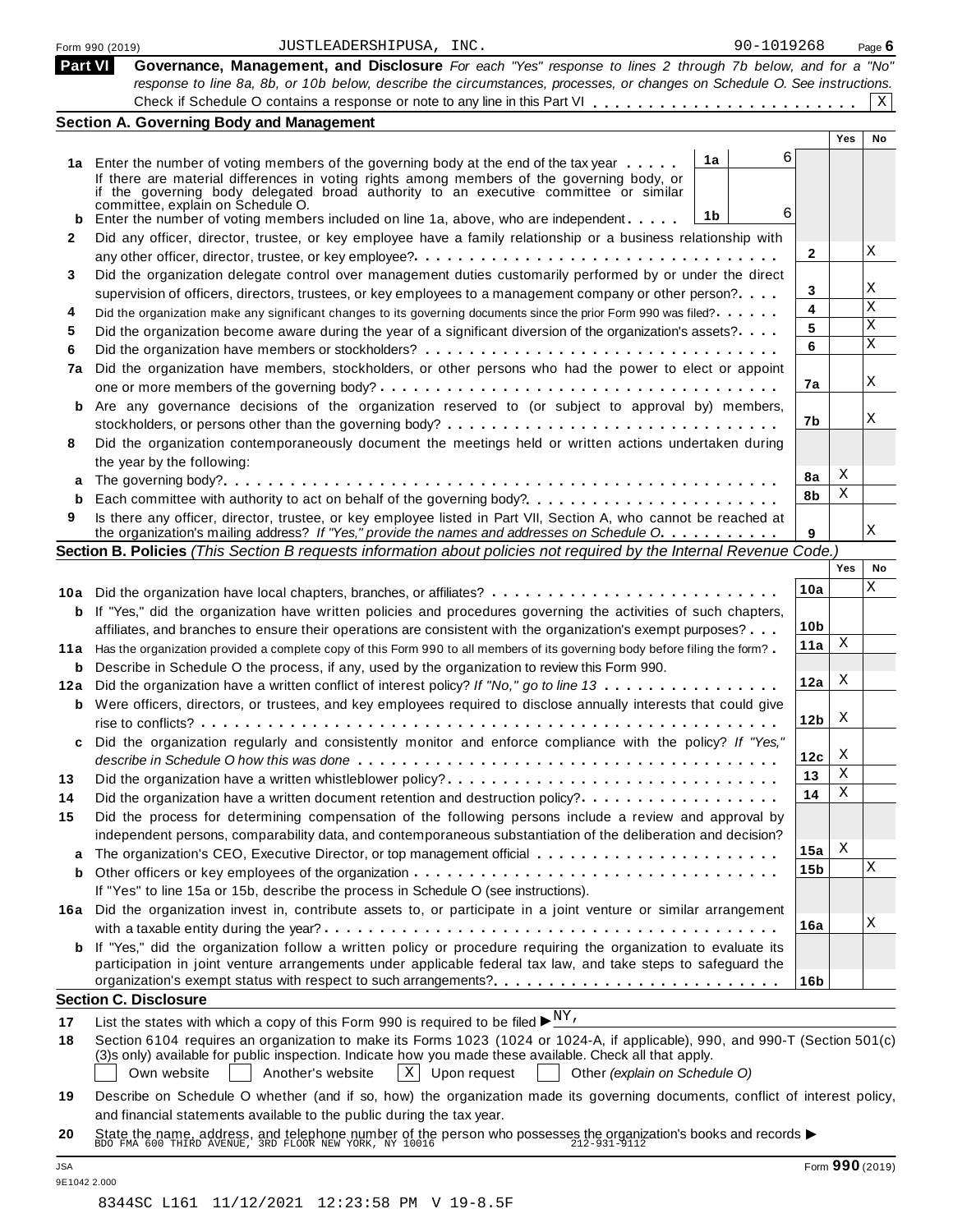|            | 90-1019268<br>JUSTLEADERSHIPUSA, INC.<br>Form 990 (2019)                                                                                                                                                                                 |                 |                 | Page $6$ |
|------------|------------------------------------------------------------------------------------------------------------------------------------------------------------------------------------------------------------------------------------------|-----------------|-----------------|----------|
| Part VI    | Governance, Management, and Disclosure For each "Yes" response to lines 2 through 7b below, and for a "No"                                                                                                                               |                 |                 |          |
|            | response to line 8a, 8b, or 10b below, describe the circumstances, processes, or changes on Schedule O. See instructions.                                                                                                                |                 |                 |          |
|            |                                                                                                                                                                                                                                          |                 |                 | X        |
|            | <b>Section A. Governing Body and Management</b>                                                                                                                                                                                          |                 | <b>Yes</b>      | No       |
|            | 6<br>1a                                                                                                                                                                                                                                  |                 |                 |          |
|            | 1a Enter the number of voting members of the governing body at the end of the tax year<br>If there are material differences in voting rights among members of the governing body, or                                                     |                 |                 |          |
|            | if the governing body delegated broad authority to an executive committee or similar                                                                                                                                                     |                 |                 |          |
|            | committée, explain on Schedule O.<br>6<br>1b                                                                                                                                                                                             |                 |                 |          |
|            | Enter the number of voting members included on line 1a, above, who are independent                                                                                                                                                       |                 |                 |          |
| 2          | Did any officer, director, trustee, or key employee have a family relationship or a business relationship with                                                                                                                           | 2               |                 | Χ        |
|            |                                                                                                                                                                                                                                          |                 |                 |          |
| 3          | Did the organization delegate control over management duties customarily performed by or under the direct                                                                                                                                |                 |                 | Χ        |
|            | supervision of officers, directors, trustees, or key employees to a management company or other person?                                                                                                                                  | 3<br>4          |                 | Χ        |
| 4          | Did the organization make any significant changes to its governing documents since the prior Form 990 was filed?                                                                                                                         | 5               |                 | Χ        |
| 5          | Did the organization become aware during the year of a significant diversion of the organization's assets?                                                                                                                               | 6               |                 | Χ        |
| 6          |                                                                                                                                                                                                                                          |                 |                 |          |
| 7a         | Did the organization have members, stockholders, or other persons who had the power to elect or appoint                                                                                                                                  |                 |                 | Χ        |
|            |                                                                                                                                                                                                                                          | 7а              |                 |          |
| b          | Are any governance decisions of the organization reserved to (or subject to approval by) members,                                                                                                                                        |                 |                 | Χ        |
|            |                                                                                                                                                                                                                                          | 7b              |                 |          |
| 8          | Did the organization contemporaneously document the meetings held or written actions undertaken during                                                                                                                                   |                 |                 |          |
|            | the year by the following:                                                                                                                                                                                                               |                 | X               |          |
| а          |                                                                                                                                                                                                                                          | 8a              | Χ               |          |
| b          |                                                                                                                                                                                                                                          | 8b              |                 |          |
| 9          | Is there any officer, director, trustee, or key employee listed in Part VII, Section A, who cannot be reached at                                                                                                                         |                 |                 | Χ        |
|            | the organization's mailing address? If "Yes," provide the names and addresses on Schedule O.<br>Section B. Policies (This Section B requests information about policies not required by the Internal Revenue Code.)                      | 9               |                 |          |
|            |                                                                                                                                                                                                                                          |                 | Yes             | No       |
|            |                                                                                                                                                                                                                                          | 10a             |                 | Χ        |
|            | 10a Did the organization have local chapters, branches, or affiliates?                                                                                                                                                                   |                 |                 |          |
|            | <b>b</b> If "Yes," did the organization have written policies and procedures governing the activities of such chapters,                                                                                                                  | 10 <sub>b</sub> |                 |          |
|            | affiliates, and branches to ensure their operations are consistent with the organization's exempt purposes?                                                                                                                              | 11a             | Χ               |          |
|            | 11a Has the organization provided a complete copy of this Form 990 to all members of its governing body before filing the form?                                                                                                          |                 |                 |          |
|            | <b>b</b> Describe in Schedule O the process, if any, used by the organization to review this Form 990.                                                                                                                                   | 12a             | X               |          |
|            | 12a Did the organization have a written conflict of interest policy? If "No," go to line 13                                                                                                                                              |                 |                 |          |
|            | <b>b</b> Were officers, directors, or trustees, and key employees required to disclose annually interests that could give                                                                                                                | 12 <sub>b</sub> | X               |          |
|            |                                                                                                                                                                                                                                          |                 |                 |          |
|            | Did the organization regularly and consistently monitor and enforce compliance with the policy? If "Yes,"                                                                                                                                | 12c             | X               |          |
|            |                                                                                                                                                                                                                                          | 13              | X               |          |
| 13         | Did the organization have a written whistleblower policy?                                                                                                                                                                                | 14              | Χ               |          |
| 14         | Did the organization have a written document retention and destruction policy?                                                                                                                                                           |                 |                 |          |
| 15         | Did the process for determining compensation of the following persons include a review and approval by                                                                                                                                   |                 |                 |          |
|            | independent persons, comparability data, and contemporaneous substantiation of the deliberation and decision?                                                                                                                            | 15a             | X               |          |
|            | The organization's CEO, Executive Director, or top management official                                                                                                                                                                   | 15b             |                 | Χ        |
| b          |                                                                                                                                                                                                                                          |                 |                 |          |
|            | If "Yes" to line 15a or 15b, describe the process in Schedule O (see instructions).                                                                                                                                                      |                 |                 |          |
|            | 16a Did the organization invest in, contribute assets to, or participate in a joint venture or similar arrangement                                                                                                                       | 16a             |                 | Χ        |
|            |                                                                                                                                                                                                                                          |                 |                 |          |
|            | <b>b</b> If "Yes," did the organization follow a written policy or procedure requiring the organization to evaluate its<br>participation in joint venture arrangements under applicable federal tax law, and take steps to safeguard the |                 |                 |          |
|            |                                                                                                                                                                                                                                          | 16 <sub>b</sub> |                 |          |
|            | <b>Section C. Disclosure</b>                                                                                                                                                                                                             |                 |                 |          |
| 17         | List the states with which a copy of this Form 990 is required to be filed $\blacktriangleright^{\underline{NY}}$ .                                                                                                                      |                 |                 |          |
| 18         | Section 6104 requires an organization to make its Forms 1023 (1024 or 1024-A, if applicable), 990, and 990-T (Section 501(c)                                                                                                             |                 |                 |          |
|            | (3)s only) available for public inspection. Indicate how you made these available. Check all that apply.                                                                                                                                 |                 |                 |          |
|            | $X$ Upon request<br>Another's website<br>Own website<br>Other (explain on Schedule O)                                                                                                                                                    |                 |                 |          |
|            | Describe on Schedule O whether (and if so, how) the organization made its governing documents, conflict of interest policy,                                                                                                              |                 |                 |          |
| 19         | and financial statements available to the public during the tax year.                                                                                                                                                                    |                 |                 |          |
| 20         |                                                                                                                                                                                                                                          |                 |                 |          |
|            | State the name, address, and telephone number of the person who possesses the organization's books and records $\blacktriangleright$<br>BDO FMA 600 THIRD AVENUE, 3RD FLOOR NEW YORK, NY 10016                                           |                 |                 |          |
| <b>JSA</b> |                                                                                                                                                                                                                                          |                 | Form 990 (2019) |          |

9E1042 2.000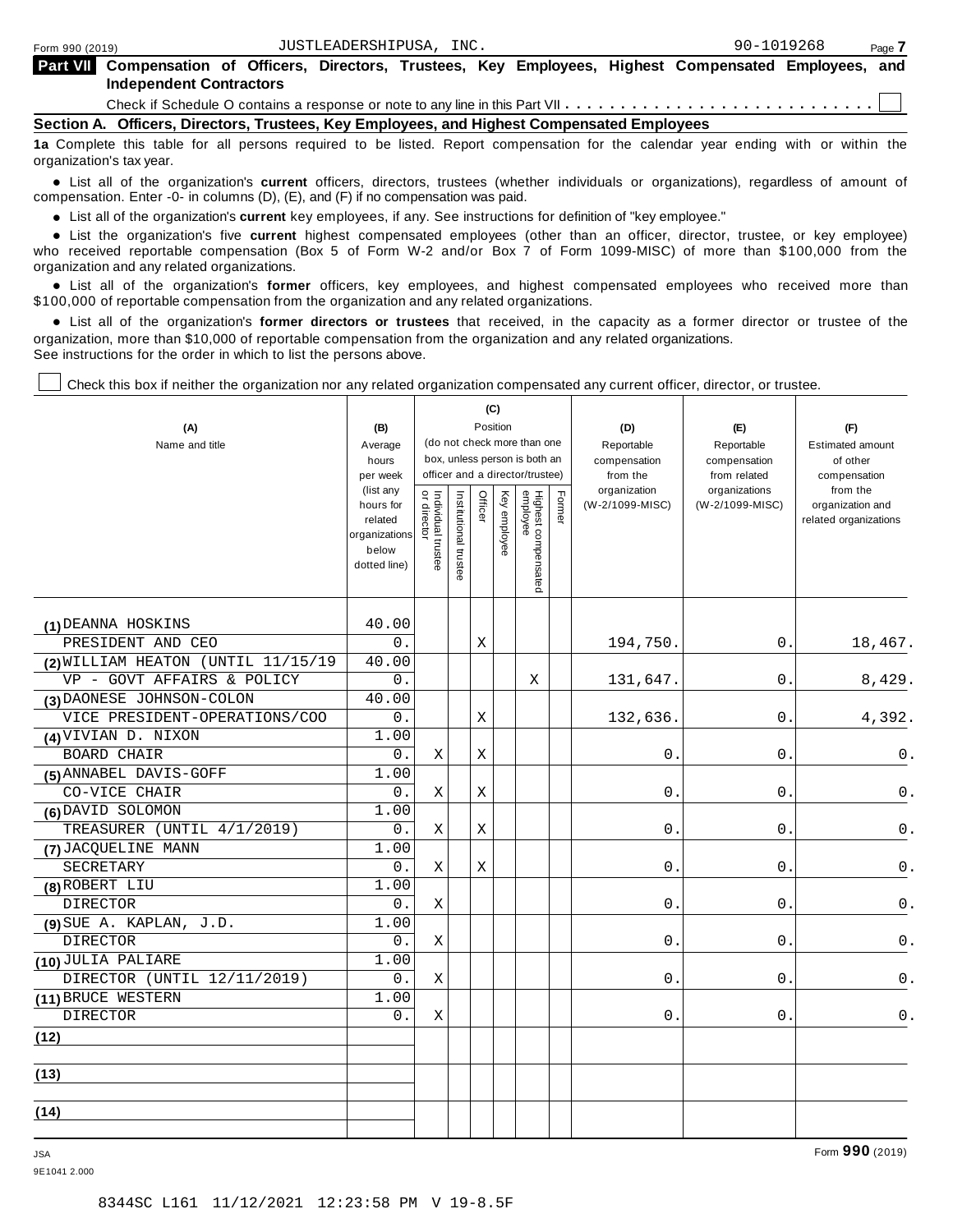| <b>Part VII</b> Compensation of Officers, Directors, Trustees, Key Employees, Highest Compensated Employees, and |  |  |  |  |  |
|------------------------------------------------------------------------------------------------------------------|--|--|--|--|--|
| <b>Independent Contractors</b>                                                                                   |  |  |  |  |  |

Check if Schedule O contains a response or note to any line in this Part VII  $\dots \dots \dots \dots \dots \dots \dots \dots \dots \dots$ 

**Section A. Officers, Directors, Trustees, Key Employees, and Highest Compensated Employees**

**1a** Complete this table for all persons required to be listed. Report compensation for the calendar year ending with or within the organization's tax year.

anization's lax year.<br>● List all of the organization's **current** officers, directors, trustees (whether individuals or organizations), regardless of amount of<br>nnensation Enter -0- in columns (D) (E) and (E) if no compensa compensation. Enter -0- in columns (D), (E), and (F) if no compensation was paid.

• List all of the organization's **current** key employees, if any. See instructions for definition of "key employee."<br>● List the experientials five expect highest expressed explores (other than an efficer director of

**Example in the organization's current** key employees, if any. See instructions for definition of key employee.<br>• List the organization's five **current** highest compensated employees (other than an officer, director, trust who received reportable compensation (Box 5 of Form W-2 and/or Box 7 of Form 1099-MISC) of more than \$100,000 from the

organization and any related organizations.<br>• List all of the organization's **former** officers, key employees, and highest compensated employees who received more than<br>\$1.00.000 of reportable componention from the erganiza \$100,000 of reportable compensation from the organization and any related organizations.

% List all of the organization's **former directors or trustees** that received, in the capacity as a former director or trustee of the organization, more than \$10,000 of reportable compensation from the organization and any related organizations. See instructions for the order in which to list the persons above.

Check this box if neither the organization nor any related organization compensated any current officer, director, or trustee.

| (A)<br>Name and title                | (B)<br>Average<br>hours<br>per week<br>(list any<br>hours for<br>related<br>organizations<br>below<br>dotted line) | Individual trustee<br>or director | Institutional trustee | Officer | (C)<br>Position<br>Key employee | (do not check more than one<br>box, unless person is both an<br>officer and a director/trustee)<br>Highest compensated<br>employee | Fomer | (D)<br>Reportable<br>compensation<br>from the<br>organization<br>(W-2/1099-MISC) | (E)<br>Reportable<br>compensation<br>from related<br>organizations<br>(W-2/1099-MISC) | (F)<br><b>Estimated amount</b><br>of other<br>compensation<br>from the<br>organization and<br>related organizations |
|--------------------------------------|--------------------------------------------------------------------------------------------------------------------|-----------------------------------|-----------------------|---------|---------------------------------|------------------------------------------------------------------------------------------------------------------------------------|-------|----------------------------------------------------------------------------------|---------------------------------------------------------------------------------------|---------------------------------------------------------------------------------------------------------------------|
| (1) DEANNA HOSKINS                   | 40.00                                                                                                              |                                   |                       |         |                                 |                                                                                                                                    |       |                                                                                  |                                                                                       |                                                                                                                     |
| PRESIDENT AND CEO                    | 0.                                                                                                                 |                                   |                       | X       |                                 |                                                                                                                                    |       | 194,750.                                                                         | 0.                                                                                    | 18,467.                                                                                                             |
| (2) WILLIAM HEATON (UNTIL $11/15/19$ | 40.00                                                                                                              |                                   |                       |         |                                 |                                                                                                                                    |       |                                                                                  |                                                                                       |                                                                                                                     |
| VP - GOVT AFFAIRS & POLICY           | 0.                                                                                                                 |                                   |                       |         |                                 | Χ                                                                                                                                  |       | 131,647.                                                                         | 0.                                                                                    | 8,429.                                                                                                              |
| (3) DAONESE JOHNSON-COLON            | 40.00                                                                                                              |                                   |                       |         |                                 |                                                                                                                                    |       |                                                                                  |                                                                                       |                                                                                                                     |
| VICE PRESIDENT-OPERATIONS/COO        | 0.                                                                                                                 |                                   |                       | Χ       |                                 |                                                                                                                                    |       | 132,636.                                                                         | 0.                                                                                    | 4,392.                                                                                                              |
| (4) VIVIAN D. NIXON                  | 1.00                                                                                                               |                                   |                       |         |                                 |                                                                                                                                    |       |                                                                                  |                                                                                       |                                                                                                                     |
| <b>BOARD CHAIR</b>                   | 0.                                                                                                                 | X                                 |                       | Χ       |                                 |                                                                                                                                    |       | 0                                                                                | 0                                                                                     | 0.                                                                                                                  |
| (5) ANNABEL DAVIS-GOFF               | 1.00                                                                                                               |                                   |                       |         |                                 |                                                                                                                                    |       |                                                                                  |                                                                                       |                                                                                                                     |
| CO-VICE CHAIR                        | 0.                                                                                                                 | X                                 |                       | Χ       |                                 |                                                                                                                                    |       | 0                                                                                | 0                                                                                     | 0.                                                                                                                  |
| (6) DAVID SOLOMON                    | 1.00                                                                                                               |                                   |                       |         |                                 |                                                                                                                                    |       |                                                                                  |                                                                                       |                                                                                                                     |
| TREASURER (UNTIL 4/1/2019)           | 0.                                                                                                                 | X                                 |                       | Χ       |                                 |                                                                                                                                    |       | 0.                                                                               | 0.                                                                                    | 0.                                                                                                                  |
| (7) JACQUELINE MANN                  | 1.00                                                                                                               |                                   |                       |         |                                 |                                                                                                                                    |       |                                                                                  |                                                                                       |                                                                                                                     |
| SECRETARY                            | 0.                                                                                                                 | X                                 |                       | X       |                                 |                                                                                                                                    |       | 0.                                                                               | 0                                                                                     | 0.                                                                                                                  |
| (8) ROBERT LIU                       | 1.00                                                                                                               |                                   |                       |         |                                 |                                                                                                                                    |       |                                                                                  |                                                                                       |                                                                                                                     |
| <b>DIRECTOR</b>                      | 0.                                                                                                                 | X                                 |                       |         |                                 |                                                                                                                                    |       | 0.                                                                               | $\mathbf 0$ .                                                                         | 0.                                                                                                                  |
| $(9)$ SUE A. KAPLAN, $J.D.$          | 1.00                                                                                                               |                                   |                       |         |                                 |                                                                                                                                    |       |                                                                                  |                                                                                       |                                                                                                                     |
| <b>DIRECTOR</b>                      | 0.                                                                                                                 | X                                 |                       |         |                                 |                                                                                                                                    |       | 0                                                                                | 0                                                                                     | 0.                                                                                                                  |
| (10) JULIA PALIARE                   | 1.00                                                                                                               |                                   |                       |         |                                 |                                                                                                                                    |       |                                                                                  |                                                                                       |                                                                                                                     |
| DIRECTOR (UNTIL 12/11/2019)          | 0.                                                                                                                 | X                                 |                       |         |                                 |                                                                                                                                    |       | $\Omega$                                                                         | $\Omega$                                                                              | 0.                                                                                                                  |
| (11) BRUCE WESTERN                   | 1.00                                                                                                               |                                   |                       |         |                                 |                                                                                                                                    |       |                                                                                  |                                                                                       |                                                                                                                     |
| <b>DIRECTOR</b>                      | 0.                                                                                                                 | X                                 |                       |         |                                 |                                                                                                                                    |       | 0.                                                                               | 0.                                                                                    | $0$ .                                                                                                               |
| (12)                                 |                                                                                                                    |                                   |                       |         |                                 |                                                                                                                                    |       |                                                                                  |                                                                                       |                                                                                                                     |
| (13)                                 |                                                                                                                    |                                   |                       |         |                                 |                                                                                                                                    |       |                                                                                  |                                                                                       |                                                                                                                     |
| (14)                                 |                                                                                                                    |                                   |                       |         |                                 |                                                                                                                                    |       |                                                                                  |                                                                                       |                                                                                                                     |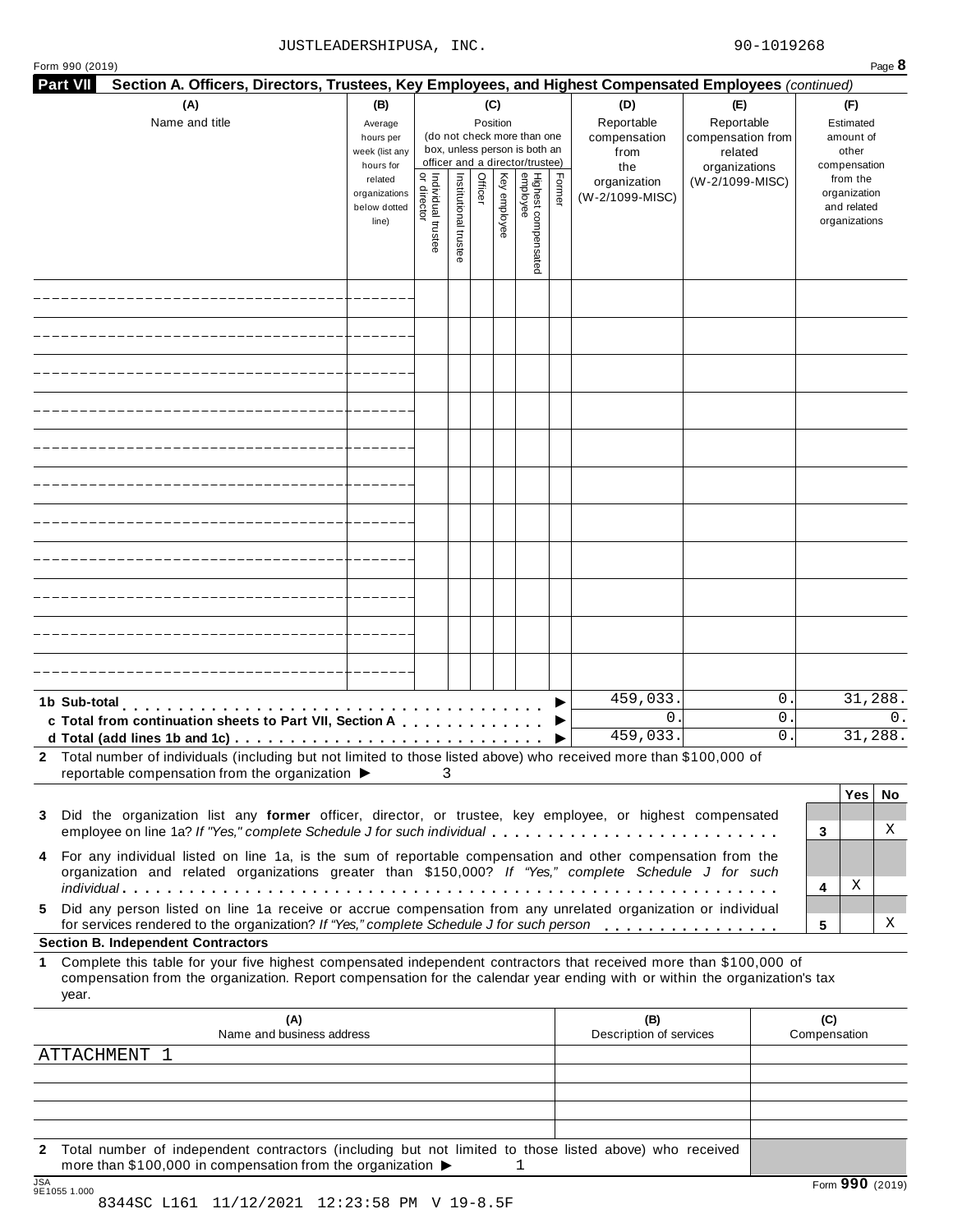#### JUSTLEADERSHIPUSA, INC. 90-1019268

| <b>Part VII</b> | Section A. Officers, Directors, Trustees, Key Employees, and Highest Compensated Employees (continued)                                                                                                                                           |                                                            |                                   |                       |                         |                                                                                                 |        |                                           |                                                   |                                                        |                                                          |               |  |
|-----------------|--------------------------------------------------------------------------------------------------------------------------------------------------------------------------------------------------------------------------------------------------|------------------------------------------------------------|-----------------------------------|-----------------------|-------------------------|-------------------------------------------------------------------------------------------------|--------|-------------------------------------------|---------------------------------------------------|--------------------------------------------------------|----------------------------------------------------------|---------------|--|
|                 | (A)<br>Name and title                                                                                                                                                                                                                            | (B)<br>Average<br>hours per<br>week (list any<br>hours for |                                   |                       | (C)<br>Position         | (do not check more than one<br>box, unless person is both an<br>officer and a director/trustee) |        | (D)<br>Reportable<br>compensation<br>from | (E)<br>Reportable<br>compensation from<br>related | (F)<br>Estimated<br>amount of<br>other<br>compensation |                                                          |               |  |
|                 |                                                                                                                                                                                                                                                  | related<br>organizations<br>below dotted<br>line)          | Individual trustee<br>or director | Institutional trustee | Officer<br>Key employee | Highest compensated<br>employee                                                                 | Former | the<br>organization<br>(W-2/1099-MISC)    | organizations<br>(W-2/1099-MISC)                  |                                                        | from the<br>organization<br>and related<br>organizations |               |  |
|                 |                                                                                                                                                                                                                                                  |                                                            |                                   |                       |                         |                                                                                                 |        |                                           |                                                   |                                                        |                                                          |               |  |
|                 |                                                                                                                                                                                                                                                  |                                                            |                                   |                       |                         |                                                                                                 |        |                                           |                                                   |                                                        |                                                          |               |  |
|                 |                                                                                                                                                                                                                                                  |                                                            |                                   |                       |                         |                                                                                                 |        |                                           |                                                   |                                                        |                                                          |               |  |
|                 |                                                                                                                                                                                                                                                  |                                                            |                                   |                       |                         |                                                                                                 |        |                                           |                                                   |                                                        |                                                          |               |  |
|                 |                                                                                                                                                                                                                                                  |                                                            |                                   |                       |                         |                                                                                                 |        |                                           |                                                   |                                                        |                                                          |               |  |
|                 |                                                                                                                                                                                                                                                  |                                                            |                                   |                       |                         |                                                                                                 |        |                                           |                                                   |                                                        |                                                          |               |  |
|                 |                                                                                                                                                                                                                                                  |                                                            |                                   |                       |                         |                                                                                                 |        |                                           |                                                   |                                                        |                                                          |               |  |
|                 |                                                                                                                                                                                                                                                  |                                                            |                                   |                       |                         |                                                                                                 |        |                                           |                                                   |                                                        |                                                          |               |  |
|                 |                                                                                                                                                                                                                                                  |                                                            |                                   |                       |                         |                                                                                                 |        |                                           |                                                   |                                                        |                                                          |               |  |
|                 |                                                                                                                                                                                                                                                  |                                                            |                                   |                       |                         |                                                                                                 |        |                                           |                                                   |                                                        |                                                          |               |  |
|                 |                                                                                                                                                                                                                                                  |                                                            |                                   |                       |                         |                                                                                                 |        |                                           |                                                   |                                                        |                                                          |               |  |
|                 | 1b Sub-total                                                                                                                                                                                                                                     |                                                            |                                   |                       |                         |                                                                                                 |        | 459,033.<br>0                             |                                                   | 0.<br>О.                                               |                                                          | 31,288.<br>0. |  |
|                 | c Total from continuation sheets to Part VII, Section A<br>d Total (add lines 1b and 1c) $\ldots \ldots \ldots \ldots \ldots \ldots \ldots \ldots \ldots \ldots \ldots$                                                                          |                                                            |                                   |                       |                         |                                                                                                 |        | 459,033.                                  |                                                   | 0.                                                     |                                                          | 31,288.       |  |
|                 | 2 Total number of individuals (including but not limited to those listed above) who received more than \$100,000 of<br>reportable compensation from the organization $\blacktriangleright$                                                       |                                                            | 3                                 |                       |                         |                                                                                                 |        |                                           |                                                   |                                                        |                                                          |               |  |
|                 |                                                                                                                                                                                                                                                  |                                                            |                                   |                       |                         |                                                                                                 |        |                                           |                                                   |                                                        | Yes                                                      | No            |  |
|                 | 3 Did the organization list any former officer, director, or trustee, key employee, or highest compensated<br>employee on line 1a? If "Yes," complete Schedule J for such individual                                                             |                                                            |                                   |                       |                         |                                                                                                 |        |                                           |                                                   | 3                                                      |                                                          | X             |  |
|                 | 4 For any individual listed on line 1a, is the sum of reportable compensation and other compensation from the<br>organization and related organizations greater than \$150,000? If "Yes," complete Schedule J for such                           |                                                            |                                   |                       |                         |                                                                                                 |        |                                           |                                                   |                                                        |                                                          |               |  |
|                 |                                                                                                                                                                                                                                                  |                                                            |                                   |                       |                         |                                                                                                 |        |                                           |                                                   | 4                                                      | Χ                                                        |               |  |
| 5.              | Did any person listed on line 1a receive or accrue compensation from any unrelated organization or individual<br>for services rendered to the organization? If "Yes," complete Schedule J for such person                                        |                                                            |                                   |                       |                         |                                                                                                 |        |                                           |                                                   | 5                                                      |                                                          | X             |  |
|                 | <b>Section B. Independent Contractors</b>                                                                                                                                                                                                        |                                                            |                                   |                       |                         |                                                                                                 |        |                                           |                                                   |                                                        |                                                          |               |  |
| 1<br>year.      | Complete this table for your five highest compensated independent contractors that received more than \$100,000 of<br>compensation from the organization. Report compensation for the calendar year ending with or within the organization's tax |                                                            |                                   |                       |                         |                                                                                                 |        |                                           |                                                   |                                                        |                                                          |               |  |
|                 | (A)<br>Name and business address                                                                                                                                                                                                                 |                                                            |                                   |                       |                         |                                                                                                 |        | (B)<br>Description of services            |                                                   | (C)<br>Compensation                                    |                                                          |               |  |
|                 | ATTACHMENT 1                                                                                                                                                                                                                                     |                                                            |                                   |                       |                         |                                                                                                 |        |                                           |                                                   |                                                        |                                                          |               |  |
|                 |                                                                                                                                                                                                                                                  |                                                            |                                   |                       |                         |                                                                                                 |        |                                           |                                                   |                                                        |                                                          |               |  |
|                 |                                                                                                                                                                                                                                                  |                                                            |                                   |                       |                         |                                                                                                 |        |                                           |                                                   |                                                        |                                                          |               |  |
|                 | Total number of independent contractors (including but not limited to those listed above) who received<br>more than \$100,000 in compensation from the organization $\blacktriangleright$                                                        |                                                            |                                   |                       |                         | 1                                                                                               |        |                                           |                                                   |                                                        |                                                          |               |  |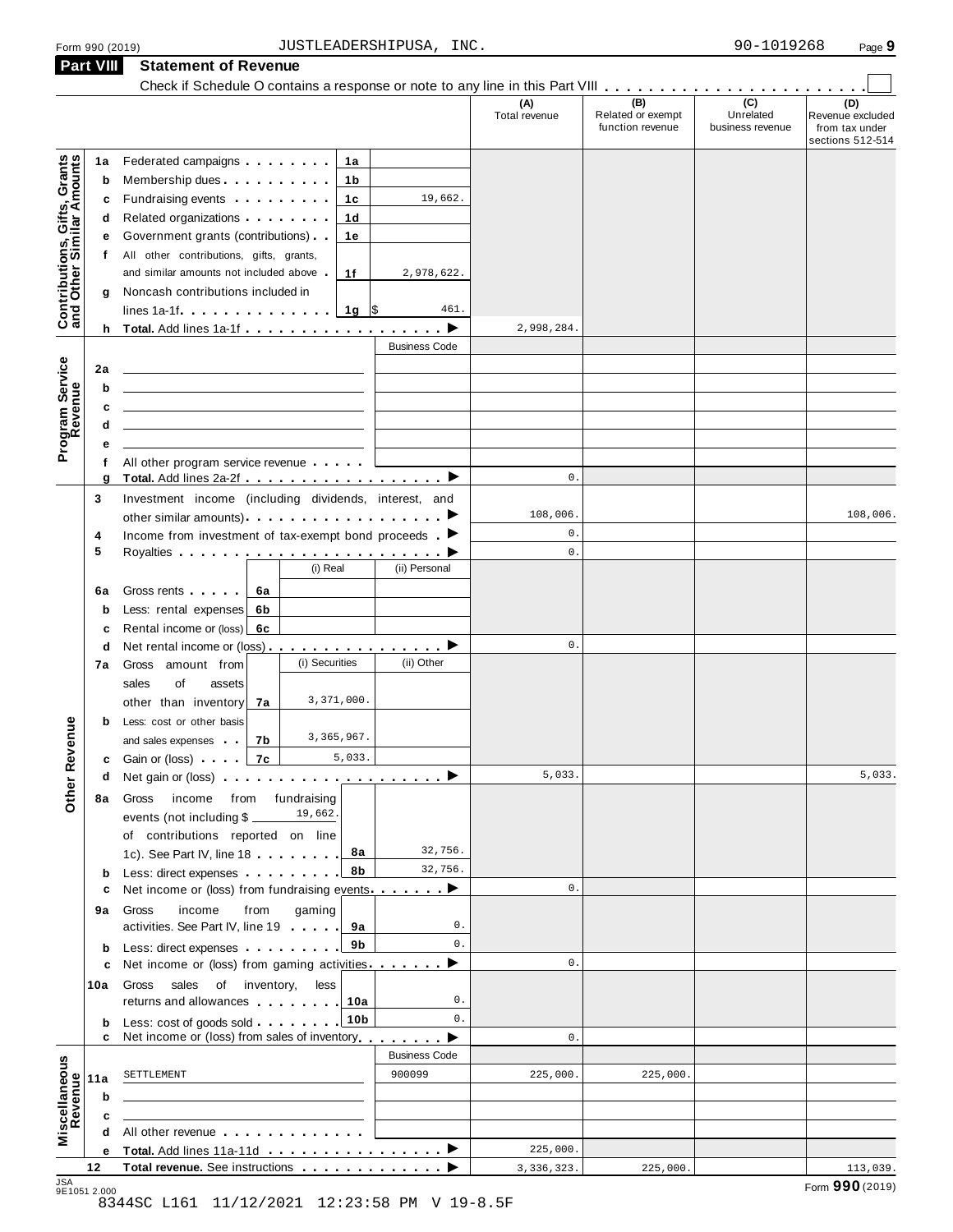|  | Form 990 (2019) |  |
|--|-----------------|--|

**Part VIII Statement of Revenue**

|                                                                | Check if Schedule O contains a response or note to any line in this Part VIII                                                                                                                                                              |                      | (A)            | (B)                                   | (C)                           | (D)                                                    |
|----------------------------------------------------------------|--------------------------------------------------------------------------------------------------------------------------------------------------------------------------------------------------------------------------------------------|----------------------|----------------|---------------------------------------|-------------------------------|--------------------------------------------------------|
|                                                                |                                                                                                                                                                                                                                            |                      | Total revenue  | Related or exempt<br>function revenue | Unrelated<br>business revenue | Revenue excluded<br>from tax under<br>sections 512-514 |
| 1a                                                             | Federated campaigns <b>Federated</b><br>1а                                                                                                                                                                                                 |                      |                |                                       |                               |                                                        |
| Contributions, Gifts, Grants<br>and Other Similar Amounts<br>b | Membership dues <b>All Accords</b> Membership dues<br>1b                                                                                                                                                                                   |                      |                |                                       |                               |                                                        |
| c                                                              | Fundraising events <b>Exercises Fundraising events</b><br>1c                                                                                                                                                                               | 19,662.              |                |                                       |                               |                                                        |
| d                                                              | Related organizations <b>and the set of the set of the set of the set of the set of the set of the set of the set of the set of the set of the set of the set of the set of the set of the set of the set of the set of the set </b><br>1d |                      |                |                                       |                               |                                                        |
| е                                                              | Government grants (contributions)<br>1е                                                                                                                                                                                                    |                      |                |                                       |                               |                                                        |
| $^{\dagger}$                                                   | All other contributions, gifts, grants,                                                                                                                                                                                                    |                      |                |                                       |                               |                                                        |
|                                                                | and similar amounts not included above<br>1f                                                                                                                                                                                               | 2,978,622.           |                |                                       |                               |                                                        |
| g                                                              | Noncash contributions included in                                                                                                                                                                                                          |                      |                |                                       |                               |                                                        |
|                                                                | $1g$ \$<br>$lines 1a-1f$ $\ldots$ $\ldots$ $\ldots$                                                                                                                                                                                        | 461.                 |                |                                       |                               |                                                        |
|                                                                |                                                                                                                                                                                                                                            |                      | 2,998,284      |                                       |                               |                                                        |
|                                                                |                                                                                                                                                                                                                                            | <b>Business Code</b> |                |                                       |                               |                                                        |
| 2a                                                             | the control of the control of the control of the control of the control of the control of                                                                                                                                                  |                      |                |                                       |                               |                                                        |
| b                                                              |                                                                                                                                                                                                                                            |                      |                |                                       |                               |                                                        |
| Program Service<br>Revenue<br>c                                |                                                                                                                                                                                                                                            |                      |                |                                       |                               |                                                        |
| d                                                              |                                                                                                                                                                                                                                            |                      |                |                                       |                               |                                                        |
|                                                                |                                                                                                                                                                                                                                            |                      |                |                                       |                               |                                                        |
| f                                                              | All other program service revenue                                                                                                                                                                                                          |                      |                |                                       |                               |                                                        |
| g                                                              |                                                                                                                                                                                                                                            |                      | $\mathsf{0}$ . |                                       |                               |                                                        |
| 3                                                              | Investment income (including dividends, interest, and                                                                                                                                                                                      |                      |                |                                       |                               |                                                        |
|                                                                |                                                                                                                                                                                                                                            |                      | 108,006.       |                                       |                               | 108,006.                                               |
| 4                                                              | Income from investment of tax-exempt bond proceeds $\blacksquare$                                                                                                                                                                          |                      | $0$ .          |                                       |                               |                                                        |
| 5                                                              |                                                                                                                                                                                                                                            |                      | $\mathsf{0}$ . |                                       |                               |                                                        |
|                                                                | (i) Real                                                                                                                                                                                                                                   | (ii) Personal        |                |                                       |                               |                                                        |
| 6a                                                             | Gross rents<br>6а                                                                                                                                                                                                                          |                      |                |                                       |                               |                                                        |
| b                                                              | Less: rental expenses<br>6b                                                                                                                                                                                                                |                      |                |                                       |                               |                                                        |
| c                                                              | Rental income or (loss)<br>6c                                                                                                                                                                                                              |                      |                |                                       |                               |                                                        |
| d                                                              | Net rental income or (loss) $\cdots$ $\cdots$ $\cdots$ $\cdots$                                                                                                                                                                            |                      | $0$ .          |                                       |                               |                                                        |
| 7a                                                             | (i) Securities<br>Gross amount from                                                                                                                                                                                                        | (ii) Other           |                |                                       |                               |                                                        |
|                                                                | sales<br>of<br>assets                                                                                                                                                                                                                      |                      |                |                                       |                               |                                                        |
|                                                                | 3,371,000.<br>other than inventory<br>7a                                                                                                                                                                                                   |                      |                |                                       |                               |                                                        |
| b                                                              | Less: cost or other basis                                                                                                                                                                                                                  |                      |                |                                       |                               |                                                        |
| evenue                                                         | 3,365,967.<br>and sales expenses<br>7b                                                                                                                                                                                                     |                      |                |                                       |                               |                                                        |
|                                                                | 7c<br>5,033.<br><b>c</b> Gain or (loss) <b>c</b>                                                                                                                                                                                           |                      |                |                                       |                               |                                                        |
| Other <sub>R</sub><br>d                                        |                                                                                                                                                                                                                                            |                      | 5,033.         |                                       |                               | 5,033.                                                 |
| 8а                                                             | income from fundraising<br>Gross                                                                                                                                                                                                           |                      |                |                                       |                               |                                                        |
|                                                                | 19,662.<br>events (not including \$                                                                                                                                                                                                        |                      |                |                                       |                               |                                                        |
|                                                                | of contributions reported on line                                                                                                                                                                                                          |                      |                |                                       |                               |                                                        |
|                                                                | 8а<br>1c). See Part IV, line 18                                                                                                                                                                                                            | 32,756.              |                |                                       |                               |                                                        |
| b                                                              | 8b<br>Less: direct expenses                                                                                                                                                                                                                | 32,756.              |                |                                       |                               |                                                        |
| с                                                              | Net income or (loss) from fundraising events ▶                                                                                                                                                                                             |                      | $0$ .          |                                       |                               |                                                        |
| 9а                                                             | gaming<br>income<br>from<br>Gross                                                                                                                                                                                                          |                      |                |                                       |                               |                                                        |
|                                                                | activities. See Part IV, line 19<br>9а                                                                                                                                                                                                     | 0.                   |                |                                       |                               |                                                        |
| b<br>c                                                         | 9b<br>Less: direct expenses<br>Net income or (loss) from gaming activities                                                                                                                                                                 | $0$ .<br>▶           | $0$ .          |                                       |                               |                                                        |
| 10a                                                            | less<br>Gross sales<br>of inventory,                                                                                                                                                                                                       |                      |                |                                       |                               |                                                        |
|                                                                | returns and allowances 10a                                                                                                                                                                                                                 | 0.                   |                |                                       |                               |                                                        |
| b                                                              | Less: cost of goods sold 10b                                                                                                                                                                                                               | $\mathbf{0}$ .       |                |                                       |                               |                                                        |
| c                                                              | Net income or (loss) from sales of inventory                                                                                                                                                                                               |                      | $\mathbf{0}$ . |                                       |                               |                                                        |
|                                                                |                                                                                                                                                                                                                                            | <b>Business Code</b> |                |                                       |                               |                                                        |
| Miscellaneous<br>Revenue<br>11a                                | SETTLEMENT                                                                                                                                                                                                                                 | 900099               | 225,000.       | 225,000.                              |                               |                                                        |
| b                                                              |                                                                                                                                                                                                                                            |                      |                |                                       |                               |                                                        |
| c                                                              |                                                                                                                                                                                                                                            |                      |                |                                       |                               |                                                        |
| d                                                              | All other revenue experience and the state of the state of the state of the state of the state of the state of                                                                                                                             |                      |                |                                       |                               |                                                        |
|                                                                |                                                                                                                                                                                                                                            |                      | 225,000.       |                                       |                               |                                                        |
| е                                                              |                                                                                                                                                                                                                                            |                      |                |                                       |                               |                                                        |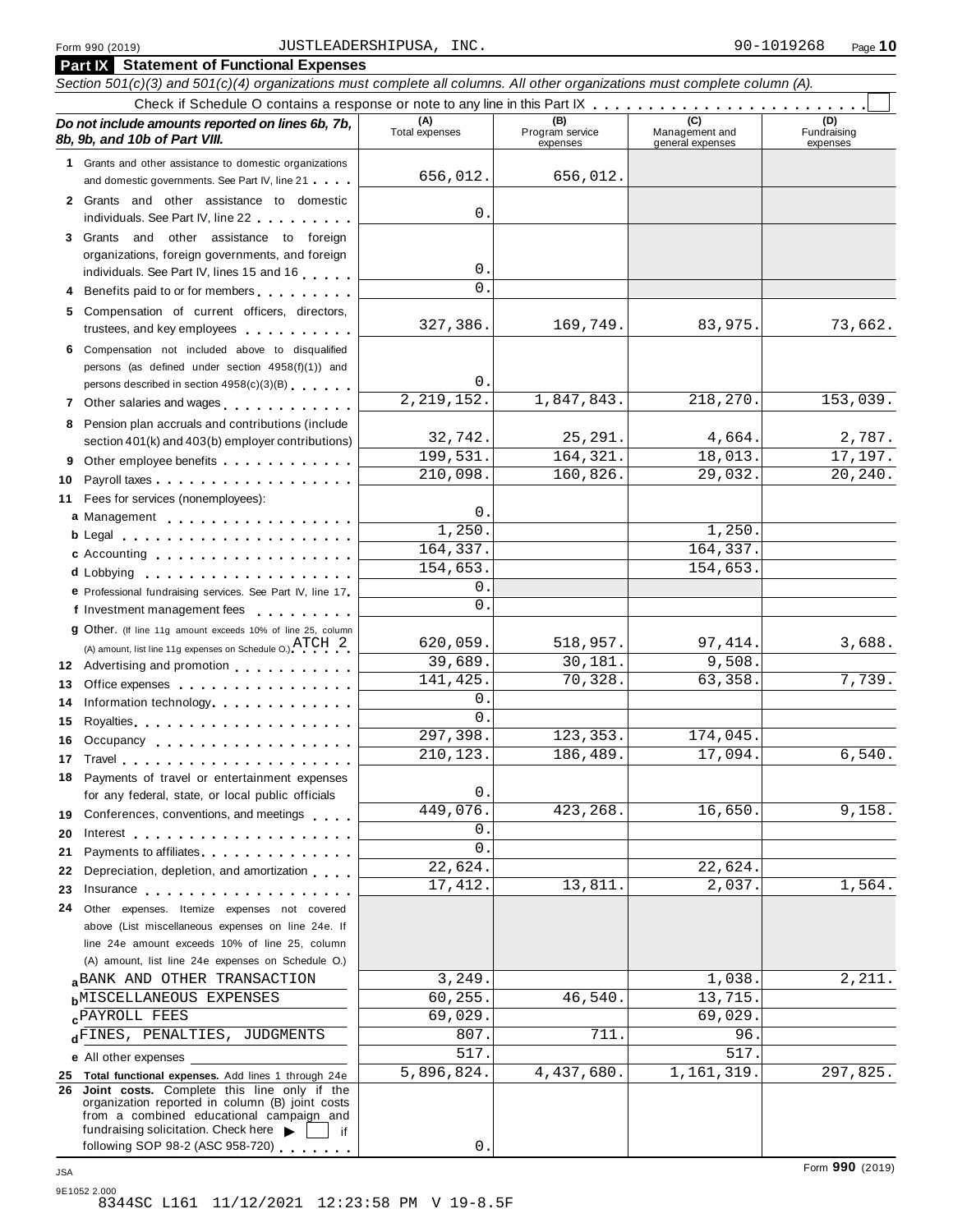#### Form <sup>990</sup> (2019) Page **10** JUSTLEADERSHIPUSA, INC. 90-1019268

|          | <b>Part IX</b> Statement of Functional Expenses                                                                                                                                                                                |                         |                                    |                                    |                                |
|----------|--------------------------------------------------------------------------------------------------------------------------------------------------------------------------------------------------------------------------------|-------------------------|------------------------------------|------------------------------------|--------------------------------|
|          | Section 501(c)(3) and 501(c)(4) organizations must complete all columns. All other organizations must complete column (A).                                                                                                     |                         |                                    |                                    |                                |
|          |                                                                                                                                                                                                                                |                         |                                    |                                    |                                |
|          | Do not include amounts reported on lines 6b, 7b,<br>8b, 9b, and 10b of Part VIII.                                                                                                                                              | (A)<br>Total expenses   | (B)<br>Program service<br>expenses | Management and<br>general expenses | (D)<br>Fundraising<br>expenses |
|          | 1 Grants and other assistance to domestic organizations<br>and domestic governments. See Part IV, line 21                                                                                                                      | 656,012.                | 656,012.                           |                                    |                                |
|          | 2 Grants and other assistance to domestic                                                                                                                                                                                      | 0.                      |                                    |                                    |                                |
|          | individuals. See Part IV, line 22<br>3 Grants and other assistance to foreign                                                                                                                                                  |                         |                                    |                                    |                                |
|          | organizations, foreign governments, and foreign                                                                                                                                                                                |                         |                                    |                                    |                                |
|          | individuals. See Part IV, lines 15 and 16                                                                                                                                                                                      | $\mathbf 0$ .           |                                    |                                    |                                |
|          | 4 Benefits paid to or for members                                                                                                                                                                                              | $\Omega$ .              |                                    |                                    |                                |
|          | 5 Compensation of current officers, directors,<br>trustees, and key employees                                                                                                                                                  | 327,386.                | 169,749.                           | 83,975.                            | 73,662.                        |
|          | 6 Compensation not included above to disqualified                                                                                                                                                                              |                         |                                    |                                    |                                |
|          | persons (as defined under section 4958(f)(1)) and<br>persons described in section 4958(c)(3)(B)                                                                                                                                | 0.                      |                                    |                                    |                                |
|          | 7 Other salaries and wages                                                                                                                                                                                                     | 2, 219, 152.            | 1,847,843.                         | 218,270.                           | 153,039.                       |
|          | 8 Pension plan accruals and contributions (include                                                                                                                                                                             |                         |                                    |                                    |                                |
|          | section 401(k) and 403(b) employer contributions)                                                                                                                                                                              | 32,742.                 | 25, 291.                           | 4,664.                             | 2,787.                         |
|          | 9 Other employee benefits                                                                                                                                                                                                      | 199,531.                | 164,321.                           | 18,013.                            | 17,197.                        |
| 10       |                                                                                                                                                                                                                                | 210,098.                | 160,826.                           | 29,032.                            | 20,240.                        |
| 11       | Fees for services (nonemployees):                                                                                                                                                                                              |                         |                                    |                                    |                                |
|          | a Management                                                                                                                                                                                                                   | 0.<br>1,250.            |                                    | 1,250.                             |                                |
|          | b Legal entering the service of the service of the service of the service of the service of the service of the                                                                                                                 | 164,337.                |                                    | 164,337.                           |                                |
|          | c Accounting                                                                                                                                                                                                                   | 154,653.                |                                    | 154,653.                           |                                |
|          | e Professional fundraising services. See Part IV, line 17                                                                                                                                                                      | 0                       |                                    |                                    |                                |
|          | f Investment management fees                                                                                                                                                                                                   | $\Omega$ .              |                                    |                                    |                                |
|          | 9 Other. (If line 11g amount exceeds 10% of line 25, column                                                                                                                                                                    |                         |                                    |                                    |                                |
|          | (A) amount, list line 11g expenses on Schedule O.) $\text{ATCH} \quad 2$ .                                                                                                                                                     | 620,059.                | 518,957.                           | 97,414.                            | 3,688.                         |
|          | 12 Advertising and promotion                                                                                                                                                                                                   | 39,689.<br>141,425      | 30,181.                            | 9,508.                             |                                |
| 13       | Office expenses                                                                                                                                                                                                                | $\mathbf 0$ .           | 70, 328.                           | 63,358                             | 7,739.                         |
| 14<br>15 | Information technology.                                                                                                                                                                                                        | $\Omega$ .              |                                    |                                    |                                |
|          | 16 Occupancy                                                                                                                                                                                                                   | 297,398.                | 123,353.                           | 174,045.                           |                                |
|          | 17 Travel <b>17 Travel</b>                                                                                                                                                                                                     | 210, 123                | 186,489.                           | 17,094.                            | 6,540.                         |
|          | 18 Payments of travel or entertainment expenses                                                                                                                                                                                |                         |                                    |                                    |                                |
|          | for any federal, state, or local public officials                                                                                                                                                                              | $\mathsf{O}$ .          |                                    |                                    |                                |
|          | 19 Conferences, conventions, and meetings                                                                                                                                                                                      | 449,076.                | 423,268.                           | 16,650.                            | 9,158.                         |
| 20       |                                                                                                                                                                                                                                | 0.                      |                                    |                                    |                                |
| 21       | Payments to affiliates experience and the property of the set of the set of the set of the set of the set of the set of the set of the set of the set of the set of the set of the set of the set of the set of the set of the | $\mathbf{0}$<br>22,624. |                                    | 22,624.                            |                                |
|          | 22 Depreciation, depletion, and amortization                                                                                                                                                                                   | 17,412.                 | 13,811                             | 2,037.                             | 1,564.                         |
| 23<br>24 | Insurance in the series of the series of the series of the series of the series of the series of the series of<br>Other expenses. Itemize expenses not covered                                                                 |                         |                                    |                                    |                                |
|          | above (List miscellaneous expenses on line 24e. If                                                                                                                                                                             |                         |                                    |                                    |                                |
|          | line 24e amount exceeds 10% of line 25, column                                                                                                                                                                                 |                         |                                    |                                    |                                |
|          | (A) amount, list line 24e expenses on Schedule O.)                                                                                                                                                                             |                         |                                    |                                    |                                |
|          | a BANK AND OTHER TRANSACTION                                                                                                                                                                                                   | 3,249.                  |                                    | 1,038.                             | 2,211.                         |
|          | <b>bMISCELLANEOUS EXPENSES</b>                                                                                                                                                                                                 | 60,255.                 | 46,540                             | 13,715                             |                                |
|          | <b>CPAYROLL FEES</b>                                                                                                                                                                                                           | 69,029.<br>807.         | 711                                | 69,029<br>96                       |                                |
|          | dFINES, PENALTIES, JUDGMENTS                                                                                                                                                                                                   | 517.                    |                                    | 517.                               |                                |
|          | e All other expenses<br>25 Total functional expenses. Add lines 1 through 24e                                                                                                                                                  | 5,896,824.              | 4,437,680.                         | 1,161,319.                         | 297,825.                       |
|          | 26 Joint costs. Complete this line only if the<br>organization reported in column (B) joint costs<br>from a combined educational campaign and                                                                                  |                         |                                    |                                    |                                |
|          | fundraising solicitation. Check here $\blacktriangleright$<br>if<br>following SOP 98-2 (ASC 958-720)                                                                                                                           |                         |                                    |                                    |                                |
|          |                                                                                                                                                                                                                                | 0.                      |                                    |                                    |                                |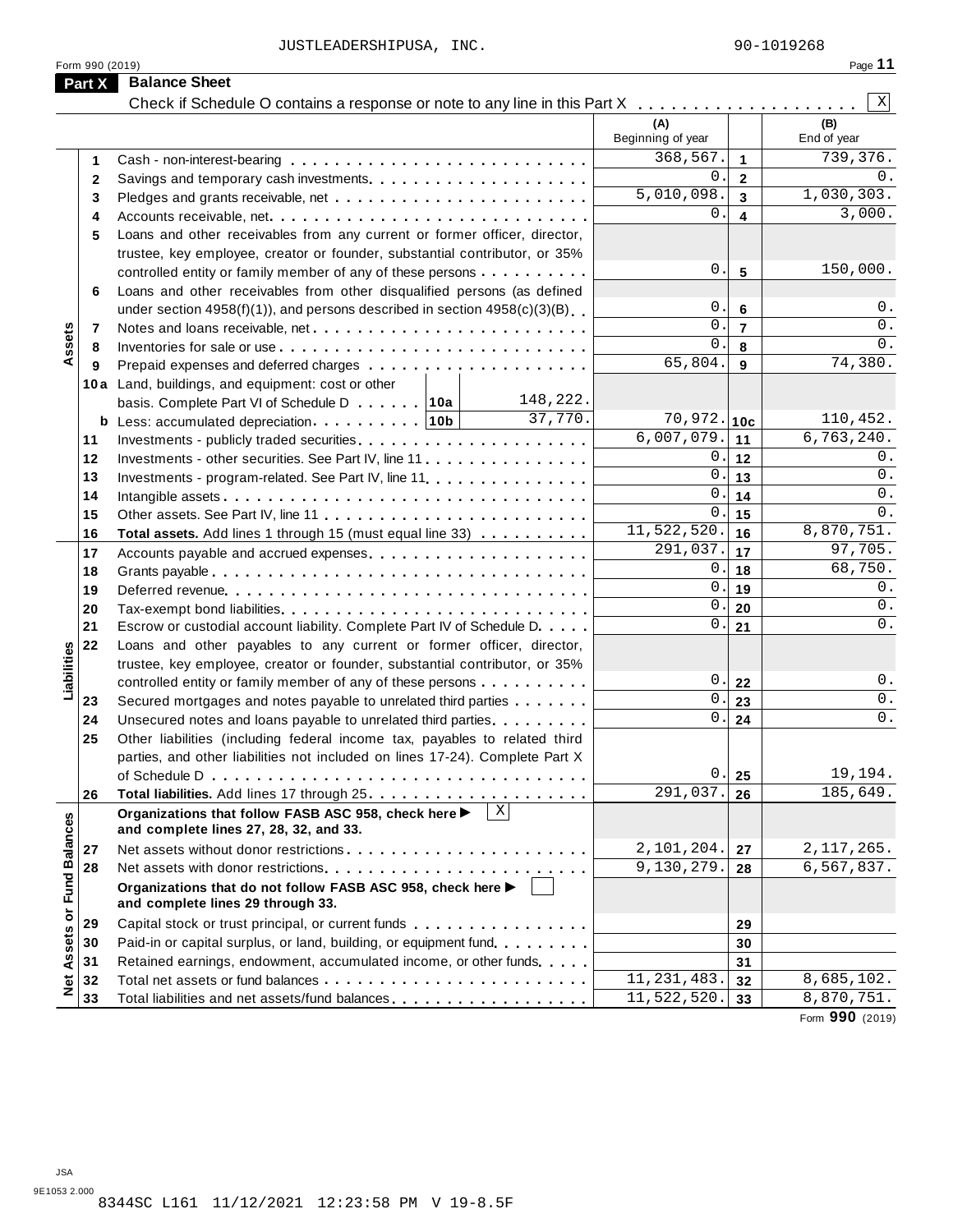JUSTLEADERSHIPUSA, INC.

|                      | Form 990 (2019) |                                                                                                                   |                   |                | Page 11             |
|----------------------|-----------------|-------------------------------------------------------------------------------------------------------------------|-------------------|----------------|---------------------|
|                      | <b>Part X</b>   | <b>Balance Sheet</b>                                                                                              |                   |                |                     |
|                      |                 |                                                                                                                   | (A)               |                | $\mathbf{x}$<br>(B) |
|                      |                 |                                                                                                                   | Beginning of year |                | End of year         |
|                      | 1               |                                                                                                                   | 368,567.          | $\mathbf 1$    | 739,376.            |
|                      | 2               |                                                                                                                   | 0.                | $\mathbf{2}$   | 0.                  |
|                      | 3               |                                                                                                                   | 5,010,098.        | $\mathbf{3}$   | 1,030,303.          |
|                      | 4               |                                                                                                                   | 0                 | 4              | 3,000.              |
|                      | 5               | Loans and other receivables from any current or former officer, director,                                         |                   |                |                     |
|                      |                 | trustee, key employee, creator or founder, substantial contributor, or 35%                                        | 0.                |                | 150,000.            |
|                      |                 | controlled entity or family member of any of these persons                                                        |                   | 5              |                     |
|                      | 6               | Loans and other receivables from other disqualified persons (as defined                                           | 0.                |                | 0.                  |
|                      |                 | under section $4958(f)(1)$ , and persons described in section $4958(c)(3)(B)$                                     | 0.                | 6              | 0.                  |
| Assets               | 7               |                                                                                                                   | 0.                | $\overline{7}$ | 0.                  |
|                      | 8               |                                                                                                                   | 65,804.           | 8              | 74,380.             |
|                      | 9               |                                                                                                                   |                   | 9              |                     |
|                      |                 | 10a Land, buildings, and equipment: cost or other<br>148,222.                                                     |                   |                |                     |
|                      |                 | basis. Complete Part VI of Schedule D 10a  <br>$\frac{37,770.}{ }$                                                | $70,972.$ 10c     |                | 110,452.            |
|                      |                 | <b>b</b> Less: accumulated depreciation10b                                                                        | 6,007,079.        | 11             | 6,763,240.          |
|                      | 11<br>12        |                                                                                                                   | 0.1               | $12 \,$        | 0.                  |
|                      | 13              | Investments - other securities. See Part IV, line 11.                                                             | 0.                | 13             | 0.                  |
|                      | 14              | Investments - program-related. See Part IV, line 11.                                                              | $\mathsf{O}$ .    | 14             | 0.                  |
|                      | 15              |                                                                                                                   | 0.                | 15             | 0.                  |
|                      | 16              | Total assets. Add lines 1 through 15 (must equal line 33)                                                         | 11,522,520.       | 16             | 8,870,751.          |
|                      | 17              | Accounts payable and accrued expenses                                                                             | 291,037.          | 17             | 97,705.             |
|                      | 18              |                                                                                                                   | 0.                | 18             | 68,750.             |
|                      | 19              |                                                                                                                   | 0.                | 19             | 0.                  |
|                      | 20              |                                                                                                                   | 0                 | 20             | 0.                  |
|                      | 21              | Escrow or custodial account liability. Complete Part IV of Schedule D.                                            | 0.                | 21             | 0.                  |
|                      | 22              | Loans and other payables to any current or former officer, director,                                              |                   |                |                     |
| Liabilities          |                 | trustee, key employee, creator or founder, substantial contributor, or 35%                                        |                   |                |                     |
|                      |                 | controlled entity or family member of any of these persons                                                        | 0.1               | 22             | $0$ .               |
|                      | 23              | Secured mortgages and notes payable to unrelated third parties                                                    | 0                 | 23             | 0.                  |
|                      | 24              | Unsecured notes and loans payable to unrelated third parties                                                      | $\mathbf{0}$ .    | 24             | $0$ .               |
|                      | 25              | Other liabilities (including federal income tax, payables to related third                                        |                   |                |                     |
|                      |                 | parties, and other liabilities not included on lines 17-24). Complete Part X                                      |                   |                |                     |
|                      |                 |                                                                                                                   | 0                 | 25             | 19,194.             |
|                      | 26              |                                                                                                                   | 291,037.          | 26             | 185,649.            |
|                      |                 | $\mid$ X $\mid$<br>Organizations that follow FASB ASC 958, check here ▶<br>and complete lines 27, 28, 32, and 33. |                   |                |                     |
|                      | 27              |                                                                                                                   | 2,101,204.        | 27             | 2, 117, 265.        |
|                      | 28              |                                                                                                                   | 9,130,279.        | 28             | 6,567,837.          |
| <b>Fund Balances</b> |                 | Organizations that do not follow FASB ASC 958, check here ▶<br>and complete lines 29 through 33.                  |                   |                |                     |
|                      | 29              | Capital stock or trust principal, or current funds                                                                |                   | 29             |                     |
|                      | 30              | Paid-in or capital surplus, or land, building, or equipment fund.                                                 |                   | 30             |                     |
| Net Assets or        | 31              | Retained earnings, endowment, accumulated income, or other funds.                                                 |                   | 31             |                     |
|                      | 32              |                                                                                                                   | 11, 231, 483.     | 32             | 8,685,102.          |
|                      | 33              | Total liabilities and net assets/fund balances                                                                    | 11,522,520.       | 33             | 8,870,751.          |
|                      |                 |                                                                                                                   |                   |                | Form 990 (2019)     |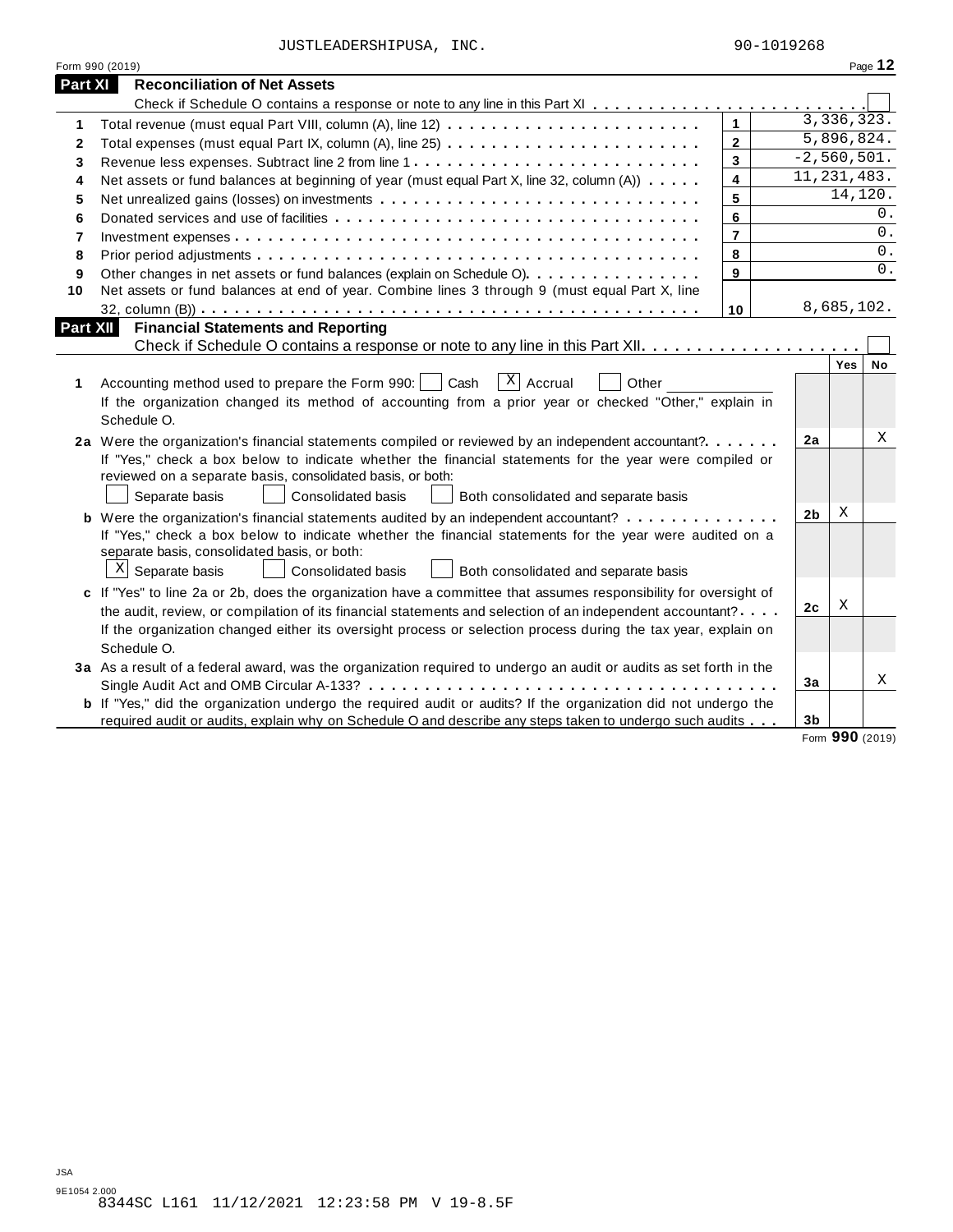JUSTLEADERSHIPUSA, INC. 90-1019268

|                | Form 990 (2019)                                                                                                                                                                                                                                                                                                                                                   |                |               |     | Page 12    |
|----------------|-------------------------------------------------------------------------------------------------------------------------------------------------------------------------------------------------------------------------------------------------------------------------------------------------------------------------------------------------------------------|----------------|---------------|-----|------------|
| <b>Part XI</b> | <b>Reconciliation of Net Assets</b>                                                                                                                                                                                                                                                                                                                               |                |               |     |            |
|                |                                                                                                                                                                                                                                                                                                                                                                   |                |               |     |            |
| 1              |                                                                                                                                                                                                                                                                                                                                                                   | $\mathbf{1}$   |               |     | 3,336,323. |
| 2              | Total expenses (must equal Part IX, column (A), line 25) $\ldots \ldots \ldots \ldots \ldots \ldots \ldots \ldots$                                                                                                                                                                                                                                                | $\overline{2}$ |               |     | 5,896,824. |
| 3              |                                                                                                                                                                                                                                                                                                                                                                   | $\overline{3}$ | $-2,560,501.$ |     |            |
| 4              | Net assets or fund balances at beginning of year (must equal Part X, line 32, column (A))                                                                                                                                                                                                                                                                         | 4              | 11, 231, 483. |     |            |
| 5              |                                                                                                                                                                                                                                                                                                                                                                   | 5              |               |     | 14,120.    |
| 6              |                                                                                                                                                                                                                                                                                                                                                                   | 6              |               |     | 0.         |
| 7              |                                                                                                                                                                                                                                                                                                                                                                   | $\overline{7}$ |               |     | 0.         |
| 8              |                                                                                                                                                                                                                                                                                                                                                                   | 8              |               |     | 0.         |
| 9              | Other changes in net assets or fund balances (explain on Schedule O).                                                                                                                                                                                                                                                                                             | 9              |               |     | 0.         |
| 10             | Net assets or fund balances at end of year. Combine lines 3 through 9 (must equal Part X, line                                                                                                                                                                                                                                                                    |                |               |     |            |
|                |                                                                                                                                                                                                                                                                                                                                                                   | 10             |               |     | 8,685,102. |
|                | <b>Financial Statements and Reporting</b><br>Part XII                                                                                                                                                                                                                                                                                                             |                |               |     |            |
|                |                                                                                                                                                                                                                                                                                                                                                                   |                |               |     |            |
| 1              | $x$ Accrual<br>Cash<br>Accounting method used to prepare the Form 990:<br>Other<br>If the organization changed its method of accounting from a prior year or checked "Other," explain in<br>Schedule O.                                                                                                                                                           |                |               | Yes | No         |
|                | 2a Were the organization's financial statements compiled or reviewed by an independent accountant?<br>If "Yes," check a box below to indicate whether the financial statements for the year were compiled or<br>reviewed on a separate basis, consolidated basis, or both:<br>Separate basis<br><b>Consolidated basis</b><br>Both consolidated and separate basis |                | 2a            |     | Χ          |
|                | <b>b</b> Were the organization's financial statements audited by an independent accountant?                                                                                                                                                                                                                                                                       |                | 2b            | X   |            |
|                | If "Yes," check a box below to indicate whether the financial statements for the year were audited on a<br>separate basis, consolidated basis, or both:<br>$X$ Separate basis<br>Consolidated basis<br>Both consolidated and separate basis                                                                                                                       |                |               |     |            |
|                | c If "Yes" to line 2a or 2b, does the organization have a committee that assumes responsibility for oversight of                                                                                                                                                                                                                                                  |                |               |     |            |
|                | the audit, review, or compilation of its financial statements and selection of an independent accountant?                                                                                                                                                                                                                                                         |                | 2c            | X   |            |
|                | If the organization changed either its oversight process or selection process during the tax year, explain on<br>Schedule O.                                                                                                                                                                                                                                      |                |               |     |            |
|                | 3a As a result of a federal award, was the organization required to undergo an audit or audits as set forth in the                                                                                                                                                                                                                                                |                |               |     |            |
|                |                                                                                                                                                                                                                                                                                                                                                                   |                | 3a            |     | Χ          |
|                | <b>b</b> If "Yes," did the organization undergo the required audit or audits? If the organization did not undergo the                                                                                                                                                                                                                                             |                |               |     |            |
|                | required audit or audits, explain why on Schedule O and describe any steps taken to undergo such audits                                                                                                                                                                                                                                                           |                | 3b            |     |            |

Form **990** (2019)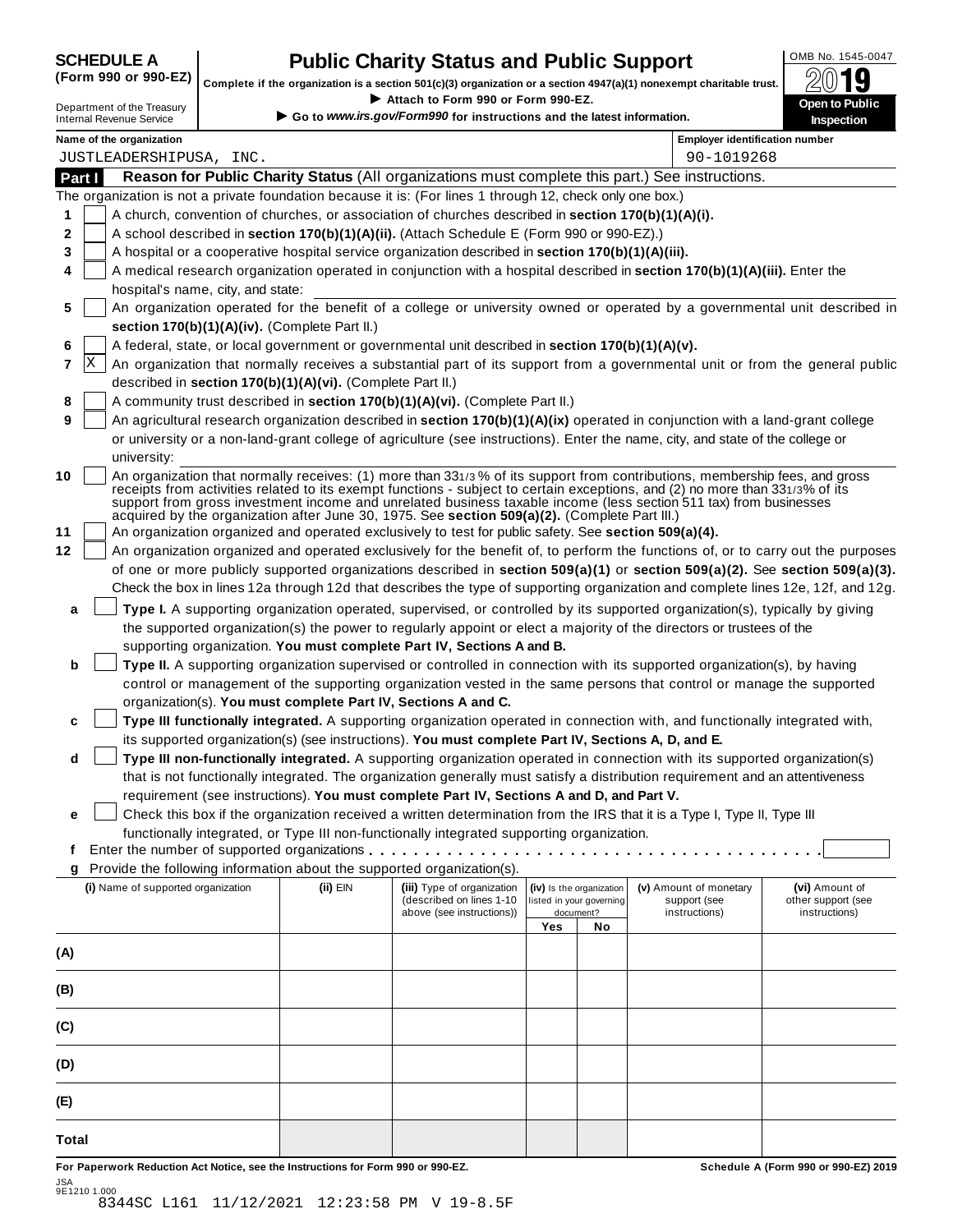# SCHEDULE A **Public Charity Status and Public Support**<br>(Form 990 or 990-EZ) complete if the organization is a section 501(c)(3) organization or a section 4947(a)(1) nonexempt charitable trust.

(Form 990 or 990-EZ) complete if the organization is a section 501(c)(3) organization or a section 4947(a)(1) nonexempt charitable trust.  $2019$ 

|                                                               |                                   |                                                            |                                                                                                              |     |                                                      | Complete if the organization is a section 501(c)(3) organization or a section $4947(a)(1)$ nonexempt charitable trust.                                                                                                                                                                                                                                                          | ZW IJ                                                                                                                            |
|---------------------------------------------------------------|-----------------------------------|------------------------------------------------------------|--------------------------------------------------------------------------------------------------------------|-----|------------------------------------------------------|---------------------------------------------------------------------------------------------------------------------------------------------------------------------------------------------------------------------------------------------------------------------------------------------------------------------------------------------------------------------------------|----------------------------------------------------------------------------------------------------------------------------------|
| Department of the Treasury<br><b>Internal Revenue Service</b> |                                   |                                                            | Attach to Form 990 or Form 990-EZ.<br>Go to www.irs.gov/Form990 for instructions and the latest information. |     |                                                      |                                                                                                                                                                                                                                                                                                                                                                                 | Open to Public<br>Inspection                                                                                                     |
| Name of the organization                                      |                                   |                                                            |                                                                                                              |     |                                                      | <b>Employer identification number</b>                                                                                                                                                                                                                                                                                                                                           |                                                                                                                                  |
| JUSTLEADERSHIPUSA, INC.                                       |                                   |                                                            |                                                                                                              |     |                                                      | 90-1019268                                                                                                                                                                                                                                                                                                                                                                      |                                                                                                                                  |
| Part I                                                        |                                   |                                                            |                                                                                                              |     |                                                      | Reason for Public Charity Status (All organizations must complete this part.) See instructions.                                                                                                                                                                                                                                                                                 |                                                                                                                                  |
|                                                               |                                   |                                                            | The organization is not a private foundation because it is: (For lines 1 through 12, check only one box.)    |     |                                                      |                                                                                                                                                                                                                                                                                                                                                                                 |                                                                                                                                  |
| 1                                                             |                                   |                                                            | A church, convention of churches, or association of churches described in section 170(b)(1)(A)(i).           |     |                                                      |                                                                                                                                                                                                                                                                                                                                                                                 |                                                                                                                                  |
| 2                                                             |                                   |                                                            | A school described in section 170(b)(1)(A)(ii). (Attach Schedule E (Form 990 or 990-EZ).)                    |     |                                                      |                                                                                                                                                                                                                                                                                                                                                                                 |                                                                                                                                  |
| 3                                                             |                                   |                                                            | A hospital or a cooperative hospital service organization described in section 170(b)(1)(A)(iii).            |     |                                                      |                                                                                                                                                                                                                                                                                                                                                                                 |                                                                                                                                  |
| 4                                                             | hospital's name, city, and state: |                                                            |                                                                                                              |     |                                                      | A medical research organization operated in conjunction with a hospital described in section 170(b)(1)(A)(iii). Enter the                                                                                                                                                                                                                                                       |                                                                                                                                  |
| 5                                                             |                                   |                                                            |                                                                                                              |     |                                                      |                                                                                                                                                                                                                                                                                                                                                                                 | An organization operated for the benefit of a college or university owned or operated by a governmental unit described in        |
|                                                               |                                   | section 170(b)(1)(A)(iv). (Complete Part II.)              |                                                                                                              |     |                                                      |                                                                                                                                                                                                                                                                                                                                                                                 |                                                                                                                                  |
| 6                                                             |                                   |                                                            | A federal, state, or local government or governmental unit described in section 170(b)(1)(A)(v).             |     |                                                      |                                                                                                                                                                                                                                                                                                                                                                                 |                                                                                                                                  |
| X<br>7                                                        |                                   |                                                            |                                                                                                              |     |                                                      |                                                                                                                                                                                                                                                                                                                                                                                 | An organization that normally receives a substantial part of its support from a governmental unit or from the general public     |
|                                                               |                                   | described in section 170(b)(1)(A)(vi). (Complete Part II.) |                                                                                                              |     |                                                      |                                                                                                                                                                                                                                                                                                                                                                                 |                                                                                                                                  |
| 8                                                             |                                   |                                                            | A community trust described in section 170(b)(1)(A)(vi). (Complete Part II.)                                 |     |                                                      |                                                                                                                                                                                                                                                                                                                                                                                 |                                                                                                                                  |
| 9                                                             |                                   |                                                            |                                                                                                              |     |                                                      | An agricultural research organization described in section 170(b)(1)(A)(ix) operated in conjunction with a land-grant college                                                                                                                                                                                                                                                   |                                                                                                                                  |
|                                                               |                                   |                                                            |                                                                                                              |     |                                                      | or university or a non-land-grant college of agriculture (see instructions). Enter the name, city, and state of the college or                                                                                                                                                                                                                                                  |                                                                                                                                  |
| university:                                                   |                                   |                                                            |                                                                                                              |     |                                                      |                                                                                                                                                                                                                                                                                                                                                                                 |                                                                                                                                  |
| 10                                                            |                                   |                                                            | acquired by the organization after June 30, 1975. See section 509(a)(2). (Complete Part III.)                |     |                                                      | An organization that normally receives: (1) more than 331/3% of its support from contributions, membership fees, and gross<br>receipts from activities related to its exempt functions - subject to certain exceptions, and (2) no more than 331/3% of its<br>support from gross investment income and unrelated business taxable income (less section 511 tax) from businesses |                                                                                                                                  |
| 11                                                            |                                   |                                                            | An organization organized and operated exclusively to test for public safety. See section 509(a)(4).         |     |                                                      |                                                                                                                                                                                                                                                                                                                                                                                 |                                                                                                                                  |
| 12                                                            |                                   |                                                            |                                                                                                              |     |                                                      |                                                                                                                                                                                                                                                                                                                                                                                 | An organization organized and operated exclusively for the benefit of, to perform the functions of, or to carry out the purposes |
|                                                               |                                   |                                                            |                                                                                                              |     |                                                      |                                                                                                                                                                                                                                                                                                                                                                                 | of one or more publicly supported organizations described in section 509(a)(1) or section 509(a)(2). See section 509(a)(3).      |
|                                                               |                                   |                                                            |                                                                                                              |     |                                                      |                                                                                                                                                                                                                                                                                                                                                                                 | Check the box in lines 12a through 12d that describes the type of supporting organization and complete lines 12e, 12f, and 12g.  |
| a                                                             |                                   |                                                            |                                                                                                              |     |                                                      | Type I. A supporting organization operated, supervised, or controlled by its supported organization(s), typically by giving                                                                                                                                                                                                                                                     |                                                                                                                                  |
|                                                               |                                   |                                                            |                                                                                                              |     |                                                      | the supported organization(s) the power to regularly appoint or elect a majority of the directors or trustees of the                                                                                                                                                                                                                                                            |                                                                                                                                  |
|                                                               |                                   |                                                            | supporting organization. You must complete Part IV, Sections A and B.                                        |     |                                                      |                                                                                                                                                                                                                                                                                                                                                                                 |                                                                                                                                  |
| b                                                             |                                   |                                                            |                                                                                                              |     |                                                      | Type II. A supporting organization supervised or controlled in connection with its supported organization(s), by having                                                                                                                                                                                                                                                         |                                                                                                                                  |
|                                                               |                                   |                                                            |                                                                                                              |     |                                                      | control or management of the supporting organization vested in the same persons that control or manage the supported                                                                                                                                                                                                                                                            |                                                                                                                                  |
|                                                               |                                   |                                                            | organization(s). You must complete Part IV, Sections A and C.                                                |     |                                                      |                                                                                                                                                                                                                                                                                                                                                                                 |                                                                                                                                  |
| c                                                             |                                   |                                                            |                                                                                                              |     |                                                      | Type III functionally integrated. A supporting organization operated in connection with, and functionally integrated with,                                                                                                                                                                                                                                                      |                                                                                                                                  |
|                                                               |                                   |                                                            | its supported organization(s) (see instructions). You must complete Part IV, Sections A, D, and E.           |     |                                                      |                                                                                                                                                                                                                                                                                                                                                                                 |                                                                                                                                  |
| d                                                             |                                   |                                                            |                                                                                                              |     |                                                      | Type III non-functionally integrated. A supporting organization operated in connection with its supported organization(s)                                                                                                                                                                                                                                                       |                                                                                                                                  |
|                                                               |                                   |                                                            |                                                                                                              |     |                                                      | that is not functionally integrated. The organization generally must satisfy a distribution requirement and an attentiveness                                                                                                                                                                                                                                                    |                                                                                                                                  |
|                                                               |                                   |                                                            | requirement (see instructions). You must complete Part IV, Sections A and D, and Part V.                     |     |                                                      |                                                                                                                                                                                                                                                                                                                                                                                 |                                                                                                                                  |
| е                                                             |                                   |                                                            |                                                                                                              |     |                                                      | Check this box if the organization received a written determination from the IRS that it is a Type I, Type II, Type III                                                                                                                                                                                                                                                         |                                                                                                                                  |
|                                                               |                                   |                                                            | functionally integrated, or Type III non-functionally integrated supporting organization.                    |     |                                                      |                                                                                                                                                                                                                                                                                                                                                                                 |                                                                                                                                  |
| t                                                             |                                   |                                                            |                                                                                                              |     |                                                      |                                                                                                                                                                                                                                                                                                                                                                                 |                                                                                                                                  |
| g                                                             |                                   |                                                            | Provide the following information about the supported organization(s).<br>(iii) Type of organization         |     |                                                      |                                                                                                                                                                                                                                                                                                                                                                                 |                                                                                                                                  |
| (i) Name of supported organization                            |                                   | (ii) EIN                                                   | (described on lines 1-10                                                                                     |     | (iv) Is the organization<br>listed in your governing | (v) Amount of monetary<br>support (see                                                                                                                                                                                                                                                                                                                                          | (vi) Amount of<br>other support (see                                                                                             |
|                                                               |                                   |                                                            | above (see instructions))                                                                                    |     | document?                                            | instructions)                                                                                                                                                                                                                                                                                                                                                                   | instructions)                                                                                                                    |
|                                                               |                                   |                                                            |                                                                                                              | Yes | No                                                   |                                                                                                                                                                                                                                                                                                                                                                                 |                                                                                                                                  |
| (A)                                                           |                                   |                                                            |                                                                                                              |     |                                                      |                                                                                                                                                                                                                                                                                                                                                                                 |                                                                                                                                  |
|                                                               |                                   |                                                            |                                                                                                              |     |                                                      |                                                                                                                                                                                                                                                                                                                                                                                 |                                                                                                                                  |
| (B)                                                           |                                   |                                                            |                                                                                                              |     |                                                      |                                                                                                                                                                                                                                                                                                                                                                                 |                                                                                                                                  |
|                                                               |                                   |                                                            |                                                                                                              |     |                                                      |                                                                                                                                                                                                                                                                                                                                                                                 |                                                                                                                                  |
| (C)                                                           |                                   |                                                            |                                                                                                              |     |                                                      |                                                                                                                                                                                                                                                                                                                                                                                 |                                                                                                                                  |
|                                                               |                                   |                                                            |                                                                                                              |     |                                                      |                                                                                                                                                                                                                                                                                                                                                                                 |                                                                                                                                  |
| (D)                                                           |                                   |                                                            |                                                                                                              |     |                                                      |                                                                                                                                                                                                                                                                                                                                                                                 |                                                                                                                                  |
|                                                               |                                   |                                                            |                                                                                                              |     |                                                      |                                                                                                                                                                                                                                                                                                                                                                                 |                                                                                                                                  |
| (E)                                                           |                                   |                                                            |                                                                                                              |     |                                                      |                                                                                                                                                                                                                                                                                                                                                                                 |                                                                                                                                  |
| Total                                                         |                                   |                                                            |                                                                                                              |     |                                                      |                                                                                                                                                                                                                                                                                                                                                                                 |                                                                                                                                  |
|                                                               |                                   |                                                            |                                                                                                              |     |                                                      |                                                                                                                                                                                                                                                                                                                                                                                 |                                                                                                                                  |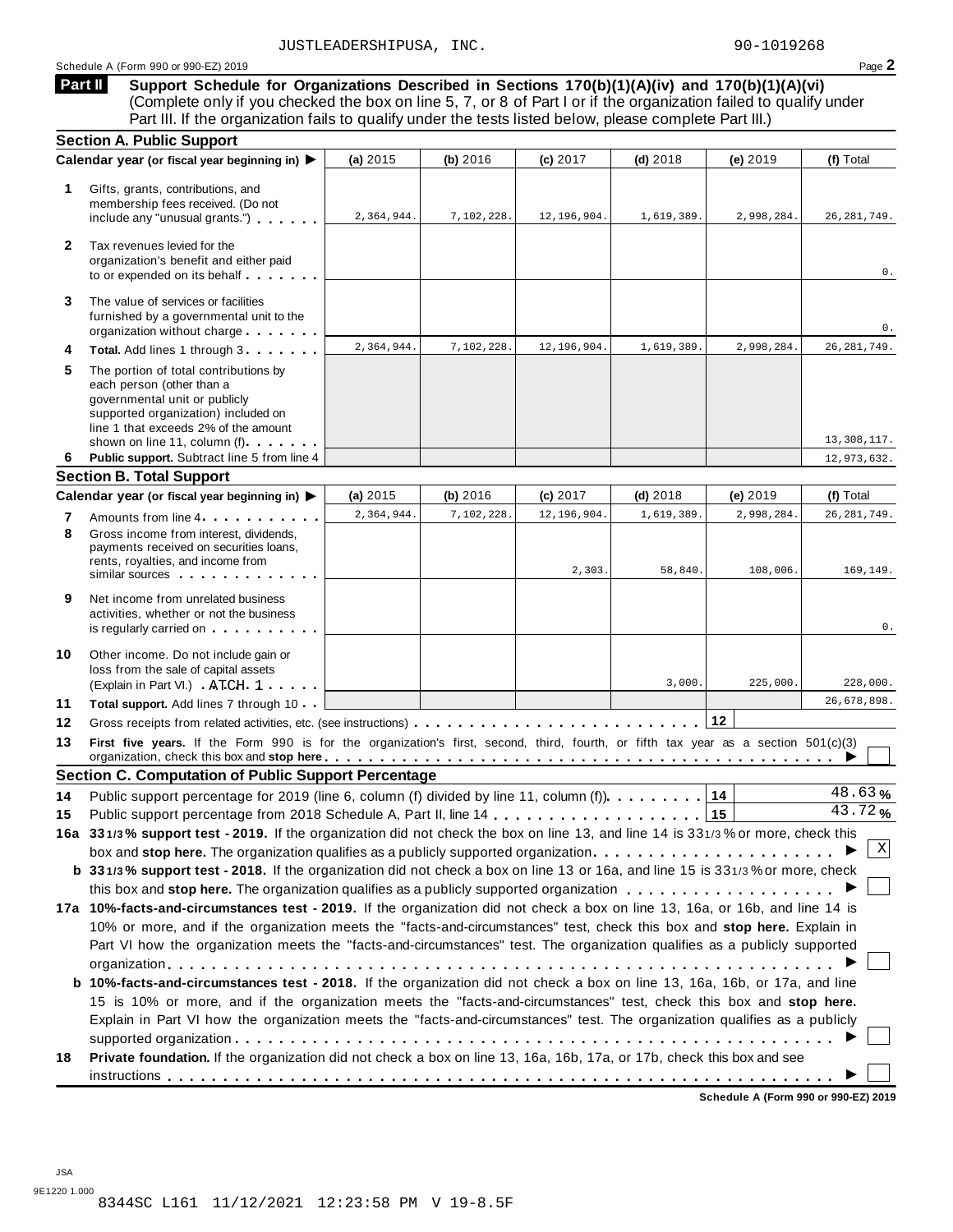**Support Schedule for Organizations Described in Sections 170(b)(1)(A)(iv) and 170(b)(1)(A)(vi)** (Complete only if you checked the box on line 5, 7, or 8 of Part I or if the organization failed to qualify under Part III. If the organization fails to qualify under the tests listed below, please complete Part III.) **Part II**

|              | <b>Section A. Public Support</b>                                                                                                                                                                                                                |            |            |             |            |            |                      |
|--------------|-------------------------------------------------------------------------------------------------------------------------------------------------------------------------------------------------------------------------------------------------|------------|------------|-------------|------------|------------|----------------------|
|              | Calendar year (or fiscal year beginning in) ▶                                                                                                                                                                                                   | (a) 2015   | (b) 2016   | $(c)$ 2017  | $(d)$ 2018 | (e) 2019   | (f) Total            |
| 1.           | Gifts, grants, contributions, and<br>membership fees received. (Do not<br>include any "unusual grants.")                                                                                                                                        | 2,364,944. | 7,102,228. | 12,196,904. | 1,619,389. | 2,998,284. | 26, 281, 749.        |
| $\mathbf{2}$ | Tax revenues levied for the<br>organization's benefit and either paid<br>to or expended on its behalf                                                                                                                                           |            |            |             |            |            | 0.                   |
| 3            | The value of services or facilities<br>furnished by a governmental unit to the<br>organization without charge                                                                                                                                   |            |            |             |            |            | 0.                   |
| 4            | Total. Add lines 1 through 3                                                                                                                                                                                                                    | 2,364,944. | 7,102,228. | 12,196,904. | 1,619,389  | 2,998,284. | 26, 281, 749.        |
| 5            | The portion of total contributions by<br>each person (other than a<br>governmental unit or publicly<br>supported organization) included on<br>line 1 that exceeds 2% of the amount<br>shown on line 11, column (f)                              |            |            |             |            |            | 13,308,117.          |
| 6            | Public support. Subtract line 5 from line 4                                                                                                                                                                                                     |            |            |             |            |            | 12,973,632.          |
|              | <b>Section B. Total Support</b>                                                                                                                                                                                                                 |            |            |             |            |            |                      |
|              | Calendar year (or fiscal year beginning in) ▶                                                                                                                                                                                                   | (a) $2015$ | (b) 2016   | (c) 2017    | $(d)$ 2018 | (e) 2019   | (f) Total            |
| 7            | Amounts from line 4                                                                                                                                                                                                                             | 2,364,944. | 7,102,228. | 12,196,904. | 1,619,389  | 2,998,284. | 26, 281, 749.        |
| 8            | Gross income from interest, dividends.<br>payments received on securities loans,<br>rents, royalties, and income from<br>similar sources experiences                                                                                            |            |            | 2,303.      | 58,840     | 108,006.   | 169,149.             |
| 9            | Net income from unrelated business<br>activities, whether or not the business<br>is regularly carried on the control of the set of the set of the set of the set of the set of the set of the s                                                 |            |            |             |            |            | 0.                   |
| 10           | Other income. Do not include gain or<br>loss from the sale of capital assets<br>(Explain in Part VI.) ATCH 1                                                                                                                                    |            |            |             | 3,000      | 225,000.   | 228,000.             |
| 11           | Total support. Add lines 7 through 10                                                                                                                                                                                                           |            |            |             |            |            | 26,678,898.          |
| 12           | Gross receipts from related activities, etc. (see instructions)                                                                                                                                                                                 |            |            |             |            | 12         |                      |
| 13           | First five years. If the Form 990 is for the organization's first, second, third, fourth, or fifth tax year as a section 501(c)(3)                                                                                                              |            |            |             |            |            |                      |
|              | <b>Section C. Computation of Public Support Percentage</b>                                                                                                                                                                                      |            |            |             |            |            |                      |
| 14           | Public support percentage for 2019 (line 6, column (f) divided by line 11, column (f)).                                                                                                                                                         |            |            |             |            | 14         | 48.63%               |
| 15           |                                                                                                                                                                                                                                                 |            |            |             |            | 15         | $\overline{4}3.72$ % |
|              | 16a 331/3% support test - 2019. If the organization did not check the box on line 13, and line 14 is 331/3% or more, check this                                                                                                                 |            |            |             |            |            |                      |
|              | box and stop here. The organization qualifies as a publicly supported organization                                                                                                                                                              |            |            |             |            |            | Χ                    |
|              | b 331/3% support test - 2018. If the organization did not check a box on line 13 or 16a, and line 15 is 331/3% or more, check                                                                                                                   |            |            |             |            |            |                      |
|              |                                                                                                                                                                                                                                                 |            |            |             |            |            |                      |
|              |                                                                                                                                                                                                                                                 |            |            |             |            |            |                      |
|              | 17a 10%-facts-and-circumstances test - 2019. If the organization did not check a box on line 13, 16a, or 16b, and line 14 is                                                                                                                    |            |            |             |            |            |                      |
|              | 10% or more, and if the organization meets the "facts-and-circumstances" test, check this box and stop here. Explain in                                                                                                                         |            |            |             |            |            |                      |
|              | Part VI how the organization meets the "facts-and-circumstances" test. The organization qualifies as a publicly supported                                                                                                                       |            |            |             |            |            |                      |
|              |                                                                                                                                                                                                                                                 |            |            |             |            |            |                      |
|              | b 10%-facts-and-circumstances test - 2018. If the organization did not check a box on line 13, 16a, 16b, or 17a, and line<br>15 is 10% or more, and if the organization meets the "facts-and-circumstances" test, check this box and stop here. |            |            |             |            |            |                      |
|              | Explain in Part VI how the organization meets the "facts-and-circumstances" test. The organization qualifies as a publicly                                                                                                                      |            |            |             |            |            |                      |
| 18           | Private foundation. If the organization did not check a box on line 13, 16a, 16b, 17a, or 17b, check this box and see                                                                                                                           |            |            |             |            |            |                      |

**Schedule A (Form 990 or 990-EZ) 2019**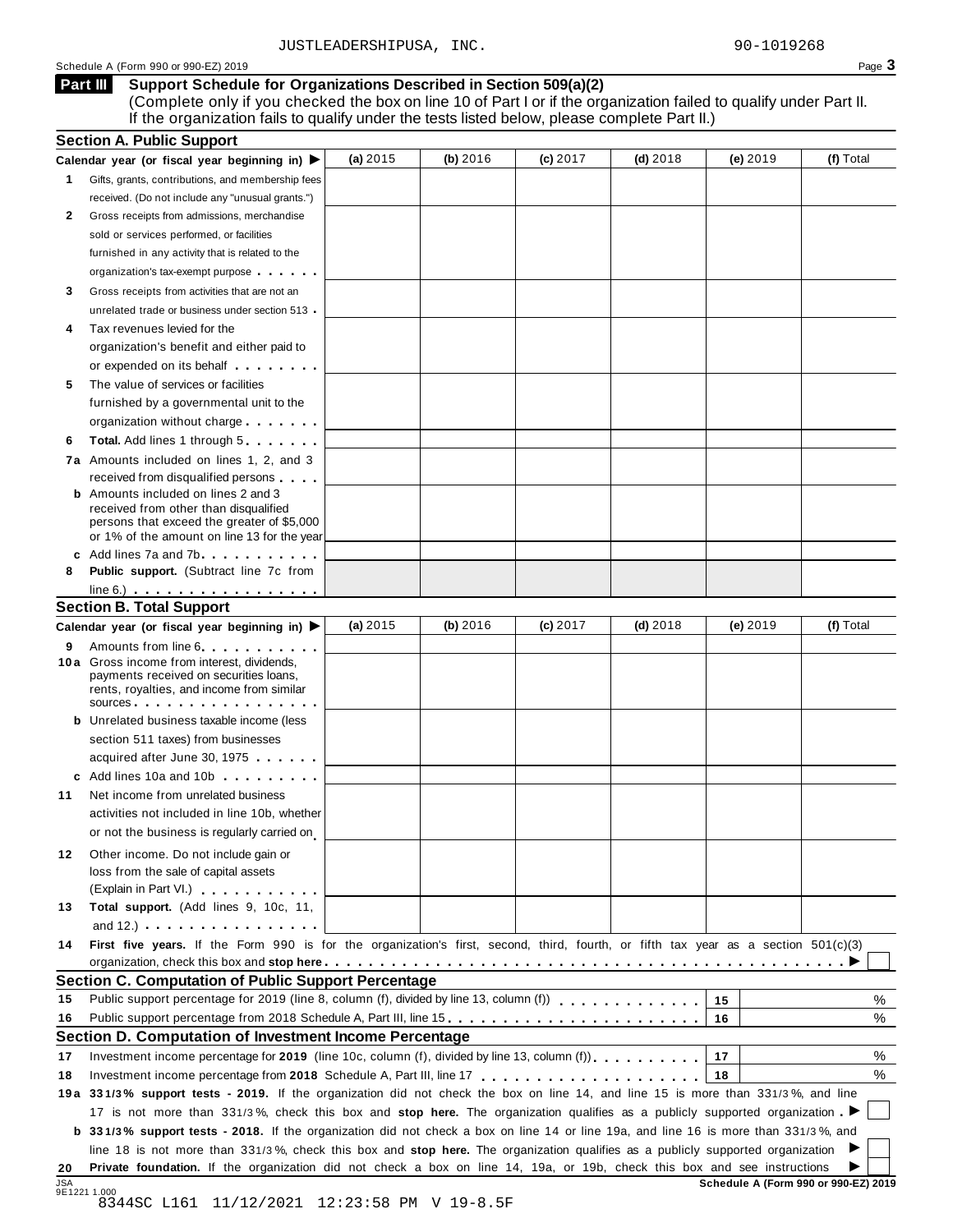#### Schedule <sup>A</sup> (Form <sup>990</sup> or 990-EZ) <sup>2019</sup> Page **3**

#### **Support Schedule for Organizations Described in Section 509(a)(2) Part III**

(Complete only if you checked the box on line 10 of Part I or if the organization failed to qualify under Part II. If the organization fails to qualify under the tests listed below, please complete Part II.)

|                            | <b>Section A. Public Support</b>                                                                                                                                                                                                                           |            |          |            |            |            |           |
|----------------------------|------------------------------------------------------------------------------------------------------------------------------------------------------------------------------------------------------------------------------------------------------------|------------|----------|------------|------------|------------|-----------|
|                            | Calendar year (or fiscal year beginning in)                                                                                                                                                                                                                | (a) $2015$ | (b) 2016 | $(c)$ 2017 | (d) $2018$ | (e) $2019$ | (f) Total |
| 1.                         | Gifts, grants, contributions, and membership fees                                                                                                                                                                                                          |            |          |            |            |            |           |
|                            | received. (Do not include any "unusual grants.")                                                                                                                                                                                                           |            |          |            |            |            |           |
| 2                          | Gross receipts from admissions, merchandise                                                                                                                                                                                                                |            |          |            |            |            |           |
|                            | sold or services performed, or facilities                                                                                                                                                                                                                  |            |          |            |            |            |           |
|                            | furnished in any activity that is related to the                                                                                                                                                                                                           |            |          |            |            |            |           |
|                            | organization's tax-exempt purpose                                                                                                                                                                                                                          |            |          |            |            |            |           |
| 3                          | Gross receipts from activities that are not an                                                                                                                                                                                                             |            |          |            |            |            |           |
|                            | unrelated trade or business under section 513 .                                                                                                                                                                                                            |            |          |            |            |            |           |
|                            | Tax revenues levied for the                                                                                                                                                                                                                                |            |          |            |            |            |           |
|                            | organization's benefit and either paid to                                                                                                                                                                                                                  |            |          |            |            |            |           |
|                            | or expended on its behalf <b>contains the set of the set of the set of the set of the set of the set of the set of the set of the set of the set of the set of the set of the set of the set of the set of the set of the set of</b>                       |            |          |            |            |            |           |
| 5                          | The value of services or facilities                                                                                                                                                                                                                        |            |          |            |            |            |           |
|                            | furnished by a governmental unit to the                                                                                                                                                                                                                    |            |          |            |            |            |           |
|                            |                                                                                                                                                                                                                                                            |            |          |            |            |            |           |
|                            | organization without charge                                                                                                                                                                                                                                |            |          |            |            |            |           |
| 6                          | <b>Total.</b> Add lines 1 through 5                                                                                                                                                                                                                        |            |          |            |            |            |           |
|                            | 7a Amounts included on lines 1, 2, and 3                                                                                                                                                                                                                   |            |          |            |            |            |           |
|                            | received from disqualified persons                                                                                                                                                                                                                         |            |          |            |            |            |           |
|                            | <b>b</b> Amounts included on lines 2 and 3<br>received from other than disqualified                                                                                                                                                                        |            |          |            |            |            |           |
|                            | persons that exceed the greater of \$5,000                                                                                                                                                                                                                 |            |          |            |            |            |           |
|                            | or 1% of the amount on line 13 for the year                                                                                                                                                                                                                |            |          |            |            |            |           |
|                            | c Add lines 7a and 7b                                                                                                                                                                                                                                      |            |          |            |            |            |           |
| 8                          | Public support. (Subtract line 7c from                                                                                                                                                                                                                     |            |          |            |            |            |           |
|                            | $line 6.)$                                                                                                                                                                                                                                                 |            |          |            |            |            |           |
|                            | <b>Section B. Total Support</b>                                                                                                                                                                                                                            |            |          |            |            |            |           |
|                            | Calendar year (or fiscal year beginning in)                                                                                                                                                                                                                | (a) $2015$ | (b) 2016 | $(c)$ 2017 | (d) $2018$ | (e) 2019   | (f) Total |
| 9                          | Amounts from line 6                                                                                                                                                                                                                                        |            |          |            |            |            |           |
|                            | 10 a Gross income from interest, dividends,<br>payments received on securities loans,<br>rents, royalties, and income from similar<br>SOUICES                                                                                                              |            |          |            |            |            |           |
|                            | <b>b</b> Unrelated business taxable income (less                                                                                                                                                                                                           |            |          |            |            |            |           |
|                            | section 511 taxes) from businesses                                                                                                                                                                                                                         |            |          |            |            |            |           |
|                            | acquired after June 30, 1975                                                                                                                                                                                                                               |            |          |            |            |            |           |
|                            | c Add lines 10a and 10b                                                                                                                                                                                                                                    |            |          |            |            |            |           |
| 11                         | Net income from unrelated business                                                                                                                                                                                                                         |            |          |            |            |            |           |
|                            | activities not included in line 10b, whether                                                                                                                                                                                                               |            |          |            |            |            |           |
|                            |                                                                                                                                                                                                                                                            |            |          |            |            |            |           |
|                            | or not the business is regularly carried on                                                                                                                                                                                                                |            |          |            |            |            |           |
| 12                         | Other income. Do not include gain or                                                                                                                                                                                                                       |            |          |            |            |            |           |
|                            | loss from the sale of capital assets                                                                                                                                                                                                                       |            |          |            |            |            |           |
|                            | (Explain in Part VI.)                                                                                                                                                                                                                                      |            |          |            |            |            |           |
| 13                         | Total support. (Add lines 9, 10c, 11,                                                                                                                                                                                                                      |            |          |            |            |            |           |
|                            | and 12.) $\cdots$ $\cdots$ $\cdots$ $\cdots$ $\cdots$                                                                                                                                                                                                      |            |          |            |            |            |           |
| 14                         | First five years. If the Form 990 is for the organization's first, second, third, fourth, or fifth tax year as a section 501(c)(3)                                                                                                                         |            |          |            |            |            |           |
|                            |                                                                                                                                                                                                                                                            |            |          |            |            |            |           |
|                            |                                                                                                                                                                                                                                                            |            |          |            |            |            |           |
|                            | <b>Section C. Computation of Public Support Percentage</b>                                                                                                                                                                                                 |            |          |            |            |            |           |
|                            | Public support percentage for 2019 (line 8, column (f), divided by line 13, column (f))                                                                                                                                                                    |            |          |            |            | 15         | ℅         |
|                            | Public support percentage from 2018 Schedule A, Part III, line 15.                                                                                                                                                                                         |            |          |            |            | 16         | %         |
|                            | Section D. Computation of Investment Income Percentage                                                                                                                                                                                                     |            |          |            |            |            |           |
|                            | Investment income percentage for 2019 (line 10c, column (f), divided by line 13, column (f)), $\ldots$ , , , , , , ,                                                                                                                                       |            |          |            |            | 17         | %         |
|                            |                                                                                                                                                                                                                                                            |            |          |            |            | 18         | %         |
|                            | 19a 331/3% support tests - 2019. If the organization did not check the box on line 14, and line 15 is more than 331/3%, and line                                                                                                                           |            |          |            |            |            |           |
|                            | 17 is not more than 331/3%, check this box and stop here. The organization qualifies as a publicly supported organization                                                                                                                                  |            |          |            |            |            |           |
|                            |                                                                                                                                                                                                                                                            |            |          |            |            |            |           |
|                            | <b>b</b> 331/3% support tests - 2018. If the organization did not check a box on line 14 or line 19a, and line 16 is more than 331/3%, and                                                                                                                 |            |          |            |            |            |           |
| 15<br>16<br>17<br>18<br>20 | line 18 is not more than 331/3%, check this box and stop here. The organization qualifies as a publicly supported organization<br>Private foundation. If the organization did not check a box on line 14, 19a, or 19b, check this box and see instructions |            |          |            |            |            |           |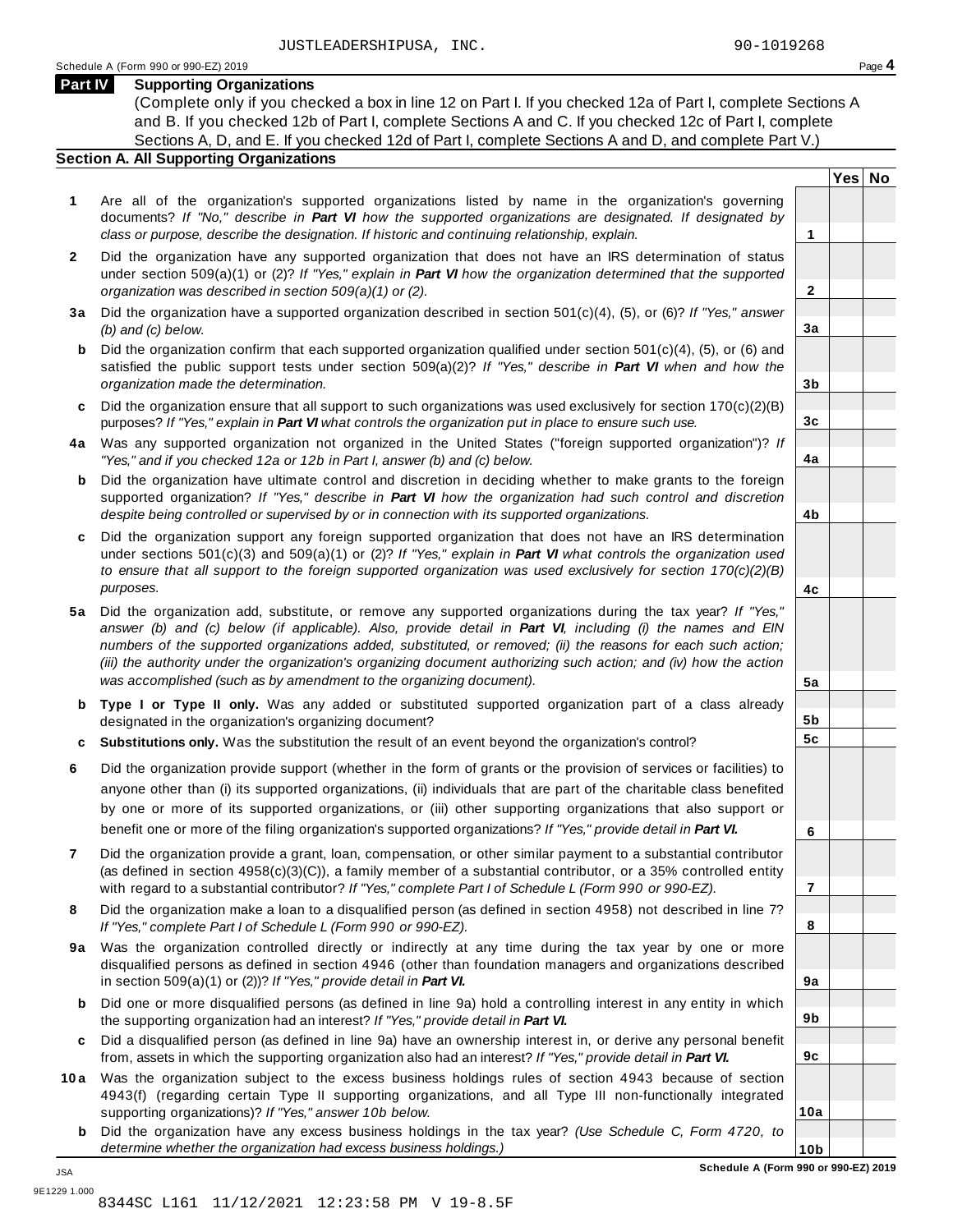**Yes No**

**2**

**3a**

**3b**

**3c**

**4a**

**4b**

**4c**

**5a**

**5b 5c**

**6**

**7**

**8**

**9a**

**9b**

**9c**

**10a**

#### **Part IV Supporting Organizations**

(Complete only if you checked a box in line 12 on Part I. If you checked 12a of Part I, complete Sections A and B. If you checked 12b of Part I, complete Sections A and C. If you checked 12c of Part I, complete Sections A, D, and E. If you checked 12d of Part I, complete Sections A and D, and complete Part V.)

#### **Section A. All Supporting Organizations**

- **1** Are all of the organization's supported organizations listed by name in the organization's governing documents? *If "No," describe in Part VI how the supported organizations are designated. If designated by class or purpose, describe the designation. If historic and continuing relationship, explain.* **1**
- **2** Did the organization have any supported organization that does not have an IRS determination of status under section 509(a)(1) or (2)? *If"Yes," explain in Part VI how the organization determined that the supported organization was described in section 509(a)(1) or (2).*
- **3 a** Did the organization have a supported organization described in section 501(c)(4), (5), or (6)? *If "Yes," answer (b) and (c) below.*
- **b** Did the organization confirm that each supported organization qualified under section 501(c)(4), (5), or (6) and | satisfied the public support tests under section 509(a)(2)? *If "Yes," describe in Part VI when and how the organization made the determination.*
- **c** Did the organization ensure that all support to such organizations was used exclusively for section 170(c)(2)(B) purposes? *If"Yes," explain in Part VI what controls the organization put in place to ensure such use.*
- **4 a** Was any supported organization not organized in the United States ("foreign supported organization")? *If "Yes," and if you checked 12a or 12b in Part I, answer (b) and (c) below.*
- **b** Did the organization have ultimate control and discretion in deciding whether to make grants to the foreign | supported organization? *If "Yes," describe in Part VI how the organization had such control and discretion despite being controlled or supervised by or in connection with its supported organizations.*
- **c** Did the organization support any foreign supported organization that does not have an IRS determination under sections 501(c)(3) and 509(a)(1) or (2)? *If "Yes," explain in Part VI what controls the organization used to ensure that all support to the foreign supported organization was used exclusively for section 170(c)(2)(B) purposes.*
- **5 a** Did the organization add, substitute, or remove any supported organizations during the tax year? *If "Yes,"* answer (b) and (c) below (if applicable). Also, provide detail in Part VI, including (i) the names and EIN *numbers of the supported organizations added, substituted, or removed; (ii) the reasons for each such action;* (iii) the authority under the organization's organizing document authorizing such action; and (iv) how the action *was accomplished (such as by amendment to the organizing document).*
- **b Type I or Type II only.** Was any added or substituted supported organization part of a class already designated in the organization's organizing document?
- **c Substitutions only.** Was the substitution the result of an event beyond the organization's control?
- **6** Did the organization provide support (whether in the form of grants or the provision of services or facilities) to anyone other than (i) its supported organizations, (ii) individuals that are part of the charitable class benefited by one or more of its supported organizations, or (iii) other supporting organizations that also support or benefit one or more of the filing organization's supported organizations? *If"Yes," provide detail in Part VI.*
- **7** Did the organization provide a grant, loan, compensation, or other similar payment to a substantial contributor (as defined in section 4958(c)(3)(C)), a family member of a substantial contributor, or a 35% controlled entity with regard to a substantial contributor? *If"Yes," complete Part I of Schedule L (Form 990 or 990-EZ).*
- **8** Did the organization make a loan to a disqualified person (as defined in section 4958) not described in line 7? *If "Yes," complete Part I of Schedule L (Form 990 or 990-EZ).*
- **9a** Was the organization controlled directly or indirectly at any time during the tax year by one or more | disqualified persons as defined in section 4946 (other than foundation managers and organizations described in section 509(a)(1) or (2))? *If"Yes," provide detail in Part VI.*
- **b** Did one or more disqualified persons (as defined in line 9a) hold a controlling interest in any entity in which | the supporting organization had an interest? *If"Yes," provide detail in Part VI.*
- **c** Did a disqualified person (as defined in line 9a) have an ownership interest in, or derive any personal benefit from, assets in which the supporting organization also had an interest? *If"Yes," provide detail in Part VI.*
- **10a** Was the organization subject to the excess business holdings rules of section 4943 because of section | 4943(f) (regarding certain Type II supporting organizations, and all Type III non-functionally integrated supporting organizations)? *If"Yes," answer 10b below.*
	- **b** Did the organization have any excess business holdings in the tax year? *(Use Schedule C, Form 4720, to determine whether the organization had excess business holdings.)*

**10b Schedule A (Form 990 or 990-EZ) 2019**

JSA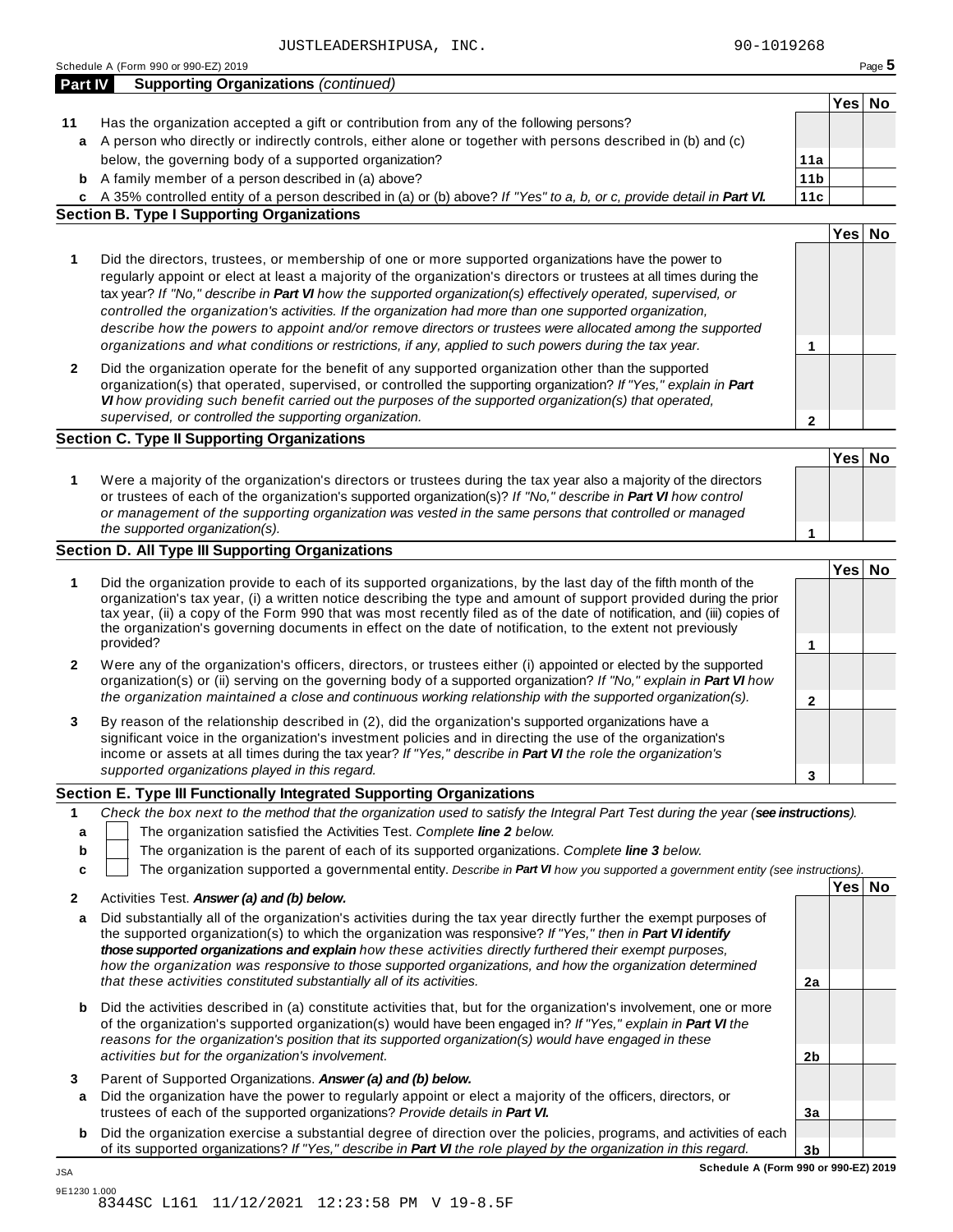|              | JUSTLEADERSHIPUSA, INC.                                                                                                                                                                                                                                                                                                                                                                                                                                                                                                                                                                                                                                                      | 90-1019268      |        |        |
|--------------|------------------------------------------------------------------------------------------------------------------------------------------------------------------------------------------------------------------------------------------------------------------------------------------------------------------------------------------------------------------------------------------------------------------------------------------------------------------------------------------------------------------------------------------------------------------------------------------------------------------------------------------------------------------------------|-----------------|--------|--------|
|              | Schedule A (Form 990 or 990-EZ) 2019                                                                                                                                                                                                                                                                                                                                                                                                                                                                                                                                                                                                                                         |                 |        | Page 5 |
| Part IV      | <b>Supporting Organizations (continued)</b>                                                                                                                                                                                                                                                                                                                                                                                                                                                                                                                                                                                                                                  |                 |        |        |
|              |                                                                                                                                                                                                                                                                                                                                                                                                                                                                                                                                                                                                                                                                              |                 | Yes No |        |
| 11           | Has the organization accepted a gift or contribution from any of the following persons?                                                                                                                                                                                                                                                                                                                                                                                                                                                                                                                                                                                      |                 |        |        |
| a            | A person who directly or indirectly controls, either alone or together with persons described in (b) and (c)                                                                                                                                                                                                                                                                                                                                                                                                                                                                                                                                                                 |                 |        |        |
|              | below, the governing body of a supported organization?                                                                                                                                                                                                                                                                                                                                                                                                                                                                                                                                                                                                                       | 11a             |        |        |
| b            | A family member of a person described in (a) above?                                                                                                                                                                                                                                                                                                                                                                                                                                                                                                                                                                                                                          | 11 <sub>b</sub> |        |        |
| c            | A 35% controlled entity of a person described in (a) or (b) above? If "Yes" to a, b, or c, provide detail in Part VI.                                                                                                                                                                                                                                                                                                                                                                                                                                                                                                                                                        | 11c             |        |        |
|              | <b>Section B. Type I Supporting Organizations</b>                                                                                                                                                                                                                                                                                                                                                                                                                                                                                                                                                                                                                            |                 |        |        |
|              |                                                                                                                                                                                                                                                                                                                                                                                                                                                                                                                                                                                                                                                                              |                 | Yes No |        |
| 1            | Did the directors, trustees, or membership of one or more supported organizations have the power to<br>regularly appoint or elect at least a majority of the organization's directors or trustees at all times during the<br>tax year? If "No," describe in Part VI how the supported organization(s) effectively operated, supervised, or<br>controlled the organization's activities. If the organization had more than one supported organization,<br>describe how the powers to appoint and/or remove directors or trustees were allocated among the supported<br>organizations and what conditions or restrictions, if any, applied to such powers during the tax year. | 1               |        |        |
| $\mathbf{2}$ | Did the organization operate for the benefit of any supported organization other than the supported<br>organization(s) that operated, supervised, or controlled the supporting organization? If "Yes," explain in Part<br><b>VI</b> how providing such benefit carried out the purposes of the supported organization(s) that operated,<br>supervised, or controlled the supporting organization.                                                                                                                                                                                                                                                                            | $\mathbf{2}$    |        |        |
|              | <b>Section C. Type II Supporting Organizations</b>                                                                                                                                                                                                                                                                                                                                                                                                                                                                                                                                                                                                                           |                 |        |        |
|              |                                                                                                                                                                                                                                                                                                                                                                                                                                                                                                                                                                                                                                                                              |                 | Yes No |        |
| 1            | Were a majority of the organization's directors or trustees during the tax year also a majority of the directors<br>or trustees of each of the organization's supported organization(s)? If "No," describe in Part VI how control<br>or management of the supporting organization was vested in the same persons that controlled or managed<br>the supported organization(s).                                                                                                                                                                                                                                                                                                | 1               |        |        |
|              | <b>Section D. All Type III Supporting Organizations</b>                                                                                                                                                                                                                                                                                                                                                                                                                                                                                                                                                                                                                      |                 |        |        |
|              |                                                                                                                                                                                                                                                                                                                                                                                                                                                                                                                                                                                                                                                                              |                 | . .    |        |

|                |                                                                                                                                                                                                                                                                                                                                                                                                                                                                                          |   | Yes⊺ |  |
|----------------|------------------------------------------------------------------------------------------------------------------------------------------------------------------------------------------------------------------------------------------------------------------------------------------------------------------------------------------------------------------------------------------------------------------------------------------------------------------------------------------|---|------|--|
|                | Did the organization provide to each of its supported organizations, by the last day of the fifth month of the<br>organization's tax year, (i) a written notice describing the type and amount of support provided during the prior<br>tax year, (ii) a copy of the Form 990 that was most recently filed as of the date of notification, and (iii) copies of<br>the organization's governing documents in effect on the date of notification, to the extent not previously<br>provided? |   |      |  |
|                |                                                                                                                                                                                                                                                                                                                                                                                                                                                                                          |   |      |  |
| $\overline{2}$ | Were any of the organization's officers, directors, or trustees either (i) appointed or elected by the supported<br>organization(s) or (ii) serving on the governing body of a supported organization? If "No," explain in <b>Part VI</b> how                                                                                                                                                                                                                                            |   |      |  |
|                | the organization maintained a close and continuous working relationship with the supported organization(s).                                                                                                                                                                                                                                                                                                                                                                              | 2 |      |  |
| 3              | By reason of the relationship described in (2), did the organization's supported organizations have a<br>significant voice in the organization's investment policies and in directing the use of the organization's<br>income or assets at all times during the tax year? If "Yes," describe in Part VI the role the organization's                                                                                                                                                      |   |      |  |
|                | supported organizations played in this regard.                                                                                                                                                                                                                                                                                                                                                                                                                                           |   |      |  |

## **Section E. Type III Functionally Integrated Supporting Organizations**

|  | Check the box next to the method that the organization used to satisfy the Integral Part Test during the year (see instructions). |
|--|-----------------------------------------------------------------------------------------------------------------------------------|
|  | The organization satisfied the Activities Test. Complete line 2 below.                                                            |
|  | The organization is the parent of each of its supported organizations. Complete line 3 below.                                     |
|  | The organization supported a governmental entity. Describe in Part VI how you supported a government entity (see instructions).   |

| Activities Test. Answer (a) and (b) below.<br>2 |  |
|-------------------------------------------------|--|
|-------------------------------------------------|--|

| a Did substantially all of the organization's activities during the tax year directly further the exempt purposes of |    |  |
|----------------------------------------------------------------------------------------------------------------------|----|--|
| the supported organization(s) to which the organization was responsive? If "Yes," then in Part VI identify           |    |  |
| those supported organizations and explain how these activities directly furthered their exempt purposes.             |    |  |
| how the organization was responsive to those supported organizations, and how the organization determined            |    |  |
| that these activities constituted substantially all of its activities.                                               | 2a |  |
|                                                                                                                      |    |  |

| <b>b</b> Did the activities described in (a) constitute activities that, but for the organization's involvement, one or more |
|------------------------------------------------------------------------------------------------------------------------------|
| of the organization's supported organization(s) would have been engaged in? If "Yes," explain in Part VI the                 |
| reasons for the organization's position that its supported organization(s) would have engaged in these                       |
| activities but for the organization's involvement.                                                                           |

- **3** Parent of Supported Organizations. *Answer (a) and (b) below.*
- **a** Did the organization have the power to regularly appoint or elect a majority of the officers, directors, or trustees of each of the supported organizations? *Provide details in Part VI.*

**b** Did the organization exercise a substantial degree of direction over the policies, programs, and activities of each of its supported organizations? *If"Yes," describe in Part VI the role played by the organization in this regard.*

**Yes No**

**2b**

**3a**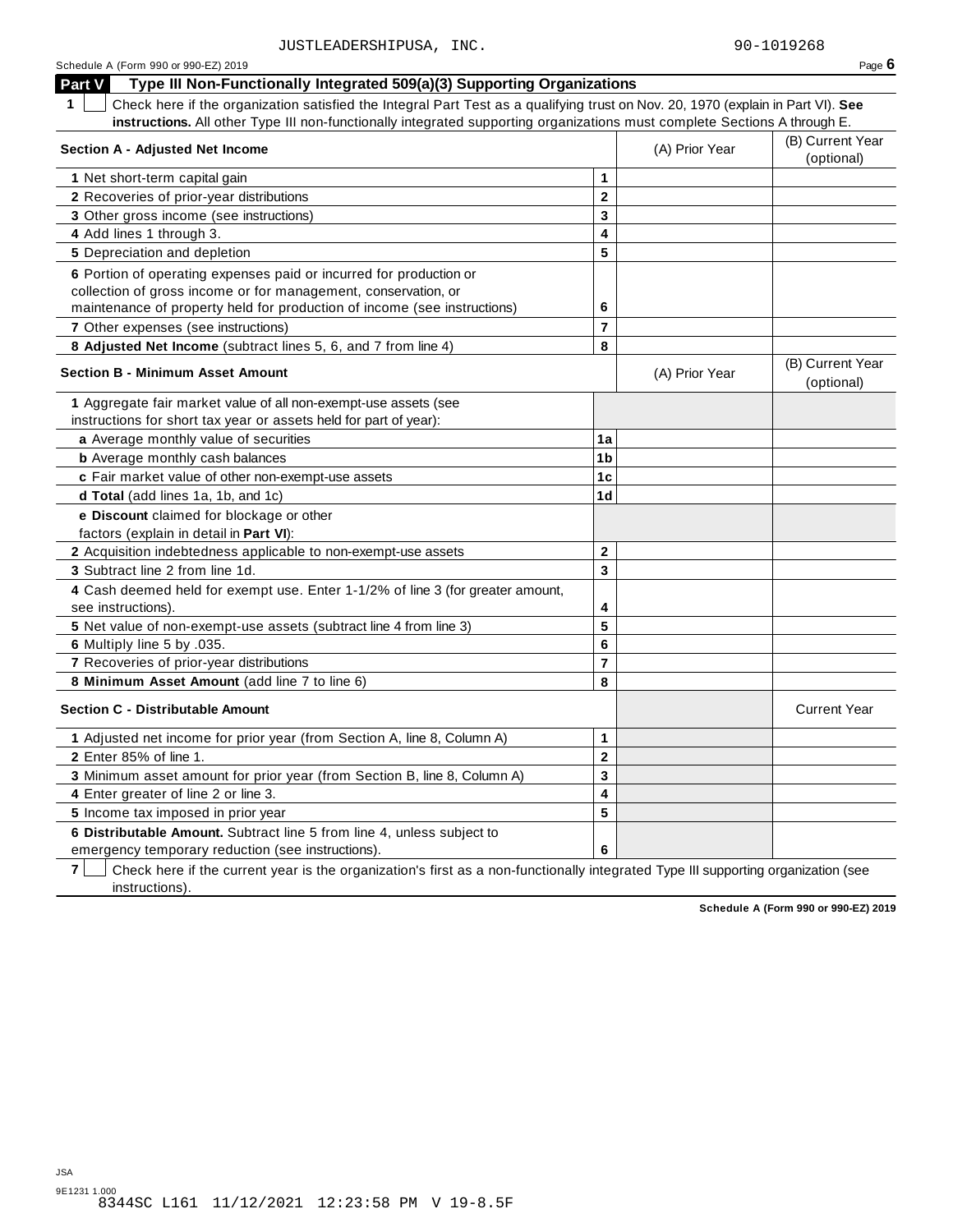#### **Part V Type III Non-Functionally Integrated 509(a)(3) Supporting Organizations 1** Check here if the organization satisfied the Integral Part Test as a qualifying trust on Nov. 20, 1970 (explain in Part VI). **See instructions.** All other Type III non-functionally integrated supporting organizations must complete Sections A through E. (B) Current Year **Section <sup>A</sup> - Adjusted Net Income** (A) Prior Year (optional) **1** Net short-term capital gain **1 1 2 3 4 5 2** Recoveries of prior-year distributions **3** Other gross income (see instructions) **4** Add lines 1 through 3. **5** Depreciation and depletion **6** Portion of operating expenses paid or incurred for production or collection of gross income or for management, conservation, or maintenance of property held for production of income (see instructions) **6 7** Other expenses (see instructions) **7 8 Adjusted Net Income** (subtract lines 5, 6, and 7 from line 4) **8** (B) Current Year **Section <sup>B</sup> - Minimum Asset Amount** (A) Prior Year (optional) **1** Aggregate fair market value of all non-exempt-use assets (see instructions for short tax year or assets held for part of year): **a** Average monthly value of securities **1a 1a 1b 1c 1d b** Average monthly cash balances **c** Fair market value of other non-exempt-use assets **d Total** (add lines 1a, 1b, and 1c) **e Discount** claimed for blockage or other factors (explain in detail in **Part VI**): **2** Acquisition indebtedness applicable to non-exempt-use assets **2 3 4 5 6 7 8 3** Subtract line 2 from line 1d. **4** Cash deemed held for exempt use. Enter 1-1/2% of line 3 (for greater amount, see instructions). **5** Net value of non-exempt-use assets (subtract line 4 from line 3) **6** Multiply line 5 by .035. **7** Recoveries of prior-year distributions **8 Minimum Asset Amount** (add line 7 to line 6) **Section C -** Distributable Amount **Current Year Current Year Amount** Current Year **Current Year 1** Adjusted net income for prior year (from Section A, line 8, Column A) **1 2 3 4 5 2** Enter 85% of line 1. **3** Minimum asset amount for prior year (from Section B, line 8, Column A) **4** Enter greater of line 2 or line 3. **5** Income tax imposed in prior year **6 Distributable Amount.** Subtract line 5 from line 4, unless subject to

emergency temporary reduction (see instructions).

**7** Check here if the current year is the organization's first as a non-functionally integrated Type III supporting organization (see instructions).

**6**

**Schedule A (Form 990 or 990-EZ) 2019**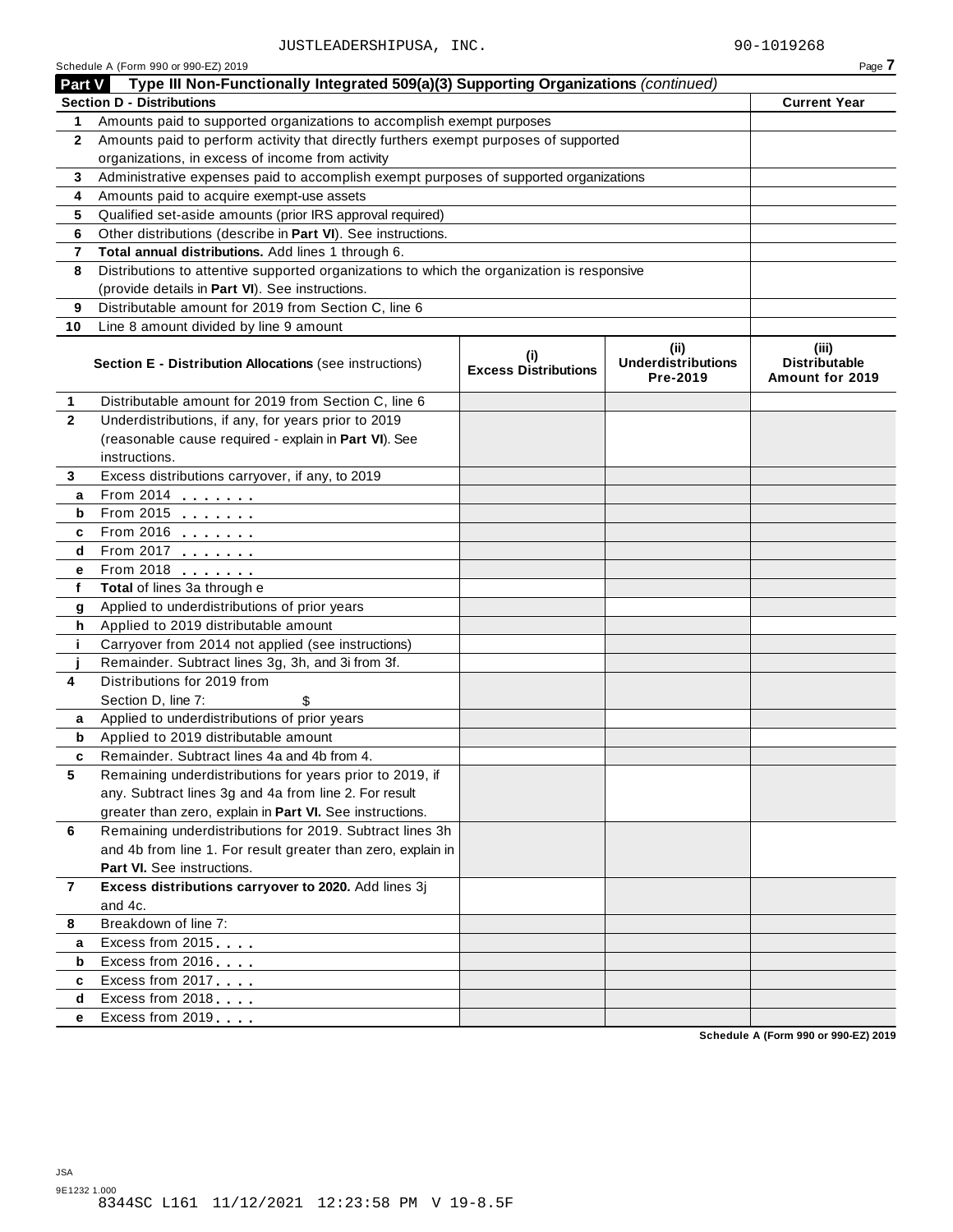|                | Schedule A (Form 990 or 990-EZ) 2019                                                                                                     |                                    |                                               | Page 7                                           |
|----------------|------------------------------------------------------------------------------------------------------------------------------------------|------------------------------------|-----------------------------------------------|--------------------------------------------------|
| <b>Part V</b>  | Type III Non-Functionally Integrated 509(a)(3) Supporting Organizations (continued)<br><b>Section D - Distributions</b>                  |                                    |                                               |                                                  |
|                |                                                                                                                                          | <b>Current Year</b>                |                                               |                                                  |
| 1              | Amounts paid to supported organizations to accomplish exempt purposes                                                                    |                                    |                                               |                                                  |
| $\mathbf{2}$   | Amounts paid to perform activity that directly furthers exempt purposes of supported<br>organizations, in excess of income from activity |                                    |                                               |                                                  |
|                |                                                                                                                                          |                                    |                                               |                                                  |
| 3              | Administrative expenses paid to accomplish exempt purposes of supported organizations                                                    |                                    |                                               |                                                  |
| 4<br>5         | Amounts paid to acquire exempt-use assets<br>Qualified set-aside amounts (prior IRS approval required)                                   |                                    |                                               |                                                  |
| 6              | Other distributions (describe in Part VI). See instructions.                                                                             |                                    |                                               |                                                  |
| 7              | Total annual distributions. Add lines 1 through 6.                                                                                       |                                    |                                               |                                                  |
| 8              | Distributions to attentive supported organizations to which the organization is responsive                                               |                                    |                                               |                                                  |
|                | (provide details in Part VI). See instructions.                                                                                          |                                    |                                               |                                                  |
| 9              | Distributable amount for 2019 from Section C, line 6                                                                                     |                                    |                                               |                                                  |
| 10             | Line 8 amount divided by line 9 amount                                                                                                   |                                    |                                               |                                                  |
|                |                                                                                                                                          |                                    |                                               |                                                  |
|                | <b>Section E - Distribution Allocations (see instructions)</b>                                                                           | (i)<br><b>Excess Distributions</b> | (ii)<br><b>Underdistributions</b><br>Pre-2019 | (iii)<br><b>Distributable</b><br>Amount for 2019 |
| 1              | Distributable amount for 2019 from Section C, line 6                                                                                     |                                    |                                               |                                                  |
| $\mathbf{2}$   | Underdistributions, if any, for years prior to 2019                                                                                      |                                    |                                               |                                                  |
|                | (reasonable cause required - explain in Part VI). See                                                                                    |                                    |                                               |                                                  |
|                | instructions.                                                                                                                            |                                    |                                               |                                                  |
| 3              | Excess distributions carryover, if any, to 2019                                                                                          |                                    |                                               |                                                  |
| а              | From 2014 $\frac{201}{20}$                                                                                                               |                                    |                                               |                                                  |
| b              | From 2015 $\frac{1}{2}$                                                                                                                  |                                    |                                               |                                                  |
| c              | From 2016 $\frac{2016}{200}$                                                                                                             |                                    |                                               |                                                  |
| d              | From 2017 $\frac{1}{2}$                                                                                                                  |                                    |                                               |                                                  |
| е              | From 2018                                                                                                                                |                                    |                                               |                                                  |
| f              | Total of lines 3a through e                                                                                                              |                                    |                                               |                                                  |
| g              | Applied to underdistributions of prior years                                                                                             |                                    |                                               |                                                  |
| h              | Applied to 2019 distributable amount                                                                                                     |                                    |                                               |                                                  |
| j.             | Carryover from 2014 not applied (see instructions)<br>Remainder. Subtract lines 3g, 3h, and 3i from 3f.                                  |                                    |                                               |                                                  |
| 4              | Distributions for 2019 from                                                                                                              |                                    |                                               |                                                  |
|                | Section D, line 7:<br>\$                                                                                                                 |                                    |                                               |                                                  |
| a              | Applied to underdistributions of prior years                                                                                             |                                    |                                               |                                                  |
| b              | Applied to 2019 distributable amount                                                                                                     |                                    |                                               |                                                  |
| c              | Remainder. Subtract lines 4a and 4b from 4.                                                                                              |                                    |                                               |                                                  |
| 5              | Remaining underdistributions for years prior to 2019, if                                                                                 |                                    |                                               |                                                  |
|                | any. Subtract lines 3g and 4a from line 2. For result                                                                                    |                                    |                                               |                                                  |
|                | greater than zero, explain in Part VI. See instructions.                                                                                 |                                    |                                               |                                                  |
| 6              | Remaining underdistributions for 2019. Subtract lines 3h                                                                                 |                                    |                                               |                                                  |
|                | and 4b from line 1. For result greater than zero, explain in                                                                             |                                    |                                               |                                                  |
|                | Part VI. See instructions.                                                                                                               |                                    |                                               |                                                  |
| $\overline{7}$ | Excess distributions carryover to 2020. Add lines 3j                                                                                     |                                    |                                               |                                                  |
|                | and 4c.                                                                                                                                  |                                    |                                               |                                                  |
| 8              | Breakdown of line 7:                                                                                                                     |                                    |                                               |                                                  |
| а              | Excess from 2015                                                                                                                         |                                    |                                               |                                                  |
| b              | Excess from 2016                                                                                                                         |                                    |                                               |                                                  |
| c              | Excess from 2017                                                                                                                         |                                    |                                               |                                                  |
| d              | Excess from 2018                                                                                                                         |                                    |                                               |                                                  |
| е              | Excess from 2019                                                                                                                         |                                    |                                               |                                                  |
|                |                                                                                                                                          |                                    |                                               | <b>Cohodule A (Form 000 or 000 E7) 2010</b>      |

**Schedule A (Form 990 or 990-EZ) 2019**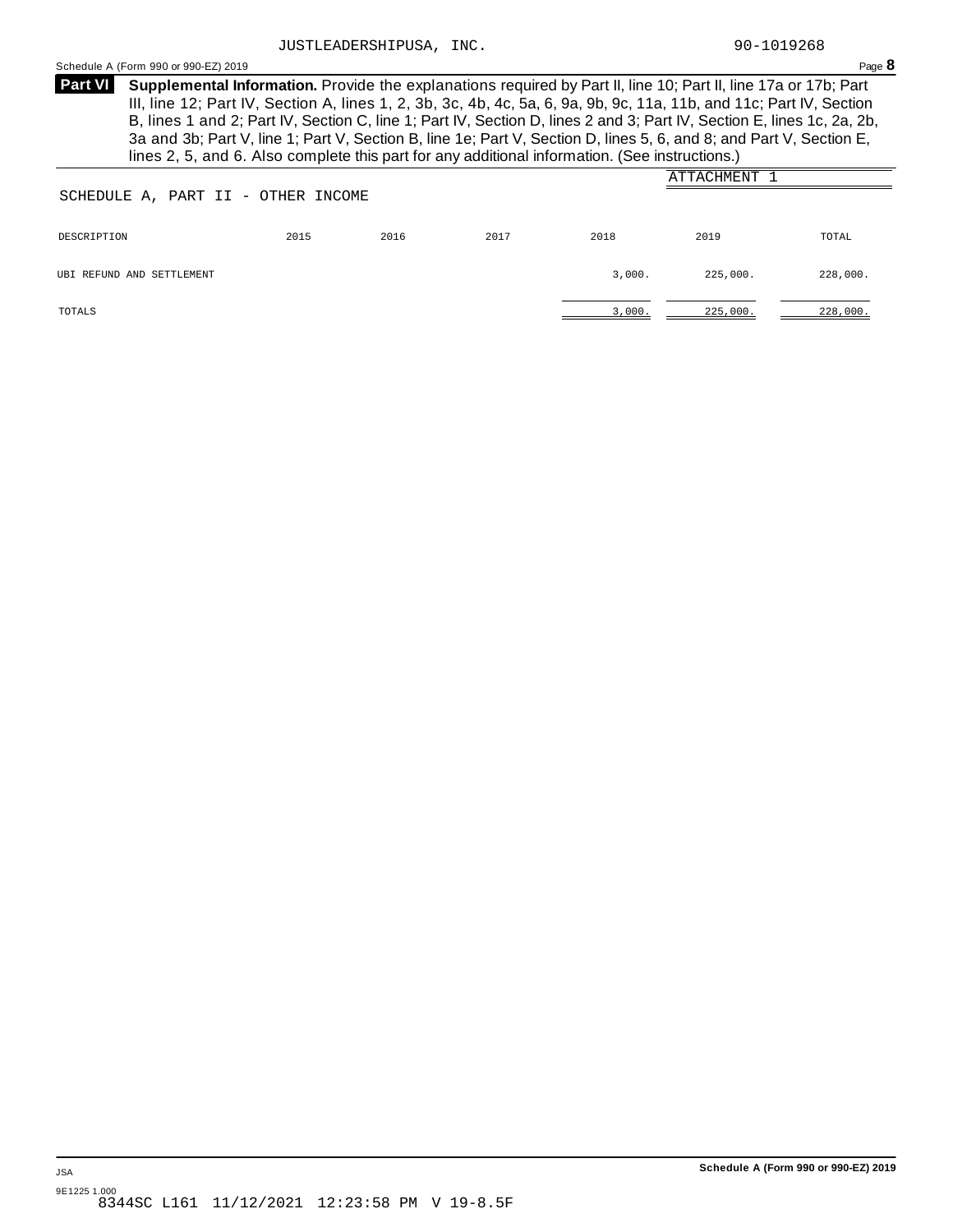#### <span id="page-19-0"></span>Schedule <sup>A</sup> (Form <sup>990</sup> or 990-EZ) <sup>2019</sup> Page **8**

**Supplemental Information.** Provide the explanations required by Part II, line 10; Part II, line 17a or 17b; Part **Part VI** III, line 12; Part IV, Section A, lines 1, 2, 3b, 3c, 4b, 4c, 5a, 6, 9a, 9b, 9c, 11a, 11b, and 11c; Part IV, Section B, lines 1 and 2; Part IV, Section C, line 1; Part IV, Section D, lines 2 and 3; Part IV, Section E, lines 1c, 2a, 2b, 3a and 3b; Part V, line 1; Part V, Section B, line 1e; Part V, Section D, lines 5, 6, and 8; and Part V, Section E, lines 2, 5, and 6. Also complete this part for any additional information. (See instructions.)

|                                    |      |        | ATTACHMENT |          |          |          |
|------------------------------------|------|--------|------------|----------|----------|----------|
| SCHEDULE A, PART II - OTHER INCOME |      |        |            |          |          |          |
| DESCRIPTION                        | 2015 | 2016   | 2017       | 2018     | 2019     | TOTAL    |
| UBI REFUND AND SETTLEMENT          |      |        |            | 3,000.   | 225,000. | 228,000. |
| TOTALS                             |      | 3,000. | 225,000.   | 228,000. |          |          |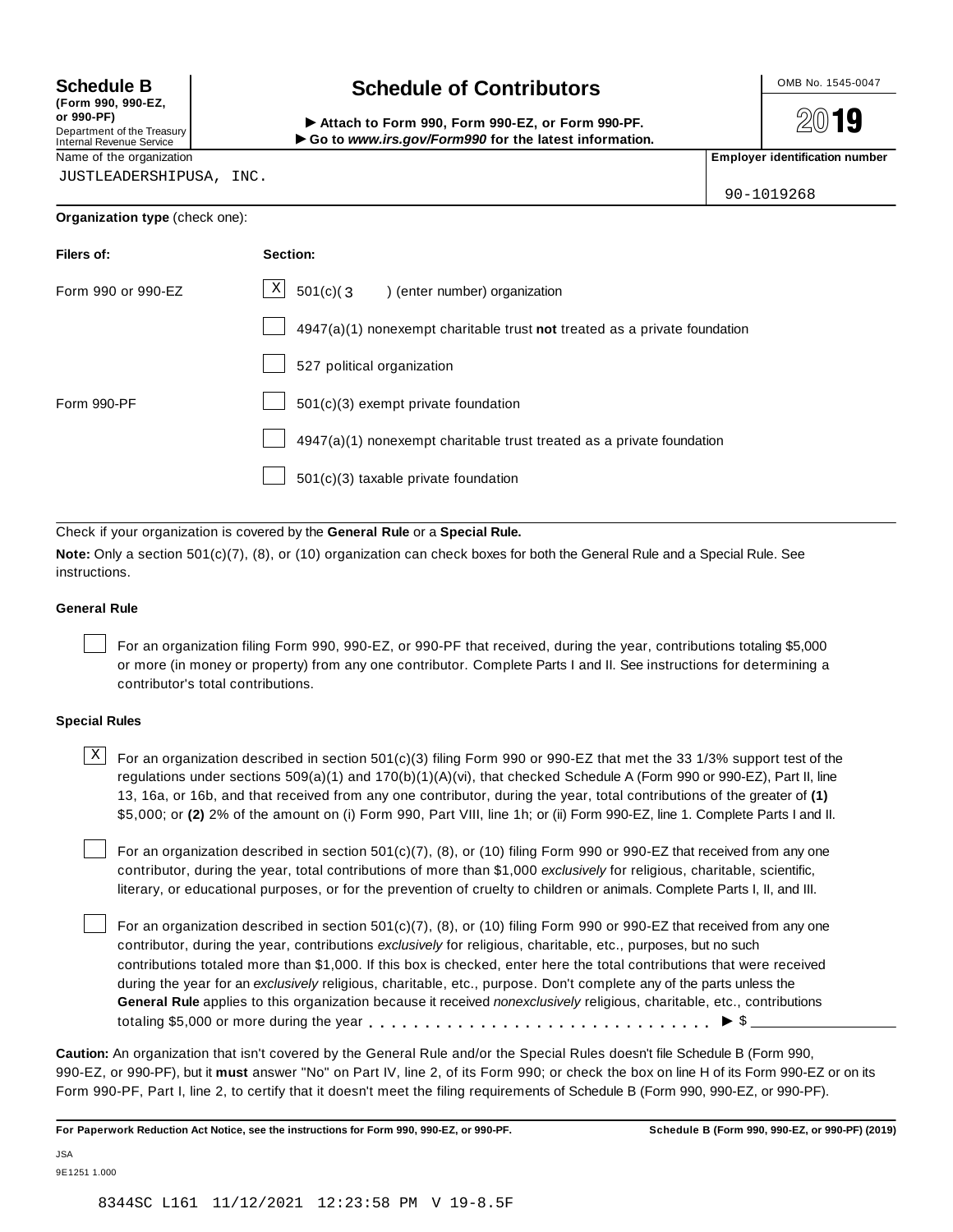## **(Form 990, 990-EZ,**

| († VIIII JJV, JJV-LL,      |  |
|----------------------------|--|
| or 990-PF)                 |  |
| Department of the Treasury |  |
| ممتسمي منتصوبهم المسمعوا   |  |

JUSTLEADERSHIPUSA, INC.

## **Schedule B chedule of Contributors**

(Porm 990, Form 990, Form 990-EZ, or Form 990-PF.<br>Department of the Treasury → Attach to Form 990, Form 990-EZ, or Form 990-PF.<br>Internal Revenue Service → → Go to www.irs.gov/Form990 for the latest information.<br>Name of th

2019

90-1019268

| <b>Organization type</b> (check one): |                                                                             |  |  |  |
|---------------------------------------|-----------------------------------------------------------------------------|--|--|--|
| <b>Filers of:</b>                     | Section:                                                                    |  |  |  |
| Form 990 or 990-EZ                    | $\mathbf{X}$<br>501(c)(3<br>) (enter number) organization                   |  |  |  |
|                                       | $4947(a)(1)$ nonexempt charitable trust not treated as a private foundation |  |  |  |
|                                       | 527 political organization                                                  |  |  |  |
| Form 990-PF                           | 501(c)(3) exempt private foundation                                         |  |  |  |
|                                       | 4947(a)(1) nonexempt charitable trust treated as a private foundation       |  |  |  |
|                                       | 501(c)(3) taxable private foundation                                        |  |  |  |

Check if your organization is covered by the **General Rule** or a **Special Rule.**

**Note:** Only a section 501(c)(7), (8), or (10) organization can check boxes for both the General Rule and a Special Rule. See instructions.

#### **General Rule**

For an organization filing Form 990, 990-EZ, or 990-PF that received, during the year, contributions totaling \$5,000 or more (in money or property) from any one contributor. Complete Parts I and II. See instructions for determining a contributor's total contributions.

#### **Special Rules**

 $\text{X}$  For an organization described in section 501(c)(3) filing Form 990 or 990-EZ that met the 33 1/3% support test of the regulations under sections 509(a)(1) and 170(b)(1)(A)(vi), that checked Schedule A (Form 990 or 990-EZ), Part II, line 13, 16a, or 16b, and that received from any one contributor, during the year, total contributions of the greater of **(1)** \$5,000; or **(2)** 2% of the amount on (i) Form 990, Part VIII, line 1h; or (ii) Form 990-EZ, line 1. Complete Parts I and II.

For an organization described in section 501(c)(7), (8), or (10) filing Form 990 or 990-EZ that received from any one contributor, during the year, total contributions of more than \$1,000 *exclusively* for religious, charitable, scientific, literary, or educational purposes, or for the prevention of cruelty to children or animals. Complete Parts I, II, and III.

For an organization described in section 501(c)(7), (8), or (10) filing Form 990 or 990-EZ that received from any one contributor, during the year, contributions *exclusively* for religious, charitable, etc., purposes, but no such contributions totaled more than \$1,000. If this box is checked, enter here the total contributions that were received during the year for an *exclusively* religious, charitable, etc., purpose. Don't complete any of the parts unless the **General Rule** applies to this organization because it received *nonexclusively* religious, charitable, etc., contributions totaling \$5,000 or more during the year m m m m m m m m m m m m m m m m m m m m m m m m m m m m m m m I \$

**Caution:** An organization that isn't covered by the General Rule and/or the Special Rules doesn't file Schedule B (Form 990, 990-EZ, or 990-PF), but it **must** answer "No" on Part IV, line 2, of its Form 990; or check the box on line H of its Form 990-EZ or on its Form 990-PF, Part I, line 2, to certify that it doesn't meet the filing requirements of Schedule B (Form 990, 990-EZ, or 990-PF).

For Paperwork Reduction Act Notice, see the instructions for Form 990, 990-EZ, or 990-PF. Schedule B (Form 990, 990-EZ, or 990-PF) (2019)

JSA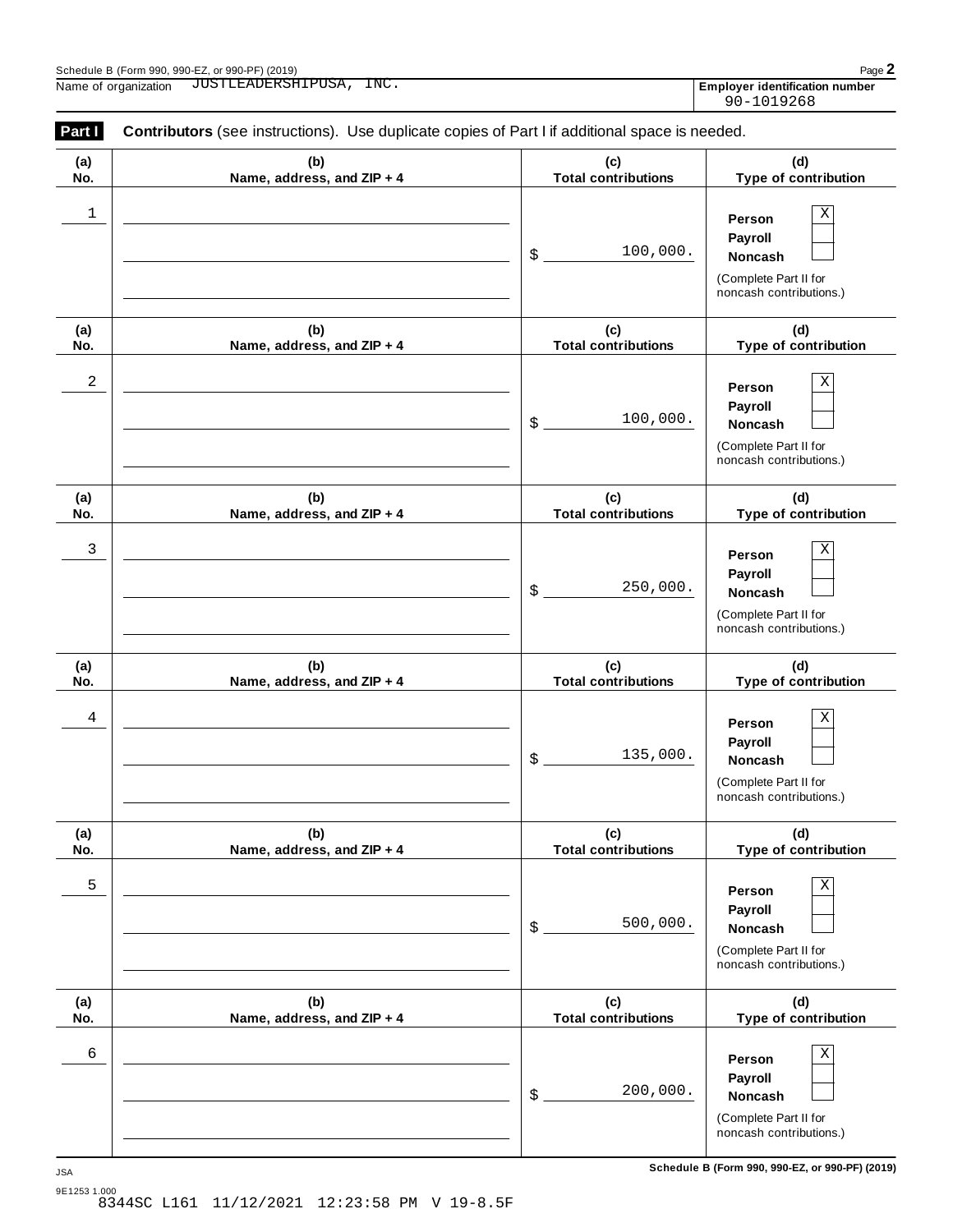| Part I<br>Contributors (see instructions). Use duplicate copies of Part I if additional space is needed. |                                   |                                   |                                                                                       |  |  |
|----------------------------------------------------------------------------------------------------------|-----------------------------------|-----------------------------------|---------------------------------------------------------------------------------------|--|--|
| (a)<br>No.                                                                                               | (b)<br>Name, address, and ZIP + 4 | (c)<br><b>Total contributions</b> | (d)<br>Type of contribution                                                           |  |  |
| 1                                                                                                        |                                   | 100,000.<br>\$                    | Χ<br>Person<br>Payroll<br>Noncash<br>(Complete Part II for<br>noncash contributions.) |  |  |
| (a)<br>No.                                                                                               | (b)<br>Name, address, and ZIP + 4 | (c)<br><b>Total contributions</b> | (d)<br>Type of contribution                                                           |  |  |
| 2                                                                                                        |                                   | 100,000.<br>\$                    | Χ<br>Person<br>Payroll<br>Noncash<br>(Complete Part II for<br>noncash contributions.) |  |  |
| (a)<br>No.                                                                                               | (b)<br>Name, address, and ZIP + 4 | (c)<br><b>Total contributions</b> | (d)<br>Type of contribution                                                           |  |  |
| 3                                                                                                        |                                   | 250,000.<br>\$                    | Χ<br>Person<br>Payroll<br>Noncash<br>(Complete Part II for<br>noncash contributions.) |  |  |
| (a)<br>No.                                                                                               | (b)<br>Name, address, and ZIP + 4 | (c)<br><b>Total contributions</b> | (d)<br>Type of contribution                                                           |  |  |
| 4                                                                                                        |                                   | 135,000.<br>\$                    | Χ<br>Person<br>Payroll<br>Noncash<br>(Complete Part II for<br>noncash contributions.) |  |  |
| (a)<br>No.                                                                                               | (b)<br>Name, address, and ZIP + 4 | (c)<br><b>Total contributions</b> | (d)<br>Type of contribution                                                           |  |  |
| 5                                                                                                        |                                   | 500,000.<br>\$                    | Χ<br>Person<br>Payroll<br>Noncash<br>(Complete Part II for<br>noncash contributions.) |  |  |
| (a)<br>No.                                                                                               | (b)<br>Name, address, and ZIP + 4 | (c)<br><b>Total contributions</b> | (d)<br>Type of contribution                                                           |  |  |
| 6                                                                                                        |                                   | 200,000.<br>\$                    | Χ<br>Person<br>Payroll<br>Noncash<br>(Complete Part II for<br>noncash contributions.) |  |  |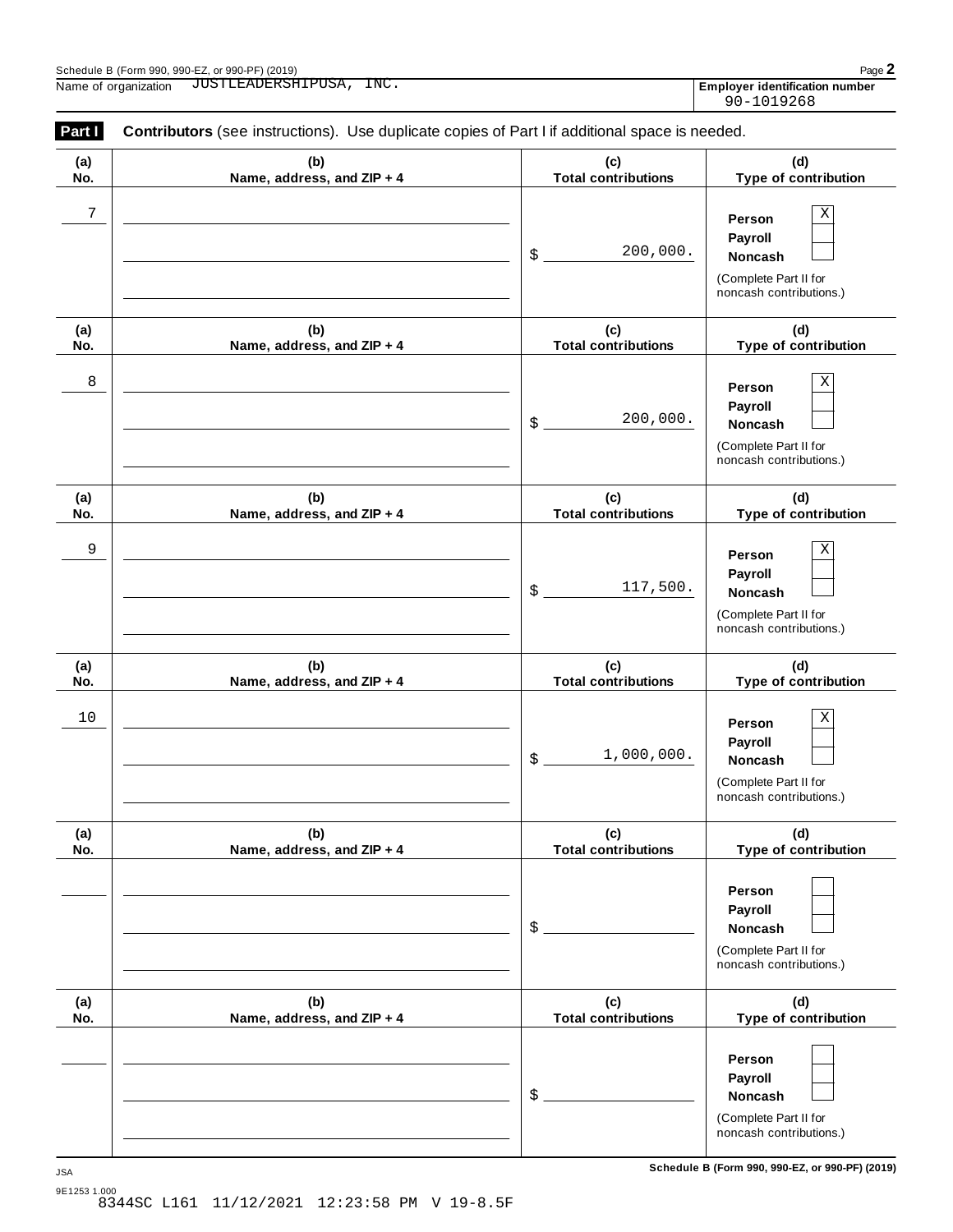|            | JUSTLEADERSHIPUSA, INC.<br>Name of organization                                                |                                   | Employer identification number<br>90-1019268                                          |
|------------|------------------------------------------------------------------------------------------------|-----------------------------------|---------------------------------------------------------------------------------------|
| Part I     | Contributors (see instructions). Use duplicate copies of Part I if additional space is needed. |                                   |                                                                                       |
| (a)<br>No. | (b)<br>Name, address, and ZIP + 4                                                              | (c)<br><b>Total contributions</b> | (d)<br>Type of contribution                                                           |
| 7          |                                                                                                | 200,000.<br>\$                    | Χ<br>Person<br>Payroll<br>Noncash<br>(Complete Part II for<br>noncash contributions.) |
| (a)<br>No. | (b)<br>Name, address, and ZIP + 4                                                              | (c)<br><b>Total contributions</b> | (d)<br>Type of contribution                                                           |
| 8          |                                                                                                | 200,000.<br>\$                    | Χ<br>Person<br>Payroll<br>Noncash<br>(Complete Part II for<br>noncash contributions.) |
| (a)<br>No. | (b)<br>Name, address, and ZIP + 4                                                              | (c)<br><b>Total contributions</b> | (d)<br>Type of contribution                                                           |
| 9          |                                                                                                | 117,500.<br>\$                    | Χ<br>Person<br>Payroll<br>Noncash<br>(Complete Part II for<br>noncash contributions.) |
| (a)<br>No. | (b)<br>Name, address, and ZIP + 4                                                              | (c)<br><b>Total contributions</b> | (d)<br>Type of contribution                                                           |
| 10         |                                                                                                | 1,000,000.<br>\$                  | Χ<br>Person<br>Payroll<br>Noncash<br>(Complete Part II for<br>noncash contributions.) |
| (a)<br>No. | (b)<br>Name, address, and ZIP + 4                                                              | (c)<br><b>Total contributions</b> | (d)<br>Type of contribution                                                           |
|            |                                                                                                | \$                                | Person<br>Payroll<br>Noncash<br>(Complete Part II for<br>noncash contributions.)      |
| (a)<br>No. | (b)<br>Name, address, and ZIP + 4                                                              | (c)<br><b>Total contributions</b> | (d)<br>Type of contribution                                                           |
|            |                                                                                                | \$                                | Person<br>Payroll<br>Noncash<br>(Complete Part II for<br>noncash contributions.)      |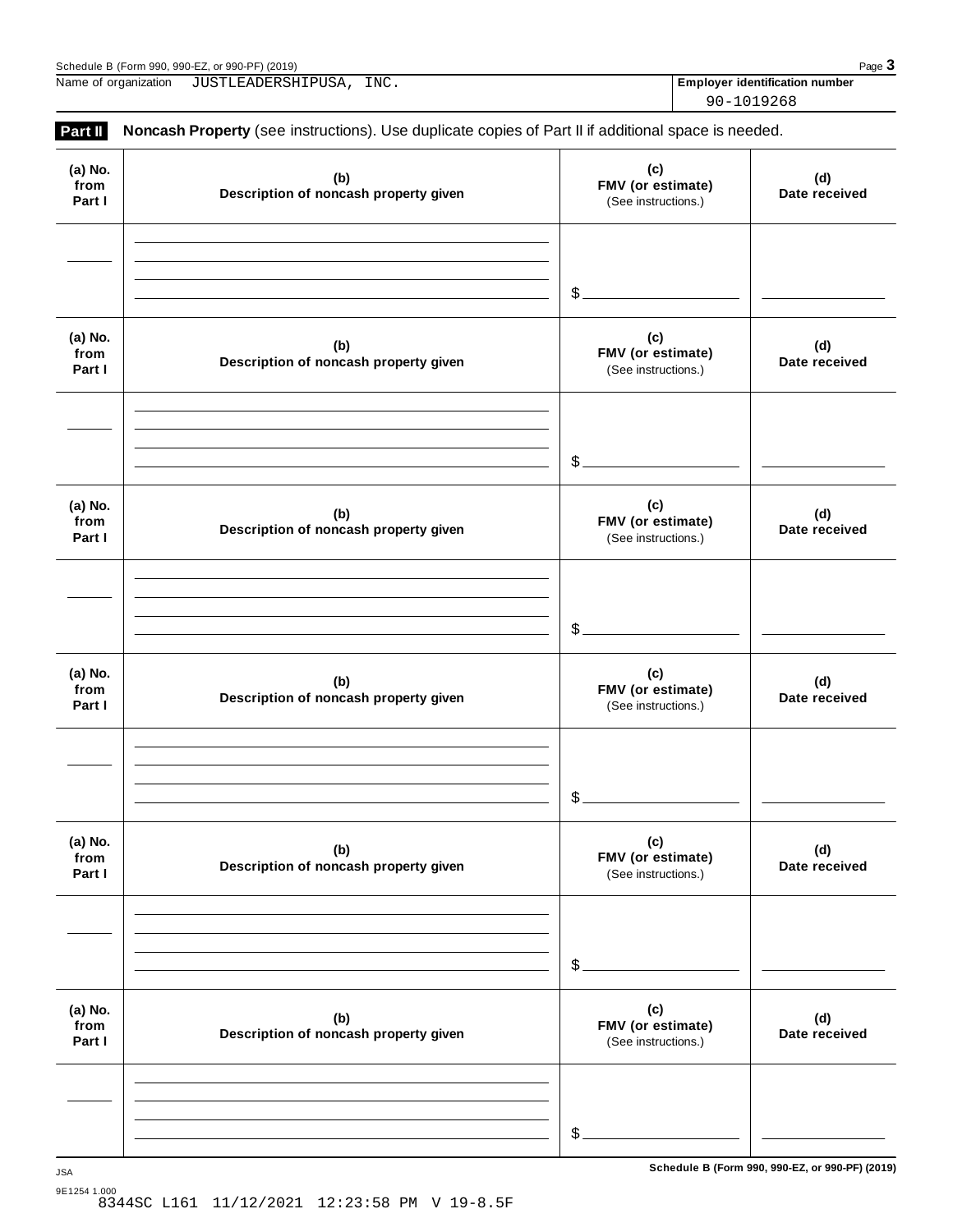| or 990-PF) (2019)<br>Schedule B<br>990-EZ<br>le B (Form 990.<br>Page | - - |
|----------------------------------------------------------------------|-----|
|----------------------------------------------------------------------|-----|

Name of organization **Employer identification number** JUSTLEADERSHIPUSA, INC.

90-1019268

| Part II                   | Noncash Property (see instructions). Use duplicate copies of Part II if additional space is needed. |                                                 |                      |
|---------------------------|-----------------------------------------------------------------------------------------------------|-------------------------------------------------|----------------------|
| (a) No.<br>from<br>Part I | (b)<br>Description of noncash property given                                                        | (c)<br>FMV (or estimate)<br>(See instructions.) | (d)<br>Date received |
|                           |                                                                                                     | $\frac{1}{2}$                                   |                      |
| (a) No.<br>from<br>Part I | (b)<br>Description of noncash property given                                                        | (c)<br>FMV (or estimate)<br>(See instructions.) | (d)<br>Date received |
|                           |                                                                                                     | $\mathcal{L}$                                   |                      |
| (a) No.<br>from<br>Part I | (b)<br>Description of noncash property given                                                        | (c)<br>FMV (or estimate)<br>(See instructions.) | (d)<br>Date received |
|                           |                                                                                                     | $\mathcal{L}$                                   |                      |
| (a) No.<br>from<br>Part I | (b)<br>Description of noncash property given                                                        | (c)<br>FMV (or estimate)<br>(See instructions.) | (d)<br>Date received |
|                           |                                                                                                     | \$                                              |                      |
| (a) No.<br>from<br>Part I | (b)<br>Description of noncash property given                                                        | (c)<br>FMV (or estimate)<br>(See instructions.) | (d)<br>Date received |
|                           |                                                                                                     | \$                                              |                      |
| (a) No.<br>from<br>Part I | (b)<br>Description of noncash property given                                                        | (c)<br>FMV (or estimate)<br>(See instructions.) | (d)<br>Date received |
|                           |                                                                                                     | \$                                              |                      |

**Schedule B (Form 990, 990-EZ, or 990-PF) (2019)** JSA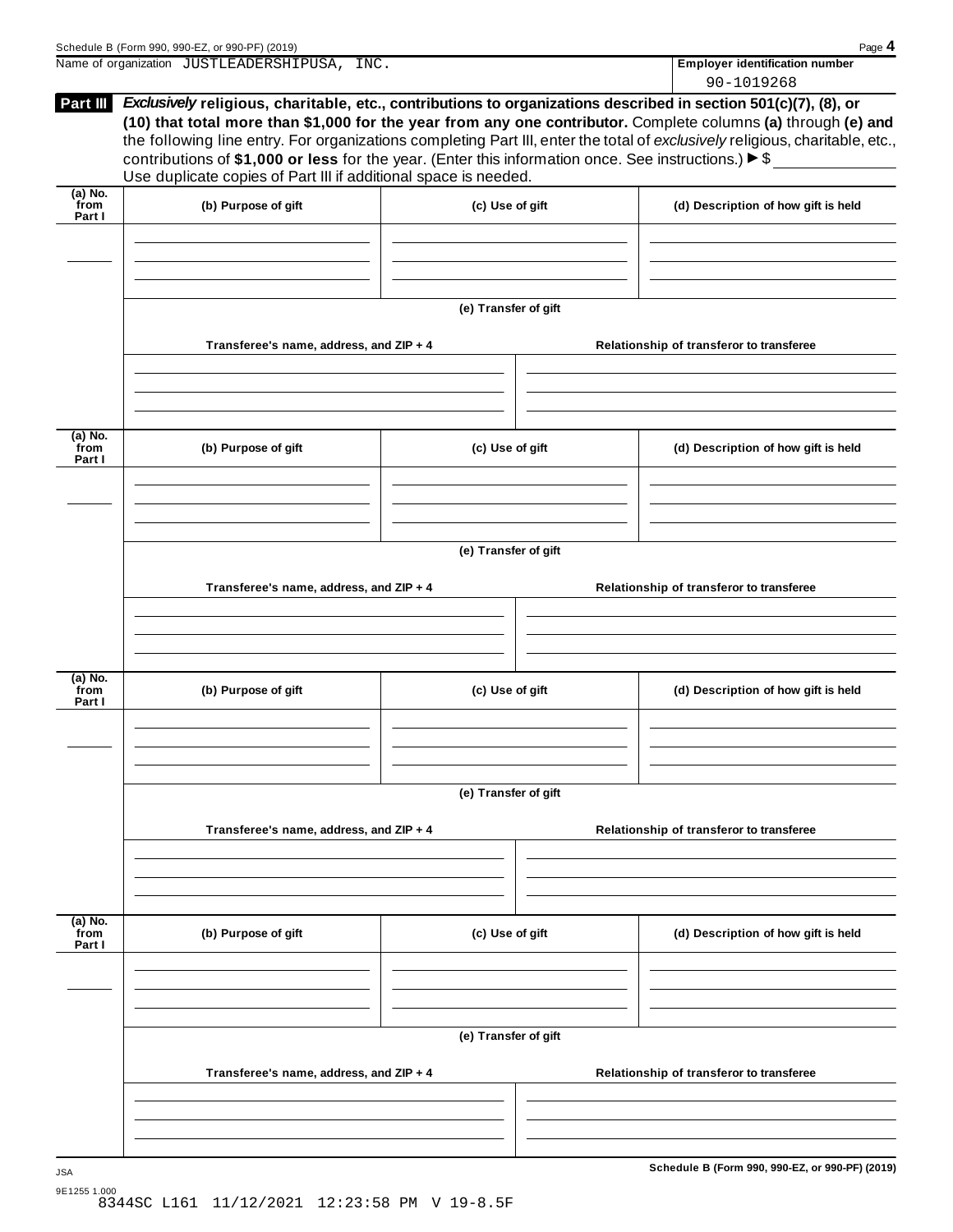|                             | Name of organization JUSTLEADERSHIPUSA, INC. |                                                                                                                                                                                                                                                                                                                                                                                                                                                                                                                                                                     |  | <b>Employer identification number</b>           |  |  |  |
|-----------------------------|----------------------------------------------|---------------------------------------------------------------------------------------------------------------------------------------------------------------------------------------------------------------------------------------------------------------------------------------------------------------------------------------------------------------------------------------------------------------------------------------------------------------------------------------------------------------------------------------------------------------------|--|-------------------------------------------------|--|--|--|
|                             |                                              |                                                                                                                                                                                                                                                                                                                                                                                                                                                                                                                                                                     |  | 90-1019268                                      |  |  |  |
|                             |                                              | Part III Exclusively religious, charitable, etc., contributions to organizations described in section 501(c)(7), (8), or<br>(10) that total more than \$1,000 for the year from any one contributor. Complete columns (a) through (e) and<br>the following line entry. For organizations completing Part III, enter the total of exclusively religious, charitable, etc.,<br>contributions of \$1,000 or less for the year. (Enter this information once. See instructions.) $\triangleright$ \$<br>Use duplicate copies of Part III if additional space is needed. |  |                                                 |  |  |  |
| $(a)$ No.<br>from<br>Part I | (b) Purpose of gift                          | (c) Use of gift                                                                                                                                                                                                                                                                                                                                                                                                                                                                                                                                                     |  | (d) Description of how gift is held             |  |  |  |
|                             |                                              |                                                                                                                                                                                                                                                                                                                                                                                                                                                                                                                                                                     |  |                                                 |  |  |  |
|                             |                                              | (e) Transfer of gift                                                                                                                                                                                                                                                                                                                                                                                                                                                                                                                                                |  |                                                 |  |  |  |
|                             | Transferee's name, address, and ZIP + 4      |                                                                                                                                                                                                                                                                                                                                                                                                                                                                                                                                                                     |  | Relationship of transferor to transferee        |  |  |  |
| $(a)$ No.<br>from<br>Part I | (b) Purpose of gift                          | (c) Use of gift                                                                                                                                                                                                                                                                                                                                                                                                                                                                                                                                                     |  | (d) Description of how gift is held             |  |  |  |
|                             |                                              |                                                                                                                                                                                                                                                                                                                                                                                                                                                                                                                                                                     |  |                                                 |  |  |  |
|                             | (e) Transfer of gift                         |                                                                                                                                                                                                                                                                                                                                                                                                                                                                                                                                                                     |  |                                                 |  |  |  |
|                             | Transferee's name, address, and ZIP + 4      |                                                                                                                                                                                                                                                                                                                                                                                                                                                                                                                                                                     |  | Relationship of transferor to transferee        |  |  |  |
| $(a)$ No.<br>from           | (b) Purpose of gift                          | (c) Use of gift                                                                                                                                                                                                                                                                                                                                                                                                                                                                                                                                                     |  | (d) Description of how gift is held             |  |  |  |
| Part I                      |                                              |                                                                                                                                                                                                                                                                                                                                                                                                                                                                                                                                                                     |  |                                                 |  |  |  |
|                             | (e) Transfer of gift                         |                                                                                                                                                                                                                                                                                                                                                                                                                                                                                                                                                                     |  |                                                 |  |  |  |
|                             | Transferee's name, address, and ZIP + 4      |                                                                                                                                                                                                                                                                                                                                                                                                                                                                                                                                                                     |  | Relationship of transferor to transferee        |  |  |  |
| $(a)$ No.<br>from           | (b) Purpose of gift                          | (c) Use of gift                                                                                                                                                                                                                                                                                                                                                                                                                                                                                                                                                     |  | (d) Description of how gift is held             |  |  |  |
| Part I                      |                                              |                                                                                                                                                                                                                                                                                                                                                                                                                                                                                                                                                                     |  |                                                 |  |  |  |
|                             | (e) Transfer of gift                         |                                                                                                                                                                                                                                                                                                                                                                                                                                                                                                                                                                     |  |                                                 |  |  |  |
|                             | Transferee's name, address, and ZIP + 4      |                                                                                                                                                                                                                                                                                                                                                                                                                                                                                                                                                                     |  | Relationship of transferor to transferee        |  |  |  |
|                             |                                              |                                                                                                                                                                                                                                                                                                                                                                                                                                                                                                                                                                     |  |                                                 |  |  |  |
| <b>JSA</b>                  |                                              |                                                                                                                                                                                                                                                                                                                                                                                                                                                                                                                                                                     |  | Schedule B (Form 990, 990-EZ, or 990-PF) (2019) |  |  |  |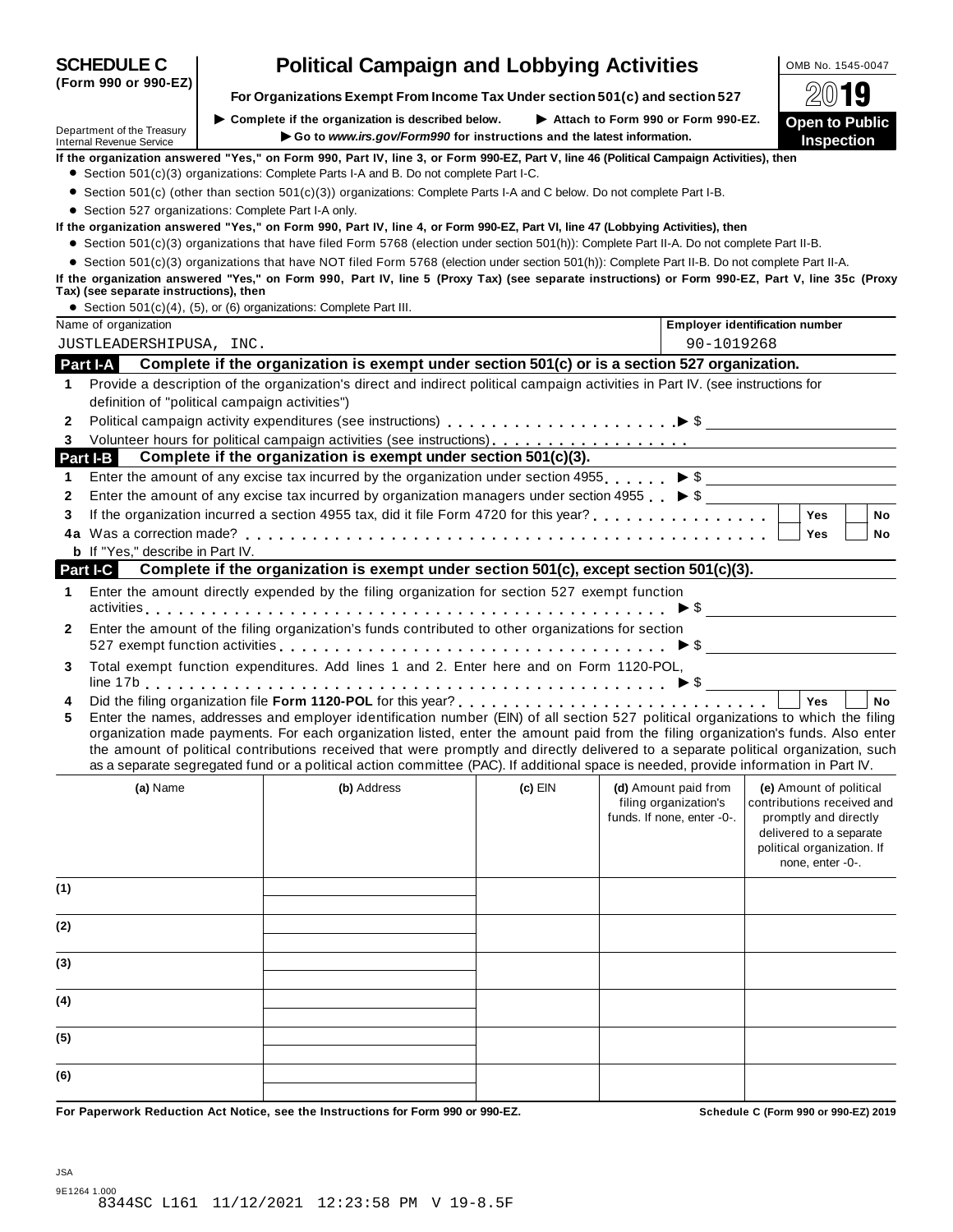| <b>SCHEDULE C</b>                                             | <b>Political Campaign and Lobbying Activities</b>                                                                                                                                                                                                                                                                                                                                                                                                                                                                                                    |           |                                                     |                                    | OMB No. 1545-0047                                                                                                                |  |  |
|---------------------------------------------------------------|------------------------------------------------------------------------------------------------------------------------------------------------------------------------------------------------------------------------------------------------------------------------------------------------------------------------------------------------------------------------------------------------------------------------------------------------------------------------------------------------------------------------------------------------------|-----------|-----------------------------------------------------|------------------------------------|----------------------------------------------------------------------------------------------------------------------------------|--|--|
| (Form 990 or 990-EZ)                                          | For Organizations Exempt From Income Tax Under section 501(c) and section 527                                                                                                                                                                                                                                                                                                                                                                                                                                                                        |           |                                                     |                                    | 2019                                                                                                                             |  |  |
| Department of the Treasury<br><b>Internal Revenue Service</b> | $\triangleright$ Complete if the organization is described below.<br>Go to www.irs.gov/Form990 for instructions and the latest information.                                                                                                                                                                                                                                                                                                                                                                                                          |           |                                                     | Attach to Form 990 or Form 990-EZ. | <b>Open to Public</b><br><b>Inspection</b>                                                                                       |  |  |
|                                                               | If the organization answered "Yes," on Form 990, Part IV, line 3, or Form 990-EZ, Part V, line 46 (Political Campaign Activities), then<br>• Section 501(c)(3) organizations: Complete Parts I-A and B. Do not complete Part I-C.                                                                                                                                                                                                                                                                                                                    |           |                                                     |                                    |                                                                                                                                  |  |  |
|                                                               | • Section 501(c) (other than section 501(c)(3)) organizations: Complete Parts I-A and C below. Do not complete Part I-B.                                                                                                                                                                                                                                                                                                                                                                                                                             |           |                                                     |                                    |                                                                                                                                  |  |  |
|                                                               | • Section 527 organizations: Complete Part I-A only.                                                                                                                                                                                                                                                                                                                                                                                                                                                                                                 |           |                                                     |                                    |                                                                                                                                  |  |  |
|                                                               | If the organization answered "Yes," on Form 990, Part IV, line 4, or Form 990-EZ, Part VI, line 47 (Lobbying Activities), then                                                                                                                                                                                                                                                                                                                                                                                                                       |           |                                                     |                                    |                                                                                                                                  |  |  |
|                                                               | • Section 501(c)(3) organizations that have filed Form 5768 (election under section 501(h)): Complete Part II-A. Do not complete Part II-B.<br>• Section 501(c)(3) organizations that have NOT filed Form 5768 (election under section 501(h)): Complete Part II-B. Do not complete Part II-A.                                                                                                                                                                                                                                                       |           |                                                     |                                    |                                                                                                                                  |  |  |
| Tax) (see separate instructions), then                        | If the organization answered "Yes," on Form 990, Part IV, line 5 (Proxy Tax) (see separate instructions) or Form 990-EZ, Part V, line 35c (Proxy                                                                                                                                                                                                                                                                                                                                                                                                     |           |                                                     |                                    |                                                                                                                                  |  |  |
| Name of organization                                          | • Section 501(c)(4), (5), or (6) organizations: Complete Part III.                                                                                                                                                                                                                                                                                                                                                                                                                                                                                   |           |                                                     |                                    | <b>Employer identification number</b>                                                                                            |  |  |
| JUSTLEADERSHIPUSA, INC.                                       |                                                                                                                                                                                                                                                                                                                                                                                                                                                                                                                                                      |           |                                                     | 90-1019268                         |                                                                                                                                  |  |  |
|                                                               | Part I-A Complete if the organization is exempt under section 501(c) or is a section 527 organization.                                                                                                                                                                                                                                                                                                                                                                                                                                               |           |                                                     |                                    |                                                                                                                                  |  |  |
| 1                                                             | Provide a description of the organization's direct and indirect political campaign activities in Part IV. (see instructions for                                                                                                                                                                                                                                                                                                                                                                                                                      |           |                                                     |                                    |                                                                                                                                  |  |  |
|                                                               | definition of "political campaign activities")                                                                                                                                                                                                                                                                                                                                                                                                                                                                                                       |           |                                                     |                                    |                                                                                                                                  |  |  |
| $\mathbf{2}$                                                  |                                                                                                                                                                                                                                                                                                                                                                                                                                                                                                                                                      |           |                                                     |                                    |                                                                                                                                  |  |  |
| 3                                                             |                                                                                                                                                                                                                                                                                                                                                                                                                                                                                                                                                      |           |                                                     |                                    |                                                                                                                                  |  |  |
| Part I-B                                                      | Complete if the organization is exempt under section 501(c)(3).                                                                                                                                                                                                                                                                                                                                                                                                                                                                                      |           |                                                     |                                    |                                                                                                                                  |  |  |
| 1                                                             | Enter the amount of any excise tax incurred by the organization under section 4955. $\triangleright$ \$                                                                                                                                                                                                                                                                                                                                                                                                                                              |           |                                                     |                                    |                                                                                                                                  |  |  |
| 2                                                             | Enter the amount of any excise tax incurred by organization managers under section 4955 $\triangleright$ \$                                                                                                                                                                                                                                                                                                                                                                                                                                          |           |                                                     |                                    |                                                                                                                                  |  |  |
| 3                                                             |                                                                                                                                                                                                                                                                                                                                                                                                                                                                                                                                                      |           |                                                     |                                    | <b>No</b><br><b>Yes</b>                                                                                                          |  |  |
| <b>b</b> If "Yes," describe in Part IV.                       |                                                                                                                                                                                                                                                                                                                                                                                                                                                                                                                                                      |           |                                                     |                                    | <b>Yes</b><br>No                                                                                                                 |  |  |
| Part I-C                                                      | Complete if the organization is exempt under section 501(c), except section 501(c)(3).                                                                                                                                                                                                                                                                                                                                                                                                                                                               |           |                                                     |                                    |                                                                                                                                  |  |  |
| 1                                                             | Enter the amount directly expended by the filing organization for section 527 exempt function                                                                                                                                                                                                                                                                                                                                                                                                                                                        |           |                                                     |                                    |                                                                                                                                  |  |  |
| $\mathbf{2}$                                                  | Enter the amount of the filing organization's funds contributed to other organizations for section                                                                                                                                                                                                                                                                                                                                                                                                                                                   |           |                                                     |                                    |                                                                                                                                  |  |  |
| 3                                                             | Total exempt function expenditures. Add lines 1 and 2. Enter here and on Form 1120-POL,                                                                                                                                                                                                                                                                                                                                                                                                                                                              |           |                                                     |                                    |                                                                                                                                  |  |  |
| 4<br>5                                                        | Enter the names, addresses and employer identification number (EIN) of all section 527 political organizations to which the filing<br>organization made payments. For each organization listed, enter the amount paid from the filing organization's funds. Also enter<br>the amount of political contributions received that were promptly and directly delivered to a separate political organization, such<br>as a separate segregated fund or a political action committee (PAC). If additional space is needed, provide information in Part IV. |           |                                                     |                                    | Yes<br><b>No</b>                                                                                                                 |  |  |
| (a) Name                                                      | (b) Address                                                                                                                                                                                                                                                                                                                                                                                                                                                                                                                                          | $(c)$ EIN | (d) Amount paid from                                |                                    | (e) Amount of political                                                                                                          |  |  |
|                                                               |                                                                                                                                                                                                                                                                                                                                                                                                                                                                                                                                                      |           | filing organization's<br>funds. If none, enter -0-. |                                    | contributions received and<br>promptly and directly<br>delivered to a separate<br>political organization. If<br>none, enter -0-. |  |  |
| (1)                                                           |                                                                                                                                                                                                                                                                                                                                                                                                                                                                                                                                                      |           |                                                     |                                    |                                                                                                                                  |  |  |
| (2)                                                           |                                                                                                                                                                                                                                                                                                                                                                                                                                                                                                                                                      |           |                                                     |                                    |                                                                                                                                  |  |  |
| (3)                                                           |                                                                                                                                                                                                                                                                                                                                                                                                                                                                                                                                                      |           |                                                     |                                    |                                                                                                                                  |  |  |
| (4)                                                           |                                                                                                                                                                                                                                                                                                                                                                                                                                                                                                                                                      |           |                                                     |                                    |                                                                                                                                  |  |  |
| (5)                                                           |                                                                                                                                                                                                                                                                                                                                                                                                                                                                                                                                                      |           |                                                     |                                    |                                                                                                                                  |  |  |
| (6)                                                           |                                                                                                                                                                                                                                                                                                                                                                                                                                                                                                                                                      |           |                                                     |                                    |                                                                                                                                  |  |  |
|                                                               |                                                                                                                                                                                                                                                                                                                                                                                                                                                                                                                                                      |           |                                                     |                                    |                                                                                                                                  |  |  |

For Paperwork Reduction Act Notice, see the Instructions for Form 990 or 990-EZ. Schedule C (Form 990 or 990-E2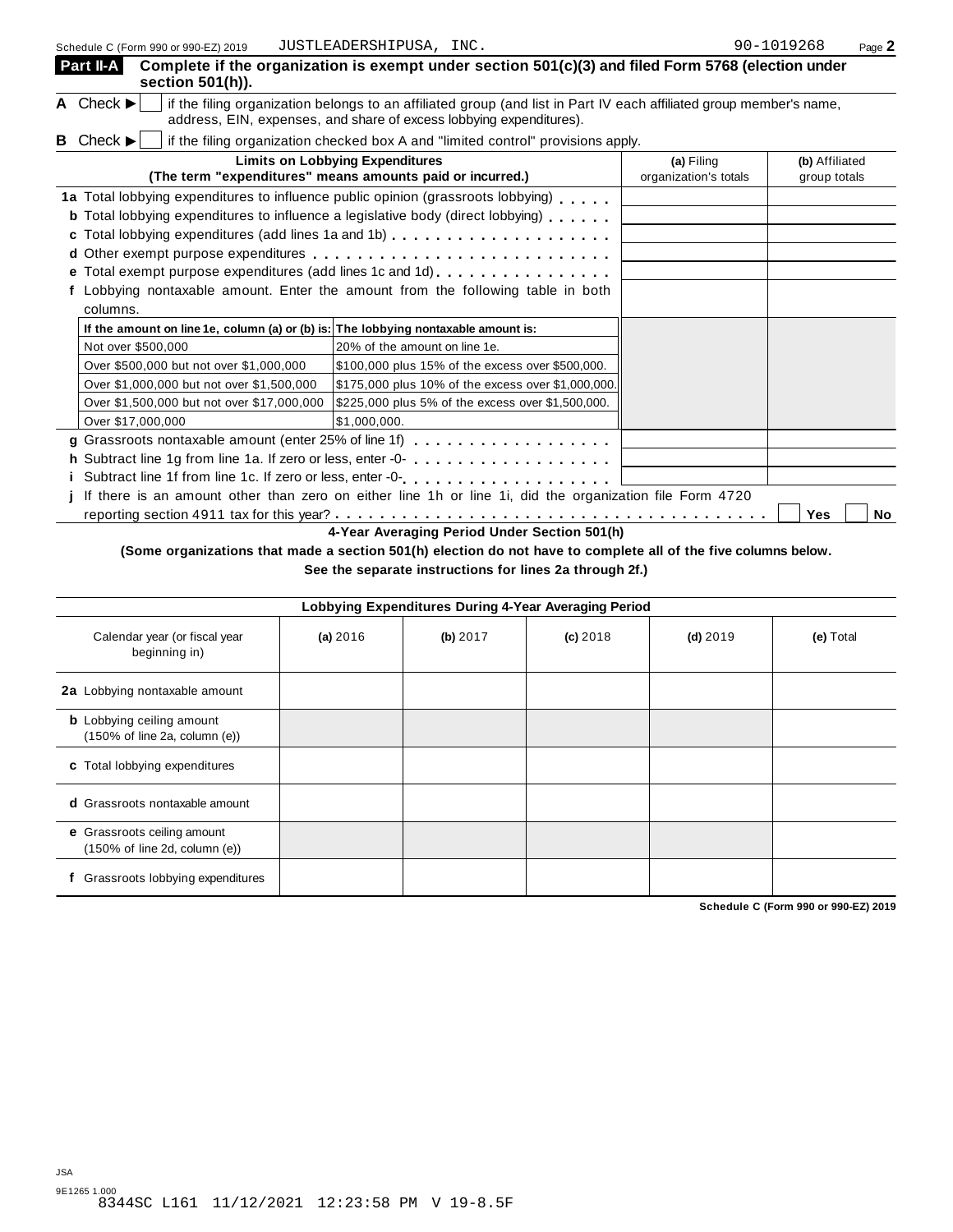| Schedule C (Form 990 or 990-EZ) 2019                                               | JUSTLEADERSHIPUSA, INC.                                                                                                                                                                    |                                     | 90-1019268<br>Page 2           |  |
|------------------------------------------------------------------------------------|--------------------------------------------------------------------------------------------------------------------------------------------------------------------------------------------|-------------------------------------|--------------------------------|--|
| Part II-A<br>section 501(h)).                                                      | Complete if the organization is exempt under section 501(c)(3) and filed Form 5768 (election under                                                                                         |                                     |                                |  |
| A Check $\blacktriangleright$                                                      | if the filing organization belongs to an affiliated group (and list in Part IV each affiliated group member's name,<br>address, EIN, expenses, and share of excess lobbying expenditures). |                                     |                                |  |
| <b>B</b> Check $\blacktriangleright$                                               | if the filing organization checked box A and "limited control" provisions apply.                                                                                                           |                                     |                                |  |
|                                                                                    | <b>Limits on Lobbying Expenditures</b><br>(The term "expenditures" means amounts paid or incurred.)                                                                                        | (a) Filing<br>organization's totals | (b) Affiliated<br>group totals |  |
|                                                                                    | 1a Total lobbying expenditures to influence public opinion (grassroots lobbying)<br><b>b</b> Total lobbying expenditures to influence a legislative body (direct lobbying)                 |                                     |                                |  |
|                                                                                    | e Total exempt purpose expenditures (add lines 1c and 1d)                                                                                                                                  |                                     |                                |  |
| columns.                                                                           | Lobbying nontaxable amount. Enter the amount from the following table in both                                                                                                              |                                     |                                |  |
| If the amount on line 1e, column (a) or (b) is: The lobbying nontaxable amount is: |                                                                                                                                                                                            |                                     |                                |  |
| Not over \$500,000                                                                 | 20% of the amount on line 1e.                                                                                                                                                              |                                     |                                |  |
| Over \$500,000 but not over \$1,000,000                                            | \$100,000 plus 15% of the excess over \$500,000.                                                                                                                                           |                                     |                                |  |
| Over \$1,000,000 but not over \$1,500,000                                          | \$175,000 plus 10% of the excess over \$1,000,000.                                                                                                                                         |                                     |                                |  |
| Over \$1,500,000 but not over \$17,000,000                                         | \$225,000 plus 5% of the excess over \$1,500,000.                                                                                                                                          |                                     |                                |  |
| Over \$17,000,000                                                                  | \$1,000,000.                                                                                                                                                                               |                                     |                                |  |
|                                                                                    | g Grassroots nontaxable amount (enter 25% of line 1f)                                                                                                                                      |                                     |                                |  |
|                                                                                    |                                                                                                                                                                                            |                                     |                                |  |
|                                                                                    |                                                                                                                                                                                            |                                     |                                |  |
|                                                                                    | If there is an amount other than zero on either line 1h or line 1i, did the organization file Form 4720                                                                                    |                                     |                                |  |
|                                                                                    |                                                                                                                                                                                            |                                     | <b>No</b><br>Yes               |  |
|                                                                                    | 4-Year Averaging Period Under Section 501(h)                                                                                                                                               |                                     |                                |  |

(Some organizations that made a section 501(h) election do not have to complete all of the five columns below. **See the separate instructions for lines 2a through 2f.)**

|                                                                                          | Lobbying Expenditures During 4-Year Averaging Period |          |            |            |           |  |  |  |  |
|------------------------------------------------------------------------------------------|------------------------------------------------------|----------|------------|------------|-----------|--|--|--|--|
| Calendar year (or fiscal year<br>beginning in)                                           | (a) 2016                                             | (b) 2017 | $(c)$ 2018 | $(d)$ 2019 | (e) Total |  |  |  |  |
| 2a Lobbying nontaxable amount                                                            |                                                      |          |            |            |           |  |  |  |  |
| <b>b</b> Lobbying ceiling amount<br>$(150\% \text{ of line } 2a, \text{ column } (e))$   |                                                      |          |            |            |           |  |  |  |  |
| c Total lobbying expenditures                                                            |                                                      |          |            |            |           |  |  |  |  |
| <b>d</b> Grassroots nontaxable amount                                                    |                                                      |          |            |            |           |  |  |  |  |
| <b>e</b> Grassroots ceiling amount<br>$(150\% \text{ of line } 2d, \text{ column } (e))$ |                                                      |          |            |            |           |  |  |  |  |
| Grassroots lobbying expenditures                                                         |                                                      |          |            |            |           |  |  |  |  |

**Schedule C (Form 990 or 990-EZ) 2019**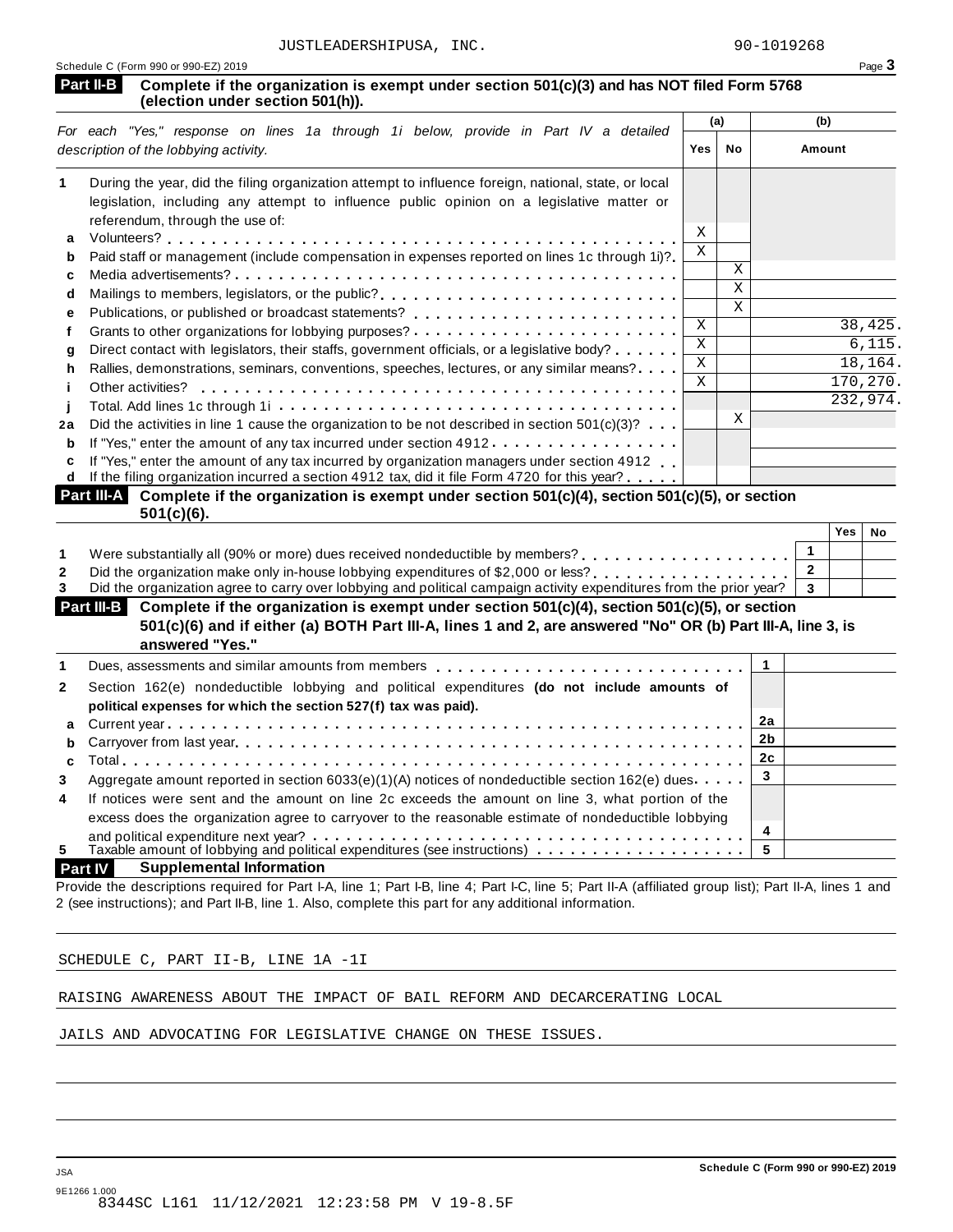|    | JUSTLEADERSHIPUSA, INC.                                                                                                                                                                                                              |             |             | 90-1019268   |              |                       |
|----|--------------------------------------------------------------------------------------------------------------------------------------------------------------------------------------------------------------------------------------|-------------|-------------|--------------|--------------|-----------------------|
|    | Schedule C (Form 990 or 990-EZ) 2019                                                                                                                                                                                                 |             |             |              |              | Page 3                |
|    | Part II-B<br>Complete if the organization is exempt under section 501(c)(3) and has NOT filed Form 5768<br>(election under section 501(h)).                                                                                          |             |             |              |              |                       |
|    |                                                                                                                                                                                                                                      |             | (a)         |              | (b)          |                       |
|    | For each "Yes," response on lines 1a through 1i below, provide in Part IV a detailed<br>description of the lobbying activity.                                                                                                        | Yes         | No          |              | Amount       |                       |
| 1  | During the year, did the filing organization attempt to influence foreign, national, state, or local<br>legislation, including any attempt to influence public opinion on a legislative matter or<br>referendum, through the use of: |             |             |              |              |                       |
| а  |                                                                                                                                                                                                                                      | Χ           |             |              |              |                       |
| b  | Paid staff or management (include compensation in expenses reported on lines 1c through 1i)?                                                                                                                                         | Χ           |             |              |              |                       |
| c  |                                                                                                                                                                                                                                      |             | X           |              |              |                       |
| d  | Mailings to members, legislators, or the public?                                                                                                                                                                                     |             | $\mathbf X$ |              |              |                       |
| е  |                                                                                                                                                                                                                                      |             | X           |              |              |                       |
| f  |                                                                                                                                                                                                                                      | $\mathbf X$ |             |              |              | 38,425.               |
| g  | Direct contact with legislators, their staffs, government officials, or a legislative body?                                                                                                                                          | Χ           |             |              |              | 6,115.                |
| h  | Rallies, demonstrations, seminars, conventions, speeches, lectures, or any similar means?                                                                                                                                            | $\mathbf X$ |             |              |              | 18, 164.<br>170, 270. |
| Ť  | Other activities?                                                                                                                                                                                                                    | X           |             |              |              | 232,974.              |
|    | Total. Add lines 1c through 1i $\dots\dots\dots\dots\dots\dots\dots\dots\dots\dots\dots\dots\dots\dots\dots\dots\dots$                                                                                                               |             | X           |              |              |                       |
| 2a | Did the activities in line 1 cause the organization to be not described in section $501(c)(3)$ ?                                                                                                                                     |             |             |              |              |                       |
| b  | If "Yes," enter the amount of any tax incurred under section 4912                                                                                                                                                                    |             |             |              |              |                       |
| c  | If "Yes," enter the amount of any tax incurred by organization managers under section 4912                                                                                                                                           |             |             |              |              |                       |
| d  | If the filing organization incurred a section 4912 tax, did it file Form 4720 for this year?<br><b>Part III-A</b> Complete if the organization is exempt under section $501(c)(4)$ , section $501(c)(5)$ , or section                |             |             |              |              |                       |
|    | $501(c)(6)$ .                                                                                                                                                                                                                        |             |             |              |              |                       |
|    |                                                                                                                                                                                                                                      |             |             |              | Yes          | No                    |
|    |                                                                                                                                                                                                                                      |             |             |              | $\mathbf{1}$ |                       |
| 2  | Did the organization make only in-house lobbying expenditures of \$2,000 or less?                                                                                                                                                    |             |             |              | $\mathbf{2}$ |                       |
| 3  | Did the organization agree to carry over lobbying and political campaign activity expenditures from the prior year?                                                                                                                  |             |             |              | 3            |                       |
|    | Part III-B<br>Complete if the organization is exempt under section 501(c)(4), section 501(c)(5), or section                                                                                                                          |             |             |              |              |                       |
|    | 501(c)(6) and if either (a) BOTH Part III-A, lines 1 and 2, are answered "No" OR (b) Part III-A, line 3, is                                                                                                                          |             |             |              |              |                       |
|    | answered "Yes."                                                                                                                                                                                                                      |             |             |              |              |                       |
|    |                                                                                                                                                                                                                                      |             |             | $\mathbf{1}$ |              |                       |
| 2  | Section 162(e) nondeductible lobbying and political expenditures (do not include amounts of                                                                                                                                          |             |             |              |              |                       |
|    | political expenses for which the section 527(f) tax was paid).                                                                                                                                                                       |             |             |              |              |                       |
| а  |                                                                                                                                                                                                                                      |             |             | 2a           |              |                       |
| b  |                                                                                                                                                                                                                                      |             |             | 2b           |              |                       |
| c  |                                                                                                                                                                                                                                      |             |             | 2c           |              |                       |
| 3  | Aggregate amount reported in section $6033(e)(1)(A)$ notices of nondeductible section $162(e)$ dues                                                                                                                                  |             |             | 3            |              |                       |
|    | If notices were sent and the amount on line 2c exceeds the amount on line 3, what portion of the                                                                                                                                     |             |             |              |              |                       |
|    | excess does the organization agree to carryover to the reasonable estimate of nondeductible lobbying                                                                                                                                 |             |             |              |              |                       |
| 4  |                                                                                                                                                                                                                                      |             |             | 4            |              |                       |
| 5  |                                                                                                                                                                                                                                      |             |             | 5            |              |                       |

SCHEDULE C, PART II-B, LINE 1A -1I

RAISING AWARENESS ABOUT THE IMPACT OF BAIL REFORM AND DECARCERATING LOCAL

JAILS AND ADVOCATING FOR LEGISLATIVE CHANGE ON THESE ISSUES.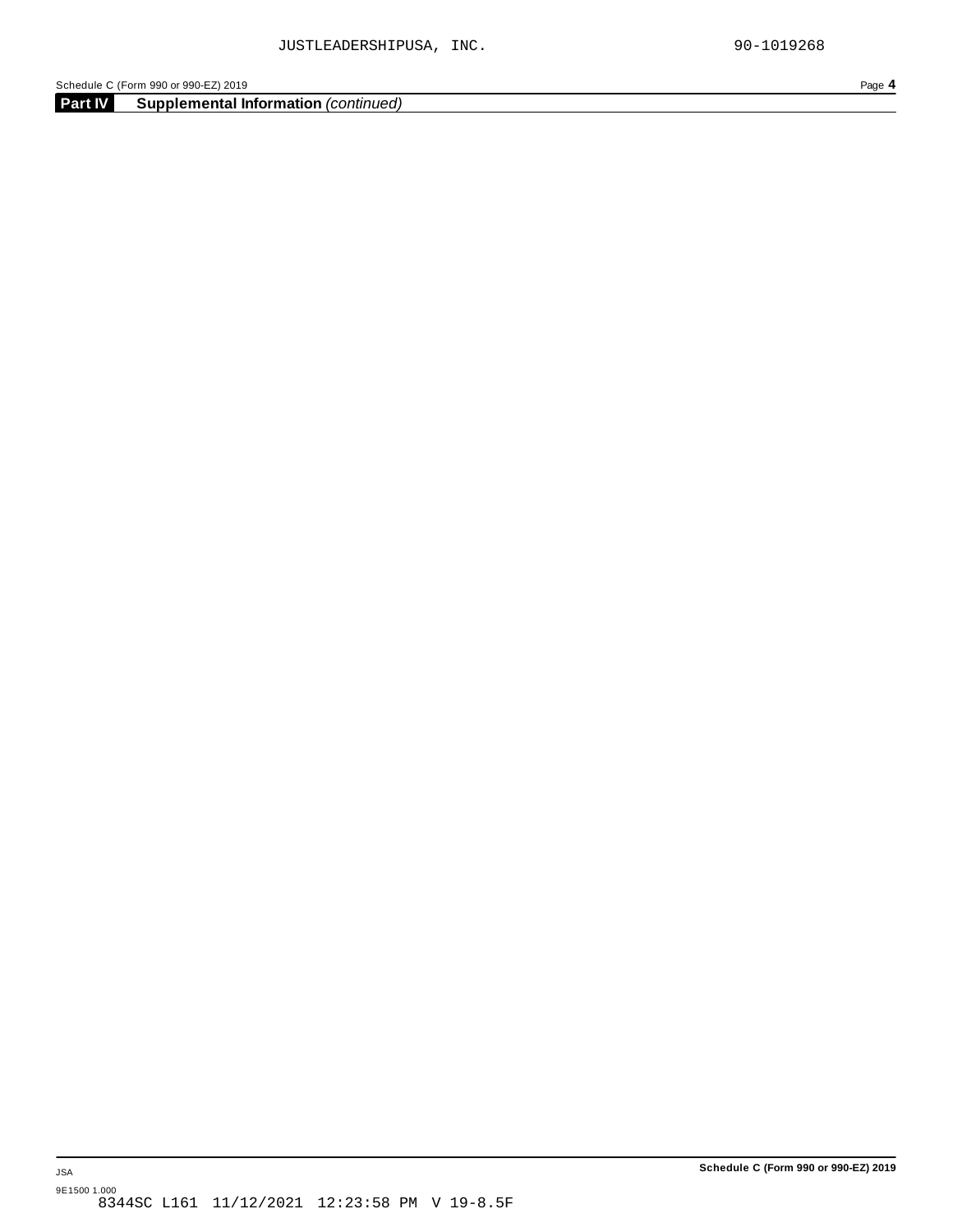**Part IV Supplemental Information** *(continued)*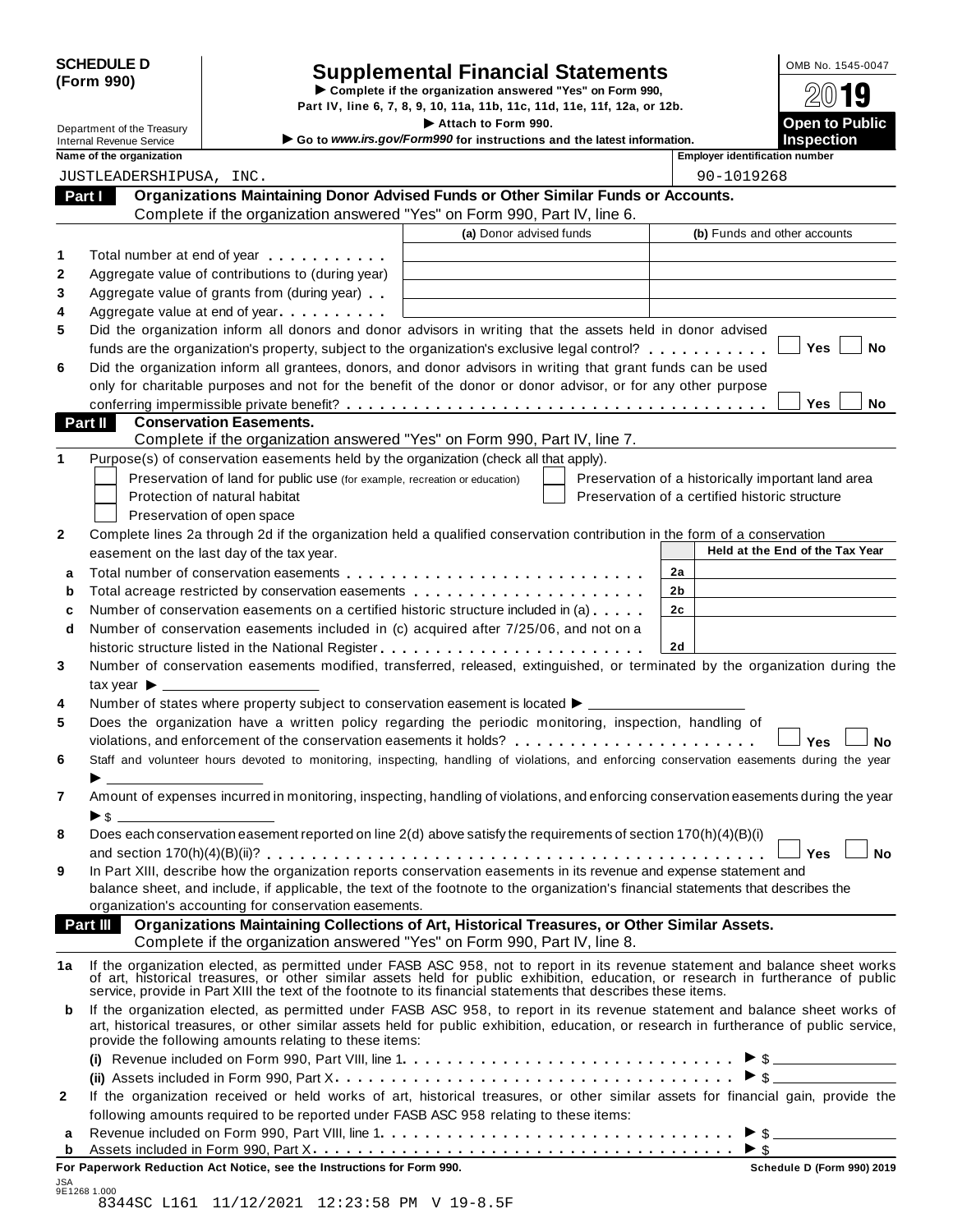| <b>SCHEDULE D</b> |  |
|-------------------|--|
| (Form 990)        |  |

# SCHEDULE D<br>
Supplemental Financial Statements<br>
Form 990)<br>
Part IV, line 6, 7, 8, 9, 10, 11a, 11b, 11c, 11d, 11e, 11f, 12a, or 12b.<br>
Part IV, line 6, 7, 8, 9, 10, 11a, 11b, 11c, 11d, 11e, 11f, 12a, or 12b.

|        |                                                                                           |                                                                                                                                                                                                                               | Part IV, line 6, 7, 8, 9, 10, 11a, 11b, 11c, 11d, 11e, 11f, 12a, or 12b.                      |                |                                                                                                                                                                                                                                                                        |
|--------|-------------------------------------------------------------------------------------------|-------------------------------------------------------------------------------------------------------------------------------------------------------------------------------------------------------------------------------|-----------------------------------------------------------------------------------------------|----------------|------------------------------------------------------------------------------------------------------------------------------------------------------------------------------------------------------------------------------------------------------------------------|
|        | Department of the Treasury<br><b>Internal Revenue Service</b><br>Name of the organization |                                                                                                                                                                                                                               | Attach to Form 990.<br>Go to www.irs.gov/Form990 for instructions and the latest information. |                | <b>Open to Public</b><br>Inspection<br><b>Employer identification number</b>                                                                                                                                                                                           |
|        | JUSTLEADERSHIPUSA, INC.                                                                   |                                                                                                                                                                                                                               |                                                                                               |                | 90-1019268                                                                                                                                                                                                                                                             |
|        | Part I                                                                                    | Organizations Maintaining Donor Advised Funds or Other Similar Funds or Accounts.                                                                                                                                             |                                                                                               |                |                                                                                                                                                                                                                                                                        |
|        |                                                                                           | Complete if the organization answered "Yes" on Form 990, Part IV, line 6.                                                                                                                                                     |                                                                                               |                |                                                                                                                                                                                                                                                                        |
|        |                                                                                           |                                                                                                                                                                                                                               | (a) Donor advised funds                                                                       |                | (b) Funds and other accounts                                                                                                                                                                                                                                           |
|        |                                                                                           |                                                                                                                                                                                                                               |                                                                                               |                |                                                                                                                                                                                                                                                                        |
| 1      |                                                                                           | Total number at end of year entitled as a set of the set of the set of the set of the set of the set of the set of the set of the set of the set of the set of the set of the set of the set of the set of the set of the set |                                                                                               |                |                                                                                                                                                                                                                                                                        |
| 2      |                                                                                           | Aggregate value of contributions to (during year)                                                                                                                                                                             |                                                                                               |                |                                                                                                                                                                                                                                                                        |
| 3      |                                                                                           | Aggregate value of grants from (during year)                                                                                                                                                                                  |                                                                                               |                |                                                                                                                                                                                                                                                                        |
| 4      |                                                                                           | Aggregate value at end of year                                                                                                                                                                                                |                                                                                               |                |                                                                                                                                                                                                                                                                        |
| 5      |                                                                                           | Did the organization inform all donors and donor advisors in writing that the assets held in donor advised                                                                                                                    |                                                                                               |                | Yes<br>No                                                                                                                                                                                                                                                              |
|        |                                                                                           | funds are the organization's property, subject to the organization's exclusive legal control?                                                                                                                                 |                                                                                               |                |                                                                                                                                                                                                                                                                        |
| 6      |                                                                                           | Did the organization inform all grantees, donors, and donor advisors in writing that grant funds can be used                                                                                                                  |                                                                                               |                |                                                                                                                                                                                                                                                                        |
|        |                                                                                           | only for charitable purposes and not for the benefit of the donor or donor advisor, or for any other purpose                                                                                                                  |                                                                                               |                | Yes<br>No.                                                                                                                                                                                                                                                             |
|        | Part II                                                                                   | <b>Conservation Easements.</b>                                                                                                                                                                                                |                                                                                               |                |                                                                                                                                                                                                                                                                        |
|        |                                                                                           | Complete if the organization answered "Yes" on Form 990, Part IV, line 7.                                                                                                                                                     |                                                                                               |                |                                                                                                                                                                                                                                                                        |
| 1      |                                                                                           | Purpose(s) of conservation easements held by the organization (check all that apply).                                                                                                                                         |                                                                                               |                |                                                                                                                                                                                                                                                                        |
|        |                                                                                           | Preservation of land for public use (for example, recreation or education)                                                                                                                                                    |                                                                                               |                | Preservation of a historically important land area                                                                                                                                                                                                                     |
|        |                                                                                           | Protection of natural habitat                                                                                                                                                                                                 |                                                                                               |                | Preservation of a certified historic structure                                                                                                                                                                                                                         |
|        |                                                                                           | Preservation of open space                                                                                                                                                                                                    |                                                                                               |                |                                                                                                                                                                                                                                                                        |
| 2      |                                                                                           | Complete lines 2a through 2d if the organization held a qualified conservation contribution in the form of a conservation                                                                                                     |                                                                                               |                |                                                                                                                                                                                                                                                                        |
|        |                                                                                           | easement on the last day of the tax year.                                                                                                                                                                                     |                                                                                               |                | Held at the End of the Tax Year                                                                                                                                                                                                                                        |
|        |                                                                                           |                                                                                                                                                                                                                               |                                                                                               | 2a             |                                                                                                                                                                                                                                                                        |
| a<br>b |                                                                                           | Total acreage restricted by conservation easements                                                                                                                                                                            |                                                                                               | 2b             |                                                                                                                                                                                                                                                                        |
| c      |                                                                                           | Number of conservation easements on a certified historic structure included in (a)                                                                                                                                            |                                                                                               | 2 <sub>c</sub> |                                                                                                                                                                                                                                                                        |
| d      |                                                                                           | Number of conservation easements included in (c) acquired after 7/25/06, and not on a                                                                                                                                         |                                                                                               |                |                                                                                                                                                                                                                                                                        |
|        |                                                                                           |                                                                                                                                                                                                                               |                                                                                               | 2d             |                                                                                                                                                                                                                                                                        |
| 3      |                                                                                           |                                                                                                                                                                                                                               |                                                                                               |                | Number of conservation easements modified, transferred, released, extinguished, or terminated by the organization during the                                                                                                                                           |
|        | tax year $\blacktriangleright$ $\lrcorner$                                                |                                                                                                                                                                                                                               |                                                                                               |                |                                                                                                                                                                                                                                                                        |
| 4      |                                                                                           | Number of states where property subject to conservation easement is located ▶ __________                                                                                                                                      |                                                                                               |                |                                                                                                                                                                                                                                                                        |
| 5      |                                                                                           | Does the organization have a written policy regarding the periodic monitoring, inspection, handling of                                                                                                                        |                                                                                               |                |                                                                                                                                                                                                                                                                        |
|        |                                                                                           | violations, and enforcement of the conservation easements it holds?                                                                                                                                                           |                                                                                               |                | Yes<br><b>No</b>                                                                                                                                                                                                                                                       |
| 6      |                                                                                           | Staff and volunteer hours devoted to monitoring, inspecting, handling of violations, and enforcing conservation easements during the year                                                                                     |                                                                                               |                |                                                                                                                                                                                                                                                                        |
|        |                                                                                           |                                                                                                                                                                                                                               |                                                                                               |                |                                                                                                                                                                                                                                                                        |
| 7      |                                                                                           |                                                                                                                                                                                                                               |                                                                                               |                | Amount of expenses incurred in monitoring, inspecting, handling of violations, and enforcing conservation easements during the year                                                                                                                                    |
|        |                                                                                           |                                                                                                                                                                                                                               |                                                                                               |                |                                                                                                                                                                                                                                                                        |
| 8      |                                                                                           | Does each conservation easement reported on line 2(d) above satisfy the requirements of section 170(h)(4)(B)(i)                                                                                                               |                                                                                               |                |                                                                                                                                                                                                                                                                        |
|        |                                                                                           |                                                                                                                                                                                                                               |                                                                                               |                | <b>No</b><br><b>Yes</b>                                                                                                                                                                                                                                                |
| 9      |                                                                                           | In Part XIII, describe how the organization reports conservation easements in its revenue and expense statement and                                                                                                           |                                                                                               |                |                                                                                                                                                                                                                                                                        |
|        |                                                                                           | balance sheet, and include, if applicable, the text of the footnote to the organization's financial statements that describes the                                                                                             |                                                                                               |                |                                                                                                                                                                                                                                                                        |
|        |                                                                                           | organization's accounting for conservation easements.                                                                                                                                                                         |                                                                                               |                |                                                                                                                                                                                                                                                                        |
|        | Part III                                                                                  | Organizations Maintaining Collections of Art, Historical Treasures, or Other Similar Assets.                                                                                                                                  |                                                                                               |                |                                                                                                                                                                                                                                                                        |
|        |                                                                                           | Complete if the organization answered "Yes" on Form 990, Part IV, line 8.                                                                                                                                                     |                                                                                               |                |                                                                                                                                                                                                                                                                        |
| 1a     |                                                                                           |                                                                                                                                                                                                                               |                                                                                               |                |                                                                                                                                                                                                                                                                        |
|        |                                                                                           | service, provide in Part XIII the text of the footnote to its financial statements that describes these items.                                                                                                                |                                                                                               |                | If the organization elected, as permitted under FASB ASC 958, not to report in its revenue statement and balance sheet works<br>of art, historical treasures, or other similar assets held for public exhibition, education, or r                                      |
| b      |                                                                                           | provide the following amounts relating to these items:                                                                                                                                                                        |                                                                                               |                | If the organization elected, as permitted under FASB ASC 958, to report in its revenue statement and balance sheet works of<br>art, historical treasures, or other similar assets held for public exhibition, education, or research in furtherance of public service, |
|        |                                                                                           |                                                                                                                                                                                                                               |                                                                                               |                | $\triangleright$ \$                                                                                                                                                                                                                                                    |
|        |                                                                                           |                                                                                                                                                                                                                               |                                                                                               |                | $\blacktriangleright$ \$                                                                                                                                                                                                                                               |
| 2      |                                                                                           |                                                                                                                                                                                                                               |                                                                                               |                | If the organization received or held works of art, historical treasures, or other similar assets for financial gain, provide the                                                                                                                                       |
|        |                                                                                           | following amounts required to be reported under FASB ASC 958 relating to these items:                                                                                                                                         |                                                                                               |                |                                                                                                                                                                                                                                                                        |
| а      |                                                                                           |                                                                                                                                                                                                                               |                                                                                               |                | $\triangleright$ \$                                                                                                                                                                                                                                                    |
| b      |                                                                                           |                                                                                                                                                                                                                               |                                                                                               |                | $\triangleright$ \$                                                                                                                                                                                                                                                    |

| <b>Schedule D (Form 990) 2019</b> |  |  |
|-----------------------------------|--|--|
|                                   |  |  |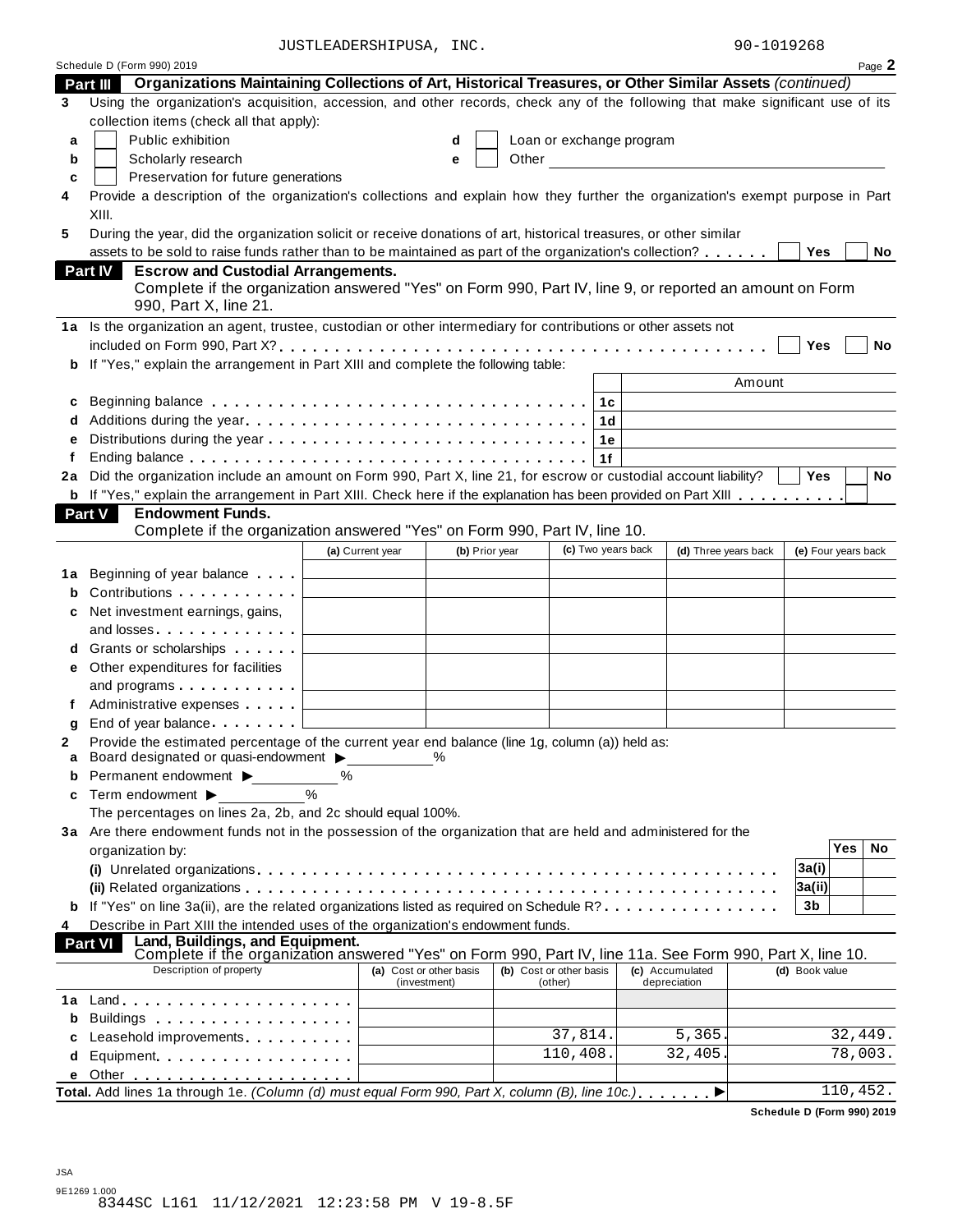JUSTLEADERSHIPUSA, INC. 90-1019268

|                   | Schedule D (Form 990) 2019                                                                                                                       |                         |                |                         |    |                                                                                                                                                                                                                                |                      |                     |            | Page 2 |
|-------------------|--------------------------------------------------------------------------------------------------------------------------------------------------|-------------------------|----------------|-------------------------|----|--------------------------------------------------------------------------------------------------------------------------------------------------------------------------------------------------------------------------------|----------------------|---------------------|------------|--------|
|                   | Part III Organizations Maintaining Collections of Art, Historical Treasures, or Other Similar Assets (continued)                                 |                         |                |                         |    |                                                                                                                                                                                                                                |                      |                     |            |        |
| 3                 | Using the organization's acquisition, accession, and other records, check any of the following that make significant use of its                  |                         |                |                         |    |                                                                                                                                                                                                                                |                      |                     |            |        |
|                   | collection items (check all that apply):                                                                                                         |                         |                |                         |    |                                                                                                                                                                                                                                |                      |                     |            |        |
| a                 | Public exhibition                                                                                                                                |                         | d              |                         |    | Loan or exchange program                                                                                                                                                                                                       |                      |                     |            |        |
| b                 | Scholarly research                                                                                                                               |                         | е              |                         |    | Other and the control of the control of the control of the control of the control of the control of the control of the control of the control of the control of the control of the control of the control of the control of th |                      |                     |            |        |
| c                 | Preservation for future generations                                                                                                              |                         |                |                         |    |                                                                                                                                                                                                                                |                      |                     |            |        |
| 4                 | Provide a description of the organization's collections and explain how they further the organization's exempt purpose in Part                   |                         |                |                         |    |                                                                                                                                                                                                                                |                      |                     |            |        |
|                   | XIII.                                                                                                                                            |                         |                |                         |    |                                                                                                                                                                                                                                |                      |                     |            |        |
| 5                 | During the year, did the organization solicit or receive donations of art, historical treasures, or other similar                                |                         |                |                         |    |                                                                                                                                                                                                                                |                      |                     |            |        |
|                   | assets to be sold to raise funds rather than to be maintained as part of the organization's collection?                                          |                         |                |                         |    |                                                                                                                                                                                                                                |                      | Yes                 |            | No     |
|                   | <b>Escrow and Custodial Arrangements.</b><br><b>Part IV</b>                                                                                      |                         |                |                         |    |                                                                                                                                                                                                                                |                      |                     |            |        |
|                   | Complete if the organization answered "Yes" on Form 990, Part IV, line 9, or reported an amount on Form                                          |                         |                |                         |    |                                                                                                                                                                                                                                |                      |                     |            |        |
|                   | 990, Part X, line 21.                                                                                                                            |                         |                |                         |    |                                                                                                                                                                                                                                |                      |                     |            |        |
|                   | 1a Is the organization an agent, trustee, custodian or other intermediary for contributions or other assets not                                  |                         |                |                         |    |                                                                                                                                                                                                                                |                      |                     |            |        |
|                   |                                                                                                                                                  |                         |                |                         |    |                                                                                                                                                                                                                                |                      | Yes                 |            | No     |
| b                 | If "Yes," explain the arrangement in Part XIII and complete the following table:                                                                 |                         |                |                         |    |                                                                                                                                                                                                                                |                      |                     |            |        |
|                   |                                                                                                                                                  |                         |                |                         |    |                                                                                                                                                                                                                                | Amount               |                     |            |        |
| c                 | Beginning balance enterpreteration of the contract of the contract of the contract of the contract of the contr                                  |                         |                |                         | 1с |                                                                                                                                                                                                                                |                      |                     |            |        |
| d                 |                                                                                                                                                  |                         |                |                         | 1d |                                                                                                                                                                                                                                |                      |                     |            |        |
| e                 |                                                                                                                                                  |                         |                |                         | 1e |                                                                                                                                                                                                                                |                      |                     |            |        |
| f                 |                                                                                                                                                  |                         |                |                         | 1f |                                                                                                                                                                                                                                |                      |                     |            |        |
| 2a                | Did the organization include an amount on Form 990, Part X, line 21, for escrow or custodial account liability?                                  |                         |                |                         |    |                                                                                                                                                                                                                                |                      | Yes                 |            | No     |
|                   | <b>b</b> If "Yes," explain the arrangement in Part XIII. Check here if the explanation has been provided on Part XIII<br><b>Endowment Funds.</b> |                         |                |                         |    |                                                                                                                                                                                                                                |                      |                     |            |        |
|                   | Part V<br>Complete if the organization answered "Yes" on Form 990, Part IV, line 10.                                                             |                         |                |                         |    |                                                                                                                                                                                                                                |                      |                     |            |        |
|                   |                                                                                                                                                  | (a) Current year        | (b) Prior year | (c) Two years back      |    |                                                                                                                                                                                                                                | (d) Three years back | (e) Four years back |            |        |
|                   |                                                                                                                                                  |                         |                |                         |    |                                                                                                                                                                                                                                |                      |                     |            |        |
| 1а                | Beginning of year balance exceeding                                                                                                              |                         |                |                         |    |                                                                                                                                                                                                                                |                      |                     |            |        |
| b                 | Contributions <b>Contributions</b>                                                                                                               |                         |                |                         |    |                                                                                                                                                                                                                                |                      |                     |            |        |
| c                 | Net investment earnings, gains,                                                                                                                  |                         |                |                         |    |                                                                                                                                                                                                                                |                      |                     |            |        |
|                   | and losses                                                                                                                                       |                         |                |                         |    |                                                                                                                                                                                                                                |                      |                     |            |        |
| d                 | Grants or scholarships <b>State of State State</b>                                                                                               |                         |                |                         |    |                                                                                                                                                                                                                                |                      |                     |            |        |
| е                 | Other expenditures for facilities                                                                                                                |                         |                |                         |    |                                                                                                                                                                                                                                |                      |                     |            |        |
|                   | and programs                                                                                                                                     |                         |                |                         |    |                                                                                                                                                                                                                                |                      |                     |            |        |
| f                 | Administrative expenses                                                                                                                          |                         |                |                         |    |                                                                                                                                                                                                                                |                      |                     |            |        |
| g                 | End of year balance example.                                                                                                                     |                         |                |                         |    |                                                                                                                                                                                                                                |                      |                     |            |        |
| $\mathbf{2}$<br>a | Provide the estimated percentage of the current year end balance (line 1g, column (a)) held as:<br>Board designated or quasi-endowment >         |                         | $\%$           |                         |    |                                                                                                                                                                                                                                |                      |                     |            |        |
| b                 | Permanent endowment ▶                                                                                                                            | ℅                       |                |                         |    |                                                                                                                                                                                                                                |                      |                     |            |        |
| c                 | Term endowment $\blacktriangleright$                                                                                                             | $\frac{0}{0}$           |                |                         |    |                                                                                                                                                                                                                                |                      |                     |            |        |
|                   | The percentages on lines 2a, 2b, and 2c should equal 100%.                                                                                       |                         |                |                         |    |                                                                                                                                                                                                                                |                      |                     |            |        |
|                   | 3a Are there endowment funds not in the possession of the organization that are held and administered for the                                    |                         |                |                         |    |                                                                                                                                                                                                                                |                      |                     |            |        |
|                   | organization by:                                                                                                                                 |                         |                |                         |    |                                                                                                                                                                                                                                |                      |                     | <b>Yes</b> | No     |
|                   |                                                                                                                                                  |                         |                |                         |    |                                                                                                                                                                                                                                |                      | 3a(i)               |            |        |
|                   |                                                                                                                                                  |                         |                |                         |    |                                                                                                                                                                                                                                |                      | 3a(ii)              |            |        |
|                   | If "Yes" on line 3a(ii), are the related organizations listed as required on Schedule R?                                                         |                         |                |                         |    |                                                                                                                                                                                                                                |                      | 3 <sub>b</sub>      |            |        |
| 4                 | Describe in Part XIII the intended uses of the organization's endowment funds.                                                                   |                         |                |                         |    |                                                                                                                                                                                                                                |                      |                     |            |        |
|                   | Land, Buildings, and Equipment.<br><b>Part VI</b>                                                                                                |                         |                |                         |    |                                                                                                                                                                                                                                |                      |                     |            |        |
|                   | Complete if the organization answered "Yes" on Form 990, Part IV, line 11a. See Form 990, Part X, line 10.<br>Description of property            | (a) Cost or other basis |                | (b) Cost or other basis |    | (c) Accumulated                                                                                                                                                                                                                |                      | (d) Book value      |            |        |
|                   |                                                                                                                                                  | (investment)            |                | (other)                 |    | depreciation                                                                                                                                                                                                                   |                      |                     |            |        |
| 1a                | $Land.$                                                                                                                                          |                         |                |                         |    |                                                                                                                                                                                                                                |                      |                     |            |        |
| b                 | Buildings                                                                                                                                        |                         |                |                         |    |                                                                                                                                                                                                                                |                      |                     |            |        |
| с                 | Leasehold improvements entitled and the set of the set of the set of the set of the set of the set of the set o                                  |                         |                | 37,814.                 |    |                                                                                                                                                                                                                                | 5,365.               |                     | 32,449.    |        |
| d                 | Equipment                                                                                                                                        |                         |                | 110,408.                |    |                                                                                                                                                                                                                                | 32,405.              |                     | 78,003.    |        |
| е                 |                                                                                                                                                  |                         |                |                         |    |                                                                                                                                                                                                                                |                      |                     |            |        |
|                   | Total. Add lines 1a through 1e. (Column (d) must equal Form 990, Part X, column (B), line 10c.).                                                 |                         |                |                         |    |                                                                                                                                                                                                                                | ▶                    |                     | 110,452.   |        |

**Schedule D (Form 990) 2019**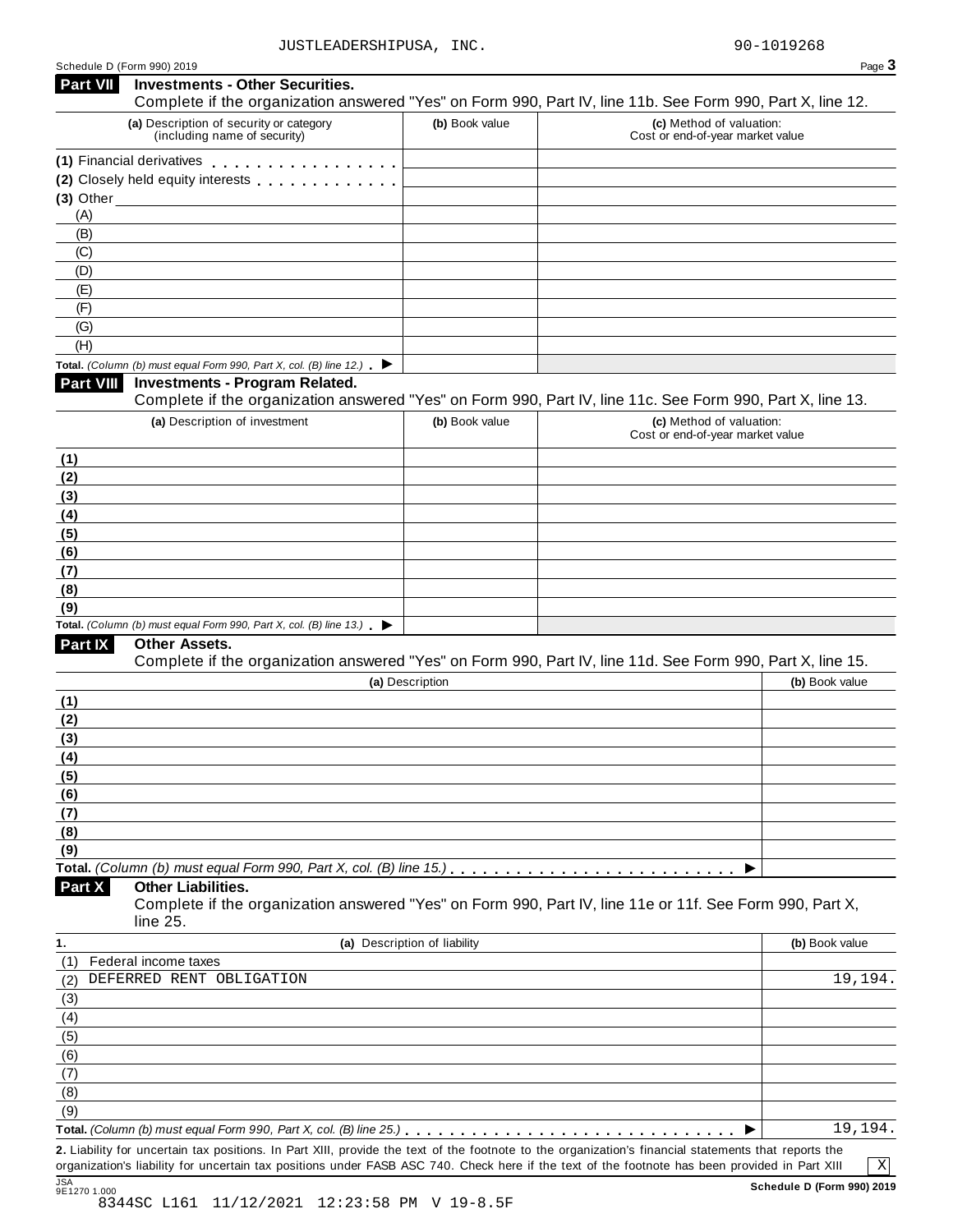|                            | Schedule D (Form 990) 2019                                                               |                              | Page 3                                                                                                     |
|----------------------------|------------------------------------------------------------------------------------------|------------------------------|------------------------------------------------------------------------------------------------------------|
| <b>Part VII</b>            | <b>Investments - Other Securities.</b>                                                   |                              |                                                                                                            |
|                            |                                                                                          |                              | Complete if the organization answered "Yes" on Form 990, Part IV, line 11b. See Form 990, Part X, line 12. |
|                            | (a) Description of security or category<br>(including name of security)                  | (b) Book value               | (c) Method of valuation:<br>Cost or end-of-year market value                                               |
|                            | (1) Financial derivatives                                                                |                              |                                                                                                            |
|                            | (2) Closely held equity interests                                                        |                              |                                                                                                            |
|                            | $(3)$ Other                                                                              |                              |                                                                                                            |
| (A)                        |                                                                                          |                              |                                                                                                            |
| (B)                        |                                                                                          |                              |                                                                                                            |
| (C)                        |                                                                                          |                              |                                                                                                            |
| (D)                        |                                                                                          |                              |                                                                                                            |
| (E)                        |                                                                                          |                              |                                                                                                            |
| (F)                        |                                                                                          |                              |                                                                                                            |
| (G)                        |                                                                                          |                              |                                                                                                            |
| (H)                        |                                                                                          |                              |                                                                                                            |
|                            | Total. (Column (b) must equal Form 990, Part X, col. (B) line 12.) $\blacktriangleright$ |                              |                                                                                                            |
| <b>Part VIII</b>           | <b>Investments - Program Related.</b>                                                    |                              | Complete if the organization answered "Yes" on Form 990, Part IV, line 11c. See Form 990, Part X, line 13. |
|                            | (a) Description of investment                                                            | (b) Book value               | (c) Method of valuation:                                                                                   |
|                            |                                                                                          |                              | Cost or end-of-year market value                                                                           |
| (1)                        |                                                                                          |                              |                                                                                                            |
| (2)                        |                                                                                          |                              |                                                                                                            |
| (3)                        |                                                                                          |                              |                                                                                                            |
| (4)                        |                                                                                          |                              |                                                                                                            |
| (5)                        |                                                                                          |                              |                                                                                                            |
| (6)                        |                                                                                          |                              |                                                                                                            |
| (7)                        |                                                                                          |                              |                                                                                                            |
| (8)                        |                                                                                          |                              |                                                                                                            |
| (9)                        |                                                                                          |                              |                                                                                                            |
|                            | Total. (Column (b) must equal Form 990, Part X, col. (B) line 13.) $\blacktriangleright$ |                              |                                                                                                            |
| <b>Part IX</b>             | Other Assets.                                                                            |                              | Complete if the organization answered "Yes" on Form 990, Part IV, line 11d. See Form 990, Part X, line 15. |
|                            |                                                                                          | (a) Description              | (b) Book value                                                                                             |
| (1)                        |                                                                                          |                              |                                                                                                            |
| (2)                        |                                                                                          |                              |                                                                                                            |
| (3)                        |                                                                                          |                              |                                                                                                            |
| (4)                        |                                                                                          |                              |                                                                                                            |
| (5)                        |                                                                                          |                              |                                                                                                            |
| (6)                        |                                                                                          |                              |                                                                                                            |
| (7)                        |                                                                                          |                              |                                                                                                            |
| (8)                        |                                                                                          |                              |                                                                                                            |
|                            |                                                                                          |                              |                                                                                                            |
|                            |                                                                                          |                              |                                                                                                            |
|                            |                                                                                          |                              |                                                                                                            |
|                            | <b>Other Liabilities.</b>                                                                |                              |                                                                                                            |
|                            | line 25.                                                                                 |                              | Complete if the organization answered "Yes" on Form 990, Part IV, line 11e or 11f. See Form 990, Part X,   |
|                            |                                                                                          | (a) Description of liability | (b) Book value                                                                                             |
| (1)                        | Federal income taxes                                                                     |                              |                                                                                                            |
| (2)                        | DEFERRED RENT OBLIGATION                                                                 |                              | 19,194.                                                                                                    |
|                            |                                                                                          |                              |                                                                                                            |
|                            |                                                                                          |                              |                                                                                                            |
| (4)                        |                                                                                          |                              |                                                                                                            |
| (5)                        |                                                                                          |                              |                                                                                                            |
| (6)                        |                                                                                          |                              |                                                                                                            |
| (7)                        |                                                                                          |                              |                                                                                                            |
| (3)<br>(8)                 |                                                                                          |                              |                                                                                                            |
| (9)<br>Part X<br>1.<br>(9) |                                                                                          |                              | 19,194.                                                                                                    |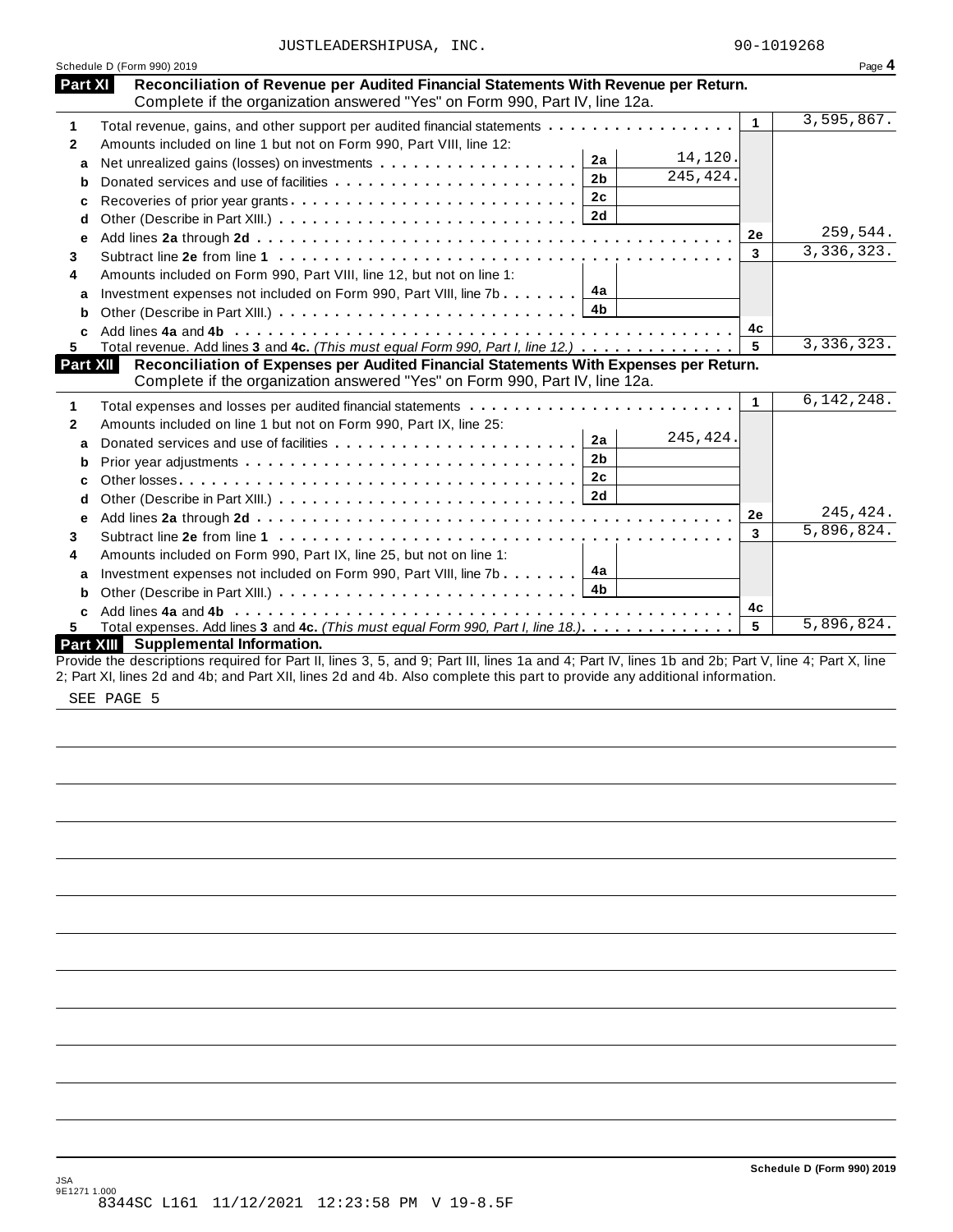JUSTLEADERSHIPUSA, INC. 200-1019268

|              | Schedule D (Form 990) 2019                                                                                                                                         |    | Page 4       |
|--------------|--------------------------------------------------------------------------------------------------------------------------------------------------------------------|----|--------------|
| Part XI      | Reconciliation of Revenue per Audited Financial Statements With Revenue per Return.<br>Complete if the organization answered "Yes" on Form 990, Part IV, line 12a. |    |              |
| 1            | Total revenue, gains, and other support per audited financial statements                                                                                           | 1  | 3,595,867.   |
| $\mathbf{2}$ | Amounts included on line 1 but not on Form 990, Part VIII, line 12:                                                                                                |    |              |
| a            | 14,120.<br>2a                                                                                                                                                      |    |              |
| b            | 245, 424.<br>2 <sub>b</sub>                                                                                                                                        |    |              |
| c            | 2c                                                                                                                                                                 |    |              |
| d            |                                                                                                                                                                    |    |              |
| е            |                                                                                                                                                                    | 2e | 259,544.     |
| 3.           |                                                                                                                                                                    | 3  | 3, 336, 323. |
| 4            | Amounts included on Form 990, Part VIII, line 12, but not on line 1:                                                                                               |    |              |
| a            | 4a<br>Investment expenses not included on Form 990, Part VIII, line 7b                                                                                             |    |              |
| b            | 4 <sub>b</sub>                                                                                                                                                     |    |              |
| C.           |                                                                                                                                                                    | 4с |              |
| 5.           | Total revenue. Add lines 3 and 4c. (This must equal Form 990, Part I, line 12.)                                                                                    | 5  | 3, 336, 323. |
| Part XII     | Reconciliation of Expenses per Audited Financial Statements With Expenses per Return.                                                                              |    |              |
|              | Complete if the organization answered "Yes" on Form 990, Part IV, line 12a.                                                                                        |    |              |
| 1            |                                                                                                                                                                    | 1  | 6, 142, 248. |
| $\mathbf{2}$ | Amounts included on line 1 but not on Form 990, Part IX, line 25:                                                                                                  |    |              |
| a            | 245,424.<br>2a<br>Donated services and use of facilities                                                                                                           |    |              |
| b            | 2 <sub>b</sub>                                                                                                                                                     |    |              |
| с            | 2c                                                                                                                                                                 |    |              |
| d            |                                                                                                                                                                    |    |              |
| e            |                                                                                                                                                                    | 2e | 245,424.     |
| 3            |                                                                                                                                                                    | 3  | 5,896,824.   |
| 4            | Amounts included on Form 990, Part IX, line 25, but not on line 1:                                                                                                 |    |              |
| a            | 4а<br>Investment expenses not included on Form 990, Part VIII, line 7b                                                                                             |    |              |
| b            |                                                                                                                                                                    |    |              |
| C.           |                                                                                                                                                                    | 4c |              |
| 5.           | Total expenses. Add lines 3 and 4c. (This must equal Form 990, Part I, line 18.).                                                                                  | 5  | 5,896,824.   |
|              | Part XIII Supplemental Information.                                                                                                                                |    |              |
|              | Provide the descriptions required for Part II, lines 3, 5, and 9; Part III, lines 1a and 4; Part IV, lines 1b and 2b; Part V, line 4; Part X, line                 |    |              |
|              | 2; Part XI, lines 2d and 4b; and Part XII, lines 2d and 4b. Also complete this part to provide any additional information.                                         |    |              |

SEE PAGE 5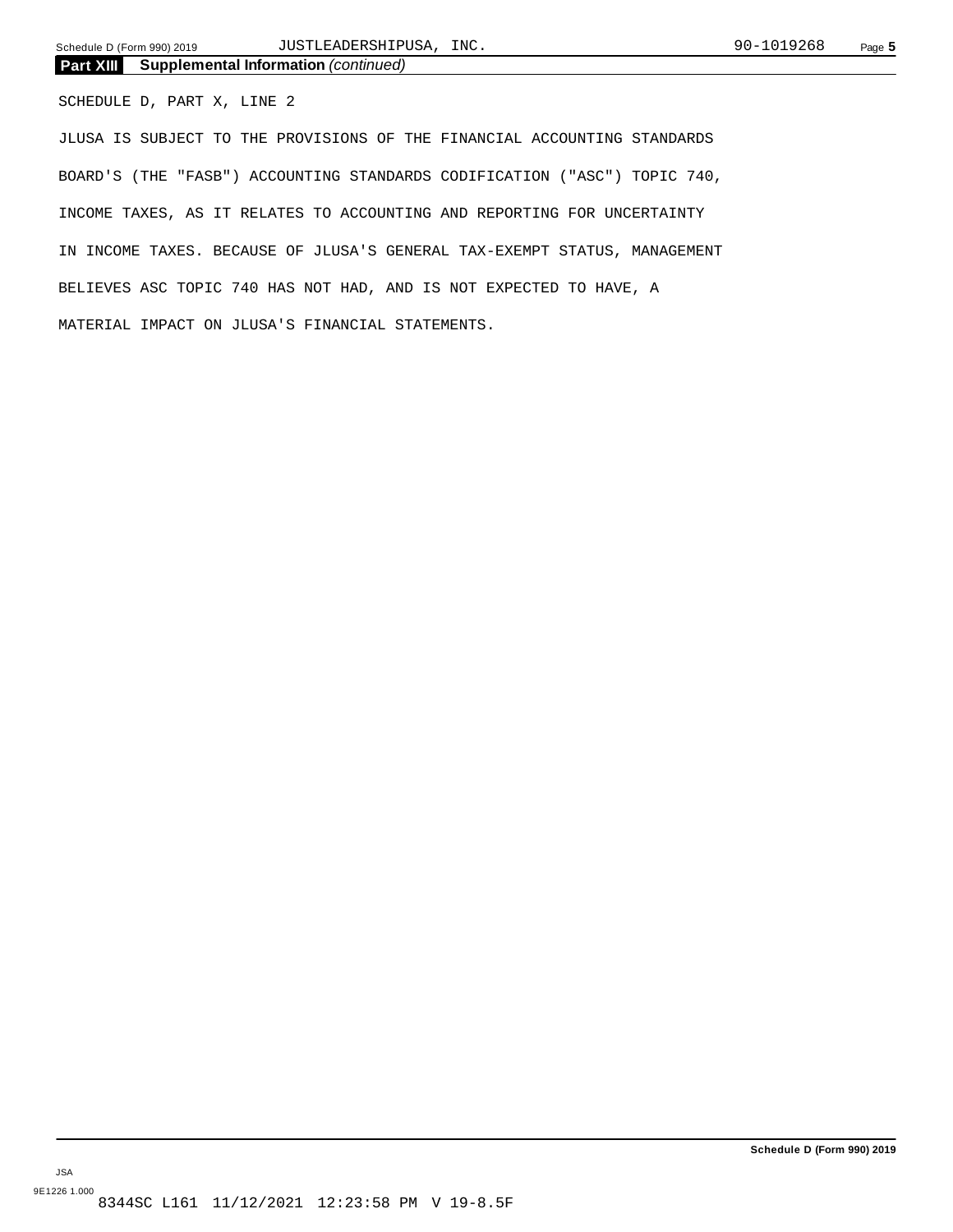**Part XIII Supplemental Information** *(continued)*

SCHEDULE D, PART X, LINE 2

JLUSA IS SUBJECT TO THE PROVISIONS OF THE FINANCIAL ACCOUNTING STANDARDS BOARD'S (THE "FASB") ACCOUNTING STANDARDS CODIFICATION ("ASC") TOPIC 740, INCOME TAXES, AS IT RELATES TO ACCOUNTING AND REPORTING FOR UNCERTAINTY IN INCOME TAXES. BECAUSE OF JLUSA'S GENERAL TAX-EXEMPT STATUS, MANAGEMENT BELIEVES ASC TOPIC 740 HAS NOT HAD, AND IS NOT EXPECTED TO HAVE, A MATERIAL IMPACT ON JLUSA'S FINANCIAL STATEMENTS.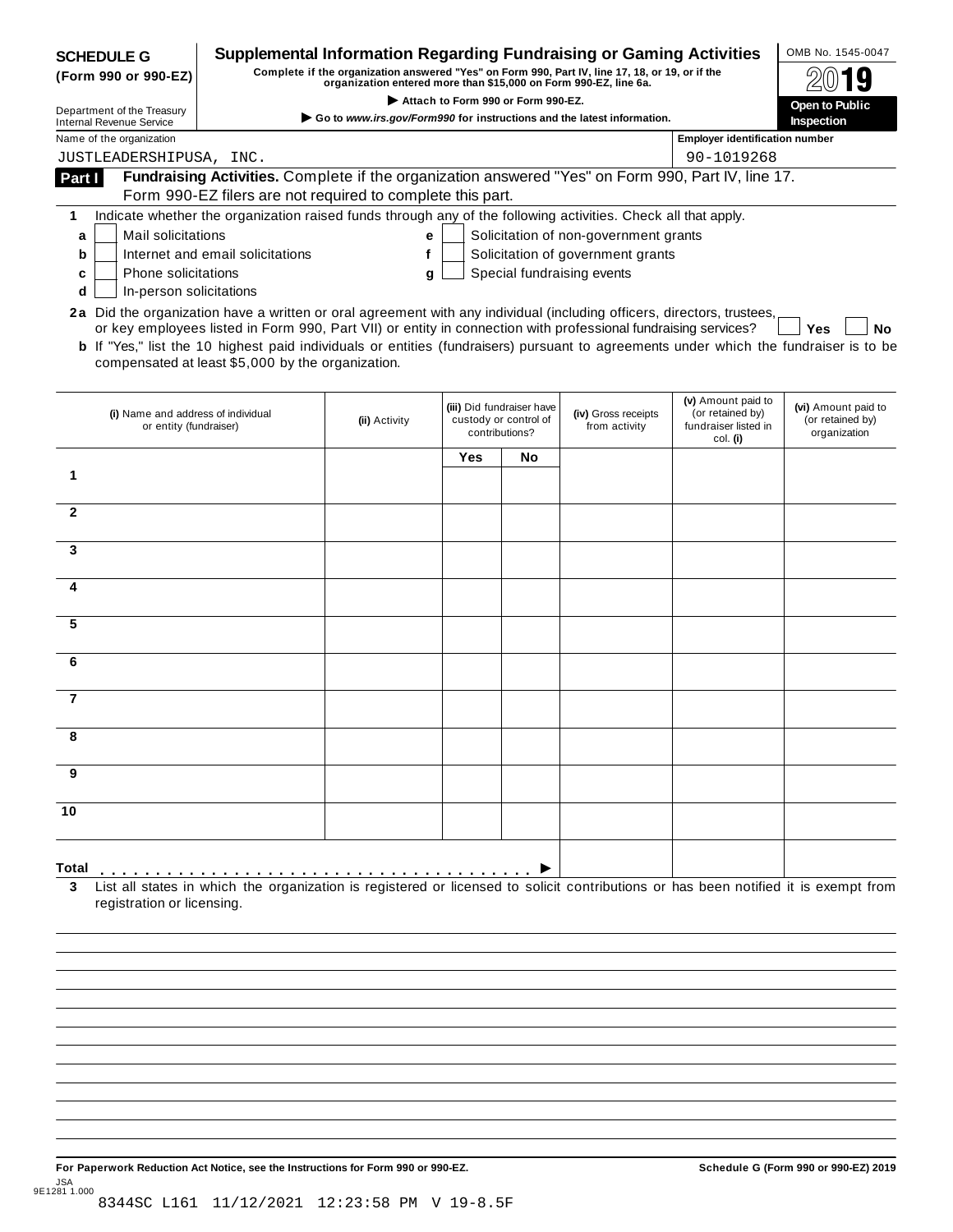| <b>Supplemental Information Regarding Fundraising or Gaming Activities</b><br><b>SCHEDULE G</b><br>Complete if the organization answered "Yes" on Form 990, Part IV, line 17, 18, or 19, or if the<br>(Form 990 or 990-EZ)<br>organization entered more than \$15,000 on Form 990-EZ, line 6a.<br>Attach to Form 990 or Form 990-EZ.<br>Department of the Treasury |                                                                                                                                                                                                                                                                                                                     |                                                                        |            |                                                                      |                                       |                                                                            | OMB No. 1545-0047<br>Open to Public                     |
|--------------------------------------------------------------------------------------------------------------------------------------------------------------------------------------------------------------------------------------------------------------------------------------------------------------------------------------------------------------------|---------------------------------------------------------------------------------------------------------------------------------------------------------------------------------------------------------------------------------------------------------------------------------------------------------------------|------------------------------------------------------------------------|------------|----------------------------------------------------------------------|---------------------------------------|----------------------------------------------------------------------------|---------------------------------------------------------|
| <b>Internal Revenue Service</b>                                                                                                                                                                                                                                                                                                                                    |                                                                                                                                                                                                                                                                                                                     | Go to www.irs.gov/Form990 for instructions and the latest information. |            |                                                                      |                                       |                                                                            | Inspection                                              |
| Name of the organization                                                                                                                                                                                                                                                                                                                                           |                                                                                                                                                                                                                                                                                                                     |                                                                        |            |                                                                      |                                       | <b>Employer identification number</b>                                      |                                                         |
| JUSTLEADERSHIPUSA, INC.                                                                                                                                                                                                                                                                                                                                            |                                                                                                                                                                                                                                                                                                                     |                                                                        |            |                                                                      |                                       | 90-1019268                                                                 |                                                         |
| Part I                                                                                                                                                                                                                                                                                                                                                             | Fundraising Activities. Complete if the organization answered "Yes" on Form 990, Part IV, line 17.<br>Form 990-EZ filers are not required to complete this part.                                                                                                                                                    |                                                                        |            |                                                                      |                                       |                                                                            |                                                         |
| 1                                                                                                                                                                                                                                                                                                                                                                  | Indicate whether the organization raised funds through any of the following activities. Check all that apply.                                                                                                                                                                                                       |                                                                        |            |                                                                      |                                       |                                                                            |                                                         |
| Mail solicitations<br>a                                                                                                                                                                                                                                                                                                                                            |                                                                                                                                                                                                                                                                                                                     | е                                                                      |            |                                                                      | Solicitation of non-government grants |                                                                            |                                                         |
| b                                                                                                                                                                                                                                                                                                                                                                  | Internet and email solicitations                                                                                                                                                                                                                                                                                    | f                                                                      |            |                                                                      | Solicitation of government grants     |                                                                            |                                                         |
| Phone solicitations<br>c<br>In-person solicitations<br>d                                                                                                                                                                                                                                                                                                           |                                                                                                                                                                                                                                                                                                                     | g                                                                      |            |                                                                      | Special fundraising events            |                                                                            |                                                         |
| 2a Did the organization have a written or oral agreement with any individual (including officers, directors, trustees,                                                                                                                                                                                                                                             | or key employees listed in Form 990, Part VII) or entity in connection with professional fundraising services?<br><b>b</b> If "Yes," list the 10 highest paid individuals or entities (fundraisers) pursuant to agreements under which the fundraiser is to be<br>compensated at least \$5,000 by the organization. |                                                                        |            |                                                                      |                                       |                                                                            | Yes<br>No                                               |
| (i) Name and address of individual<br>or entity (fundraiser)                                                                                                                                                                                                                                                                                                       |                                                                                                                                                                                                                                                                                                                     | (ii) Activity                                                          |            | (iii) Did fundraiser have<br>custody or control of<br>contributions? | (iv) Gross receipts<br>from activity  | (v) Amount paid to<br>(or retained by)<br>fundraiser listed in<br>col. (i) | (vi) Amount paid to<br>(or retained by)<br>organization |
|                                                                                                                                                                                                                                                                                                                                                                    |                                                                                                                                                                                                                                                                                                                     |                                                                        | <b>Yes</b> | No                                                                   |                                       |                                                                            |                                                         |
| 1                                                                                                                                                                                                                                                                                                                                                                  |                                                                                                                                                                                                                                                                                                                     |                                                                        |            |                                                                      |                                       |                                                                            |                                                         |
|                                                                                                                                                                                                                                                                                                                                                                    |                                                                                                                                                                                                                                                                                                                     |                                                                        |            |                                                                      |                                       |                                                                            |                                                         |
| $\mathbf{2}$                                                                                                                                                                                                                                                                                                                                                       |                                                                                                                                                                                                                                                                                                                     |                                                                        |            |                                                                      |                                       |                                                                            |                                                         |
| 3                                                                                                                                                                                                                                                                                                                                                                  |                                                                                                                                                                                                                                                                                                                     |                                                                        |            |                                                                      |                                       |                                                                            |                                                         |
| 4                                                                                                                                                                                                                                                                                                                                                                  |                                                                                                                                                                                                                                                                                                                     |                                                                        |            |                                                                      |                                       |                                                                            |                                                         |
| 5                                                                                                                                                                                                                                                                                                                                                                  |                                                                                                                                                                                                                                                                                                                     |                                                                        |            |                                                                      |                                       |                                                                            |                                                         |
| 6                                                                                                                                                                                                                                                                                                                                                                  |                                                                                                                                                                                                                                                                                                                     |                                                                        |            |                                                                      |                                       |                                                                            |                                                         |
| 7                                                                                                                                                                                                                                                                                                                                                                  |                                                                                                                                                                                                                                                                                                                     |                                                                        |            |                                                                      |                                       |                                                                            |                                                         |
|                                                                                                                                                                                                                                                                                                                                                                    |                                                                                                                                                                                                                                                                                                                     |                                                                        |            |                                                                      |                                       |                                                                            |                                                         |
| 9                                                                                                                                                                                                                                                                                                                                                                  |                                                                                                                                                                                                                                                                                                                     |                                                                        |            |                                                                      |                                       |                                                                            |                                                         |
| 10                                                                                                                                                                                                                                                                                                                                                                 |                                                                                                                                                                                                                                                                                                                     |                                                                        |            |                                                                      |                                       |                                                                            |                                                         |
| Total<br>3                                                                                                                                                                                                                                                                                                                                                         | <u>Dependence Defendence</u> Definition of the second term in the original contributions of the been notified it is exempt from List all states in which the organization is registered or licensed to solicit contributions or ha                                                                                  |                                                                        |            |                                                                      |                                       |                                                                            |                                                         |
| registration or licensing.                                                                                                                                                                                                                                                                                                                                         |                                                                                                                                                                                                                                                                                                                     |                                                                        |            |                                                                      |                                       |                                                                            |                                                         |
|                                                                                                                                                                                                                                                                                                                                                                    |                                                                                                                                                                                                                                                                                                                     |                                                                        |            |                                                                      |                                       |                                                                            |                                                         |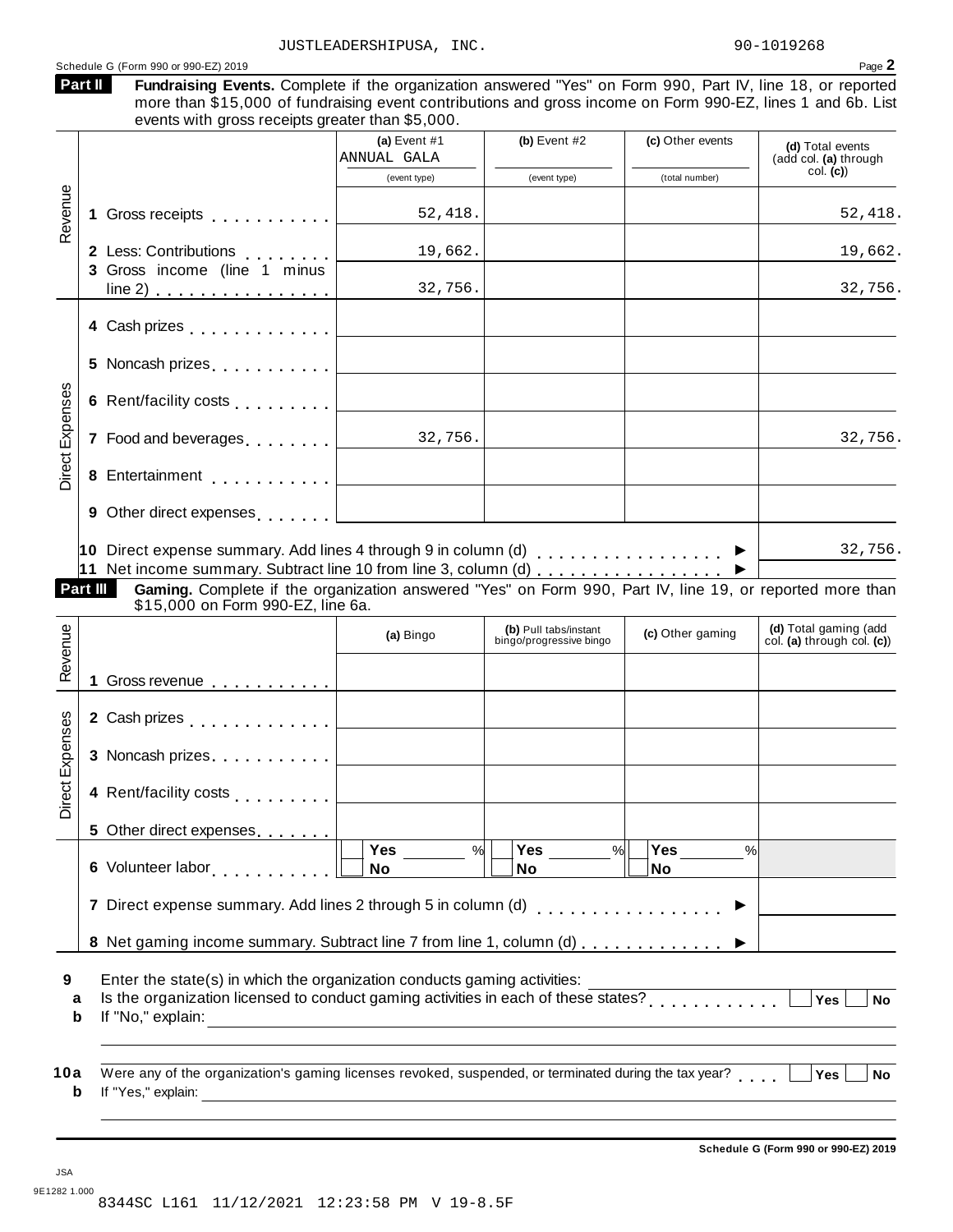| <b>Part II</b>  | Schedule G (Form 990 or 990-EZ) 2019<br>Fundraising Events. Complete if the organization answered "Yes" on Form 990, Part IV, line 18, or reported                                                                                                                                         |                               |                                                  |                  | Page 2                                              |
|-----------------|--------------------------------------------------------------------------------------------------------------------------------------------------------------------------------------------------------------------------------------------------------------------------------------------|-------------------------------|--------------------------------------------------|------------------|-----------------------------------------------------|
|                 | more than \$15,000 of fundraising event contributions and gross income on Form 990-EZ, lines 1 and 6b. List<br>events with gross receipts greater than \$5,000.                                                                                                                            |                               |                                                  |                  |                                                     |
|                 |                                                                                                                                                                                                                                                                                            | (a) Event $#1$<br>ANNUAL GALA | (b) Event $#2$                                   | (c) Other events | (d) Total events<br>(add col. (a) through           |
|                 |                                                                                                                                                                                                                                                                                            | (event type)                  | (event type)                                     | (total number)   | col. (c)                                            |
| Revenue         | 1 Gross receipts [1] Gross receipts                                                                                                                                                                                                                                                        | 52,418.                       |                                                  |                  | 52,418.                                             |
|                 | 2 Less: Contributions<br>3 Gross income (line 1 minus                                                                                                                                                                                                                                      | 19,662.                       |                                                  |                  | 19,662.                                             |
|                 |                                                                                                                                                                                                                                                                                            | 32,756.                       |                                                  |                  | 32,756.                                             |
|                 | 4 Cash prizes [19]                                                                                                                                                                                                                                                                         |                               |                                                  |                  |                                                     |
|                 |                                                                                                                                                                                                                                                                                            |                               |                                                  |                  |                                                     |
|                 | 6 Rent/facility costs [                                                                                                                                                                                                                                                                    |                               |                                                  |                  |                                                     |
| Direct Expenses | 7 Food and beverages example 32, 756.                                                                                                                                                                                                                                                      |                               |                                                  |                  | 32,756.                                             |
|                 |                                                                                                                                                                                                                                                                                            |                               |                                                  |                  |                                                     |
|                 | 9 Other direct expenses [1995]                                                                                                                                                                                                                                                             |                               |                                                  |                  |                                                     |
|                 | 10 Direct expense summary. Add lines 4 through 9 in column (d) $\ldots$ $\blacktriangleright$<br>11 Net income summary. Subtract line 10 from line 3, column (d) ▶<br>Gaming. Complete if the organization answered "Yes" on Form 990, Part IV, line 19, or reported more than<br>Part III |                               |                                                  |                  | 32,756.                                             |
|                 | \$15,000 on Form 990-EZ, line 6a.                                                                                                                                                                                                                                                          |                               |                                                  |                  |                                                     |
| Revenue         |                                                                                                                                                                                                                                                                                            | (a) Bingo                     | (b) Pull tabs/instant<br>bingo/progressive bingo | (c) Other gaming | (d) Total gaming (add<br>col. (a) through col. (c)) |
|                 | 1 Gross revenue <b>contracts</b> contains the contracts of the contracts of the contracts of the contracts of the contracts of the contracts of the contracts of the contracts of the contracts of the contracts of the contracts o                                                        |                               |                                                  |                  |                                                     |
|                 | 2 Cash prizes <b>contained 2</b> Cash prizes                                                                                                                                                                                                                                               |                               |                                                  |                  |                                                     |
|                 | 3 Noncash prizes                                                                                                                                                                                                                                                                           |                               |                                                  |                  |                                                     |
| Direct Exp      | 4 Rent/facility costs                                                                                                                                                                                                                                                                      |                               |                                                  |                  |                                                     |
|                 | 5 Other direct expenses                                                                                                                                                                                                                                                                    |                               |                                                  |                  |                                                     |
|                 | 6 Volunteer labor                                                                                                                                                                                                                                                                          | Yes<br>%<br>No                | Yes<br>%<br>No                                   | Yes<br>%<br>No   |                                                     |
|                 | 7 Direct expense summary. Add lines 2 through 5 in column (d)                                                                                                                                                                                                                              |                               |                                                  |                  |                                                     |
|                 | 8 Net gaming income summary. Subtract line 7 from line 1, column (d)                                                                                                                                                                                                                       |                               |                                                  |                  |                                                     |
| 9<br>a<br>b     | Enter the state(s) in which the organization conducts gaming activities:<br>Is the organization licensed to conduct gaming activities in each of these states?<br>If "No," explain:                                                                                                        |                               |                                                  |                  | Yes<br><b>No</b>                                    |
| 10a<br>b        | Were any of the organization's gaming licenses revoked, suspended, or terminated during the tax year?<br>If "Yes," explain:                                                                                                                                                                |                               |                                                  |                  | <b>Yes</b><br><b>No</b>                             |

JSA 9E1282 1.000 8344SC L161 11/12/2021 12:23:58 PM V 19-8.5F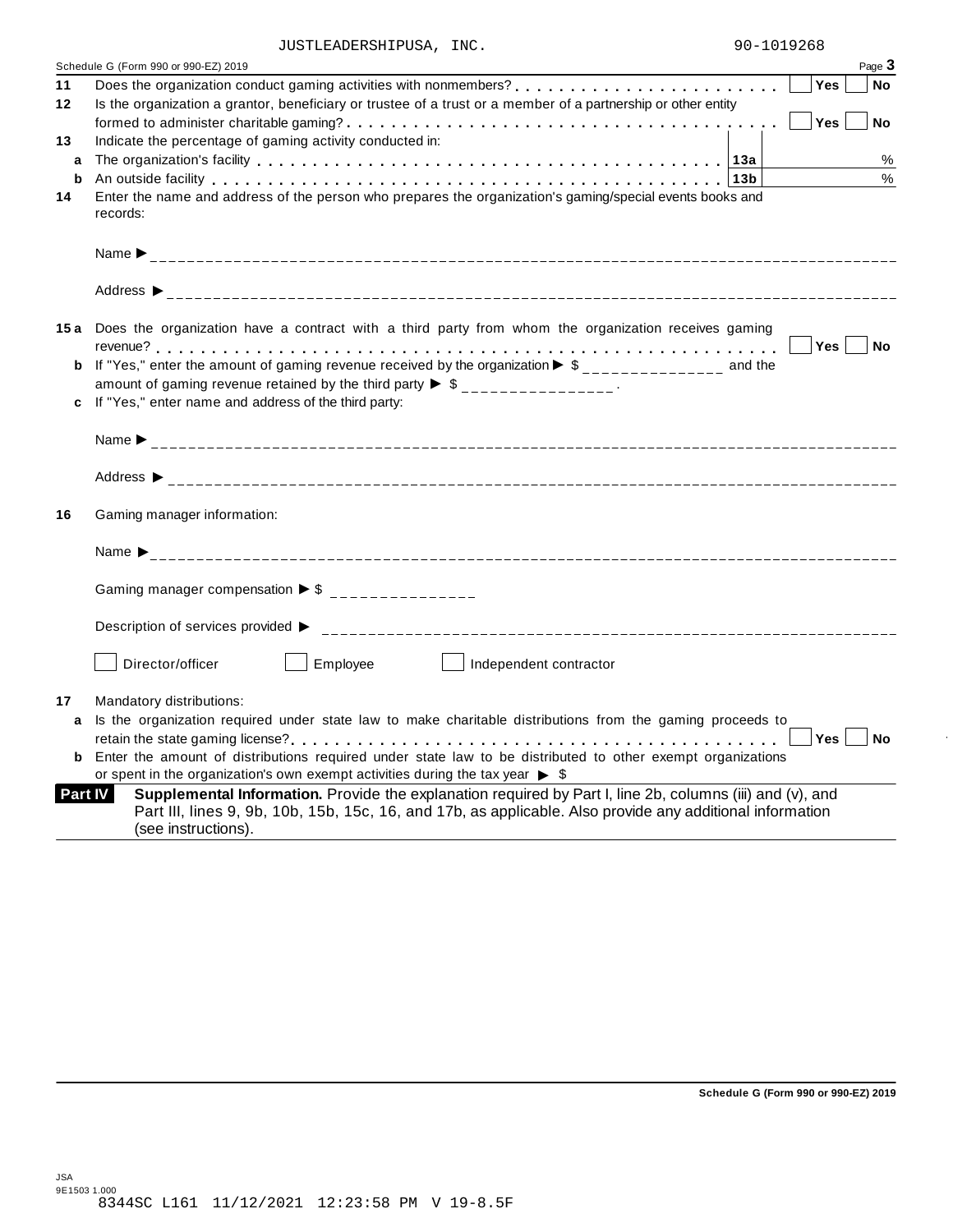| JUSTLEADERSHIPUSA, | INC. |
|--------------------|------|
|--------------------|------|

|    | Schedule G (Form 990 or 990-EZ) 2019<br>Page 3                                                                                                                                                                                                           |
|----|----------------------------------------------------------------------------------------------------------------------------------------------------------------------------------------------------------------------------------------------------------|
| 11 | Yes<br>No                                                                                                                                                                                                                                                |
| 12 | Is the organization a grantor, beneficiary or trustee of a trust or a member of a partnership or other entity<br>Yes<br><b>No</b>                                                                                                                        |
| 13 | Indicate the percentage of gaming activity conducted in:                                                                                                                                                                                                 |
| a  | %                                                                                                                                                                                                                                                        |
| b  | %<br>An outside facility enterpretence in the series of the series of the series of the series of the series of the series of the series of the series of the series of the series of the series of the series of the series of the                      |
| 14 | Enter the name and address of the person who prepares the organization's gaming/special events books and<br>records:                                                                                                                                     |
|    |                                                                                                                                                                                                                                                          |
|    |                                                                                                                                                                                                                                                          |
|    | 15a Does the organization have a contract with a third party from whom the organization receives gaming                                                                                                                                                  |
|    | $Yes \mid \text{No}$                                                                                                                                                                                                                                     |
|    | <b>b</b> If "Yes," enter the amount of gaming revenue received by the organization $\triangleright$ \$ ______________ and the<br>amount of gaming revenue retained by the third party $\triangleright$ \$ _______________.                               |
|    | c If "Yes," enter name and address of the third party:                                                                                                                                                                                                   |
|    |                                                                                                                                                                                                                                                          |
|    |                                                                                                                                                                                                                                                          |
|    |                                                                                                                                                                                                                                                          |
| 16 | Gaming manager information:                                                                                                                                                                                                                              |
|    |                                                                                                                                                                                                                                                          |
|    | Gaming manager compensation $\triangleright$ \$ _______________                                                                                                                                                                                          |
|    | Description of services provided ▶                                                                                                                                                                                                                       |
|    | Employee<br>Director/officer<br>Independent contractor                                                                                                                                                                                                   |
| 17 | Mandatory distributions:                                                                                                                                                                                                                                 |
| a  | Is the organization required under state law to make charitable distributions from the gaming proceeds to                                                                                                                                                |
|    | Yes<br><b>No</b>                                                                                                                                                                                                                                         |
|    | <b>b</b> Enter the amount of distributions required under state law to be distributed to other exempt organizations<br>or spent in the organization's own exempt activities during the tax year $\triangleright$ \$                                      |
|    | Supplemental Information. Provide the explanation required by Part I, line 2b, columns (iii) and (v), and<br>Part IV<br>Part III, lines 9, 9b, 10b, 15b, 15c, 16, and 17b, as applicable. Also provide any additional information<br>(see instructions). |

**Schedule G (Form 990 or 990-EZ) 2019**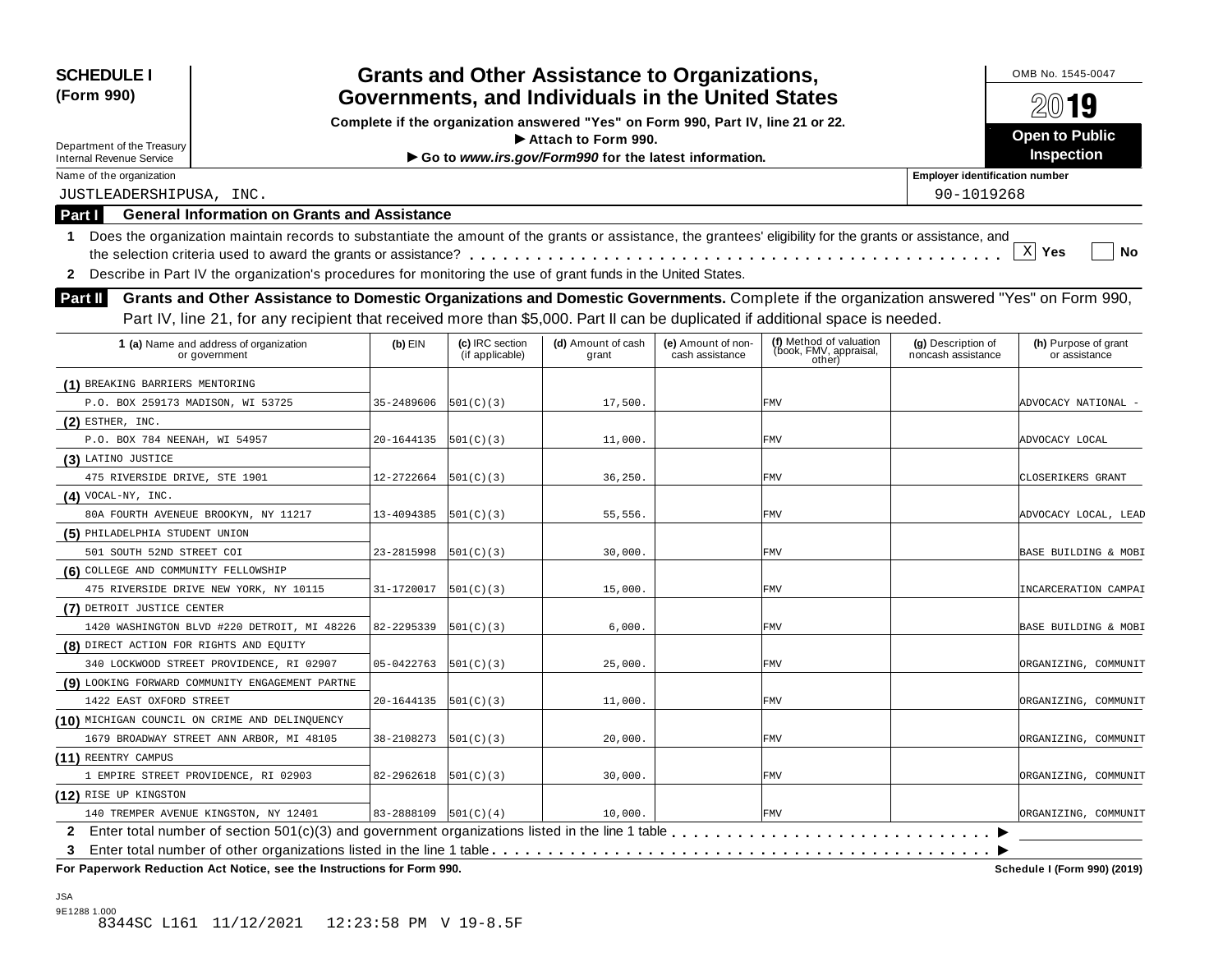| <b>SCHEDULE I</b><br>(Form 990)                                                                                                                                 |            |                                    | <b>Grants and Other Assistance to Organizations,</b><br>Governments, and Individuals in the United States |                                       |                                                             |                                          | OMB No. 1545-0047<br>2019             |
|-----------------------------------------------------------------------------------------------------------------------------------------------------------------|------------|------------------------------------|-----------------------------------------------------------------------------------------------------------|---------------------------------------|-------------------------------------------------------------|------------------------------------------|---------------------------------------|
| Complete if the organization answered "Yes" on Form 990, Part IV, line 21 or 22.                                                                                |            |                                    |                                                                                                           |                                       |                                                             |                                          |                                       |
| Department of the Treasury                                                                                                                                      |            |                                    | Attach to Form 990.                                                                                       |                                       |                                                             |                                          | <b>Open to Public</b>                 |
| <b>Internal Revenue Service</b>                                                                                                                                 |            |                                    | Go to www.irs.gov/Form990 for the latest information.                                                     |                                       |                                                             |                                          | Inspection                            |
| Name of the organization                                                                                                                                        |            |                                    |                                                                                                           |                                       |                                                             | <b>Employer identification number</b>    |                                       |
| JUSTLEADERSHIPUSA, INC.                                                                                                                                         |            |                                    |                                                                                                           |                                       |                                                             | 90-1019268                               |                                       |
| <b>General Information on Grants and Assistance</b><br>Part I                                                                                                   |            |                                    |                                                                                                           |                                       |                                                             |                                          |                                       |
| Does the organization maintain records to substantiate the amount of the grants or assistance, the grantees' eligibility for the grants or assistance, and<br>1 |            |                                    |                                                                                                           |                                       |                                                             |                                          |                                       |
|                                                                                                                                                                 |            |                                    |                                                                                                           |                                       |                                                             |                                          | $X$ Yes<br>No                         |
| 2 Describe in Part IV the organization's procedures for monitoring the use of grant funds in the United States.                                                 |            |                                    |                                                                                                           |                                       |                                                             |                                          |                                       |
| Grants and Other Assistance to Domestic Organizations and Domestic Governments. Complete if the organization answered "Yes" on Form 990,<br><b>Part II</b>      |            |                                    |                                                                                                           |                                       |                                                             |                                          |                                       |
| Part IV, line 21, for any recipient that received more than \$5,000. Part II can be duplicated if additional space is needed.                                   |            |                                    |                                                                                                           |                                       |                                                             |                                          |                                       |
|                                                                                                                                                                 |            |                                    |                                                                                                           |                                       |                                                             |                                          |                                       |
| 1 (a) Name and address of organization<br>or government                                                                                                         | $(b)$ EIN  | (c) IRC section<br>(if applicable) | (d) Amount of cash<br>grant                                                                               | (e) Amount of non-<br>cash assistance | (f) Method of valuation<br>(book, FMV, appraisal,<br>other) | (g) Description of<br>noncash assistance | (h) Purpose of grant<br>or assistance |
| (1) BREAKING BARRIERS MENTORING                                                                                                                                 |            |                                    |                                                                                                           |                                       |                                                             |                                          |                                       |
| P.O. BOX 259173 MADISON, WI 53725                                                                                                                               | 35-2489606 | 501(C)(3)                          | 17,500.                                                                                                   |                                       | <b>FMV</b>                                                  |                                          | ADVOCACY NATIONAL                     |
| $(2)$ ESTHER, INC.                                                                                                                                              |            |                                    |                                                                                                           |                                       |                                                             |                                          |                                       |
| P.O. BOX 784 NEENAH, WI 54957                                                                                                                                   | 20-1644135 | 501(C)(3)                          | 11,000                                                                                                    |                                       | <b>FMV</b>                                                  |                                          | ADVOCACY LOCAL                        |
| (3) LATINO JUSTICE                                                                                                                                              |            |                                    |                                                                                                           |                                       |                                                             |                                          |                                       |
| 475 RIVERSIDE DRIVE, STE 1901                                                                                                                                   | 12-2722664 | 501(C)(3)                          | 36,250                                                                                                    |                                       | <b>FMV</b>                                                  |                                          | CLOSERIKERS GRANT                     |
| $(4)$ VOCAL-NY, INC.                                                                                                                                            |            |                                    |                                                                                                           |                                       |                                                             |                                          |                                       |
| 80A FOURTH AVENEUE BROOKYN, NY 11217                                                                                                                            | 13-4094385 | 501(C)(3)                          | 55,556.                                                                                                   |                                       | <b>FMV</b>                                                  |                                          | ADVOCACY LOCAL, LEAD                  |
| (5) PHILADELPHIA STUDENT UNION                                                                                                                                  |            |                                    |                                                                                                           |                                       |                                                             |                                          |                                       |
| 501 SOUTH 52ND STREET COI                                                                                                                                       | 23-2815998 | 501(C)(3)                          | 30,000.                                                                                                   |                                       | <b>FMV</b>                                                  |                                          | BASE BUILDING & MOBI                  |
| (6) COLLEGE AND COMMUNITY FELLOWSHIP                                                                                                                            |            |                                    |                                                                                                           |                                       |                                                             |                                          |                                       |
| 475 RIVERSIDE DRIVE NEW YORK, NY 10115                                                                                                                          | 31-1720017 | 501(C)(3)                          | 15,000.                                                                                                   |                                       | <b>FMV</b>                                                  |                                          | INCARCERATION CAMPAI                  |
| (7) DETROIT JUSTICE CENTER                                                                                                                                      |            |                                    |                                                                                                           |                                       |                                                             |                                          |                                       |
| 1420 WASHINGTON BLVD #220 DETROIT, MI 48226                                                                                                                     | 82-2295339 | 501(C)(3)                          | 6,000.                                                                                                    |                                       | FMV                                                         |                                          | BASE BUILDING & MOBI                  |
| (8) DIRECT ACTION FOR RIGHTS AND EQUITY                                                                                                                         |            |                                    |                                                                                                           |                                       |                                                             |                                          |                                       |
| 340 LOCKWOOD STREET PROVIDENCE, RI 02907                                                                                                                        | 05-0422763 | 501(C)(3)                          | 25,000.                                                                                                   |                                       | FMV                                                         |                                          | ORGANIZING, COMMUNIT                  |
| (9) LOOKING FORWARD COMMUNITY ENGAGEMENT PARTNE                                                                                                                 |            |                                    |                                                                                                           |                                       |                                                             |                                          |                                       |
| 1422 EAST OXFORD STREET                                                                                                                                         | 20-1644135 | 501(C)(3)                          | 11,000.                                                                                                   |                                       | <b>FMV</b>                                                  |                                          | ORGANIZING, COMMUNIT                  |
| (10) MICHIGAN COUNCIL ON CRIME AND DELINQUENCY                                                                                                                  |            |                                    |                                                                                                           |                                       |                                                             |                                          |                                       |
| 1679 BROADWAY STREET ANN ARBOR, MI 48105                                                                                                                        | 38-2108273 | 501(C)(3)                          | 20,000.                                                                                                   |                                       | <b>FMV</b>                                                  |                                          | ORGANIZING, COMMUNIT                  |
| (11) REENTRY CAMPUS                                                                                                                                             |            |                                    |                                                                                                           |                                       |                                                             |                                          |                                       |
| 1 EMPIRE STREET PROVIDENCE, RI 02903                                                                                                                            | 82-2962618 | 501(C)(3)                          | 30,000.                                                                                                   |                                       | <b>FMV</b>                                                  |                                          | ORGANIZING, COMMUNIT                  |
| (12) RISE UP KINGSTON                                                                                                                                           |            |                                    |                                                                                                           |                                       |                                                             |                                          |                                       |
| 140 TREMPER AVENUE KINGSTON, NY 12401                                                                                                                           | 83-2888109 | 501(C) (4)                         | 10,000                                                                                                    |                                       | <b>FMV</b>                                                  |                                          | ORGANIZING, COMMUNIT                  |
| $\mathbf{2}$                                                                                                                                                    |            |                                    |                                                                                                           |                                       |                                                             |                                          |                                       |
|                                                                                                                                                                 |            |                                    |                                                                                                           |                                       |                                                             |                                          |                                       |

 $F$  **Paperwork** Reduction Act Notice, see the Instructions for Form 990.

Schedule I (Form 990) (2019)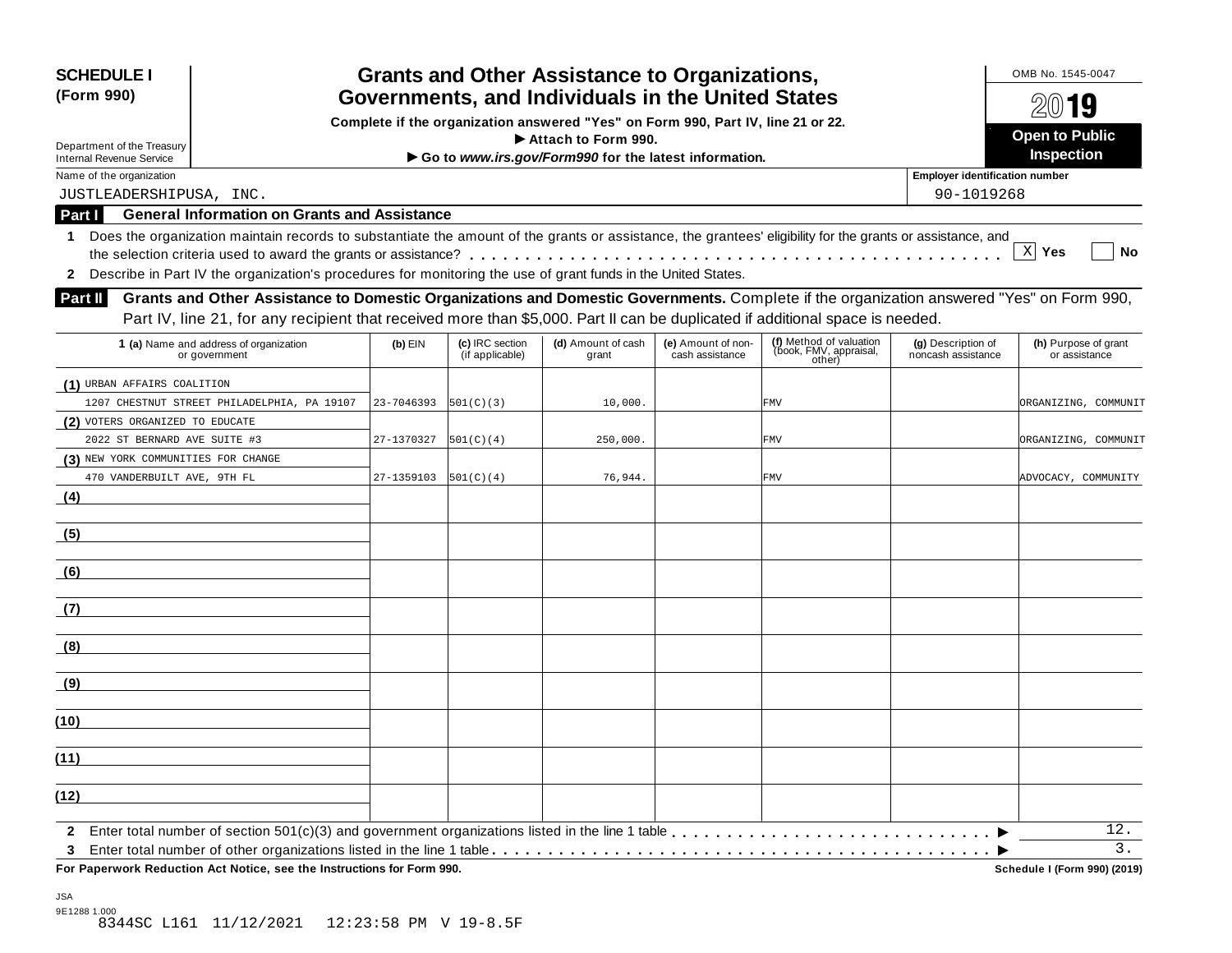| Complete if the organization answered "Yes" on Form 990, Part IV, line 21 or 22.<br><b>Open to Public</b><br>Attach to Form 990.<br>Department of the Treasury<br>Inspection<br>Go to www.irs.gov/Form990 for the latest information.<br><b>Internal Revenue Service</b><br>Name of the organization<br><b>Employer identification number</b><br>90-1019268<br>JUSTLEADERSHIPUSA, INC.<br><b>General Information on Grants and Assistance</b><br>Part I<br>Does the organization maintain records to substantiate the amount of the grants or assistance, the grantees' eligibility for the grants or assistance, and<br>1<br>X Yes<br>Describe in Part IV the organization's procedures for monitoring the use of grant funds in the United States.<br>$\mathbf{2}$<br>Grants and Other Assistance to Domestic Organizations and Domestic Governments. Complete if the organization answered "Yes" on Form 990,<br>Part II<br>Part IV, line 21, for any recipient that received more than \$5,000. Part II can be duplicated if additional space is needed.<br>(f) Method of valuation<br>(c) IRC section<br>(d) Amount of cash<br>(e) Amount of non-<br>1 (a) Name and address of organization<br>$(b)$ EIN<br>(g) Description of<br>(book, FMV, appraisal,<br>(if applicable)<br>cash assistance<br>noncash assistance<br>or assistance<br>grant<br>or government<br>other)<br>(1) URBAN AFFAIRS COALITION<br>1207 CHESTNUT STREET PHILADELPHIA, PA 19107<br>23-7046393<br> 501(C)(3) <br>10,000.<br><b>FMV</b><br>(2) VOTERS ORGANIZED TO EDUCATE<br>2022 ST BERNARD AVE SUITE #3<br>27-1370327<br> 501(C)(4) <br>250,000.<br><b>FMV</b><br>(3) NEW YORK COMMUNITIES FOR CHANGE<br>470 VANDERBUILT AVE, 9TH FL<br>27-1359103<br> 501(C)(4) <br>76,944.<br><b>FMV</b><br>(4)<br>(5)<br>(6)<br>(7)<br>(8)<br>(9)<br>(10)<br>(11)<br>(12)<br>$\mathbf{2}$ | <b>SCHEDULE I</b><br>(Form 990) |  |  |  | <b>Grants and Other Assistance to Organizations,</b><br>Governments, and Individuals in the United States |  |  |  | OMB No. 1545-0047<br>$20$ 19 |  |  |  |  |
|------------------------------------------------------------------------------------------------------------------------------------------------------------------------------------------------------------------------------------------------------------------------------------------------------------------------------------------------------------------------------------------------------------------------------------------------------------------------------------------------------------------------------------------------------------------------------------------------------------------------------------------------------------------------------------------------------------------------------------------------------------------------------------------------------------------------------------------------------------------------------------------------------------------------------------------------------------------------------------------------------------------------------------------------------------------------------------------------------------------------------------------------------------------------------------------------------------------------------------------------------------------------------------------------------------------------------------------------------------------------------------------------------------------------------------------------------------------------------------------------------------------------------------------------------------------------------------------------------------------------------------------------------------------------------------------------------------------------------------------------------------------------------------------------------------------------------------------------------------|---------------------------------|--|--|--|-----------------------------------------------------------------------------------------------------------|--|--|--|------------------------------|--|--|--|--|
|                                                                                                                                                                                                                                                                                                                                                                                                                                                                                                                                                                                                                                                                                                                                                                                                                                                                                                                                                                                                                                                                                                                                                                                                                                                                                                                                                                                                                                                                                                                                                                                                                                                                                                                                                                                                                                                            |                                 |  |  |  |                                                                                                           |  |  |  |                              |  |  |  |  |
|                                                                                                                                                                                                                                                                                                                                                                                                                                                                                                                                                                                                                                                                                                                                                                                                                                                                                                                                                                                                                                                                                                                                                                                                                                                                                                                                                                                                                                                                                                                                                                                                                                                                                                                                                                                                                                                            |                                 |  |  |  |                                                                                                           |  |  |  |                              |  |  |  |  |
|                                                                                                                                                                                                                                                                                                                                                                                                                                                                                                                                                                                                                                                                                                                                                                                                                                                                                                                                                                                                                                                                                                                                                                                                                                                                                                                                                                                                                                                                                                                                                                                                                                                                                                                                                                                                                                                            |                                 |  |  |  |                                                                                                           |  |  |  |                              |  |  |  |  |
|                                                                                                                                                                                                                                                                                                                                                                                                                                                                                                                                                                                                                                                                                                                                                                                                                                                                                                                                                                                                                                                                                                                                                                                                                                                                                                                                                                                                                                                                                                                                                                                                                                                                                                                                                                                                                                                            |                                 |  |  |  |                                                                                                           |  |  |  |                              |  |  |  |  |
|                                                                                                                                                                                                                                                                                                                                                                                                                                                                                                                                                                                                                                                                                                                                                                                                                                                                                                                                                                                                                                                                                                                                                                                                                                                                                                                                                                                                                                                                                                                                                                                                                                                                                                                                                                                                                                                            |                                 |  |  |  |                                                                                                           |  |  |  |                              |  |  |  |  |
|                                                                                                                                                                                                                                                                                                                                                                                                                                                                                                                                                                                                                                                                                                                                                                                                                                                                                                                                                                                                                                                                                                                                                                                                                                                                                                                                                                                                                                                                                                                                                                                                                                                                                                                                                                                                                                                            |                                 |  |  |  |                                                                                                           |  |  |  |                              |  |  |  |  |
|                                                                                                                                                                                                                                                                                                                                                                                                                                                                                                                                                                                                                                                                                                                                                                                                                                                                                                                                                                                                                                                                                                                                                                                                                                                                                                                                                                                                                                                                                                                                                                                                                                                                                                                                                                                                                                                            |                                 |  |  |  |                                                                                                           |  |  |  |                              |  |  |  |  |
|                                                                                                                                                                                                                                                                                                                                                                                                                                                                                                                                                                                                                                                                                                                                                                                                                                                                                                                                                                                                                                                                                                                                                                                                                                                                                                                                                                                                                                                                                                                                                                                                                                                                                                                                                                                                                                                            |                                 |  |  |  |                                                                                                           |  |  |  | No                           |  |  |  |  |
|                                                                                                                                                                                                                                                                                                                                                                                                                                                                                                                                                                                                                                                                                                                                                                                                                                                                                                                                                                                                                                                                                                                                                                                                                                                                                                                                                                                                                                                                                                                                                                                                                                                                                                                                                                                                                                                            |                                 |  |  |  |                                                                                                           |  |  |  |                              |  |  |  |  |
|                                                                                                                                                                                                                                                                                                                                                                                                                                                                                                                                                                                                                                                                                                                                                                                                                                                                                                                                                                                                                                                                                                                                                                                                                                                                                                                                                                                                                                                                                                                                                                                                                                                                                                                                                                                                                                                            |                                 |  |  |  |                                                                                                           |  |  |  |                              |  |  |  |  |
|                                                                                                                                                                                                                                                                                                                                                                                                                                                                                                                                                                                                                                                                                                                                                                                                                                                                                                                                                                                                                                                                                                                                                                                                                                                                                                                                                                                                                                                                                                                                                                                                                                                                                                                                                                                                                                                            |                                 |  |  |  |                                                                                                           |  |  |  | (h) Purpose of grant         |  |  |  |  |
|                                                                                                                                                                                                                                                                                                                                                                                                                                                                                                                                                                                                                                                                                                                                                                                                                                                                                                                                                                                                                                                                                                                                                                                                                                                                                                                                                                                                                                                                                                                                                                                                                                                                                                                                                                                                                                                            |                                 |  |  |  |                                                                                                           |  |  |  |                              |  |  |  |  |
|                                                                                                                                                                                                                                                                                                                                                                                                                                                                                                                                                                                                                                                                                                                                                                                                                                                                                                                                                                                                                                                                                                                                                                                                                                                                                                                                                                                                                                                                                                                                                                                                                                                                                                                                                                                                                                                            |                                 |  |  |  |                                                                                                           |  |  |  | ORGANIZING, COMMUNIT         |  |  |  |  |
|                                                                                                                                                                                                                                                                                                                                                                                                                                                                                                                                                                                                                                                                                                                                                                                                                                                                                                                                                                                                                                                                                                                                                                                                                                                                                                                                                                                                                                                                                                                                                                                                                                                                                                                                                                                                                                                            |                                 |  |  |  |                                                                                                           |  |  |  |                              |  |  |  |  |
|                                                                                                                                                                                                                                                                                                                                                                                                                                                                                                                                                                                                                                                                                                                                                                                                                                                                                                                                                                                                                                                                                                                                                                                                                                                                                                                                                                                                                                                                                                                                                                                                                                                                                                                                                                                                                                                            |                                 |  |  |  |                                                                                                           |  |  |  | ORGANIZING, COMMUNIT         |  |  |  |  |
|                                                                                                                                                                                                                                                                                                                                                                                                                                                                                                                                                                                                                                                                                                                                                                                                                                                                                                                                                                                                                                                                                                                                                                                                                                                                                                                                                                                                                                                                                                                                                                                                                                                                                                                                                                                                                                                            |                                 |  |  |  |                                                                                                           |  |  |  |                              |  |  |  |  |
|                                                                                                                                                                                                                                                                                                                                                                                                                                                                                                                                                                                                                                                                                                                                                                                                                                                                                                                                                                                                                                                                                                                                                                                                                                                                                                                                                                                                                                                                                                                                                                                                                                                                                                                                                                                                                                                            |                                 |  |  |  |                                                                                                           |  |  |  | ADVOCACY, COMMUNITY          |  |  |  |  |
|                                                                                                                                                                                                                                                                                                                                                                                                                                                                                                                                                                                                                                                                                                                                                                                                                                                                                                                                                                                                                                                                                                                                                                                                                                                                                                                                                                                                                                                                                                                                                                                                                                                                                                                                                                                                                                                            |                                 |  |  |  |                                                                                                           |  |  |  |                              |  |  |  |  |
|                                                                                                                                                                                                                                                                                                                                                                                                                                                                                                                                                                                                                                                                                                                                                                                                                                                                                                                                                                                                                                                                                                                                                                                                                                                                                                                                                                                                                                                                                                                                                                                                                                                                                                                                                                                                                                                            |                                 |  |  |  |                                                                                                           |  |  |  |                              |  |  |  |  |
|                                                                                                                                                                                                                                                                                                                                                                                                                                                                                                                                                                                                                                                                                                                                                                                                                                                                                                                                                                                                                                                                                                                                                                                                                                                                                                                                                                                                                                                                                                                                                                                                                                                                                                                                                                                                                                                            |                                 |  |  |  |                                                                                                           |  |  |  |                              |  |  |  |  |
|                                                                                                                                                                                                                                                                                                                                                                                                                                                                                                                                                                                                                                                                                                                                                                                                                                                                                                                                                                                                                                                                                                                                                                                                                                                                                                                                                                                                                                                                                                                                                                                                                                                                                                                                                                                                                                                            |                                 |  |  |  |                                                                                                           |  |  |  |                              |  |  |  |  |
|                                                                                                                                                                                                                                                                                                                                                                                                                                                                                                                                                                                                                                                                                                                                                                                                                                                                                                                                                                                                                                                                                                                                                                                                                                                                                                                                                                                                                                                                                                                                                                                                                                                                                                                                                                                                                                                            |                                 |  |  |  |                                                                                                           |  |  |  |                              |  |  |  |  |
|                                                                                                                                                                                                                                                                                                                                                                                                                                                                                                                                                                                                                                                                                                                                                                                                                                                                                                                                                                                                                                                                                                                                                                                                                                                                                                                                                                                                                                                                                                                                                                                                                                                                                                                                                                                                                                                            |                                 |  |  |  |                                                                                                           |  |  |  |                              |  |  |  |  |
|                                                                                                                                                                                                                                                                                                                                                                                                                                                                                                                                                                                                                                                                                                                                                                                                                                                                                                                                                                                                                                                                                                                                                                                                                                                                                                                                                                                                                                                                                                                                                                                                                                                                                                                                                                                                                                                            |                                 |  |  |  |                                                                                                           |  |  |  |                              |  |  |  |  |
|                                                                                                                                                                                                                                                                                                                                                                                                                                                                                                                                                                                                                                                                                                                                                                                                                                                                                                                                                                                                                                                                                                                                                                                                                                                                                                                                                                                                                                                                                                                                                                                                                                                                                                                                                                                                                                                            |                                 |  |  |  |                                                                                                           |  |  |  |                              |  |  |  |  |
|                                                                                                                                                                                                                                                                                                                                                                                                                                                                                                                                                                                                                                                                                                                                                                                                                                                                                                                                                                                                                                                                                                                                                                                                                                                                                                                                                                                                                                                                                                                                                                                                                                                                                                                                                                                                                                                            |                                 |  |  |  |                                                                                                           |  |  |  |                              |  |  |  |  |
|                                                                                                                                                                                                                                                                                                                                                                                                                                                                                                                                                                                                                                                                                                                                                                                                                                                                                                                                                                                                                                                                                                                                                                                                                                                                                                                                                                                                                                                                                                                                                                                                                                                                                                                                                                                                                                                            |                                 |  |  |  |                                                                                                           |  |  |  | 12.                          |  |  |  |  |
|                                                                                                                                                                                                                                                                                                                                                                                                                                                                                                                                                                                                                                                                                                                                                                                                                                                                                                                                                                                                                                                                                                                                                                                                                                                                                                                                                                                                                                                                                                                                                                                                                                                                                                                                                                                                                                                            | 3                               |  |  |  |                                                                                                           |  |  |  | 3.                           |  |  |  |  |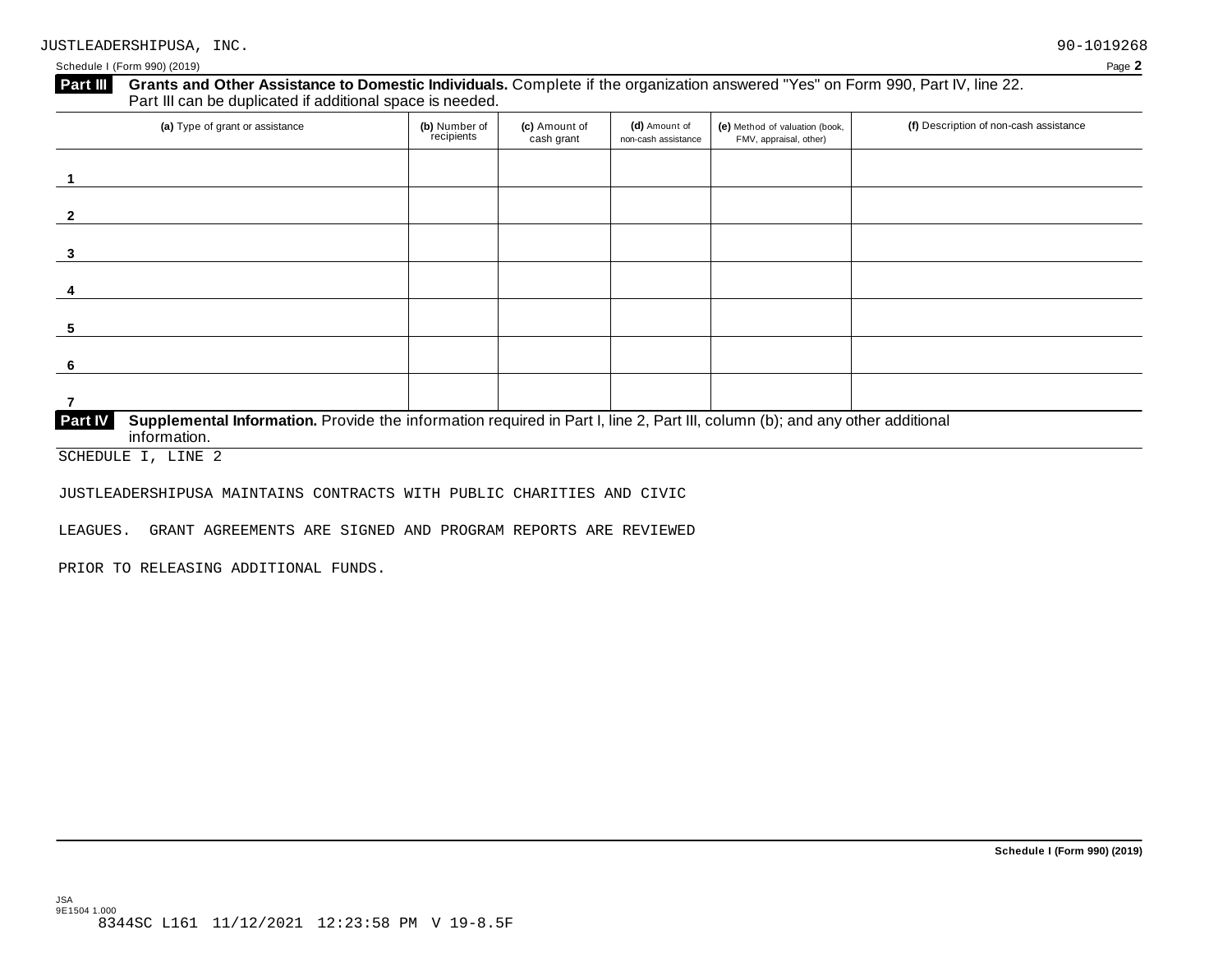## Schedule I (Form 990) (2019) Page 2<br>**Example Create and Other Assistance to Demastic Individuals** Complete if the exacpization appurared "Vee" on Ferm 000, Dert IV, Jine 22

| (a) Type of grant or assistance | (b) Number of<br>recipients | (c) Amount of<br>cash grant | (d) Amount of<br>non-cash assistance | (e) Method of valuation (book,<br>FMV, appraisal, other) | (f) Description of non-cash assistance |
|---------------------------------|-----------------------------|-----------------------------|--------------------------------------|----------------------------------------------------------|----------------------------------------|
|                                 |                             |                             |                                      |                                                          |                                        |
| $\overline{2}$                  |                             |                             |                                      |                                                          |                                        |
| 3                               |                             |                             |                                      |                                                          |                                        |
|                                 |                             |                             |                                      |                                                          |                                        |
| 5                               |                             |                             |                                      |                                                          |                                        |
|                                 |                             |                             |                                      |                                                          |                                        |
| 6                               |                             |                             |                                      |                                                          |                                        |

**Supplemental Information.** Provide the information required in Part I, line 2, Part III, column (b); and any other additional information. **Part IV**

SCHEDULE I, LINE 2

JUSTLEADERSHIPUSA MAINTAINS CONTRACTS WITH PUBLIC CHARITIES AND CIVIC

LEAGUES. GRANT AGREEMENTS ARE SIGNED AND PROGRAM REPORTS ARE REVIEWED

PRIOR TO RELEASING ADDITIONAL FUNDS.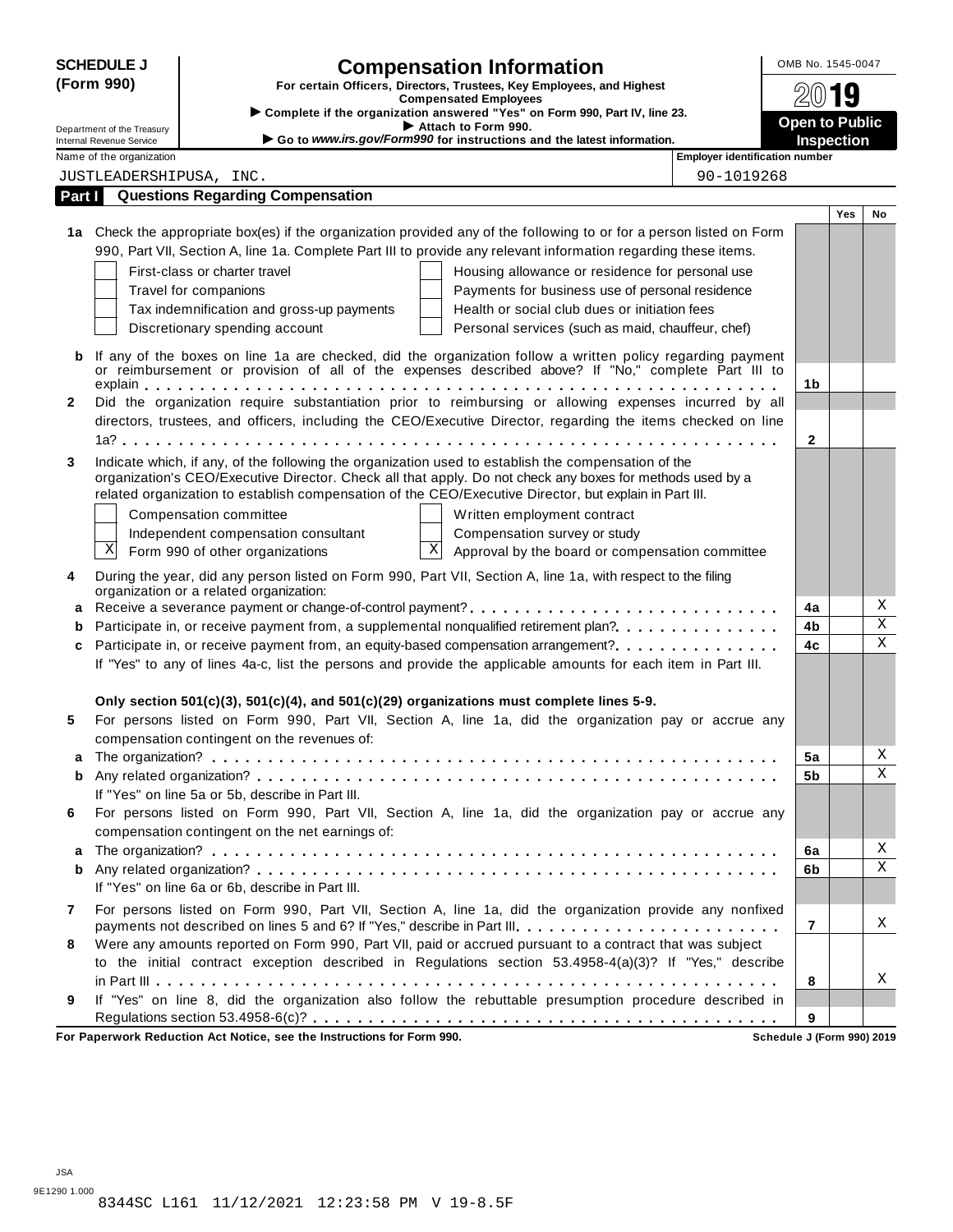| <b>SCHEDULE J</b>                                           | <b>Compensation Information</b>                                                                                                                                                                                   | OMB No. 1545-0047          |            |             |
|-------------------------------------------------------------|-------------------------------------------------------------------------------------------------------------------------------------------------------------------------------------------------------------------|----------------------------|------------|-------------|
| (Form 990)                                                  | For certain Officers, Directors, Trustees, Key Employees, and Highest                                                                                                                                             |                            | 9          |             |
|                                                             | <b>Compensated Employees</b><br>Complete if the organization answered "Yes" on Form 990, Part IV, line 23.                                                                                                        |                            |            |             |
| Department of the Treasury                                  | Attach to Form 990.                                                                                                                                                                                               | <b>Open to Public</b>      |            |             |
| <b>Internal Revenue Service</b><br>Name of the organization | Go to www.irs.gov/Form990 for instructions and the latest information.<br>Employer identification number                                                                                                          | <b>Inspection</b>          |            |             |
|                                                             | 90-1019268<br>JUSTLEADERSHIPUSA, INC.                                                                                                                                                                             |                            |            |             |
| Part I                                                      | <b>Questions Regarding Compensation</b>                                                                                                                                                                           |                            |            |             |
|                                                             |                                                                                                                                                                                                                   |                            | <b>Yes</b> | No          |
|                                                             | 1a Check the appropriate box(es) if the organization provided any of the following to or for a person listed on Form                                                                                              |                            |            |             |
|                                                             | 990, Part VII, Section A, line 1a. Complete Part III to provide any relevant information regarding these items.                                                                                                   |                            |            |             |
|                                                             | First-class or charter travel<br>Housing allowance or residence for personal use                                                                                                                                  |                            |            |             |
|                                                             | Payments for business use of personal residence<br>Travel for companions                                                                                                                                          |                            |            |             |
|                                                             | Tax indemnification and gross-up payments<br>Health or social club dues or initiation fees                                                                                                                        |                            |            |             |
|                                                             | Discretionary spending account<br>Personal services (such as maid, chauffeur, chef)                                                                                                                               |                            |            |             |
|                                                             |                                                                                                                                                                                                                   |                            |            |             |
| b                                                           | If any of the boxes on line 1a are checked, did the organization follow a written policy regarding payment<br>or reimbursement or provision of all of the expenses described above? If "No," complete Part III to |                            |            |             |
|                                                             |                                                                                                                                                                                                                   | 1b                         |            |             |
| $\mathbf{2}$                                                | Did the organization require substantiation prior to reimbursing or allowing expenses incurred by all                                                                                                             |                            |            |             |
|                                                             | directors, trustees, and officers, including the CEO/Executive Director, regarding the items checked on line                                                                                                      |                            |            |             |
|                                                             |                                                                                                                                                                                                                   | 2                          |            |             |
| 3                                                           | Indicate which, if any, of the following the organization used to establish the compensation of the                                                                                                               |                            |            |             |
|                                                             | organization's CEO/Executive Director. Check all that apply. Do not check any boxes for methods used by a                                                                                                         |                            |            |             |
|                                                             | related organization to establish compensation of the CEO/Executive Director, but explain in Part III.                                                                                                            |                            |            |             |
|                                                             | Compensation committee<br>Written employment contract                                                                                                                                                             |                            |            |             |
|                                                             | Independent compensation consultant<br>Compensation survey or study                                                                                                                                               |                            |            |             |
| Χ                                                           | $\mathbf X$<br>Form 990 of other organizations<br>Approval by the board or compensation committee                                                                                                                 |                            |            |             |
| 4                                                           | During the year, did any person listed on Form 990, Part VII, Section A, line 1a, with respect to the filing                                                                                                      |                            |            |             |
|                                                             | organization or a related organization:                                                                                                                                                                           |                            |            |             |
|                                                             | a Receive a severance payment or change-of-control payment?                                                                                                                                                       | 4a                         |            | Χ           |
| b                                                           | Participate in, or receive payment from, a supplemental nonqualified retirement plan?.                                                                                                                            | 4b                         |            | X           |
| c                                                           | Participate in, or receive payment from, an equity-based compensation arrangement?                                                                                                                                | 4c                         |            | $\mathbf X$ |
|                                                             | If "Yes" to any of lines 4a-c, list the persons and provide the applicable amounts for each item in Part III.                                                                                                     |                            |            |             |
|                                                             |                                                                                                                                                                                                                   |                            |            |             |
|                                                             | Only section $501(c)(3)$ , $501(c)(4)$ , and $501(c)(29)$ organizations must complete lines 5-9.                                                                                                                  |                            |            |             |
| 5                                                           | For persons listed on Form 990, Part VII, Section A, line 1a, did the organization pay or accrue any                                                                                                              |                            |            |             |
|                                                             | compensation contingent on the revenues of:                                                                                                                                                                       |                            |            |             |
|                                                             |                                                                                                                                                                                                                   | 5a                         |            | Χ<br>Χ      |
| b                                                           |                                                                                                                                                                                                                   | 5b                         |            |             |
|                                                             | If "Yes" on line 5a or 5b, describe in Part III.                                                                                                                                                                  |                            |            |             |
| 6                                                           | For persons listed on Form 990, Part VII, Section A, line 1a, did the organization pay or accrue any<br>compensation contingent on the net earnings of:                                                           |                            |            |             |
|                                                             |                                                                                                                                                                                                                   | 6a                         |            | Χ           |
| a<br>b                                                      |                                                                                                                                                                                                                   | 6b                         |            | X           |
|                                                             | If "Yes" on line 6a or 6b, describe in Part III.                                                                                                                                                                  |                            |            |             |
|                                                             |                                                                                                                                                                                                                   |                            |            |             |
| 7                                                           | For persons listed on Form 990, Part VII, Section A, line 1a, did the organization provide any nonfixed<br>payments not described on lines 5 and 6? If "Yes," describe in Part III.                               | $\overline{7}$             |            | Χ           |
| 8                                                           | Were any amounts reported on Form 990, Part VII, paid or accrued pursuant to a contract that was subject                                                                                                          |                            |            |             |
|                                                             | to the initial contract exception described in Regulations section 53.4958-4(a)(3)? If "Yes," describe                                                                                                            |                            |            |             |
|                                                             |                                                                                                                                                                                                                   | 8                          |            | Χ           |
| 9                                                           | If "Yes" on line 8, did the organization also follow the rebuttable presumption procedure described in                                                                                                            |                            |            |             |
|                                                             |                                                                                                                                                                                                                   | 9                          |            |             |
|                                                             | For Paperwork Reduction Act Notice, see the Instructions for Form 990.                                                                                                                                            | Schedule J (Form 990) 2019 |            |             |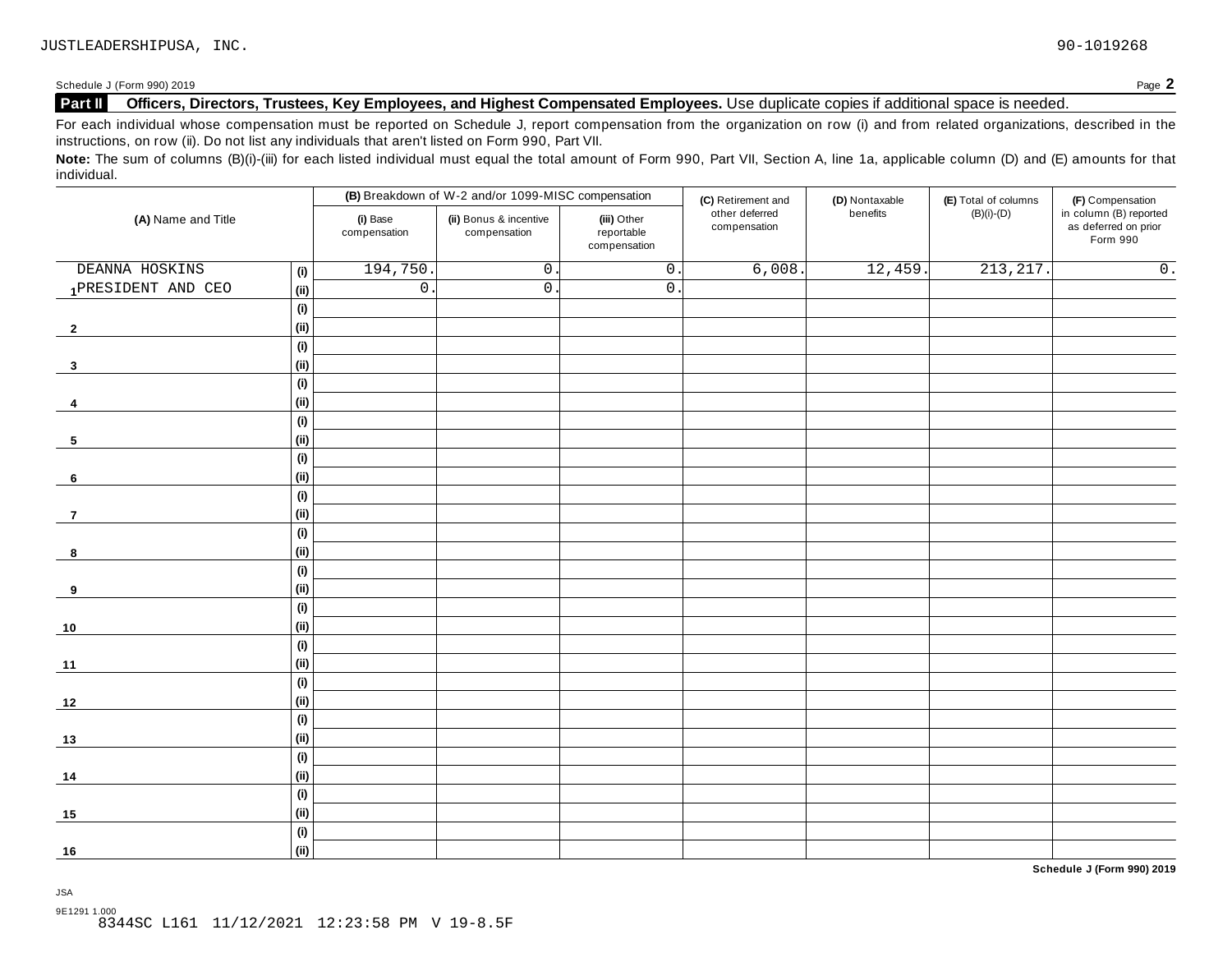Schedule <sup>J</sup> (Form 990) <sup>2019</sup> Page **2**

#### **Part II Officers, Directors, Trustees, Key Employees, and Highest Compensated Employees.** Use duplicate copies ifadditional space is needed.

For each individual whose compensation must be reported on Schedule J, report compensation from the organization on row (i) and from related organizations, described in the instructions, on row (ii). Do not list any individuals that aren't listed on Form 990, Part VII.

Note: The sum of columns (B)(i)-(iii) for each listed individual must equal the total amount of Form 990, Part VII, Section A, line 1a, applicable column (D) and (E) amounts for that individual.

|                    |      |                          | (B) Breakdown of W-2 and/or 1099-MISC compensation |                                           | (C) Retirement and             | (D) Nontaxable | (E) Total of columns | (F) Compensation                                           |
|--------------------|------|--------------------------|----------------------------------------------------|-------------------------------------------|--------------------------------|----------------|----------------------|------------------------------------------------------------|
| (A) Name and Title |      | (i) Base<br>compensation | (ii) Bonus & incentive<br>compensation             | (iii) Other<br>reportable<br>compensation | other deferred<br>compensation | benefits       | $(B)(i)-(D)$         | in column (B) reported<br>as deferred on prior<br>Form 990 |
| DEANNA HOSKINS     | (i)  | 194,750                  | $\,0\,$ .                                          | $\overline{0}$ .                          | 6,008.                         | 12,459.        | 213, 217.            | $\overline{0}$ .                                           |
| 1PRESIDENT AND CEO | (ii) | $\mathsf{O}\xspace$      | $\overline{0}$ .                                   | $\overline{0}$ .                          |                                |                |                      |                                                            |
|                    | (i)  |                          |                                                    |                                           |                                |                |                      |                                                            |
| $\mathbf{2}$       | (ii) |                          |                                                    |                                           |                                |                |                      |                                                            |
|                    | (i)  |                          |                                                    |                                           |                                |                |                      |                                                            |
| $\mathbf{3}$       | (i)  |                          |                                                    |                                           |                                |                |                      |                                                            |
|                    | (i)  |                          |                                                    |                                           |                                |                |                      |                                                            |
| 4                  | (ii) |                          |                                                    |                                           |                                |                |                      |                                                            |
|                    | (i)  |                          |                                                    |                                           |                                |                |                      |                                                            |
| 5                  | (ii) |                          |                                                    |                                           |                                |                |                      |                                                            |
|                    | (i)  |                          |                                                    |                                           |                                |                |                      |                                                            |
| $6\phantom{.}6$    | (ii) |                          |                                                    |                                           |                                |                |                      |                                                            |
|                    | (i)  |                          |                                                    |                                           |                                |                |                      |                                                            |
| $\overline{7}$     | (ii) |                          |                                                    |                                           |                                |                |                      |                                                            |
|                    | (i)  |                          |                                                    |                                           |                                |                |                      |                                                            |
| 8                  | (ii) |                          |                                                    |                                           |                                |                |                      |                                                            |
|                    | (i)  |                          |                                                    |                                           |                                |                |                      |                                                            |
| 9                  | (i)  |                          |                                                    |                                           |                                |                |                      |                                                            |
|                    | (i)  |                          |                                                    |                                           |                                |                |                      |                                                            |
| 10                 | (i)  |                          |                                                    |                                           |                                |                |                      |                                                            |
|                    | (i)  |                          |                                                    |                                           |                                |                |                      |                                                            |
| $11$               | (ii) |                          |                                                    |                                           |                                |                |                      |                                                            |
|                    | (i)  |                          |                                                    |                                           |                                |                |                      |                                                            |
| 12                 | (ii) |                          |                                                    |                                           |                                |                |                      |                                                            |
|                    | (i)  |                          |                                                    |                                           |                                |                |                      |                                                            |
| $13$               | (ii) |                          |                                                    |                                           |                                |                |                      |                                                            |
|                    | (i)  |                          |                                                    |                                           |                                |                |                      |                                                            |
| 14                 | (ii) |                          |                                                    |                                           |                                |                |                      |                                                            |
|                    | (i)  |                          |                                                    |                                           |                                |                |                      |                                                            |
| 15                 | (ii) |                          |                                                    |                                           |                                |                |                      |                                                            |
|                    | (i)  |                          |                                                    |                                           |                                |                |                      |                                                            |
| 16                 | (ii) |                          |                                                    |                                           |                                |                |                      |                                                            |

**Schedule J (Form 990) 2019**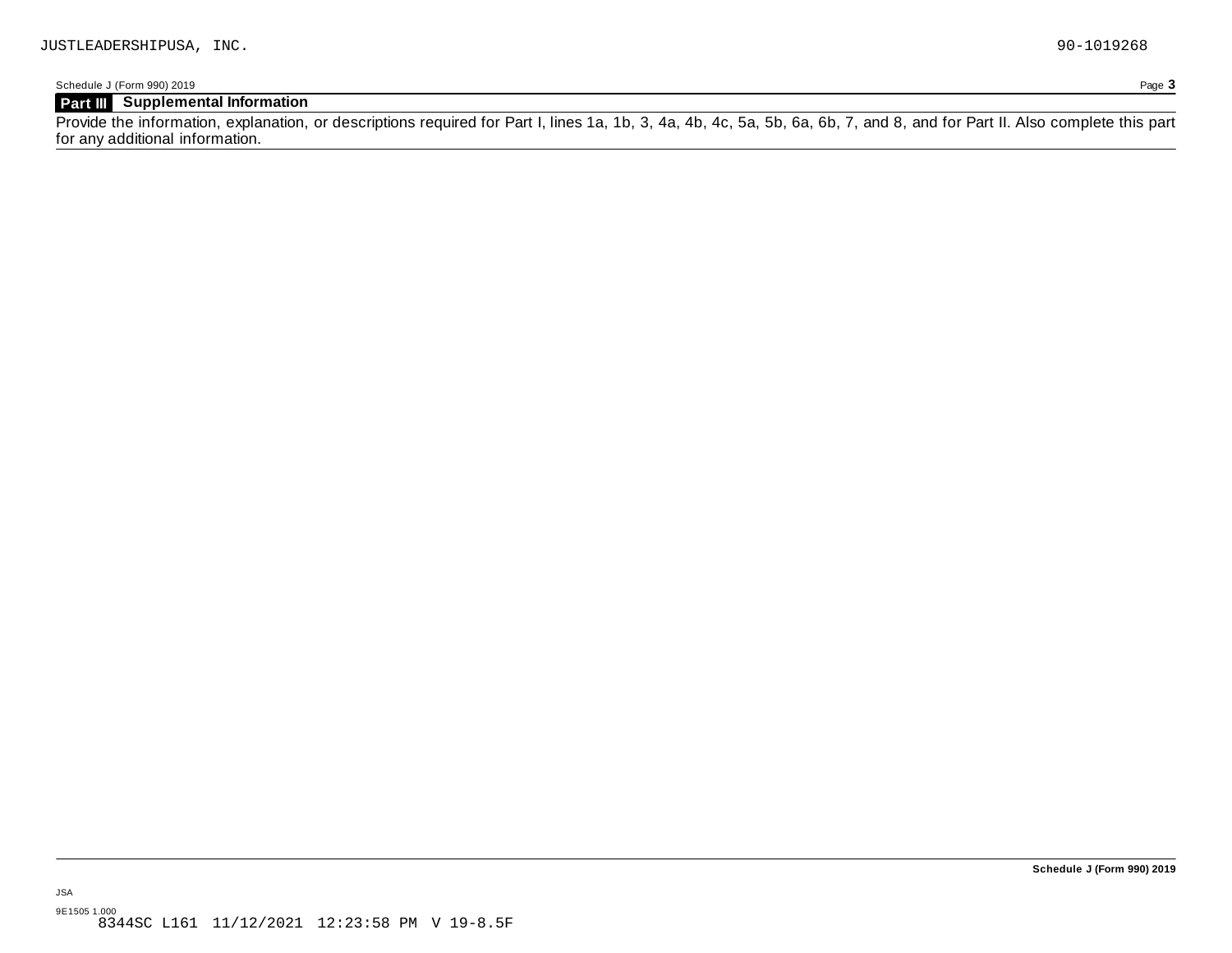Schedule J (Form 990) 2019 Page **3**

#### **Part III Supplemental Information**

Provide the information, explanation, or descriptions required for Part I, lines 1a, 1b, 3, 4a, 4b, 4c, 5a, 5b, 6a, 6b, 7, and 8, and for Part II. Also complete this part for any additional information.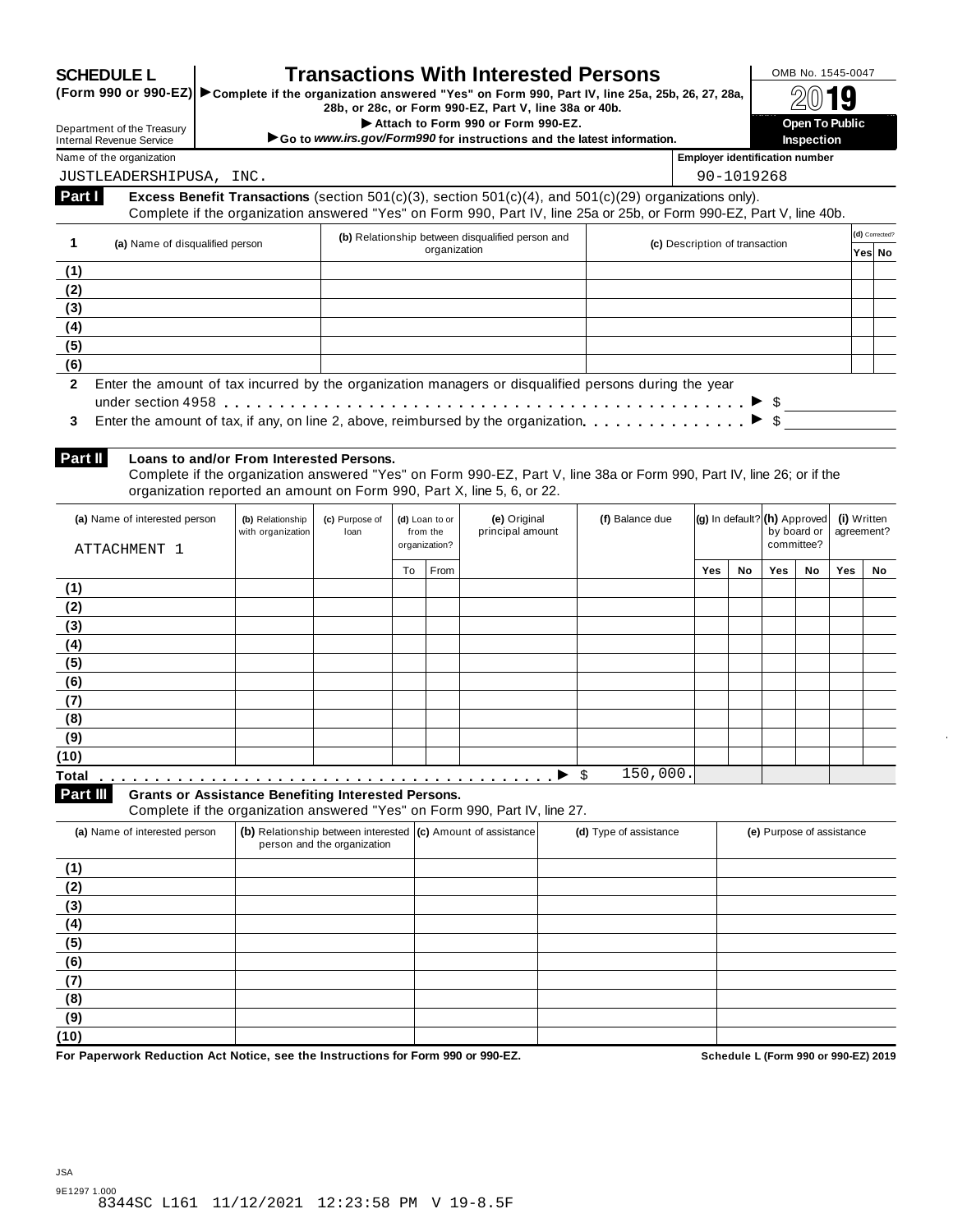|                          | (Form 990 or 990-EZ) ► Complete if the organization answered "Yes" on Form 990, Part IV, line 25a, 25b, 26, 27, 28a,<br>Department of the Treasury<br><b>Internal Revenue Service</b> |                                                                                                                                                                                                                                             |                             |    |                            | 28b, or 28c, or Form 990-EZ, Part V, line 38a or 40b.<br>Attach to Form 990 or Form 990-EZ.<br>Go to www.irs.gov/Form990 for instructions and the latest information. |   |                              |                                |                                       |                                             |                   | <b>Inspection</b> | <b>Open To Public</b>     |                          |
|--------------------------|---------------------------------------------------------------------------------------------------------------------------------------------------------------------------------------|---------------------------------------------------------------------------------------------------------------------------------------------------------------------------------------------------------------------------------------------|-----------------------------|----|----------------------------|-----------------------------------------------------------------------------------------------------------------------------------------------------------------------|---|------------------------------|--------------------------------|---------------------------------------|---------------------------------------------|-------------------|-------------------|---------------------------|--------------------------|
|                          | Name of the organization                                                                                                                                                              |                                                                                                                                                                                                                                             |                             |    |                            |                                                                                                                                                                       |   |                              |                                | <b>Employer identification number</b> |                                             |                   |                   |                           |                          |
|                          | JUSTLEADERSHIPUSA, INC.                                                                                                                                                               |                                                                                                                                                                                                                                             |                             |    |                            |                                                                                                                                                                       |   |                              |                                |                                       | 90-1019268                                  |                   |                   |                           |                          |
| Part I                   |                                                                                                                                                                                       | Excess Benefit Transactions (section 501(c)(3), section 501(c)(4), and 501(c)(29) organizations only).<br>Complete if the organization answered "Yes" on Form 990, Part IV, line 25a or 25b, or Form 990-EZ, Part V, line 40b.              |                             |    |                            |                                                                                                                                                                       |   |                              |                                |                                       |                                             |                   |                   |                           |                          |
| $\mathbf{1}$             | (a) Name of disqualified person                                                                                                                                                       |                                                                                                                                                                                                                                             |                             |    | organization               | (b) Relationship between disqualified person and                                                                                                                      |   |                              | (c) Description of transaction |                                       |                                             |                   |                   |                           | (d) Corrected?<br>Yes No |
| (1)                      |                                                                                                                                                                                       |                                                                                                                                                                                                                                             |                             |    |                            |                                                                                                                                                                       |   |                              |                                |                                       |                                             |                   |                   |                           |                          |
| (2)                      |                                                                                                                                                                                       |                                                                                                                                                                                                                                             |                             |    |                            |                                                                                                                                                                       |   |                              |                                |                                       |                                             |                   |                   |                           |                          |
| (3)                      |                                                                                                                                                                                       |                                                                                                                                                                                                                                             |                             |    |                            |                                                                                                                                                                       |   |                              |                                |                                       |                                             |                   |                   |                           |                          |
| (4)<br>(5)               |                                                                                                                                                                                       |                                                                                                                                                                                                                                             |                             |    |                            |                                                                                                                                                                       |   |                              |                                |                                       |                                             |                   |                   |                           |                          |
| (6)                      |                                                                                                                                                                                       |                                                                                                                                                                                                                                             |                             |    |                            |                                                                                                                                                                       |   |                              |                                |                                       |                                             |                   |                   |                           |                          |
| $\mathbf{2}$             | Enter the amount of tax incurred by the organization managers or disqualified persons during the year                                                                                 |                                                                                                                                                                                                                                             |                             |    |                            |                                                                                                                                                                       |   |                              |                                |                                       |                                             |                   |                   |                           |                          |
| Part II                  |                                                                                                                                                                                       | Loans to and/or From Interested Persons.<br>Complete if the organization answered "Yes" on Form 990-EZ, Part V, line 38a or Form 990, Part IV, line 26; or if the<br>organization reported an amount on Form 990, Part X, line 5, 6, or 22. |                             |    |                            |                                                                                                                                                                       |   |                              |                                |                                       |                                             |                   |                   |                           |                          |
|                          | (a) Name of interested person                                                                                                                                                         | (b) Relationship<br>with organization                                                                                                                                                                                                       | (c) Purpose of<br>loan      |    | (d) Loan to or<br>from the | (e) Original<br>principal amount                                                                                                                                      |   | (f) Balance due              |                                |                                       | (g) In default? (h) Approved<br>by board or |                   |                   | (i) Written<br>agreement? |                          |
|                          | ATTACHMENT 1                                                                                                                                                                          |                                                                                                                                                                                                                                             |                             | To | organization?<br>From      |                                                                                                                                                                       |   |                              |                                | <b>Yes</b>                            | No                                          | committee?<br>Yes | No                | Yes                       | No                       |
| (1)                      |                                                                                                                                                                                       |                                                                                                                                                                                                                                             |                             |    |                            |                                                                                                                                                                       |   |                              |                                |                                       |                                             |                   |                   |                           |                          |
| (2)                      |                                                                                                                                                                                       |                                                                                                                                                                                                                                             |                             |    |                            |                                                                                                                                                                       |   |                              |                                |                                       |                                             |                   |                   |                           |                          |
| (3)                      |                                                                                                                                                                                       |                                                                                                                                                                                                                                             |                             |    |                            |                                                                                                                                                                       |   |                              |                                |                                       |                                             |                   |                   |                           |                          |
| (4)<br>(5)               |                                                                                                                                                                                       |                                                                                                                                                                                                                                             |                             |    |                            |                                                                                                                                                                       |   |                              |                                |                                       |                                             |                   |                   |                           |                          |
| (6)                      |                                                                                                                                                                                       |                                                                                                                                                                                                                                             |                             |    |                            |                                                                                                                                                                       |   |                              |                                |                                       |                                             |                   |                   |                           |                          |
| (7)                      |                                                                                                                                                                                       |                                                                                                                                                                                                                                             |                             |    |                            |                                                                                                                                                                       |   |                              |                                |                                       |                                             |                   |                   |                           |                          |
| (8)                      |                                                                                                                                                                                       |                                                                                                                                                                                                                                             |                             |    |                            |                                                                                                                                                                       |   |                              |                                |                                       |                                             |                   |                   |                           |                          |
| (9)                      |                                                                                                                                                                                       |                                                                                                                                                                                                                                             |                             |    |                            |                                                                                                                                                                       |   |                              |                                |                                       |                                             |                   |                   |                           |                          |
| (10)                     |                                                                                                                                                                                       |                                                                                                                                                                                                                                             |                             |    |                            |                                                                                                                                                                       |   |                              |                                |                                       |                                             |                   |                   |                           |                          |
| <b>Total</b><br>Part III | (a) Name of interested person                                                                                                                                                         | .<br><b>Grants or Assistance Benefiting Interested Persons.</b><br>Complete if the organization answered "Yes" on Form 990, Part IV, line 27.<br>(b) Relationship between interested (c) Amount of assistance                               | person and the organization |    |                            |                                                                                                                                                                       | ▶ | \$<br>(d) Type of assistance | 150,000                        |                                       |                                             |                   |                   | (e) Purpose of assistance |                          |
| (1)                      |                                                                                                                                                                                       |                                                                                                                                                                                                                                             |                             |    |                            |                                                                                                                                                                       |   |                              |                                |                                       |                                             |                   |                   |                           |                          |
| (2)<br>(3)               |                                                                                                                                                                                       |                                                                                                                                                                                                                                             |                             |    |                            |                                                                                                                                                                       |   |                              |                                |                                       |                                             |                   |                   |                           |                          |
| (4)                      |                                                                                                                                                                                       |                                                                                                                                                                                                                                             |                             |    |                            |                                                                                                                                                                       |   |                              |                                |                                       |                                             |                   |                   |                           |                          |
| (5)                      |                                                                                                                                                                                       |                                                                                                                                                                                                                                             |                             |    |                            |                                                                                                                                                                       |   |                              |                                |                                       |                                             |                   |                   |                           |                          |
| (6)                      |                                                                                                                                                                                       |                                                                                                                                                                                                                                             |                             |    |                            |                                                                                                                                                                       |   |                              |                                |                                       |                                             |                   |                   |                           |                          |
| (7)                      |                                                                                                                                                                                       |                                                                                                                                                                                                                                             |                             |    |                            |                                                                                                                                                                       |   |                              |                                |                                       |                                             |                   |                   |                           |                          |
| (8)                      |                                                                                                                                                                                       |                                                                                                                                                                                                                                             |                             |    |                            |                                                                                                                                                                       |   |                              |                                |                                       |                                             |                   |                   |                           |                          |
|                          |                                                                                                                                                                                       |                                                                                                                                                                                                                                             |                             |    |                            |                                                                                                                                                                       |   |                              |                                |                                       |                                             |                   |                   |                           |                          |
| (9)<br>(10)              |                                                                                                                                                                                       |                                                                                                                                                                                                                                             |                             |    |                            |                                                                                                                                                                       |   |                              |                                |                                       |                                             |                   |                   |                           |                          |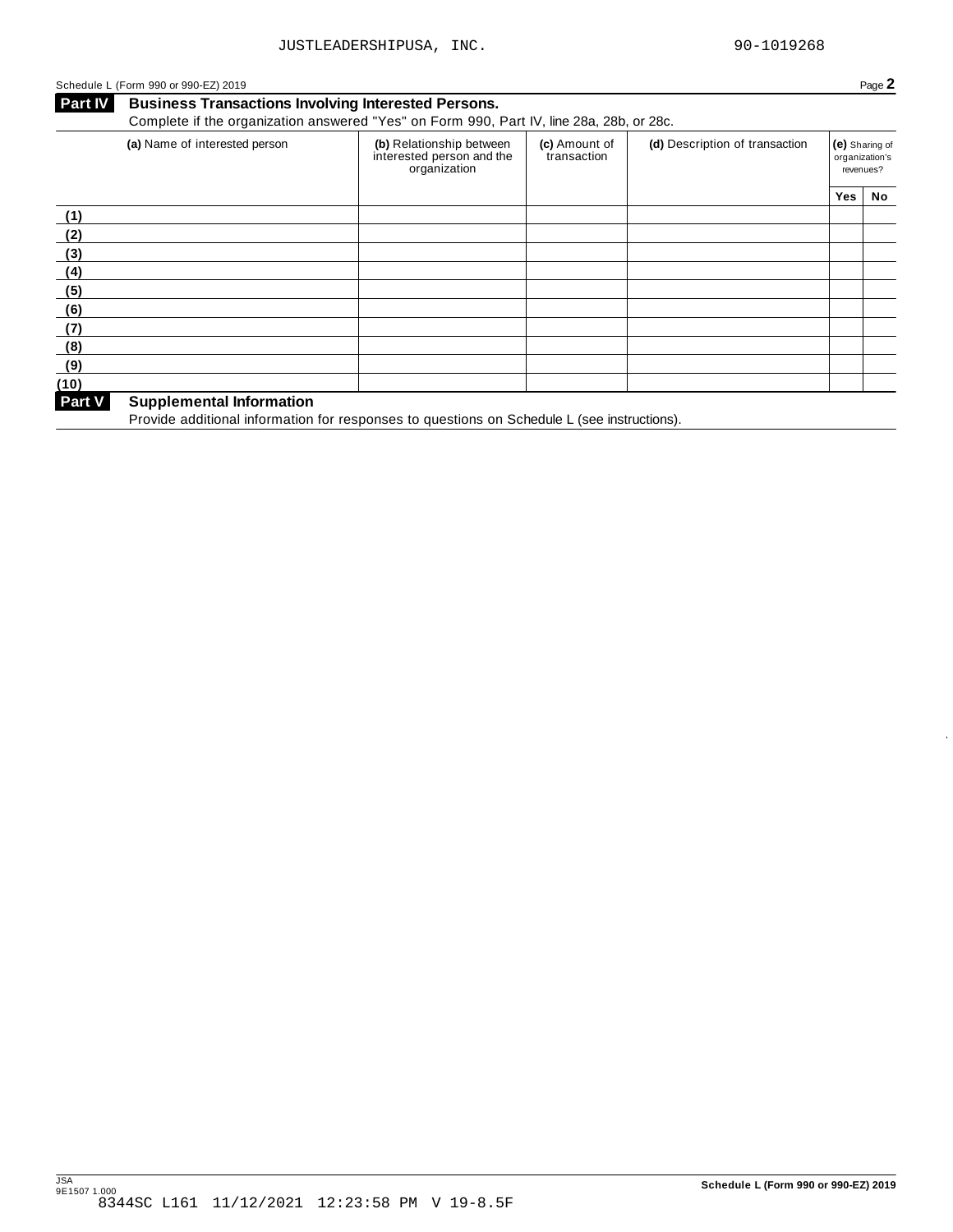#### Schedule <sup>L</sup> (Form <sup>990</sup> or 990-EZ) <sup>2019</sup> Page **2**

**Business Transactions Involving Interested Persons. Part IV** Business Transactions Involving Interested Persons.<br>Complete if the organization answered "Yes" on Form 990, Part IV, line 28a, 28b, or 28c.

| (a) Name of interested person             | (b) Relationship between<br>interested person and the<br>organization | (c) Amount of<br>transaction | (d) Description of transaction | revenues? | (e) Sharing of<br>organization's |
|-------------------------------------------|-----------------------------------------------------------------------|------------------------------|--------------------------------|-----------|----------------------------------|
|                                           |                                                                       |                              |                                | Yes       | No                               |
| (1)                                       |                                                                       |                              |                                |           |                                  |
| (2)                                       |                                                                       |                              |                                |           |                                  |
| (3)                                       |                                                                       |                              |                                |           |                                  |
| (4)                                       |                                                                       |                              |                                |           |                                  |
| (5)                                       |                                                                       |                              |                                |           |                                  |
| (6)                                       |                                                                       |                              |                                |           |                                  |
| (7)                                       |                                                                       |                              |                                |           |                                  |
| (8)                                       |                                                                       |                              |                                |           |                                  |
| (9)                                       |                                                                       |                              |                                |           |                                  |
| (10)                                      |                                                                       |                              |                                |           |                                  |
| Part V<br><b>Supplemental Information</b> |                                                                       |                              |                                |           |                                  |

Provide additional information for responses to questions on Schedule L (see instructions).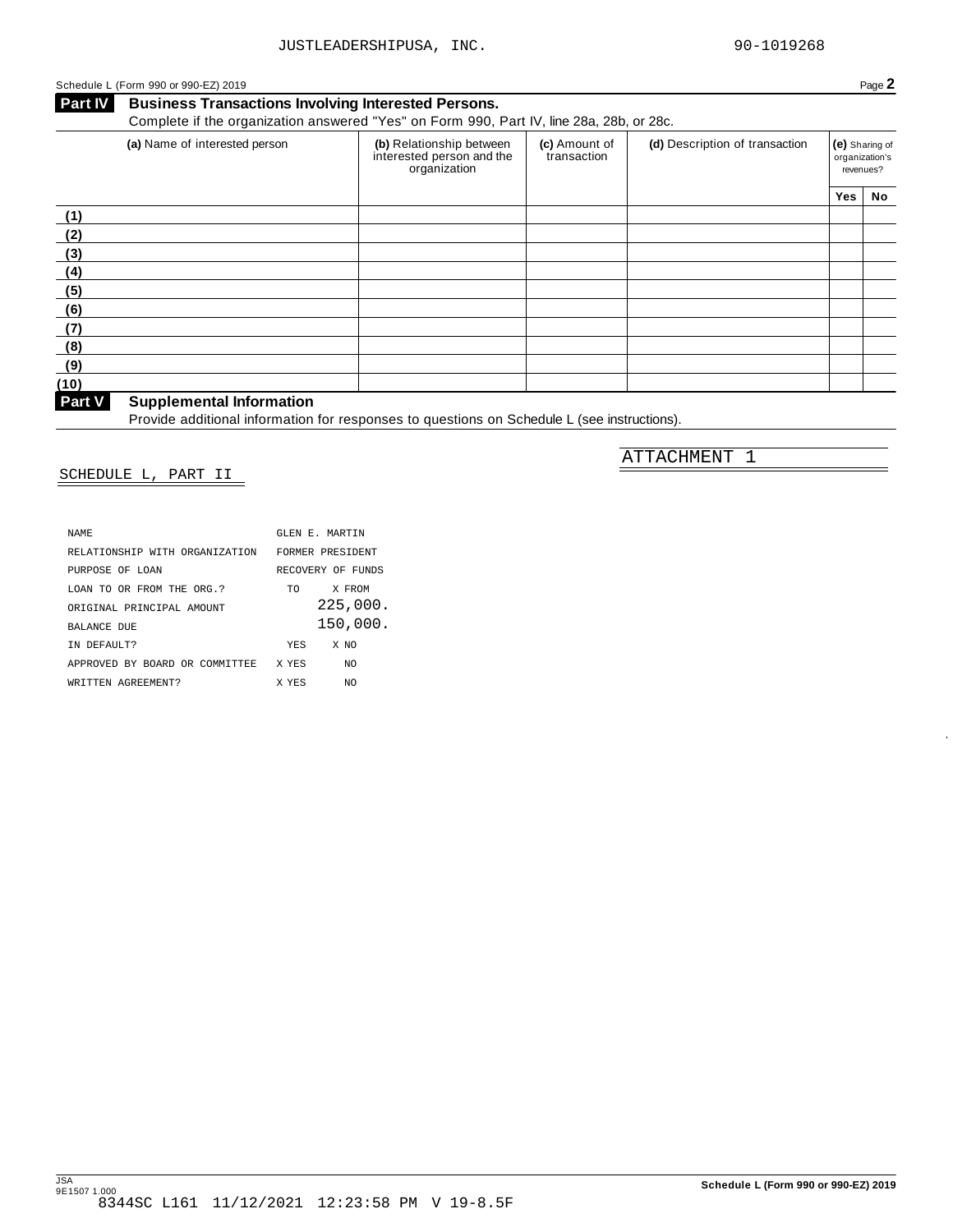ATTACHMENT 1

#### <span id="page-45-0"></span>Schedule <sup>L</sup> (Form <sup>990</sup> or 990-EZ) <sup>2019</sup> Page **2**

**Business Transactions Involving Interested Persons.** Complete if the organization answered "Yes" on Form 990, Part IV, line 28a, 28b, or 28c.

| (a) Name of interested person             | (b) Relationship between<br>interested person and the<br>organization | (c) Amount of<br>transaction | (d) Description of transaction | revenues? | (e) Sharing of<br>organization's |
|-------------------------------------------|-----------------------------------------------------------------------|------------------------------|--------------------------------|-----------|----------------------------------|
|                                           |                                                                       |                              |                                | Yes       | No                               |
| (1)                                       |                                                                       |                              |                                |           |                                  |
| (2)                                       |                                                                       |                              |                                |           |                                  |
| (3)                                       |                                                                       |                              |                                |           |                                  |
| (4)                                       |                                                                       |                              |                                |           |                                  |
| (5)                                       |                                                                       |                              |                                |           |                                  |
| (6)                                       |                                                                       |                              |                                |           |                                  |
| (7)                                       |                                                                       |                              |                                |           |                                  |
| (8)                                       |                                                                       |                              |                                |           |                                  |
| (9)                                       |                                                                       |                              |                                |           |                                  |
| (10)                                      |                                                                       |                              |                                |           |                                  |
| Part V<br><b>Supplemental Information</b> |                                                                       |                              |                                |           |                                  |

Provide additional information for responses to questions on Schedule L (see instructions).

#### SCHEDULE L, PART II

| NAME.                          |            | GLEN E. MARTIN    |
|--------------------------------|------------|-------------------|
| RELATIONSHIP WITH ORGANIZATION |            | FORMER PRESIDENT  |
| PURPOSE OF LOAN                |            | RECOVERY OF FUNDS |
| LOAN TO OR FROM THE ORG.?      | <b>TO</b>  | X FROM            |
| ORIGINAL PRINCIPAL AMOUNT      |            | 225,000.          |
| BALANCE DUE                    |            | 150,000.          |
| IN DEFAULT?                    | <b>YES</b> | X NO              |
| APPROVED BY BOARD OR COMMITTEE | X YES      | NO.               |
| WRITTEN AGREEMENT?             | X YES      | NO                |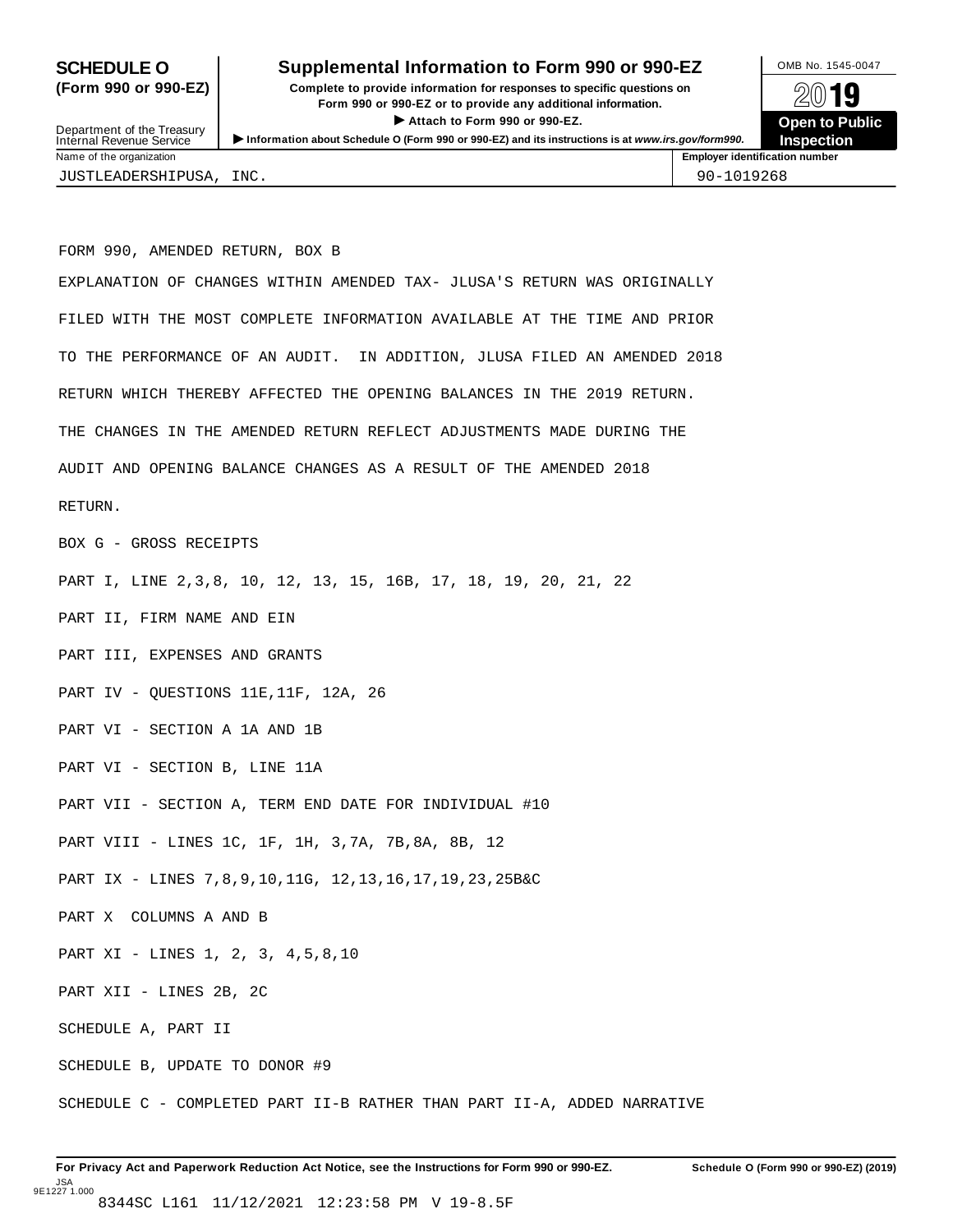### **SCHEDULE O** Supplemental Information to Form 990 or 990-EZ DMB No. 1545-0047

**(Form 990 or 990-EZ) Complete to provide information for responses to specific questions on** plete to provide information for responses to specific questions on  $\mathbb{Z}^{0}$  **19 EV I D**<br>
■ Attach to Form 990 or 990-EZ. Depen to Public<br>
■ Public Public Public



| Department of the Treasury<br>Internal Revenue Service | <b>P</b> Attach to Form 990 or 990-EZ.<br>Information about Schedule O (Form 990 or 990-EZ) and its instructions is at www.irs.gov/form990. |                                       | <b>Open to Pl</b><br><b>Inspection</b> |
|--------------------------------------------------------|---------------------------------------------------------------------------------------------------------------------------------------------|---------------------------------------|----------------------------------------|
| Name of the organization                               |                                                                                                                                             | <b>Employer identification number</b> |                                        |
| JUSTLEADERSHIPUSA,                                     | INC.                                                                                                                                        | 90-1019268                            |                                        |
|                                                        |                                                                                                                                             |                                       |                                        |

FORM 990, AMENDED RETURN, BOX B EXPLANATION OF CHANGES WITHIN AMENDED TAX- JLUSA'S RETURN WAS ORIGINALLY FILED WITH THE MOST COMPLETE INFORMATION AVAILABLE AT THE TIME AND PRIOR TO THE PERFORMANCE OF AN AUDIT. IN ADDITION, JLUSA FILED AN AMENDED 2018 RETURN WHICH THEREBY AFFECTED THE OPENING BALANCES IN THE 2019 RETURN. THE CHANGES IN THE AMENDED RETURN REFLECT ADJUSTMENTS MADE DURING THE AUDIT AND OPENING BALANCE CHANGES AS A RESULT OF THE AMENDED 2018 RETURN. BOX G - GROSS RECEIPTS PART I, LINE 2,3,8, 10, 12, 13, 15, 16B, 17, 18, 19, 20, 21, 22 PART II, FIRM NAME AND EIN PART III, EXPENSES AND GRANTS PART IV - QUESTIONS 11E, 11F, 12A, 26 PART VI - SECTION A 1A AND 1B PART VI - SECTION B, LINE 11A PART VII - SECTION A, TERM END DATE FOR INDIVIDUAL #10 PART VIII - LINES 1C, 1F, 1H, 3,7A, 7B,8A, 8B, 12 PART IX - LINES 7,8,9,10,11G, 12,13,16,17,19,23,25B&C PART X COLUMNS A AND B PART XI - LINES 1, 2, 3, 4,5,8,10 PART XII - LINES 2B, 2C SCHEDULE A, PART II SCHEDULE B, UPDATE TO DONOR #9 SCHEDULE C - COMPLETED PART II-B RATHER THAN PART II-A, ADDED NARRATIVE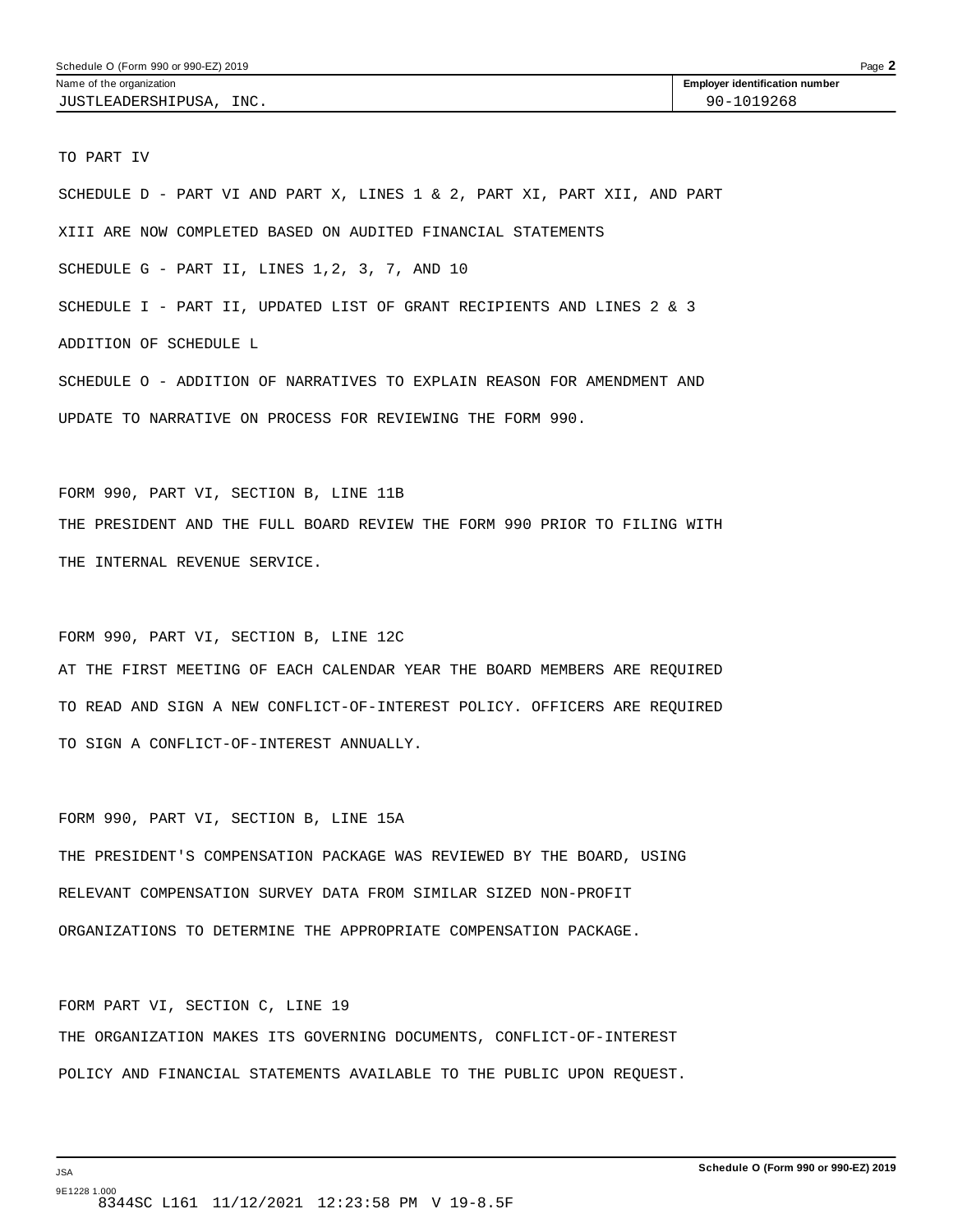TO PART IV

SCHEDULE D - PART VI AND PART X, LINES 1 & 2, PART XI, PART XII, AND PART XIII ARE NOW COMPLETED BASED ON AUDITED FINANCIAL STATEMENTS SCHEDULE G - PART II, LINES 1,2, 3, 7, AND 10 SCHEDULE I - PART II, UPDATED LIST OF GRANT RECIPIENTS AND LINES 2 & 3 ADDITION OF SCHEDULE L SCHEDULE O - ADDITION OF NARRATIVES TO EXPLAIN REASON FOR AMENDMENT AND UPDATE TO NARRATIVE ON PROCESS FOR REVIEWING THE FORM 990.

FORM 990, PART VI, SECTION B, LINE 11B THE PRESIDENT AND THE FULL BOARD REVIEW THE FORM 990 PRIOR TO FILING WITH THE INTERNAL REVENUE SERVICE.

FORM 990, PART VI, SECTION B, LINE 12C AT THE FIRST MEETING OF EACH CALENDAR YEAR THE BOARD MEMBERS ARE REQUIRED TO READ AND SIGN A NEW CONFLICT-OF-INTEREST POLICY. OFFICERS ARE REQUIRED TO SIGN A CONFLICT-OF-INTEREST ANNUALLY.

```
FORM 990, PART VI, SECTION B, LINE 15A
THE PRESIDENT'S COMPENSATION PACKAGE WAS REVIEWED BY THE BOARD, USING
RELEVANT COMPENSATION SURVEY DATA FROM SIMILAR SIZED NON-PROFIT
ORGANIZATIONS TO DETERMINE THE APPROPRIATE COMPENSATION PACKAGE.
```
FORM PART VI, SECTION C, LINE 19 THE ORGANIZATION MAKES ITS GOVERNING DOCUMENTS, CONFLICT-OF-INTEREST POLICY AND FINANCIAL STATEMENTS AVAILABLE TO THE PUBLIC UPON REQUEST.